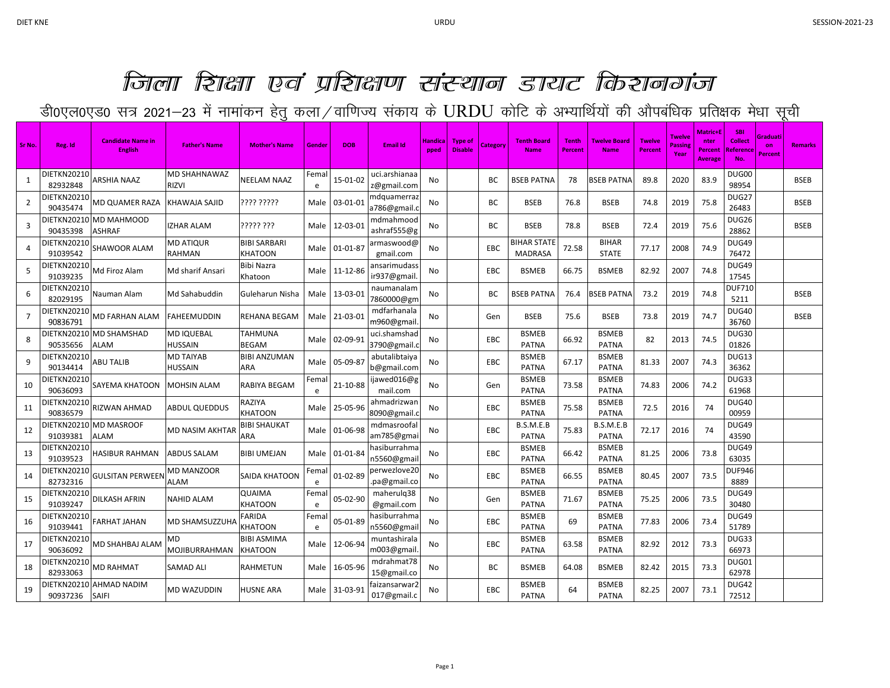## जिला हिंद्वा एवं प्रहिद्वाण संस्थान डायट किशनगंज

डी0एल0एड0 सत्र 2021–23 में नामांकन हेतु कला /वाणिज्य संकाय के URDU कोटि के अभ्यार्थियों की औपबंधिक प्रतिक्षक मेधा सूची

| Sr No.         | Reg. Id                        | <b>Candidate Name in</b><br><b>English</b> | <b>Father's Name</b>         | <b>Mother's Name</b>            | Gender             | <b>DOB</b>    | <b>Email Id</b>              | Handica<br>pped | <b>Type of</b><br><b>Disable</b> | Categon    | <b>Tenth Board</b><br><b>Name</b> | <b>Tenth</b><br>Percent | Twelve Board<br><b>Name</b>  | <b>Twelve</b><br><b>Percent</b> | Twelve<br>Passin<br>Year | <b>Matric+E</b><br>nter<br><b>Percent</b><br><b>Average</b> | <b>SBI</b><br><b>Collect</b><br>Reference<br>No. | Graduati<br>on<br>Percent | <b>Remarks</b> |
|----------------|--------------------------------|--------------------------------------------|------------------------------|---------------------------------|--------------------|---------------|------------------------------|-----------------|----------------------------------|------------|-----------------------------------|-------------------------|------------------------------|---------------------------------|--------------------------|-------------------------------------------------------------|--------------------------------------------------|---------------------------|----------------|
| 1              | <b>DIETKN20210</b><br>82932848 | ARSHIA NAAZ                                | <b>MD SHAHNAWAZ</b><br>rizvi | NEELAM NAAZ                     | Femal<br>e         | 15-01-02      | uci.arshianaa<br>z@gmail.com | No              |                                  | BC         | <b>BSEB PATNA</b>                 | 78                      | <b>BSEB PATNA</b>            | 89.8                            | 2020                     | 83.9                                                        | DUG00<br>98954                                   |                           | <b>BSEB</b>    |
| $\overline{2}$ | <b>DIETKN20210</b><br>90435474 | MD QUAMER RAZA                             | KHAWAJA SAJID                | ???? ?????                      | Male               | 03-01-01      | ndquamerraz<br>a786@gmail.o  | No              |                                  | ВC         | <b>BSEB</b>                       | 76.8                    | <b>BSEB</b>                  | 74.8                            | 2019                     | 75.8                                                        | DUG27<br>26483                                   |                           | <b>BSEB</b>    |
| 3              | <b>DIETKN20210</b><br>90435398 | MD MAHMOOD<br>ASHRAF                       | <b>ZHAR ALAM</b>             | ????? ???                       | Male               | 12-03-01      | mdmahmood<br>ashraf555@g     | No              |                                  | ВC         | <b>BSEB</b>                       | 78.8                    | <b>BSEB</b>                  | 72.4                            | 2019                     | 75.6                                                        | DUG26<br>28862                                   |                           | <b>BSEB</b>    |
| 4              | DIETKN20210<br>91039542        | SHAWOOR ALAM                               | MD ATIQUR<br>RAHMAN          | BIBI SARBARI<br>KHATOON         | Male               | 01-01-87      | armaswood@<br>gmail.com      | No              |                                  | <b>EBC</b> | BIHAR STATE<br><b>MADRASA</b>     | 72.58                   | <b>BIHAR</b><br><b>STATE</b> | 77.17                           | 2008                     | 74.9                                                        | <b>DUG49</b><br>76472                            |                           |                |
| 5              | DIETKN20210<br>91039235        | Md Firoz Alam                              | Md sharif Ansari             | Bibi Nazra<br>Khatoon           |                    | Male 11-12-86 | ansarimudass<br>ir937@gmail  | No              |                                  | <b>EBC</b> | <b>BSMEB</b>                      | 66.75                   | <b>BSMEB</b>                 | 82.92                           | 2007                     | 74.8                                                        | DUG49<br>17545                                   |                           |                |
| 6              | <b>DIETKN20210</b><br>82029195 | Nauman Alam                                | Md Sahabuddin                | Guleharun Nisha                 | Male               | 13-03-01      | naumanalam<br>7860000@gm     | No              |                                  | BC         | <b>BSEB PATNA</b>                 | 76.4                    | BSEB PATNA                   | 73.2                            | 2019                     | 74.8                                                        | <b>DUF710</b><br>5211                            |                           | <b>BSEB</b>    |
| 7              | DIETKN20210<br>90836791        | MD FARHAN ALAM                             | FAHEEMUDDIN                  | REHANA BEGAM                    | Male               | 21-03-01      | mdfarhanala<br>m960@gmail    | No              |                                  | Gen        | <b>BSEB</b>                       | 75.6                    | <b>BSEB</b>                  | 73.8                            | 2019                     | 74.7                                                        | <b>DUG40</b><br>36760                            |                           | <b>BSEB</b>    |
| 8              | <b>DIETKN20210</b><br>90535656 | <b>MD SHAMSHAD</b><br>ALAM                 | MD IQUEBAL<br><b>HUSSAIN</b> | TAHMUNA<br><b>BEGAM</b>         | Male I             | 02-09-91      | uci.shamshad<br>3790@gmail.c | No              |                                  | <b>EBC</b> | <b>BSMEB</b><br><b>PATNA</b>      | 66.92                   | <b>BSMEB</b><br><b>PATNA</b> | 82                              | 2013                     | 74.5                                                        | DUG30<br>01826                                   |                           |                |
| 9              | DIETKN20210<br>90134414        | ABU TALIB                                  | MD TAIYAB<br>HUSSAIN         | BIBI ANZUMAN<br>ARA             | Male               | 05-09-87      | abutalibtaiya<br>b@gmail.com | No              |                                  | EBC        | <b>BSMEB</b><br><b>PATNA</b>      | 67.17                   | <b>BSMEB</b><br><b>PATNA</b> | 81.33                           | 2007                     | 74.3                                                        | DUG13<br>36362                                   |                           |                |
| 10             | DIETKN20210<br>90636093        | SAYEMA KHATOON                             | <b>MOHSIN ALAM</b>           | RABIYA BEGAM                    | Fema<br>$\epsilon$ | 21-10-88      | ijawed016@g<br>mail.com      | No              |                                  | Gen        | <b>BSMEB</b><br><b>PATNA</b>      | 73.58                   | <b>BSMEB</b><br><b>PATNA</b> | 74.83                           | 2006                     | 74.2                                                        | DUG33<br>61968                                   |                           |                |
| 11             | DIETKN20210<br>90836579        | RIZWAN AHMAD                               | <b>ABDUL QUEDDUS</b>         | RAZIYA<br>KHATOON               | Male               | 25-05-96      | ahmadrizwar<br>8090@gmail.o  | No              |                                  | EBC        | <b>BSMEB</b><br><b>PATNA</b>      | 75.58                   | <b>BSMEB</b><br><b>PATNA</b> | 72.5                            | 2016                     | 74                                                          | DUG40<br>00959                                   |                           |                |
| 12             | DIETKN20210<br>91039381        | <b>MD MASROOF</b><br>ALAM                  | VID NASIM AKHTAR             | BIBI SHAUKAT<br>ARA             | Male               | 01-06-98      | mdmasroofal<br>am785@gmai    | No              |                                  | EBC        | B.S.M.E.B<br><b>PATNA</b>         | 75.83                   | B.S.M.E.B<br><b>PATNA</b>    | 72.17                           | 2016                     | 74                                                          | DUG49<br>43590                                   |                           |                |
| 13             | <b>DIETKN20210</b><br>91039523 | <b>HASIBUR RAHMAN</b>                      | <b>ABDUS SALAM</b>           | <b>BIBI UMEJAN</b>              | Male I             | 01-01-84      | hasiburrahma<br>n5560@gmai   | No              |                                  | <b>EBC</b> | <b>BSMEB</b><br><b>PATNA</b>      | 66.42                   | <b>BSMEB</b><br><b>PATNA</b> | 81.25                           | 2006                     | 73.8                                                        | DUG49<br>63035                                   |                           |                |
| 14             | DIETKN20210<br>82732316        | GULSITAN PERWEEN                           | MD MANZOOR<br>ALAM           | SAIDA KHATOON                   | Fema<br>е          | 01-02-89      | oerwezlove20<br>.pa@gmail.co | No              |                                  | EBC        | <b>BSMEB</b><br><b>PATNA</b>      | 66.55                   | <b>BSMEB</b><br><b>PATNA</b> | 80.45                           | 2007                     | 73.5                                                        | <b>DUF946</b><br>8889                            |                           |                |
| 15             | DIETKN20210<br>91039247        | DILKASH AFRIN                              | NAHID ALAM                   | QUAIMA<br><b>KHATOON</b>        | Fema<br>e          | 05-02-90      | maherulq38<br>@gmail.com     | No              |                                  | Gen        | <b>BSMEB</b><br><b>PATNA</b>      | 71.67                   | <b>BSMEB</b><br><b>PATNA</b> | 75.25                           | 2006                     | 73.5                                                        | DUG49<br>30480                                   |                           |                |
| 16             | DIETKN20210<br>91039441        | FARHAT JAHAN                               | MD SHAMSUZZUH <i>I</i>       | <b>FARIDA</b><br><b>CHATOON</b> | Fema<br>e          | 05-01-89      | asiburrahma<br>n5560@gmai    | No              |                                  | EBC        | <b>BSMEB</b><br><b>PATNA</b>      | 69                      | <b>BSMEB</b><br><b>PATNA</b> | 77.83                           | 2006                     | 73.4                                                        | DUG49<br>51789                                   |                           |                |
| 17             | DIETKN20210<br>90636092        | MD SHAHBAJ ALAM                            | MD<br>MOJIBURRAHMAN          | BIBI ASMIMA<br>KHATOON          | Male               | 12-06-94      | muntashirala<br>m003@gmail   | No              |                                  | <b>EBC</b> | <b>BSMEB</b><br><b>PATNA</b>      | 63.58                   | <b>BSMEB</b><br><b>PATNA</b> | 82.92                           | 2012                     | 73.3                                                        | DUG33<br>66973                                   |                           |                |
| 18             | <b>DIETKN20210</b><br>82933063 | <b>MD RAHMAT</b>                           | SAMAD ALI                    | RAHMETUN                        |                    | Male 16-05-96 | mdrahmat78<br>15@gmail.co    | No              |                                  | ВC         | <b>BSMEB</b>                      | 64.08                   | <b>BSMEB</b>                 | 82.42                           | 2015                     | 73.3                                                        | DUG01<br>62978                                   |                           |                |
| 19             | DIETKN20210<br>90937236 SAIFI  | <b>AHMAD NADIM</b>                         | MD WAZUDDIN                  | HUSNE ARA                       | Male               | 31-03-91      | faizansarwar2<br>017@gmail.c | No              |                                  | EBC        | <b>BSMEB</b><br><b>PATNA</b>      | 64                      | <b>BSMEB</b><br><b>PATNA</b> | 82.25                           | 2007                     | 73.1                                                        | DUG42<br>72512                                   |                           |                |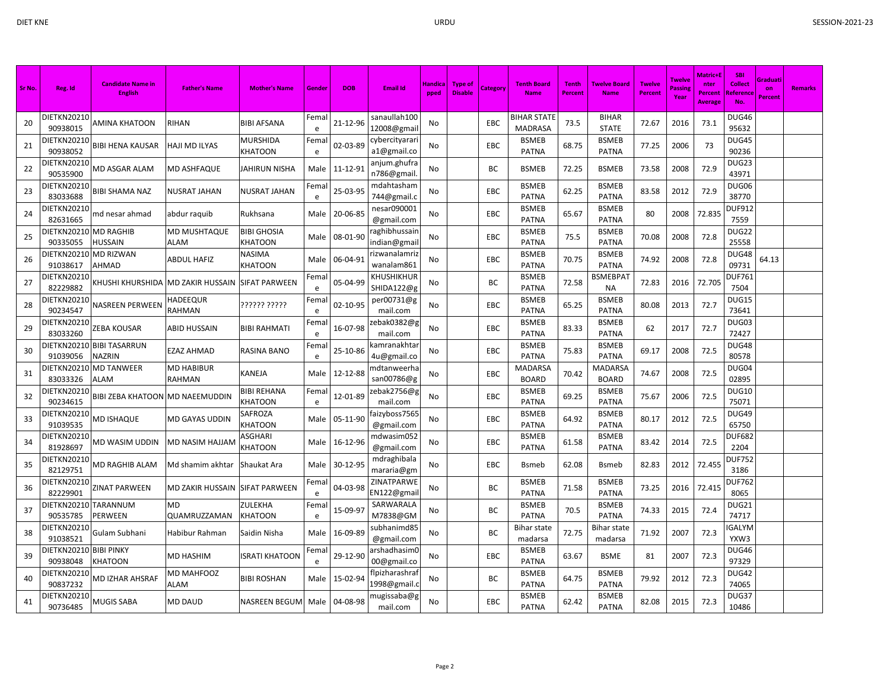| Sr No. | Reg. Id                        | <b>Candidate Name in</b><br><b>English</b> | <b>Father's Name</b>           | <b>Mother's Name</b>          | Gende              | <b>DOB</b> | <b>Email Id</b>                | Handica<br>pped | Type of<br><b>Disable</b> | Category   | <b>Tenth Board</b><br><b>Name</b>    | <b>Tenth</b><br>Percent | <b>Twelve Board</b><br><b>Name</b> | <b>Twelve</b><br><b>Percent</b> | <b>Twelve</b><br>Passing<br>Year | Matric+E<br>nter<br>Percent<br><b>Average</b> | <b>SBI</b><br><b>Collect</b><br>Referenc<br>No. | Graduati<br>on<br><b>Percent</b> | <b>Remarks</b> |
|--------|--------------------------------|--------------------------------------------|--------------------------------|-------------------------------|--------------------|------------|--------------------------------|-----------------|---------------------------|------------|--------------------------------------|-------------------------|------------------------------------|---------------------------------|----------------------------------|-----------------------------------------------|-------------------------------------------------|----------------------------------|----------------|
| 20     | DIETKN20210<br>90938015        | AMINA KHATOON                              | RIHAN                          | BIBI AFSANA                   | Femal<br>e         | 21-12-96   | sanaullah100<br>12008@gmail    | No              |                           | <b>EBC</b> | <b>BIHAR STATE</b><br><b>MADRASA</b> | 73.5                    | <b>BIHAR</b><br><b>STATE</b>       | 72.67                           | 2016                             | 73.1                                          | DUG46<br>95632                                  |                                  |                |
| 21     | DIETKN20210<br>90938052        | <b>BIBI HENA KAUSAR</b>                    | HAJI MD ILYAS                  | <b>MURSHIDA</b><br>KHATOON    | Fema<br>e          | 02-03-89   | cybercityarari<br>a1@gmail.co  | No              |                           | EBC        | <b>BSMEB</b><br><b>PATNA</b>         | 68.75                   | <b>BSMEB</b><br><b>PATNA</b>       | 77.25                           | 2006                             | 73                                            | DUG45<br>90236                                  |                                  |                |
| 22     | <b>DIETKN20210</b><br>90535900 | MD ASGAR ALAM                              | <b>MD ASHFAQUE</b>             | JAHIRUN NISHA                 | Male               | 11-12-91   | anjum.ghufra<br>n786@gmail     | No              |                           | <b>BC</b>  | <b>BSMEB</b>                         | 72.25                   | <b>BSMEB</b>                       | 73.58                           | 2008                             | 72.9                                          | DUG23<br>43971                                  |                                  |                |
| 23     | DIETKN20210<br>83033688        | <b>BIBI SHAMA NAZ</b>                      | NUSRAT JAHAN                   | NUSRAT JAHAN                  | Fema<br>e          | 25-03-95   | mdahtasham<br>744@gmail.c      | No              |                           | EBC        | <b>BSMEB</b><br><b>PATNA</b>         | 62.25                   | <b>BSMEB</b><br><b>PATNA</b>       | 83.58                           | 2012                             | 72.9                                          | DUG06<br>38770                                  |                                  |                |
| 24     | DIETKN20210<br>82631665        | md nesar ahmad                             | abdur raquib                   | Rukhsana                      | Male               | 20-06-85   | nesar090001<br>@gmail.com      | No              |                           | EBC        | <b>BSMEB</b><br><b>PATNA</b>         | 65.67                   | <b>BSMEB</b><br><b>PATNA</b>       | 80                              | 2008                             | 72.835                                        | <b>DUF912</b><br>7559                           |                                  |                |
| 25     | DIETKN20210<br>90335055        | <b>MD RAGHIB</b><br><b>HUSSAIN</b>         | MD MUSHTAQUE<br>ALAM           | <b>BIBI GHOSIA</b><br>KHATOON | Male               | 08-01-90   | aghibhussair<br>indian@gmai    | No              |                           | EBC        | <b>BSMEB</b><br><b>PATNA</b>         | 75.5                    | <b>BSMEB</b><br><b>PATNA</b>       | 70.08                           | 2008                             | 72.8                                          | DUG22<br>25558                                  |                                  |                |
| 26     | DIETKN20210<br>91038617        | <b>MD RIZWAN</b><br><b>AHMAD</b>           | ABDUL HAFIZ                    | NASIMA<br>KHATOON             | Male               | 06-04-91   | rizwanalamriz<br>wanalam861    | No              |                           | EBC        | <b>BSMEB</b><br><b>PATNA</b>         | 70.75                   | <b>BSMEB</b><br><b>PATNA</b>       | 74.92                           | 2008                             | 72.8                                          | DUG48<br>09731                                  | 64.13                            |                |
| 27     | DIETKN20210<br>82229882        | KHUSHI KHURSHIDA                           | <b>MD ZAKIR HUSSAIN</b>        | <b>SIFAT PARWEEN</b>          | Fema<br>e          | 05-04-99   | KHUSHIKHUR<br>SHIDA122@g       | No              |                           | BC         | <b>BSMEB</b><br><b>PATNA</b>         | 72.58                   | <b>BSMEBPAT</b><br>NA              | 72.83                           | 2016                             | 72.705                                        | <b>DUF761</b><br>7504                           |                                  |                |
| 28     | DIETKN20210<br>90234547        | <b>NASREEN PERWEEN</b>                     | HADEEQUR<br>RAHMAN             | ?????? ?????                  | Fem<br>e           | 02-10-95   | per00731@g<br>mail.com         | No              |                           | EBC        | <b>BSMEB</b><br><b>PATNA</b>         | 65.25                   | <b>BSMEB</b><br><b>PATNA</b>       | 80.08                           | 2013                             | 72.7                                          | DUG15<br>73641                                  |                                  |                |
| 29     | DIETKN20210<br>83033260        | ZEBA KOUSAR                                | ABID HUSSAIN                   | BIBI RAHMATI                  | Fema<br>e          | 16-07-98   | zebak0382@g<br>mail.com        | No              |                           | EBC        | <b>BSMEB</b><br><b>PATNA</b>         | 83.33                   | <b>BSMEB</b><br><b>PATNA</b>       | 62                              | 2017                             | 72.7                                          | DUG03<br>72427                                  |                                  |                |
| 30     | DIETKN20210<br>91039056        | <b>BIBI TASARRUN</b><br><b>NAZRIN</b>      | EZAZ AHMAD                     | RASINA BANO                   | Fema<br>e          | 25-10-86   | kamranakhtai<br>4u@gmail.co    | No              |                           | EBC        | <b>BSMEB</b><br><b>PATNA</b>         | 75.83                   | <b>BSMEB</b><br><b>PATNA</b>       | 69.17                           | 2008                             | 72.5                                          | DUG48<br>80578                                  |                                  |                |
| 31     | DIETKN20210<br>83033326        | <b>MD TANWEER</b><br>ALAM                  | MD HABIBUR<br>RAHMAN           | KANEJA                        | Male               | 12-12-88   | mdtanweerha<br>san00786@g      | No              |                           | EBC        | <b>MADARSA</b><br><b>BOARD</b>       | 70.42                   | <b>MADARSA</b><br><b>BOARD</b>     | 74.67                           | 2008                             | 72.5                                          | DUG04<br>02895                                  |                                  |                |
| 32     | DIETKN20210<br>90234615        | BIBI ZEBA KHATOON                          | <b>MD NAEEMUDDIN</b>           | <b>BIBI REHANA</b><br>KHATOON | Fema<br>$\epsilon$ | 12-01-89   | zebak2756@g<br>mail.com        | No              |                           | <b>EBC</b> | <b>BSMEB</b><br><b>PATNA</b>         | 69.25                   | <b>BSMEB</b><br><b>PATNA</b>       | 75.67                           | 2006                             | 72.5                                          | DUG10<br>75071                                  |                                  |                |
| 33     | DIETKN20210<br>91039535        | MD ISHAQUE                                 | MD GAYAS UDDIN                 | SAFROZA<br>KHATOON            | Male               | 05-11-90   | faizyboss7565<br>@gmail.com    | No              |                           | EBC        | <b>BSMEB</b><br><b>PATNA</b>         | 64.92                   | <b>BSMEB</b><br><b>PATNA</b>       | 80.17                           | 2012                             | 72.5                                          | DUG49<br>65750                                  |                                  |                |
| 34     | DIETKN20210<br>81928697        | MD WASIM UDDIN                             | MD NASIM HAJJAM                | ASGHARI<br><b>KHATOON</b>     | Male               | 16-12-96   | mdwasim052<br>@gmail.com       | No              |                           | EBC        | <b>BSMEB</b><br><b>PATNA</b>         | 61.58                   | <b>BSMEB</b><br><b>PATNA</b>       | 83.42                           | 2014                             | 72.5                                          | <b>DUF682</b><br>2204                           |                                  |                |
| 35     | DIETKN20210<br>82129751        | MD RAGHIB ALAM                             | Md shamim akhtar               | Shaukat Ara                   | Male               | 30-12-95   | mdraghibala<br>mararia@gm      | No              |                           | EBC        | <b>B</b> smeb                        | 62.08                   | <b>B</b> smeb                      | 82.83                           | 2012                             | 72.455                                        | <b>DUF752</b><br>3186                           |                                  |                |
| 36     | DIETKN20210<br>82229901        | ZINAT PARWEEN                              | MD ZAKIR HUSSAIN SIFAT PARWEEN |                               | Fema<br>e          | 04-03-98   | ZINATPARWE<br>EN122@gmai       | No              |                           | BC         | <b>BSMEB</b><br><b>PATNA</b>         | 71.58                   | <b>BSMEB</b><br><b>PATNA</b>       | 73.25                           | 2016                             | 72.415                                        | <b>DUF762</b><br>8065                           |                                  |                |
| 37     | DIETKN20210<br>90535785        | <b>TARANNUM</b><br>PERWEEN                 | MD<br>QUAMRUZZAMAN             | ZULEKHA<br>KHATOON            | Fema<br>e          | 15-09-97   | SARWARALA<br>M7838@GM          | No              |                           | BC         | <b>BSMEB</b><br><b>PATNA</b>         | 70.5                    | <b>BSMEB</b><br><b>PATNA</b>       | 74.33                           | 2015                             | 72.4                                          | DUG21<br>74717                                  |                                  |                |
| 38     | DIETKN20210<br>91038521        | Gulam Subhani                              | Habibur Rahman                 | Saidin Nisha                  | Male               | 16-09-89   | subhanimd85<br>@gmail.com      | No              |                           | <b>BC</b>  | Bihar state<br>madarsa               | 72.75                   | Bihar state<br>madarsa             | 71.92                           | 2007                             | 72.3                                          | <b>IGALYM</b><br>YXW3                           |                                  |                |
| 39     | DIETKN20210<br>90938048        | <b>BIBI PINKY</b><br><b>KHATOON</b>        | MD HASHIM                      | ISRATI KHATOON                | Fema<br>e          | 29-12-90   | arshadhasim0<br>00@gmail.co    | No              |                           | <b>EBC</b> | <b>BSMEB</b><br><b>PATNA</b>         | 63.67                   | <b>BSME</b>                        | 81                              | 2007                             | 72.3                                          | DUG46<br>97329                                  |                                  |                |
| 40     | DIETKN20210<br>90837232        | MD IZHAR AHSRAF                            | MD MAHFOOZ<br>ALAM             | <b>BIBI ROSHAN</b>            | Male               | 15-02-94   | flpizharashraf<br>1998@gmail.c | No              |                           | BC         | <b>BSMEB</b><br><b>PATNA</b>         | 64.75                   | <b>BSMEB</b><br><b>PATNA</b>       | 79.92                           | 2012                             | 72.3                                          | DUG42<br>74065                                  |                                  |                |
| 41     | DIETKN20210<br>90736485        | MUGIS SABA                                 | MD DAUD                        | NASREEN BEGUM                 | Male               | 04-08-98   | mugissaba@g<br>mail.com        | No              |                           | EBC        | <b>BSMEB</b><br><b>PATNA</b>         | 62.42                   | <b>BSMEB</b><br><b>PATNA</b>       | 82.08                           | 2015                             | 72.3                                          | DUG37<br>10486                                  |                                  |                |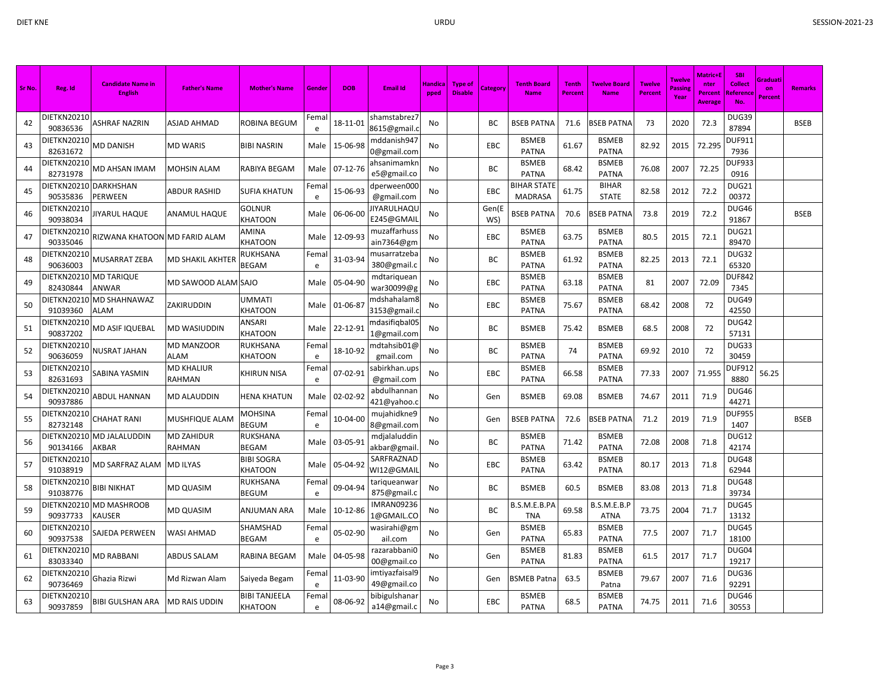| Sr No. | Reg. Id                            | <b>Candidate Name in</b><br><b>English</b> | <b>Father's Name</b> | <b>Mother's Name</b>         | Gende     | <b>DOB</b> | <b>Email Id</b>                 | <b>Handica</b><br>pped | <b>Type of</b><br><b>Disable</b> | Category     | <b>Tenth Board</b><br><b>Name</b>    | <b>Tenth</b><br>Percent | <b>Twelve Board</b><br><b>Name</b> | <b>Twelve</b><br><b>Percent</b> | <b>Twelve</b><br>Passing<br>Year | Aatric+l<br>nter<br><b>Percent</b><br><b>Average</b> | <b>SBI</b><br><b>Collect</b><br>Reference<br>No | Graduati<br>on<br>Percent | <b>Remarks</b> |
|--------|------------------------------------|--------------------------------------------|----------------------|------------------------------|-----------|------------|---------------------------------|------------------------|----------------------------------|--------------|--------------------------------------|-------------------------|------------------------------------|---------------------------------|----------------------------------|------------------------------------------------------|-------------------------------------------------|---------------------------|----------------|
| 42     | DIETKN20210<br>90836536            | <b><i>ASHRAF NAZRIN</i></b>                | ASJAD AHMAD          | ROBINA BEGUM                 | Fema<br>e | 18-11-01   | shamstabrez7<br>8615@gmail.o    | No                     |                                  | <b>BC</b>    | <b>BSEB PATNA</b>                    | 71.6                    | <b>SSEB PATNA</b>                  | 73                              | 2020                             | 72.3                                                 | DUG39<br>87894                                  |                           | <b>BSEB</b>    |
| 43     | DIETKN20210<br>82631672            | <b>MD DANISH</b>                           | MD WARIS             | <b>BIBI NASRIN</b>           | Male      | 15-06-98   | mddanish947<br>0@gmail.com      | No                     |                                  | EBC          | <b>BSMEB</b><br><b>PATNA</b>         | 61.67                   | <b>BSMEB</b><br><b>PATNA</b>       | 82.92                           | 2015                             | 72.295                                               | <b>DUF911</b><br>7936                           |                           |                |
| 44     | DIETKN20210<br>82731978            | MD AHSAN IMAM                              | MOHSIN ALAM          | RABIYA BEGAM                 | Male      | 07-12-76   | ahsanimamkn<br>e5@gmail.co      | No                     |                                  | ВC           | <b>BSMEB</b><br><b>PATNA</b>         | 68.42                   | <b>BSMEB</b><br><b>PATNA</b>       | 76.08                           | 2007                             | 72.25                                                | <b>DUF933</b><br>0916                           |                           |                |
| 45     | DIETKN20210 DARKHSHAN<br>90535836  | PERWEEN                                    | <b>ABDUR RASHID</b>  | <b>SUFIA KHATUN</b>          | Fema<br>e | 15-06-93   | dperween00C<br>@gmail.com       | No                     |                                  | EBC          | <b>BIHAR STATE</b><br><b>MADRASA</b> | 61.75                   | <b>BIHAR</b><br><b>STATE</b>       | 82.58                           | 2012                             | 72.2                                                 | DUG21<br>00372                                  |                           |                |
| 46     | DIETKN20210<br>90938034            | JIYARUL HAQUE                              | ANAMUL HAQUE         | GOLNUR<br>KHATOON            | Male      | 06-06-00   | IYARULHAQL<br>E245@GMAII        | No                     |                                  | Gen(E<br>WS) | <b>BSEB PATNA</b>                    | 70.6                    | <b>BSEB PATNA</b>                  | 73.8                            | 2019                             | 72.2                                                 | DUG46<br>91867                                  |                           | <b>BSEB</b>    |
| 47     | DIETKN20210<br>90335046            | RIZWANA KHATOON                            | <b>MD FARID ALAM</b> | AMINA<br>KHATOON             | Male      | 12-09-93   | muzaffarhuss<br>ain7364@gm      | No                     |                                  | EBC          | <b>BSMEB</b><br><b>PATNA</b>         | 63.75                   | <b>BSMEB</b><br><b>PATNA</b>       | 80.5                            | 2015                             | 72.1                                                 | DUG21<br>89470                                  |                           |                |
| 48     | DIETKN20210<br>90636003            | MUSARRAT ZEBA                              | MD SHAKIL AKHTER     | RUKHSANA<br>BEGAM            | Fema<br>e | 31-03-94   | musarratzeba<br>380@gmail.c     | No                     |                                  | BC           | <b>BSMEB</b><br><b>PATNA</b>         | 61.92                   | <b>BSMEB</b><br>PATNA              | 82.25                           | 2013                             | 72.1                                                 | DUG32<br>65320                                  |                           |                |
| 49     | DIETKN20210 MD TARIQUE<br>82430844 | <b>ANWAR</b>                               | MD SAWOOD ALAM SAJO  |                              | Male      | 05-04-90   | mdtariquean<br>war30099@g       | No                     |                                  | EBC          | <b>BSMEB</b><br><b>PATNA</b>         | 63.18                   | <b>BSMEB</b><br><b>PATNA</b>       | 81                              | 2007                             | 72.09                                                | <b>DUF842</b><br>7345                           |                           |                |
| 50     | 91039360                           | DIETKN20210 MD SHAHNAWAZ<br><b>ALAM</b>    | ZAKIRUDDIN           | UMMATI<br><b>KHATOON</b>     | Male      | 01-06-87   | ndshahalam8<br>3153@gmail.      | No                     |                                  | EBC          | <b>BSMEB</b><br><b>PATNA</b>         | 75.67                   | <b>BSMEB</b><br><b>PATNA</b>       | 68.42                           | 2008                             | 72                                                   | DUG49<br>42550                                  |                           |                |
| 51     | DIETKN20210<br>90837202            | MD ASIF IQUEBAL                            | MD WASIUDDIN         | ANSARI<br><b>KHATOON</b>     | Male      | 22-12-91   | ndasifiqbal05<br>1@gmail.com    | No                     |                                  | BC           | <b>BSMEB</b>                         | 75.42                   | <b>BSMEB</b>                       | 68.5                            | 2008                             | 72                                                   | DUG42<br>57131                                  |                           |                |
| 52     | DIETKN20210<br>90636059            | <b>NUSRAT JAHAN</b>                        | MD MANZOOR<br>ALAM   | RUKHSANA<br>KHATOON          | Fema<br>e | 18-10-92   | ndtahsib01@<br>gmail.com        | No                     |                                  | BC           | <b>BSMEB</b><br><b>PATNA</b>         | 74                      | <b>BSMEB</b><br><b>PATNA</b>       | 69.92                           | 2010                             | 72                                                   | DUG33<br>30459                                  |                           |                |
| 53     | DIETKN20210<br>82631693            | SABINA YASMIN                              | MD KHALIUR<br>RAHMAN | KHIRUN NISA                  | Fema<br>e | 07-02-91   | abirkhan.ups<br>@gmail.com      | No                     |                                  | EBC          | <b>BSMEB</b><br><b>PATNA</b>         | 66.58                   | <b>BSMEB</b><br><b>PATNA</b>       | 77.33                           | 2007                             | 71.955                                               | <b>DUF912</b><br>8880                           | 56.25                     |                |
| 54     | DIETKN20210<br>90937886            | ABDUL HANNAN                               | MD ALAUDDIN          | HENA KHATUN                  | Male      | 02-02-92   | abdulhannar<br>421@yahoo.o      | No                     |                                  | Gen          | <b>BSMEB</b>                         | 69.08                   | <b>BSMEB</b>                       | 74.67                           | 2011                             | 71.9                                                 | DUG46<br>44271                                  |                           |                |
| 55     | DIETKN20210<br>82732148            | <b>CHAHAT RANI</b>                         | MUSHFIQUE ALAM       | MOHSINA<br>BEGUM             | Fema<br>e | 10-04-00   | mujahidkne9<br>8@gmail.com      | No                     |                                  | Gen          | <b>BSEB PATNA</b>                    | 72.6                    | <b>SEB PATNA</b>                   | 71.2                            | 2019                             | 71.9                                                 | <b>DUF955</b><br>1407                           |                           | <b>BSEB</b>    |
| 56     | 90134166                           | DIETKN20210 MD JALALUDDIN<br>AKBAR         | MD ZAHIDUR<br>RAHMAN | RUKSHANA<br><b>BEGAM</b>     | Male      | 03-05-91   | mdjalaluddin<br>akbar@gmail     | No                     |                                  | BC           | <b>BSMEB</b><br><b>PATNA</b>         | 71.42                   | <b>BSMEB</b><br><b>PATNA</b>       | 72.08                           | 2008                             | 71.8                                                 | DUG12<br>42174                                  |                           |                |
| 57     | DIETKN20210<br>91038919            | <b>MD SARFRAZ ALAM</b>                     | <b>MD ILYAS</b>      | <b>BIBI SOGRA</b><br>KHATOON | Male      | 05-04-92   | SARFRAZNAD<br>WI12@GMAII        | No                     |                                  | EBC          | <b>BSMEB</b><br><b>PATNA</b>         | 63.42                   | <b>BSMEB</b><br><b>PATNA</b>       | 80.17                           | 2013                             | 71.8                                                 | DUG48<br>62944                                  |                           |                |
| 58     | DIETKN20210<br>91038776            | <b>BIBI NIKHAT</b>                         | <b>MD QUASIM</b>     | RUKHSANA<br>BEGUM            | Fema<br>e | 09-04-94   | tariqueanwai<br>875@gmail.c     | No                     |                                  | BC           | <b>BSMEB</b>                         | 60.5                    | <b>BSMEB</b>                       | 83.08                           | 2013                             | 71.8                                                 | DUG48<br>39734                                  |                           |                |
| 59     | 90937733                           | DIETKN20210 MD MASHROOB<br><b>KAUSER</b>   | <b>MD QUASIM</b>     | ANJUMAN ARA                  | Male      | 10-12-86   | <b>IMRAN09236</b><br>1@GMAIL.CO | No                     |                                  | BC           | B.S.M.E.B.PA<br><b>TNA</b>           | 69.58                   | B.S.M.E.B.P<br><b>ATNA</b>         | 73.75                           | 2004                             | 71.7                                                 | DUG45<br>13132                                  |                           |                |
| 60     | DIETKN20210<br>90937538            | SAJEDA PERWEEN                             | <b>WASI AHMAD</b>    | SHAMSHAD<br><b>BEGAM</b>     | Fema<br>e | 05-02-90   | wasirahi@gm<br>ail.com          | No                     |                                  | Gen          | <b>BSMEB</b><br>PATNA                | 65.83                   | <b>BSMEB</b><br><b>PATNA</b>       | 77.5                            | 2007                             | 71.7                                                 | DUG45<br>18100                                  |                           |                |
| 61     | DIETKN20210<br>83033340            | <b>MD RABBANI</b>                          | ABDUS SALAM          | RABINA BEGAM                 | Male      | 04-05-98   | razarabbaniC<br>00@gmail.co     | No                     |                                  | Gen          | <b>BSMEB</b><br><b>PATNA</b>         | 81.83                   | <b>BSMEB</b><br><b>PATNA</b>       | 61.5                            | 2017                             | 71.7                                                 | DUG04<br>19217                                  |                           |                |
| 62     | DIETKN20210<br>90736469            | Ghazia Rizwi                               | Md Rizwan Alam       | Saiyeda Begam                | Fema<br>e | 11-03-90   | imtiyazfaisal 9<br>49@gmail.co  | No                     |                                  | Gen          | <b>BSMEB Patna</b>                   | 63.5                    | <b>BSMEB</b><br>Patna              | 79.67                           | 2007                             | 71.6                                                 | DUG36<br>92291                                  |                           |                |
| 63     | DIETKN20210<br>90937859            | <b>BIBI GULSHAN ARA</b>                    | <b>MD RAIS UDDIN</b> | BIBI TANJEELA<br>KHATOON     | Fema<br>e | 08-06-92   | bibigulshana<br>a14@gmail.c     | No                     |                                  | <b>EBC</b>   | <b>BSMEB</b><br><b>PATNA</b>         | 68.5                    | <b>BSMEB</b><br><b>PATNA</b>       | 74.75                           | 2011                             | 71.6                                                 | DUG46<br>30553                                  |                           |                |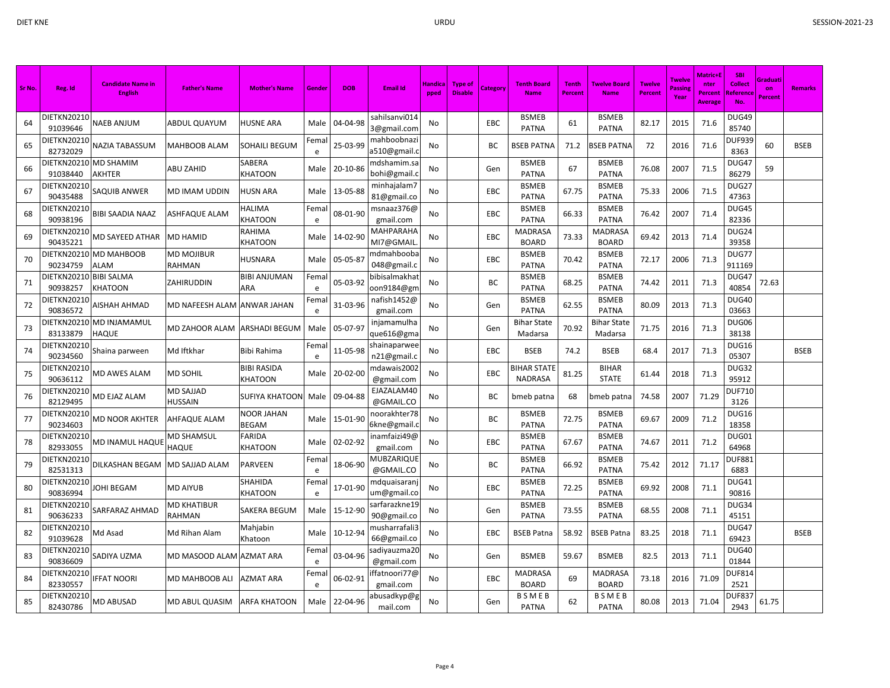| Sr No. | Reg. Id                            | <b>Candidate Name in</b><br><b>English</b> | <b>Father's Name</b>     | <b>Mother's Name</b>          | Gende              | <b>DOB</b> | Email Id                      | Handica<br>pped | <b>Type of</b><br><b>Disable</b> | Category   | <b>Tenth Board</b><br><b>Name</b>    | <b>Tenth</b><br><b>Percent</b> | <b>Twelve Board</b><br><b>Name</b> | <b>Twelve</b><br><b>Percent</b> | <b>Twelve</b><br>Passing<br>Year | Matric+E<br>nter<br>Percent<br>Average | <b>SBI</b><br><b>Collect</b><br>Reference<br>No. | Graduati<br>on<br>Percent | <b>Remarks</b> |
|--------|------------------------------------|--------------------------------------------|--------------------------|-------------------------------|--------------------|------------|-------------------------------|-----------------|----------------------------------|------------|--------------------------------------|--------------------------------|------------------------------------|---------------------------------|----------------------------------|----------------------------------------|--------------------------------------------------|---------------------------|----------------|
| 64     | DIETKN20210<br>91039646            | <b>NAEB ANJUM</b>                          | ABDUL QUAYUM             | HUSNE ARA                     | Male               | 04-04-98   | sahilsanvi014<br>3@gmail.com  | No              |                                  | EBC        | <b>BSMEB</b><br><b>PATNA</b>         | 61                             | <b>BSMEB</b><br><b>PATNA</b>       | 82.17                           | 2015                             | 71.6                                   | DUG49<br>85740                                   |                           |                |
| 65     | DIETKN20210<br>82732029            | NAZIA TABASSUM                             | MAHBOOB ALAM             | SOHAILI BEGUM                 | Fema<br>e          | 25-03-99   | mahboobnazi<br>a510@gmail.o   | No              |                                  | BC         | <b>BSEB PATNA</b>                    | 71.2                           | <b>SEB PATNA</b>                   | 72                              | 2016                             | 71.6                                   | DUF939<br>8363                                   | 60                        | <b>BSEB</b>    |
| 66     | DIETKN20210 MD SHAMIM<br>91038440  | <b>AKHTER</b>                              | ABU ZAHID                | SABERA<br><b>KHATOON</b>      | Male               | 20-10-86   | mdshamim.sa<br>bohi@gmail.o   | No              |                                  | Gen        | <b>BSMEB</b><br><b>PATNA</b>         | 67                             | <b>BSMEB</b><br><b>PATNA</b>       | 76.08                           | 2007                             | 71.5                                   | DUG47<br>86279                                   | 59                        |                |
| 67     | DIETKN20210<br>90435488            | SAQUIB ANWER                               | MD IMAM UDDIN            | HUSN ARA                      | Male               | 13-05-88   | minhajalam7<br>81@gmail.co    | No              |                                  | EBC        | <b>BSMEB</b><br><b>PATNA</b>         | 67.75                          | <b>BSMEB</b><br><b>PATNA</b>       | 75.33                           | 2006                             | 71.5                                   | DUG27<br>47363                                   |                           |                |
| 68     | DIETKN20210<br>90938196            | <b>BIBI SAADIA NAAZ</b>                    | ASHFAQUE ALAM            | HALIMA<br><b>KHATOON</b>      | Fema<br>e          | 08-01-90   | msnaaz376@<br>gmail.com       | No              |                                  | EBC        | <b>BSMEB</b><br><b>PATNA</b>         | 66.33                          | <b>BSMEB</b><br><b>PATNA</b>       | 76.42                           | 2007                             | 71.4                                   | DUG45<br>82336                                   |                           |                |
| 69     | DIETKN20210<br>90435221            | MD SAYEED ATHAR                            | <b>MD HAMID</b>          | RAHIMA<br><b>KHATOON</b>      | Male               | 14-02-90   | <b>MAHPARAHA</b><br>MI7@GMAIL | No              |                                  | EBC        | MADRASA<br><b>BOARD</b>              | 73.33                          | MADRASA<br><b>BOARD</b>            | 69.42                           | 2013                             | 71.4                                   | DUG24<br>39358                                   |                           |                |
| 70     | 90234759                           | DIETKN20210 MD MAHBOOB<br><b>ALAM</b>      | MD MOJIBUR<br>RAHMAN     | HUSNARA                       | Male               | 05-05-87   | ndmahbooba<br>048@gmail.c     | No              |                                  | EBC        | <b>BSMEB</b><br><b>PATNA</b>         | 70.42                          | <b>BSMEB</b><br><b>PATNA</b>       | 72.17                           | 2006                             | 71.3                                   | DUG77<br>911169                                  |                           |                |
| 71     | DIETKN20210 BIBI SALMA<br>90938257 | <b>KHATOON</b>                             | ZAHIRUDDIN               | <b>BIBI ANJUMAN</b><br>ARA    | Fema<br>e          | 05-03-92   | oibisalmakhat<br>oon9184@gn   | No              |                                  | BC         | <b>BSMEB</b><br><b>PATNA</b>         | 68.25                          | <b>BSMEB</b><br><b>PATNA</b>       | 74.42                           | 2011                             | 71.3                                   | DUG47<br>40854                                   | 72.63                     |                |
| 72     | DIETKN20210<br>90836572            | AISHAH AHMAD                               | MD NAFEESH ALAM          | ANWAR JAHAN                   | Fema<br>e          | 31-03-96   | nafish1452@<br>gmail.com      | No              |                                  | Gen        | <b>BSMEB</b><br><b>PATNA</b>         | 62.55                          | <b>BSMEB</b><br>PATNA              | 80.09                           | 2013                             | 71.3                                   | <b>DUG40</b><br>03663                            |                           |                |
| 73     | 83133879                           | DIETKN20210 MD INJAMAMUL<br><b>HAQUE</b>   | MD ZAHOOR ALAM           | <b>ARSHADI BEGUM</b>          | Male               | 05-07-97   | injamamulha<br>que616@gma     | No              |                                  | Gen        | <b>Bihar State</b><br>Madarsa        | 70.92                          | <b>Bihar State</b><br>Madarsa      | 71.75                           | 2016                             | 71.3                                   | DUG06<br>38138                                   |                           |                |
| 74     | DIETKN20210<br>90234560            | Shaina parween                             | Md Iftkhar               | Bibi Rahima                   | Fema<br>e          | 11-05-98   | shainaparwe<br>n21@gmail.c    | No              |                                  | EBC        | <b>BSEB</b>                          | 74.2                           | <b>BSEB</b>                        | 68.4                            | 2017                             | 71.3                                   | DUG16<br>05307                                   |                           | <b>BSEB</b>    |
| 75     | DIETKN20210<br>90636112            | MD AWES ALAM                               | MD SOHIL                 | <b>BIBI RASIDA</b><br>KHATOON | Male               | 20-02-00   | mdawais2002<br>@gmail.com     | No              |                                  | EBC        | <b>BIHAR STATE</b><br><b>NADRASA</b> | 81.25                          | <b>BIHAR</b><br><b>STATE</b>       | 61.44                           | 2018                             | 71.3                                   | DUG32<br>95912                                   |                           |                |
| 76     | DIETKN20210<br>82129495            | MD EJAZ ALAM                               | MD SAJJAD<br>HUSSAIN     | <b>SUFIYA KHATOON</b>         | Male               | 09-04-88   | EJAZALAM40<br>@GMAIL.CO       | No              |                                  | BC         | bmeb patna                           | 68                             | bmeb patna                         | 74.58                           | 2007                             | 71.29                                  | <b>DUF710</b><br>3126                            |                           |                |
| 77     | DIETKN20210<br>90234603            | <b>MD NOOR AKHTER</b>                      | <b>AHFAQUE ALAM</b>      | NOOR JAHAN<br>BEGAM           | Male               | 15-01-90   | noorakhter78<br>6kne@gmail.   | No              |                                  | BC         | <b>BSMEB</b><br><b>PATNA</b>         | 72.75                          | <b>BSMEB</b><br><b>PATNA</b>       | 69.67                           | 2009                             | 71.2                                   | DUG16<br>18358                                   |                           |                |
| 78     | DIETKN20210<br>82933055            | MD INAMUL HAQUE                            | MD SHAMSUL<br>HAQUE      | FARIDA<br><b>KHATOON</b>      | Male               | 02-02-92   | inamfaizi49@<br>gmail.com     | No              |                                  | <b>EBC</b> | <b>BSMEB</b><br><b>PATNA</b>         | 67.67                          | <b>BSMEB</b><br><b>PATNA</b>       | 74.67                           | 2011                             | 71.2                                   | DUG01<br>64968                                   |                           |                |
| 79     | DIETKN20210<br>82531313            | <b>DILKASHAN BEGAM</b>                     | MD SAJJAD ALAM           | PARVEEN                       | Fema<br>e          | 18-06-90   | MUBZARIQUE<br>@GMAIL.CO       | No              |                                  | BC         | <b>BSMEB</b><br><b>PATNA</b>         | 66.92                          | <b>BSMEB</b><br><b>PATNA</b>       | 75.42                           | 2012                             | 71.17                                  | <b>DUF881</b><br>6883                            |                           |                |
| 80     | DIETKN20210<br>90836994            | JOHI BEGAM                                 | <b>MD AIYUB</b>          | SHAHIDA<br><b>KHATOON</b>     | Fema<br>e          | 17-01-90   | mdquaisaranj<br>um@gmail.co   | No              |                                  | EBC        | <b>BSMEB</b><br><b>PATNA</b>         | 72.25                          | <b>BSMEB</b><br><b>PATNA</b>       | 69.92                           | 2008                             | 71.1                                   | DUG41<br>90816                                   |                           |                |
| 81     | DIETKN20210<br>90636233            | SARFARAZ AHMAD                             | MD KHATIBUR<br>RAHMAN    | SAKERA BEGUM                  | Male               | 15-12-90   | sarfarazkne 19<br>90@gmail.co | No              |                                  | Gen        | <b>BSMEB</b><br><b>PATNA</b>         | 73.55                          | <b>BSMEB</b><br><b>PATNA</b>       | 68.55                           | 2008                             | 71.1                                   | DUG34<br>45151                                   |                           |                |
| 82     | DIETKN20210<br>91039628            | Md Asad                                    | Md Rihan Alam            | Mahjabin<br>Khatoon           | Male               | 10-12-94   | musharrafali3<br>66@gmail.co  | No              |                                  | EBC        | <b>BSEB Patna</b>                    | 58.92                          | <b>BSEB Patna</b>                  | 83.25                           | 2018                             | 71.1                                   | DUG47<br>69423                                   |                           | <b>BSEB</b>    |
| 83     | DIETKN20210<br>90836609            | SADIYA UZMA                                | MD MASOOD ALAM AZMAT ARA |                               | Fema<br>e          | 03-04-96   | sadiyauzma 20<br>@gmail.com   | No              |                                  | Gen        | <b>BSMEB</b>                         | 59.67                          | <b>BSMEB</b>                       | 82.5                            | 2013                             | 71.1                                   | <b>DUG40</b><br>01844                            |                           |                |
| 84     | DIETKN20210<br>82330557            | <b>IFFAT NOORI</b>                         | MD MAHBOOB ALI           | AZMAT ARA                     | Fema<br>$\epsilon$ | 06-02-91   | ffatnoori77@<br>gmail.com     | No              |                                  | EBC        | <b>MADRASA</b><br><b>BOARD</b>       | 69                             | <b>MADRASA</b><br><b>BOARD</b>     | 73.18                           | 2016                             | 71.09                                  | <b>DUF814</b><br>2521                            |                           |                |
| 85     | DIETKN20210<br>82430786            | <b>MD ABUSAD</b>                           | MD ABUL QUASIM           | <b>ARFA KHATOON</b>           | Male               | 22-04-96   | abusadkyp@g<br>mail.com       | No              |                                  | Gen        | <b>BSMEB</b><br><b>PATNA</b>         | 62                             | <b>BSMEB</b><br><b>PATNA</b>       | 80.08                           | 2013                             | 71.04                                  | <b>DUF83</b><br>2943                             | 61.75                     |                |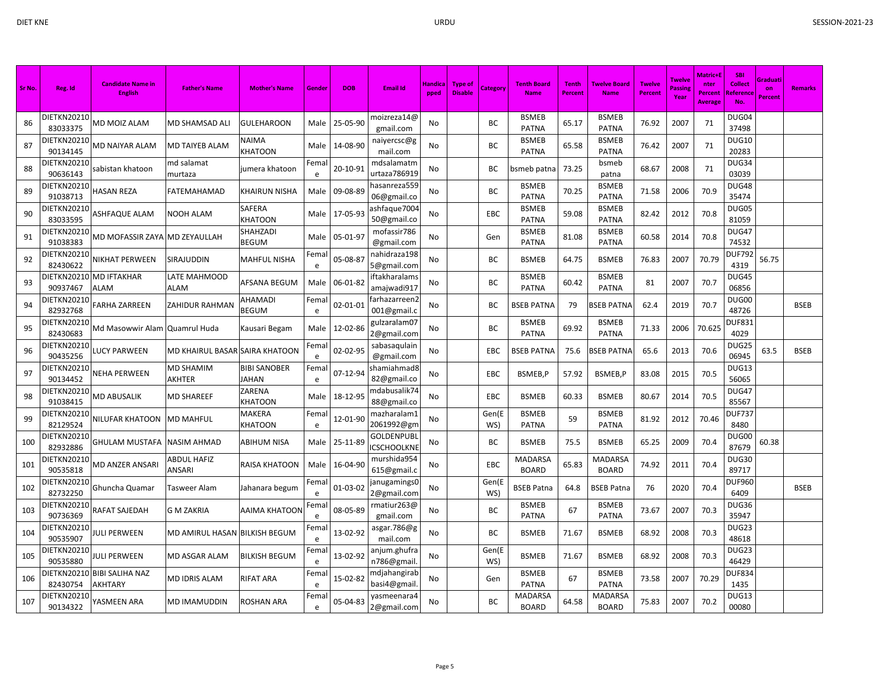| Sr No. | Reg. Id                 | <b>Candidate Name in</b><br><b>English</b> | <b>Father's Name</b>           | <b>Mother's Name</b>         | Gende      | <b>DOB</b> | <b>Email Id</b>                        | Handica<br>pped | <b>Type of</b><br><b>Disable</b> | <b>Category</b> | <b>Tenth Board</b><br><b>Name</b> | <b>Tenth</b><br>Percent | <b>Twelve Board</b><br><b>Name</b> | <b>Twelve</b><br><b>Percent</b> | <b>Twelve</b><br>Passing<br>Year | Matric+l<br>nter<br>Percent<br>Average | <b>SBI</b><br><b>Collect</b><br>Reference<br>No. | Graduat<br>on<br>Percent | <b>Remarks</b> |
|--------|-------------------------|--------------------------------------------|--------------------------------|------------------------------|------------|------------|----------------------------------------|-----------------|----------------------------------|-----------------|-----------------------------------|-------------------------|------------------------------------|---------------------------------|----------------------------------|----------------------------------------|--------------------------------------------------|--------------------------|----------------|
| 86     | DIETKN20210<br>83033375 | MD MOIZ ALAM                               | MD SHAMSAD ALI                 | <b>GULEHAROON</b>            | Male       | 25-05-90   | moizreza14@<br>gmail.com               | No              |                                  | BC              | <b>BSMEB</b><br><b>PATNA</b>      | 65.17                   | <b>BSMEB</b><br><b>PATNA</b>       | 76.92                           | 2007                             | 71                                     | DUG04<br>37498                                   |                          |                |
| 87     | DIETKN20210<br>90134145 | MD NAIYAR ALAM                             | MD TAIYEB ALAM                 | NAIMA<br>KHATOON             | Male       | 14-08-90   | naiyercsc@g<br>mail.com                | No              |                                  | BC              | <b>BSMEB</b><br><b>PATNA</b>      | 65.58                   | <b>BSMEB</b><br><b>PATNA</b>       | 76.42                           | 2007                             | 71                                     | <b>DUG10</b><br>20283                            |                          |                |
| 88     | DIETKN20210<br>90636143 | sabistan khatoon                           | md salamat<br>murtaza          | jumera khatoon               | Femal<br>e | 20-10-91   | mdsalamatm<br>urtaza786919             | No              |                                  | ВC              | bsmeb patna                       | 73.25                   | bsmeb<br>patna                     | 68.67                           | 2008                             | 71                                     | DUG34<br>03039                                   |                          |                |
| 89     | DIETKN20210<br>91038713 | <b>HASAN REZA</b>                          | FATEMAHAMAD                    | KHAIRUN NISHA                | Male       | 09-08-89   | hasanreza559<br>06@gmail.co            | No              |                                  | BC              | <b>BSMEB</b><br><b>PATNA</b>      | 70.25                   | <b>BSMEB</b><br>PATNA              | 71.58                           | 2006                             | 70.9                                   | DUG48<br>35474                                   |                          |                |
| 90     | DIETKN20210<br>83033595 | <b>ASHFAQUE ALAM</b>                       | NOOH ALAM                      | SAFERA<br><b>KHATOON</b>     | Male       | 17-05-93   | ashfaque7004<br>50@gmail.co            | No              |                                  | EBC             | <b>BSMEB</b><br><b>PATNA</b>      | 59.08                   | <b>BSMEB</b><br><b>PATNA</b>       | 82.42                           | 2012                             | 70.8                                   | DUG05<br>81059                                   |                          |                |
| 91     | DIETKN20210<br>91038383 | MD MOFASSIR ZAYA MD ZEYAULLAH              |                                | SHAHZADI<br><b>BEGUM</b>     | Male       | 05-01-97   | mofassir786<br>@gmail.com              | No              |                                  | Gen             | <b>BSMEB</b><br><b>PATNA</b>      | 81.08                   | <b>BSMEB</b><br><b>PATNA</b>       | 60.58                           | 2014                             | 70.8                                   | DUG47<br>74532                                   |                          |                |
| 92     | DIETKN20210<br>82430622 | NIKHAT PERWEEN                             | SIRAJUDDIN                     | <b>MAHFUL NISHA</b>          | Fema<br>e  | 05-08-87   | nahidraza 198<br>5@gmail.com           | No              |                                  | BC              | <b>BSMEB</b>                      | 64.75                   | <b>BSMEB</b>                       | 76.83                           | 2007                             | 70.79                                  | <b>DUF792</b><br>4319                            | 56.75                    |                |
| 93     | DIETKN20210<br>90937467 | <b>MD IFTAKHAR</b><br><b>ALAM</b>          | LATE MAHMOOD<br>ALAM           | AFSANA BEGUM                 | Male       | 06-01-82   | iftakharalams<br>amajwadi917           | No              |                                  | ВC              | <b>BSMEB</b><br><b>PATNA</b>      | 60.42                   | <b>BSMEB</b><br><b>PATNA</b>       | 81                              | 2007                             | 70.7                                   | <b>DUG45</b><br>06856                            |                          |                |
| 94     | DIETKN20210<br>82932768 | <b>FARHA ZARREEN</b>                       | ZAHIDUR RAHMAN                 | AHAMADI<br>BEGUM             | Fema<br>e  | 02-01-01   | farhazarreen2<br>001@gmail.c           | No              |                                  | ВC              | <b>BSEB PATNA</b>                 | 79                      | BSEB PATNA                         | 62.4                            | 2019                             | 70.7                                   | DUG00<br>48726                                   |                          | <b>BSEB</b>    |
| 95     | DIETKN20210<br>82430683 | Md Masowwir Alam Quamrul Huda              |                                | Kausari Begam                | Male       | 12-02-86   | gulzaralam07<br>2@gmail.com            | No              |                                  | BC              | <b>BSMEB</b><br><b>PATNA</b>      | 69.92                   | <b>BSMEB</b><br><b>PATNA</b>       | 71.33                           | 2006                             | 70.625                                 | <b>DUF831</b><br>4029                            |                          |                |
| 96     | DIETKN20210<br>90435256 | LUCY PARWEEN                               | MD KHAIRUL BASAR SAIRA KHATOON |                              | Fema<br>e  | 02-02-95   | sabasaqulain<br>@gmail.com             | No              |                                  | EBC             | <b>BSEB PATNA</b>                 | 75.6                    | <b>SSEB PATNA</b>                  | 65.6                            | 2013                             | 70.6                                   | DUG25<br>06945                                   | 63.5                     | <b>BSEB</b>    |
| 97     | DIETKN20210<br>90134452 | NEHA PERWEEN                               | MD SHAMIM<br>AKHTER            | <b>BIBI SANOBER</b><br>JAHAN | Fema<br>e  | 07-12-94   | shamiahmad8<br>82@gmail.co             | No              |                                  | EBC             | BSMEB,P                           | 57.92                   | BSMEB,P                            | 83.08                           | 2015                             | 70.5                                   | DUG13<br>56065                                   |                          |                |
| 98     | DIETKN20210<br>91038415 | <b>MD ABUSALIK</b>                         | MD SHAREEF                     | ZARENA<br>KHATOON            | Male       | 18-12-95   | mdabusalik74<br>88@gmail.co            | No              |                                  | EBC             | <b>BSMEB</b>                      | 60.33                   | <b>BSMEB</b>                       | 80.67                           | 2014                             | 70.5                                   | DUG47<br>85567                                   |                          |                |
| 99     | DIETKN20210<br>82129524 | NILUFAR KHATOON                            | MD MAHFUL                      | MAKERA<br>KHATOON            | Femal<br>e | 12-01-90   | mazharalam1<br>2061992@gm              | No              |                                  | Gen(E<br>WS)    | <b>BSMEB</b><br><b>PATNA</b>      | 59                      | <b>BSMEB</b><br><b>PATNA</b>       | 81.92                           | 2012                             | 70.46                                  | <b>DUF737</b><br>8480                            |                          |                |
| 100    | DIETKN20210<br>82932886 | <b>GHULAM MUSTAFA</b>                      | <b>NASIM AHMAD</b>             | ABIHUM NISA                  | Male       | 25-11-89   | <b>GOLDENPUBI</b><br><b>CSCHOOLKNE</b> | No              |                                  | ВC              | <b>BSMEB</b>                      | 75.5                    | <b>BSMEB</b>                       | 65.25                           | 2009                             | 70.4                                   | DUG00<br>87679                                   | 60.38                    |                |
| 101    | DIETKN20210<br>90535818 | MD ANZER ANSARI                            | <b>ABDUL HAFIZ</b><br>ANSARI   | RAISA KHATOON                | Male       | 16-04-90   | murshida954<br>615@gmail.c             | <b>No</b>       |                                  | EBC             | <b>MADARSA</b><br><b>BOARD</b>    | 65.83                   | MADARSA<br><b>BOARD</b>            | 74.92                           | 2011                             | 70.4                                   | DUG30<br>89717                                   |                          |                |
| 102    | DIETKN20210<br>82732250 | Ghuncha Quamar                             | Tasweer Alam                   | Jahanara begum               | Fema<br>e  | 01-03-02   | janugamings0<br>2@gmail.com            | No              |                                  | Gen(E<br>WS)    | <b>BSEB Patna</b>                 | 64.8                    | <b>BSEB Patna</b>                  | 76                              | 2020                             | 70.4                                   | DUF960<br>6409                                   |                          | <b>BSEB</b>    |
| 103    | DIETKN20210<br>90736369 | RAFAT SAJEDAH                              | G M ZAKRIA                     | AAIMA KHATOON                | Fema<br>e  | 08-05-89   | rmatiur263@<br>gmail.com               | No              |                                  | BC              | <b>BSMEB</b><br><b>PATNA</b>      | 67                      | <b>BSMEB</b><br><b>PATNA</b>       | 73.67                           | 2007                             | 70.3                                   | DUG36<br>35947                                   |                          |                |
| 104    | DIETKN20210<br>90535907 | JULI PERWEEN                               | MD AMIRUL HASAN                | <b>BILKISH BEGUM</b>         | Fema<br>e  | 13-02-92   | asgar.786@g<br>mail.com                | No              |                                  | BC              | <b>BSMEB</b>                      | 71.67                   | <b>BSMEB</b>                       | 68.92                           | 2008                             | 70.3                                   | DUG23<br>48618                                   |                          |                |
| 105    | DIETKN20210<br>90535880 | JULI PERWEEN                               | MD ASGAR ALAM                  | <b>BILKISH BEGUM</b>         | Fema<br>e  | 13-02-92   | anjum.ghufra<br>n786@gmail             | No              |                                  | Gen(E<br>WS)    | <b>BSMEB</b>                      | 71.67                   | <b>BSMEB</b>                       | 68.92                           | 2008                             | 70.3                                   | DUG23<br>46429                                   |                          |                |
| 106    | DIETKN20210<br>82430754 | <b>BIBI SALIHA NAZ</b><br>AKHTARY          | MD IDRIS ALAM                  | RIFAT ARA                    | Fema<br>e  | 15-02-82   | mdjahangirat<br>basi4@gmail            | No              |                                  | Gen             | <b>BSMEB</b><br><b>PATNA</b>      | 67                      | <b>BSMEB</b><br><b>PATNA</b>       | 73.58                           | 2007                             | 70.29                                  | <b>DUF834</b><br>1435                            |                          |                |
| 107    | DIETKN20210<br>90134322 | YASMEEN ARA                                | MD IMAMUDDIN                   | ROSHAN ARA                   | Fema<br>e  | 05-04-83   | yasmeenara4<br>2@gmail.com             | No              |                                  | <b>BC</b>       | MADARSA<br><b>BOARD</b>           | 64.58                   | MADARSA<br><b>BOARD</b>            | 75.83                           | 2007                             | 70.2                                   | DUG13<br>00080                                   |                          |                |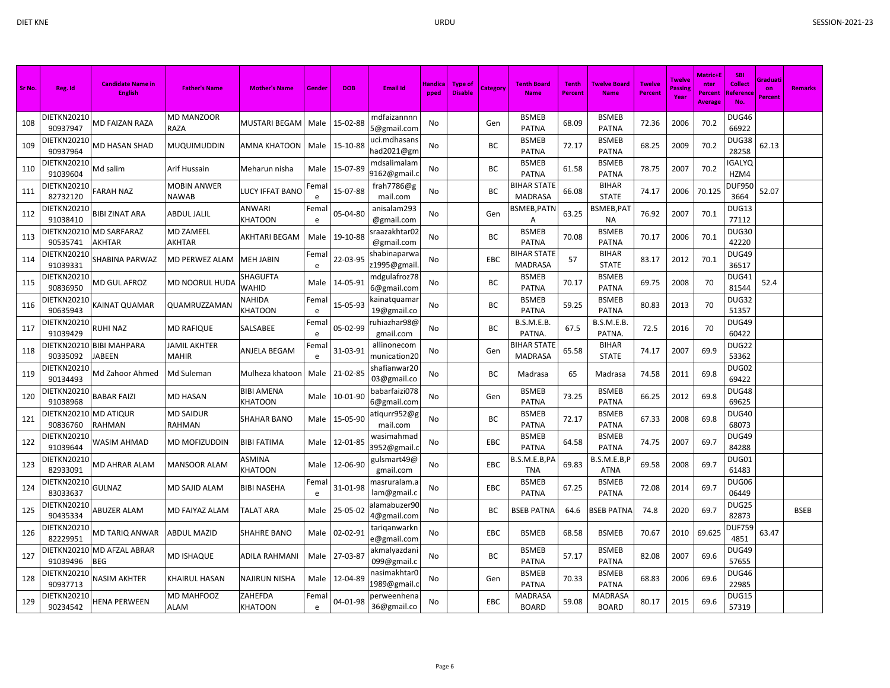| Sr No. | Reg. Id                           | <b>Candidate Name in</b><br><b>English</b> | <b>Father's Name</b>        | <b>Mother's Name</b>                | Gendei    | <b>DOB</b> | <b>Email Id</b>              | Handica<br>pped | <b>Type of</b><br><b>Disable</b> | Category | <b>Tenth Board</b><br><b>Name</b>    | <b>Tenth</b><br>Percent | <b>Twelve Board</b><br><b>Name</b> | <b>Twelve</b><br><b>Percent</b> | Twelve<br>Passing<br>Year | Matric+E<br>nter<br>Percent<br><b>Average</b> | <b>SBI</b><br><b>Collect</b><br>Reference<br>No. | Graduati<br>on<br><b>Percent</b> | <b>Remarks</b> |
|--------|-----------------------------------|--------------------------------------------|-----------------------------|-------------------------------------|-----------|------------|------------------------------|-----------------|----------------------------------|----------|--------------------------------------|-------------------------|------------------------------------|---------------------------------|---------------------------|-----------------------------------------------|--------------------------------------------------|----------------------------------|----------------|
| 108    | DIETKN20210<br>90937947           | <b>MD FAIZAN RAZA</b>                      | <b>MD MANZOOR</b><br>RAZA   | MUSTARI BEGAM                       | Male      | 15-02-88   | mdfaizannnn<br>5@gmail.com   | No              |                                  | Gen      | <b>BSMEB</b><br><b>PATNA</b>         | 68.09                   | <b>BSMEB</b><br><b>PATNA</b>       | 72.36                           | 2006                      | 70.2                                          | DUG46<br>66922                                   |                                  |                |
| 109    | DIETKN20210<br>90937964           | MD HASAN SHAD                              | MUQUIMUDDIN                 | AMNA KHATOON                        | Male      | 15-10-88   | uci.mdhasans<br>nad2021@gm   | No              |                                  | BC       | <b>BSMEB</b><br><b>PATNA</b>         | 72.17                   | <b>BSMEB</b><br><b>PATNA</b>       | 68.25                           | 2009                      | 70.2                                          | DUG38<br>28258                                   | 62.13                            |                |
| 110    | <b>DIETKN20210</b><br>91039604    | Md salim                                   | Arif Hussain                | Meharun nisha                       | Male      | 15-07-89   | mdsalimalam<br>9162@gmail.   | No              |                                  | BC       | <b>BSMEB</b><br><b>PATNA</b>         | 61.58                   | <b>BSMEB</b><br><b>PATNA</b>       | 78.75                           | 2007                      | 70.2                                          | <b>IGALYQ</b><br>HZM4                            |                                  |                |
| 111    | DIETKN20210<br>82732120           | <b>FARAH NAZ</b>                           | <b>MOBIN ANWER</b><br>NAWAB | <b>LUCY IFFAT BANO</b>              | Fema<br>e | 15-07-88   | frah7786@g<br>mail.com       | No              |                                  | BC       | <b>BIHAR STATE</b><br><b>MADRASA</b> | 66.08                   | <b>BIHAR</b><br><b>STATE</b>       | 74.17                           | 2006                      | 70.125                                        | <b>DUF950</b><br>3664                            | 52.07                            |                |
| 112    | DIETKN20210<br>91038410           | <b>BIBI ZINAT ARA</b>                      | ABDUL JALIL                 | ANWARI<br>KHATOON                   | Fema<br>e | 05-04-80   | anisalam293<br>@gmail.com    | No              |                                  | Gen      | BSMEB, PATN<br>Α                     | 63.25                   | BSMEB, PAT<br><b>NA</b>            | 76.92                           | 2007                      | 70.1                                          | DUG13<br>77112                                   |                                  |                |
| 113    | 90535741                          | DIETKN20210 MD SARFARAZ<br>AKHTAR          | <b>MD ZAMEEL</b><br>AKHTAR  | AKHTARI BEGAM                       | Male      | 19-10-88   | raazakhtar02<br>@gmail.com   | No              |                                  | BC       | <b>BSMEB</b><br><b>PATNA</b>         | 70.08                   | <b>BSMEB</b><br><b>PATNA</b>       | 70.17                           | 2006                      | 70.1                                          | <b>DUG30</b><br>42220                            |                                  |                |
| 114    | DIETKN20210<br>91039331           | SHABINA PARWAZ                             | MD PERWEZ ALAM              | <b>MEH JABIN</b>                    | Fema<br>e | 22-03-95   | shabinaparwa<br>21995@gmail  | No              |                                  | EBC      | BIHAR STATE<br><b>MADRASA</b>        | 57                      | <b>BIHAR</b><br><b>STATE</b>       | 83.17                           | 2012                      | 70.1                                          | DUG49<br>36517                                   |                                  |                |
| 115    | DIETKN20210<br>90836950           | MD GUL AFROZ                               | MD NOORUL HUDA              | SHAGUFTA<br>WAHID                   | Male      | 14-05-91   | mdgulafroz78<br>6@gmail.com  | No              |                                  | BC       | <b>BSMEB</b><br><b>PATNA</b>         | 70.17                   | <b>BSMEB</b><br>PATNA              | 69.75                           | 2008                      | 70                                            | DUG41<br>81544                                   | 52.4                             |                |
| 116    | DIETKN20210<br>90635943           | KAINAT QUAMAR                              | QUAMRUZZAMAN                | NAHIDA<br><b>KHATOON</b>            | Fema<br>e | 15-05-93   | kainatquamar<br>19@gmail.co  | No              |                                  | BC       | <b>BSMEB</b><br><b>PATNA</b>         | 59.25                   | <b>BSMEB</b><br><b>PATNA</b>       | 80.83                           | 2013                      | 70                                            | DUG32<br>51357                                   |                                  |                |
| 117    | DIETKN20210<br>91039429           | <b>RUHI NAZ</b>                            | <b>MD RAFIQUE</b>           | SALSABEE                            | Fema<br>e | 05-02-99   | uhiazhar98@<br>gmail.com     | No              |                                  | BC       | <b>B.S.M.E.B.</b><br>PATNA.          | 67.5                    | <b>B.S.M.E.B.</b><br><b>PATNA</b>  | 72.5                            | 2016                      | 70                                            | DUG49<br>60422                                   |                                  |                |
| 118    | DIETKN20210<br>90335092           | <b>BIBI MAHPARA</b><br><b>JABEEN</b>       | JAMIL AKHTER<br>MAHIR       | ANJELA BEGAM                        | Fema<br>e | 31-03-91   | allinonecom<br>munication20  | No              |                                  | Gen      | <b>BIHAR STATE</b><br><b>MADRASA</b> | 65.58                   | <b>BIHAR</b><br><b>STATE</b>       | 74.17                           | 2007                      | 69.9                                          | DUG22<br>53362                                   |                                  |                |
| 119    | DIETKN20210<br>90134493           | Md Zahoor Ahmed                            | Md Suleman                  | Mulheza khatoon                     | Male      | 21-02-85   | shafianwar 20<br>03@gmail.co | No              |                                  | BC       | Madrasa                              | 65                      | Madrasa                            | 74.58                           | 2011                      | 69.8                                          | DUG02<br>69422                                   |                                  |                |
| 120    | DIETKN20210<br>91038968           | <b>BABAR FAIZI</b>                         | MD HASAN                    | <b>BIBI AMENA</b><br><b>KHATOON</b> | Male      | 10-01-90   | babarfaizi078<br>6@gmail.com | No              |                                  | Gen      | <b>BSMEB</b><br><b>PATNA</b>         | 73.25                   | <b>BSMEB</b><br><b>PATNA</b>       | 66.25                           | 2012                      | 69.8                                          | DUG48<br>69625                                   |                                  |                |
| 121    | DIETKN20210 MD ATIQUR<br>90836760 | RAHMAN                                     | <b>MD SAIDUR</b><br>RAHMAN  | SHAHAR BANO                         | Male      | 15-05-90   | atiqurr952@g<br>mail.com     | No              |                                  | BC       | <b>BSMEB</b><br><b>PATNA</b>         | 72.17                   | <b>BSMEB</b><br><b>PATNA</b>       | 67.33                           | 2008                      | 69.8                                          | <b>DUG40</b><br>68073                            |                                  |                |
| 122    | DIETKN20210<br>91039644           | WASIM AHMAD                                | MD MOFIZUDDIN               | <b>BIBI FATIMA</b>                  | Male      | 12-01-85   | wasimahmad<br>3952@gmail.    | No              |                                  | EBC      | <b>BSMEB</b><br><b>PATNA</b>         | 64.58                   | <b>BSMEB</b><br><b>PATNA</b>       | 74.75                           | 2007                      | 69.7                                          | DUG49<br>84288                                   |                                  |                |
| 123    | DIETKN20210<br>82933091           | MD AHRAR ALAM                              | <b>MANSOOR ALAM</b>         | ASMINA<br><b>KHATOON</b>            | Male      | 12-06-90   | gulsmart49@<br>gmail.com     | No              |                                  | EBC      | B.S.M.E.B,PA<br><b>TNA</b>           | 69.83                   | .S.M.E.B.P<br><b>ATNA</b>          | 69.58                           | 2008                      | 69.7                                          | DUG01<br>61483                                   |                                  |                |
| 124    | DIETKN20210<br>83033637           | <b>GULNAZ</b>                              | MD SAJID ALAM               | BIBI NASEHA                         | Fema<br>e | 31-01-98   | masruralam.a<br>lam@gmail.c  | No              |                                  | EBC      | <b>BSMEB</b><br><b>PATNA</b>         | 67.25                   | <b>BSMEB</b><br><b>PATNA</b>       | 72.08                           | 2014                      | 69.7                                          | DUG06<br>06449                                   |                                  |                |
| 125    | DIETKN20210<br>90435334           | ABUZER ALAM                                | MD FAIYAZ ALAM              | <b>TALAT ARA</b>                    | Male      | 25-05-02   | alamabuzer90<br>4@gmail.com  | No              |                                  | BC       | <b>BSEB PATNA</b>                    | 64.6                    | <b>BSEB PATNA</b>                  | 74.8                            | 2020                      | 69.7                                          | DUG25<br>82873                                   |                                  | <b>BSEB</b>    |
| 126    | DIETKN20210<br>82229951           | MD TARIQ ANWAR                             | ABDUL MAZID                 | <b>SHAHRE BANO</b>                  | Male      | 02-02-91   | tariqanwarkn<br>e@gmail.com  | No              |                                  | EBC      | <b>BSMEB</b>                         | 68.58                   | <b>BSMEB</b>                       | 70.67                           | 2010                      | 69.625                                        | <b>DUF759</b><br>4851                            | 63.47                            |                |
| 127    | 91039496                          | DIETKN20210 MD AFZAL ABRAR<br><b>BEG</b>   | <b>MD ISHAQUE</b>           | ADILA RAHMANI                       | Male      | 27-03-87   | akmalyazdan<br>099@gmail.c   | No              |                                  | BC       | <b>BSMEB</b><br><b>PATNA</b>         | 57.17                   | <b>BSMEB</b><br>PATNA              | 82.08                           | 2007                      | 69.6                                          | DUG49<br>57655                                   |                                  |                |
| 128    | DIETKN20210<br>90937713           | <b>NASIM AKHTER</b>                        | KHAIRUL HASAN               | NAJIRUN NISHA                       | Male      | 12-04-89   | nasimakhtarC<br>1989@gmail.o | No              |                                  | Gen      | <b>BSMEB</b><br><b>PATNA</b>         | 70.33                   | <b>BSMEB</b><br><b>PATNA</b>       | 68.83                           | 2006                      | 69.6                                          | DUG46<br>22985                                   |                                  |                |
| 129    | DIETKN20210<br>90234542           | <b>HENA PERWEEN</b>                        | MD MAHFOOZ<br>ALAM          | ZAHEFDA<br><b>KHATOON</b>           | Fema<br>e | 04-01-98   | oerweenhena<br>36@gmail.co   | No              |                                  | EBC      | MADRASA<br><b>BOARD</b>              | 59.08                   | MADRASA<br><b>BOARD</b>            | 80.17                           | 2015                      | 69.6                                          | DUG15<br>57319                                   |                                  |                |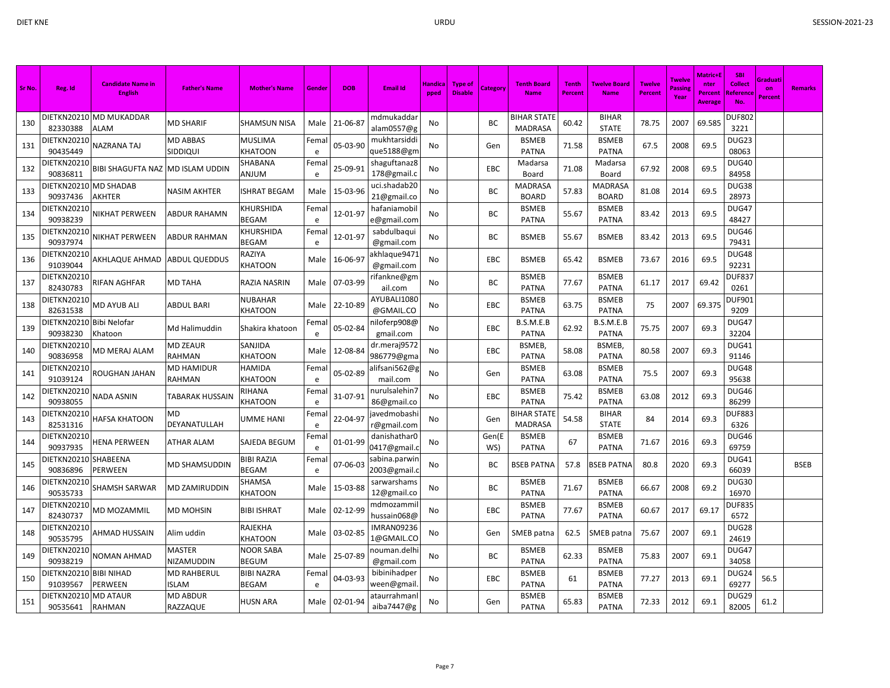| Sr No. | Reg. Id                            | <b>Candidate Name in</b><br>English | <b>Father's Name</b>        | <b>Mother's Name</b>              | Gende     | <b>DOB</b> | <b>Email Id</b>               | <u>Handica</u><br>pped | Type of<br><b>Disable</b> | Category     | <b>Tenth Board</b><br><b>Name</b>    | Tenth<br>Percent | Twelve Board<br><b>Name</b>  | <b>Twelve</b><br><b>Percent</b> | <b>Twelve</b><br>Passine<br>Year | <b>Matric+</b><br>nter<br><b>Percent</b><br><b>Average</b> | <b>SBI</b><br><b>Collect</b><br><b>Referenc</b><br>No. | Graduati<br>on<br>Percent | <b>Remarks</b> |
|--------|------------------------------------|-------------------------------------|-----------------------------|-----------------------------------|-----------|------------|-------------------------------|------------------------|---------------------------|--------------|--------------------------------------|------------------|------------------------------|---------------------------------|----------------------------------|------------------------------------------------------------|--------------------------------------------------------|---------------------------|----------------|
| 130    | 82330388                           | DIETKN20210 MD MUKADDAR<br>ALAM     | <b>MD SHARIF</b>            | <b>SHAMSUN NISA</b>               | Male      | 21-06-87   | mdmukaddar<br>alam0557@g      | No                     |                           | BC           | <b>BIHAR STATE</b><br><b>MADRASA</b> | 60.42            | <b>BIHAR</b><br><b>STATE</b> | 78.75                           | 2007                             | 69.585                                                     | <b>DUF802</b><br>3221                                  |                           |                |
| 131    | DIETKN20210<br>90435449            | NAZRANA TAJ                         | MD ABBAS<br>SIDDIQUI        | <b>MUSLIMA</b><br>KHATOON         | Fema<br>e | 05-03-90   | mukhtarsiddi<br>que5188@gm    | No                     |                           | Gen          | <b>BSMEB</b><br><b>PATNA</b>         | 71.58            | <b>BSMEB</b><br><b>PATNA</b> | 67.5                            | 2008                             | 69.5                                                       | DUG23<br>08063                                         |                           |                |
| 132    | DIETKN20210<br>90836811            | <b>BIBI SHAGUFTA NAZ</b>            | <b>MD ISLAM UDDIN</b>       | SHABANA<br>MULNA                  | Fema<br>e | 25-09-91   | shaguftanaz8<br>178@gmail.c   | No                     |                           | EBC          | Madarsa<br>Board                     | 71.08            | Madarsa<br>Board             | 67.92                           | 2008                             | 69.5                                                       | DUG40<br>84958                                         |                           |                |
| 133    | DIETKN20210<br>90937436            | <b>MD SHADAB</b><br><b>AKHTER</b>   | NASIM AKHTER                | ISHRAT BEGAM                      | Male      | 15-03-96   | uci.shadab20<br>21@gmail.co   | No                     |                           | ВC           | MADRASA<br><b>BOARD</b>              | 57.83            | MADRASA<br><b>BOARD</b>      | 81.08                           | 2014                             | 69.5                                                       | DUG38<br>28973                                         |                           |                |
| 134    | DIETKN20210<br>90938239            | NIKHAT PERWEEN                      | ABDUR RAHAMN                | <b>CHURSHIDA</b><br><b>BEGAM</b>  | Fema<br>e | 12-01-97   | hafaniamobil<br>e@gmail.com   | No                     |                           | ВC           | <b>BSMEB</b><br><b>PATNA</b>         | 55.67            | <b>BSMEB</b><br><b>PATNA</b> | 83.42                           | 2013                             | 69.5                                                       | DUG47<br>48427                                         |                           |                |
| 135    | DIETKN20210<br>90937974            | NIKHAT PERWEEN                      | ABDUR RAHMAN                | <b>CHURSHIDA</b><br><b>BEGAM</b>  | Fema<br>e | 12-01-97   | sabdulbaqui<br>@gmail.com     | No                     |                           | ВC           | <b>BSMEB</b>                         | 55.67            | <b>BSMEB</b>                 | 83.42                           | 2013                             | 69.5                                                       | DUG46<br>79431                                         |                           |                |
| 136    | DIETKN20210<br>91039044            | AKHLAQUE AHMAD                      | <b>ABDUL QUEDDUS</b>        | RAZIYA<br><b>KHATOON</b>          | Male      | 16-06-97   | akhlaque 9471<br>@gmail.com   | No                     |                           | EBC          | <b>BSMEB</b>                         | 65.42            | <b>BSMEB</b>                 | 73.67                           | 2016                             | 69.5                                                       | DUG48<br>92231                                         |                           |                |
| 137    | DIETKN20210<br>82430783            | <b>RIFAN AGHFAR</b>                 | MD TAHA                     | RAZIA NASRIN                      | Male      | 07-03-99   | rifankne@gm<br>ail.com        | No                     |                           | BC           | <b>BSMEB</b><br><b>PATNA</b>         | 77.67            | <b>BSMEB</b><br><b>PATNA</b> | 61.17                           | 2017                             | 69.42                                                      | <b>DUF837</b><br>0261                                  |                           |                |
| 138    | DIETKN20210<br>82631538            | <b>MD AYUB ALI</b>                  | ABDUL BARI                  | NUBAHAR<br><b>KHATOON</b>         | Male      | 22-10-89   | AYUBALI1080<br>@GMAIL.CO      | No                     |                           | EBC          | <b>BSMEB</b><br><b>PATNA</b>         | 63.75            | <b>BSMEB</b><br><b>PATNA</b> | 75                              | 2007                             | 69.375                                                     | <b>DUF901</b><br>9209                                  |                           |                |
| 139    | DIETKN20210<br>90938230            | Bibi Nelofar<br>Khatoon             | Md Halimuddin               | Shakira khatoon                   | Fema<br>e | 05-02-84   | niloferp908@<br>gmail.com     | No                     |                           | EBC          | B.S.M.E.B<br><b>PATNA</b>            | 62.92            | B.S.M.E.B<br><b>PATNA</b>    | 75.75                           | 2007                             | 69.3                                                       | DUG47<br>32204                                         |                           |                |
| 140    | DIETKN20210<br>90836958            | MD MERAJ ALAM                       | <b>MD ZEAUR</b><br>RAHMAN   | SANJIDA<br><b>KHATOON</b>         | Male      | 12-08-84   | dr.meraj9572<br>986779@gma    | No                     |                           | EBC          | BSMEB,<br><b>PATNA</b>               | 58.08            | <b>BSMEB</b><br><b>PATNA</b> | 80.58                           | 2007                             | 69.3                                                       | DUG41<br>91146                                         |                           |                |
| 141    | DIETKN20210<br>91039124            | ROUGHAN JAHAN                       | <b>MD HAMIDUR</b><br>RAHMAN | HAMIDA<br><b>KHATOON</b>          | Fema<br>e | 05-02-89   | alifsani562@g<br>mail.com     | No                     |                           | Gen          | <b>BSMEB</b><br><b>PATNA</b>         | 63.08            | <b>BSMEB</b><br><b>PATNA</b> | 75.5                            | 2007                             | 69.3                                                       | DUG48<br>95638                                         |                           |                |
| 142    | DIETKN20210<br>90938055            | <b>NADA ASNIN</b>                   | TABARAK HUSSAIN             | RIHANA<br><b>KHATOON</b>          | Fema<br>e | 31-07-91   | nurulsalehin 7<br>86@gmail.co | No                     |                           | EBC          | <b>BSMEB</b><br><b>PATNA</b>         | 75.42            | <b>BSMEB</b><br><b>PATNA</b> | 63.08                           | 2012                             | 69.3                                                       | DUG46<br>86299                                         |                           |                |
| 143    | DIETKN20210<br>82531316            | <b>HAFSA KHATOON</b>                | MD<br>DEYANATULLAH          | UMME HANI                         | Fema<br>e | 22-04-97   | javedmobashi<br>r@gmail.com   | No                     |                           | Gen          | <b>BIHAR STATE</b><br><b>MADRASA</b> | 54.58            | <b>BIHAR</b><br><b>STATE</b> | 84                              | 2014                             | 69.3                                                       | <b>DUF883</b><br>6326                                  |                           |                |
| 144    | DIETKN20210<br>90937935            | <b>HENA PERWEEN</b>                 | ATHAR ALAM                  | SAJEDA BEGUM                      | Fema<br>e | 01-01-99   | danishathar0<br>0417@gmail.o  | No                     |                           | Gen(E<br>WS) | <b>BSMEB</b><br><b>PATNA</b>         | 67               | <b>BSMEB</b><br><b>PATNA</b> | 71.67                           | 2016                             | 69.3                                                       | DUG46<br>69759                                         |                           |                |
| 145    | DIETKN20210 SHABEENA<br>90836896   | <b>PERWEEN</b>                      | MD SHAMSUDDIN               | <b>BIBI RAZIA</b><br><b>BEGAM</b> | Fema<br>e | 07-06-03   | sabina.parwin<br>2003@gmail.  | No                     |                           | ВC           | <b>BSEB PATNA</b>                    | 57.8             | <b>BSEB PATNA</b>            | 80.8                            | 2020                             | 69.3                                                       | DUG41<br>66039                                         |                           | <b>BSEB</b>    |
| 146    | DIETKN20210<br>90535733            | SHAMSH SARWAR                       | MD ZAMIRUDDIN               | SHAMSA<br><b>KHATOON</b>          | Male      | 15-03-88   | sarwarshams<br>12@gmail.co    | No                     |                           | <b>BC</b>    | <b>BSMEB</b><br><b>PATNA</b>         | 71.67            | <b>BSMEB</b><br><b>PATNA</b> | 66.67                           | 2008                             | 69.2                                                       | DUG30<br>16970                                         |                           |                |
| 147    | DIETKN20210<br>82430737            | MD MOZAMMIL                         | MD MOHSIN                   | <b>BIBI ISHRAT</b>                | Male      | 02-12-99   | mdmozammi<br>hussain068@      | No                     |                           | EBC          | <b>BSMEB</b><br><b>PATNA</b>         | 77.67            | <b>BSMEB</b><br><b>PATNA</b> | 60.67                           | 2017                             | 69.17                                                      | <b>DUF835</b><br>6572                                  |                           |                |
| 148    | DIETKN20210<br>90535795            | AHMAD HUSSAIN                       | Alim uddin                  | RAJEKHA<br><b>CHATOON</b>         | Male      | 03-02-85   | IMRAN09236<br>1@GMAIL.CO      | No                     |                           | Gen          | SMEB patna                           | 62.5             | <b>SMEB</b> patna            | 75.67                           | 2007                             | 69.1                                                       | DUG28<br>24619                                         |                           |                |
| 149    | DIETKN20210<br>90938219            | <b>NOMAN AHMAD</b>                  | MASTER<br>NIZAMUDDIN        | NOOR SABA<br><b>BEGUM</b>         | Male      | 25-07-89   | าouman.delh<br>@gmail.com     | No                     |                           | ВC           | <b>BSMEB</b><br><b>PATNA</b>         | 62.33            | <b>BSMEB</b><br><b>PATNA</b> | 75.83                           | 2007                             | 69.1                                                       | DUG47<br>34058                                         |                           |                |
| 150    | DIETKN20210 BIBI NIHAD<br>91039567 | <b>PERWEEN</b>                      | <b>MD RAHBERUL</b><br>ISLAM | <b>BIBI NAZRA</b><br>BEGAM        | Fema<br>e | 04-03-93   | bibinihadper<br>ween@gmail    | No                     |                           | <b>EBC</b>   | <b>BSMEB</b><br><b>PATNA</b>         | 61               | <b>BSMEB</b><br><b>PATNA</b> | 77.27                           | 2013                             | 69.1                                                       | DUG24<br>69277                                         | 56.5                      |                |
| 151    | DIETKN20210 MD ATAUR<br>90535641   | <b>RAHMAN</b>                       | MD ABDUR<br><b>RAZZAQUE</b> | HUSN ARA                          | Male      | 02-01-94   | ataurrahman<br>aiba7447@g     | No                     |                           | Gen          | <b>BSMEB</b><br><b>PATNA</b>         | 65.83            | <b>BSMEB</b><br><b>PATNA</b> | 72.33                           | 2012                             | 69.1                                                       | DUG29<br>82005                                         | 61.2                      |                |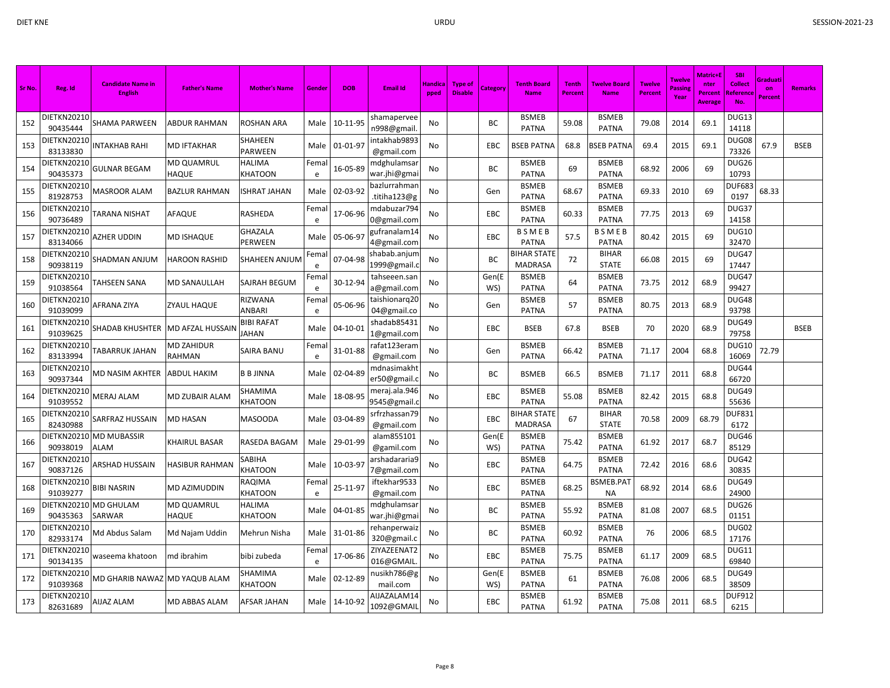| Sr No. | Reg. Id                        | <b>Candidate Name in</b><br><b>English</b> | <b>Father's Name</b>       | <b>Mother's Name</b>       | Gender     | <b>DOB</b> | <b>Email Id</b>               | Handica<br>pped | Type of<br><b>Disable</b> | Categon      | <b>Tenth Board</b><br><b>Name</b>    | <b>Tenth</b><br>Percent | Twelve Board<br><b>Name</b>  | <b>Twelve</b><br><b>Percent</b> | <b>Twelve</b><br>Passing<br>Year | <b>Matric+l</b><br>nter<br>Percent<br>Average | <b>SBI</b><br><b>Collect</b><br>Referenc | Graduati<br>on<br><b>Percent</b> | <b>Remarks</b> |
|--------|--------------------------------|--------------------------------------------|----------------------------|----------------------------|------------|------------|-------------------------------|-----------------|---------------------------|--------------|--------------------------------------|-------------------------|------------------------------|---------------------------------|----------------------------------|-----------------------------------------------|------------------------------------------|----------------------------------|----------------|
| 152    | DIETKN20210<br>90435444        | SHAMA PARWEEN                              | ABDUR RAHMAN               | ROSHAN ARA                 | Male       | 10-11-95   | shamapervee<br>n998@gmail     | No              |                           | <b>BC</b>    | <b>BSMEB</b><br><b>PATNA</b>         | 59.08                   | <b>BSMEB</b><br><b>PATNA</b> | 79.08                           | 2014                             | 69.1                                          | DUG13<br>14118                           |                                  |                |
| 153    | DIETKN20210<br>83133830        | <b>INTAKHAB RAHI</b>                       | <b>MD IFTAKHAR</b>         | SHAHEEN<br>PARWEEN         | Male       | 01-01-97   | intakhab9893<br>@gmail.com    | No              |                           | EBC          | <b>BSEB PATNA</b>                    | 68.8                    | <b>SSEB PATNA</b>            | 69.4                            | 2015                             | 69.1                                          | DUG08<br>73326                           | 67.9                             | <b>BSEB</b>    |
| 154    | DIETKN20210<br>90435373        | <b>GULNAR BEGAM</b>                        | MD QUAMRUL<br>HAQUE        | HALIMA<br>KHATOON          | Fema<br>e  | 16-05-89   | mdghulamsar<br>war.jhi@gmai   | No              |                           | BC           | <b>BSMEB</b><br><b>PATNA</b>         | 69                      | <b>BSMEB</b><br><b>PATNA</b> | 68.92                           | 2006                             | 69                                            | DUG26<br>10793                           |                                  |                |
| 155    | DIETKN20210<br>81928753        | MASROOR ALAM                               | <b>BAZLUR RAHMAN</b>       | ISHRAT JAHAN               | Male       | 02-03-92   | bazlurrahman<br>.titiha123@g  | No              |                           | Gen          | <b>BSMEB</b><br><b>PATNA</b>         | 68.67                   | <b>BSMEB</b><br><b>PATNA</b> | 69.33                           | 2010                             | 69                                            | <b>DUF683</b><br>0197                    | 68.33                            |                |
| 156    | DIETKN20210<br>90736489        | TARANA NISHAT                              | AFAQUE                     | RASHEDA                    | Femal<br>e | 17-06-96   | mdabuzar794<br>0@gmail.com    | No              |                           | EBC          | <b>BSMEB</b><br><b>PATNA</b>         | 60.33                   | <b>BSMEB</b><br><b>PATNA</b> | 77.75                           | 2013                             | 69                                            | DUG37<br>14158                           |                                  |                |
| 157    | DIETKN20210<br>83134066        | AZHER UDDIN                                | <b>MD ISHAQUE</b>          | <b>GHAZALA</b><br>PERWEEN  | Male       | 05-06-97   | gufranalam14<br>4@gmail.com   | No              |                           | EBC          | BSMEB<br><b>PATNA</b>                | 57.5                    | BSMEB<br><b>PATNA</b>        | 80.42                           | 2015                             | 69                                            | <b>DUG10</b><br>32470                    |                                  |                |
| 158    | DIETKN20210<br>90938119        | SHADMAN ANJUM                              | <b>HAROON RASHID</b>       | SHAHEEN ANJUM              | Fema<br>e  | 07-04-98   | shabab.anjum<br>1999@gmail.o  | No              |                           | BC           | BIHAR STATE<br><b>MADRASA</b>        | 72                      | <b>BIHAR</b><br><b>STATE</b> | 66.08                           | 2015                             | 69                                            | DUG47<br>17447                           |                                  |                |
| 159    | DIETKN20210<br>91038564        | <b>TAHSEEN SANA</b>                        | MD SANAULLAH               | SAJRAH BEGUM               | Fema<br>e  | 30-12-94   | tahseeen.san<br>a@gmail.com   | No              |                           | Gen(E<br>WS) | <b>BSMEB</b><br><b>PATNA</b>         | 64                      | <b>BSMEB</b><br><b>PATNA</b> | 73.75                           | 2012                             | 68.9                                          | DUG47<br>99427                           |                                  |                |
| 160    | DIETKN20210<br>91039099        | AFRANA ZIYA                                | ZYAUL HAQUE                | RIZWANA<br><b>ANBARI</b>   | Fema<br>e  | 05-06-96   | taishionarq20<br>04@gmail.co  | No              |                           | Gen          | <b>BSMEB</b><br><b>PATNA</b>         | 57                      | <b>BSMEB</b><br><b>PATNA</b> | 80.75                           | 2013                             | 68.9                                          | DUG48<br>93798                           |                                  |                |
| 161    | DIETKN2021(<br>91039625        | SHADAB KHUSHTER                            | MD AFZAL HUSSAIN           | <b>BIBI RAFAT</b><br>JAHAN | Male       | 04-10-01   | shadab85431<br>1@gmail.com    | No              |                           | EBC          | <b>BSEB</b>                          | 67.8                    | <b>BSEB</b>                  | 70                              | 2020                             | 68.9                                          | DUG49<br>79758                           |                                  | <b>BSEB</b>    |
| 162    | DIETKN20210<br>83133994        | <b><i>TABARRUK JAHAN</i></b>               | MD ZAHIDUR<br>RAHMAN       | SAIRA BANU                 | Fema<br>e  | 31-01-88   | rafat 123 eram<br>@gmail.com  | No              |                           | Gen          | <b>BSMEB</b><br><b>PATNA</b>         | 66.42                   | <b>BSMEB</b><br><b>PATNA</b> | 71.17                           | 2004                             | 68.8                                          | DUG10<br>16069                           | 72.79                            |                |
| 163    | DIETKN20210<br>90937344        | MD NASIM AKHTER                            | <b>ABDUL HAKIM</b>         | <b>B B JINNA</b>           | Male       | 02-04-89   | mdnasimakht<br>er50@gmail.c   | No              |                           | BC           | <b>BSMEB</b>                         | 66.5                    | <b>BSMEB</b>                 | 71.17                           | 2011                             | 68.8                                          | DUG44<br>66720                           |                                  |                |
| 164    | DIETKN20210<br>91039552        | <b>MERAJ ALAM</b>                          | MD ZUBAIR ALAM             | SHAMIMA<br>KHATOON         | Male       | 18-08-95   | meraj.ala.946<br>9545@gmail.o | No              |                           | EBC          | <b>BSMEB</b><br><b>PATNA</b>         | 55.08                   | <b>BSMEB</b><br><b>PATNA</b> | 82.42                           | 2015                             | 68.8                                          | DUG49<br>55636                           |                                  |                |
| 165    | DIETKN20210<br>82430988        | SARFRAZ HUSSAIN                            | <b>MD HASAN</b>            | <b>MASOODA</b>             | Male       | 03-04-89   | srfrzhassan 79<br>@gmail.com  | No              |                           | EBC          | <b>BIHAR STATE</b><br><b>MADRASA</b> | 67                      | <b>BIHAR</b><br><b>STATE</b> | 70.58                           | 2009                             | 68.79                                         | <b>DUF831</b><br>6172                    |                                  |                |
| 166    | 90938019                       | DIETKN20210 MD MUBASSIR<br><b>ALAM</b>     | KHAIRUL BASAR              | RASEDA BAGAM               | Male       | 29-01-99   | alam855101<br>@gamil.com      | No              |                           | Gen(E<br>WS) | <b>BSMEB</b><br><b>PATNA</b>         | 75.42                   | <b>BSMEB</b><br><b>PATNA</b> | 61.92                           | 2017                             | 68.7                                          | DUG46<br>85129                           |                                  |                |
| 167    | DIETKN20210<br>90837126        | ARSHAD HUSSAIN                             | <b>HASIBUR RAHMAN</b>      | SABIHA<br>KHATOON          | Male       | 10-03-97   | arshadararia9<br>7@gmail.com  | No              |                           | EBC          | <b>BSMEB</b><br><b>PATNA</b>         | 64.75                   | <b>BSMEB</b><br><b>PATNA</b> | 72.42                           | 2016                             | 68.6                                          | DUG42<br>30835                           |                                  |                |
| 168    | DIETKN20210<br>91039277        | <b>BIBI NASRIN</b>                         | MD AZIMUDDIN               | RAQIMA<br>KHATOON          | Fema<br>e  | 25-11-97   | iftekhar9533<br>@gmail.com    | No              |                           | EBC          | <b>BSMEB</b><br><b>PATNA</b>         | 68.25                   | 3SMEB.PAT<br><b>NA</b>       | 68.92                           | 2014                             | 68.6                                          | DUG49<br>24900                           |                                  |                |
| 169    | 90435363                       | DIETKN20210 MD GHULAM<br>SARWAR            | <b>MD QUAMRUL</b><br>HAQUE | HALIMA<br>KHATOON          | Male       | 04-01-85   | mdghulamsar<br>war.jhi@gmai   | No              |                           | BC           | <b>BSMEB</b><br><b>PATNA</b>         | 55.92                   | <b>BSMEB</b><br><b>PATNA</b> | 81.08                           | 2007                             | 68.5                                          | DUG <sub>26</sub><br>01151               |                                  |                |
| 170    | DIETKN2021<br>82933174         | Md Abdus Salam                             | Md Najam Uddin             | Mehrun Nisha               | Male       | 31-01-86   | rehanperwaiz<br>320@gmail.c   | No              |                           | BC           | <b>BSMEB</b><br><b>PATNA</b>         | 60.92                   | <b>BSMEB</b><br><b>PATNA</b> | 76                              | 2006                             | 68.5                                          | DUG02<br>17176                           |                                  |                |
| 171    | DIETKN20210<br>90134135        | waseema khatoon                            | md ibrahim                 | bibi zubeda                | Fema<br>e  | 17-06-86   | ZIYAZEENAT2<br>016@GMAIL      | No              |                           | EBC          | <b>BSMEB</b><br><b>PATNA</b>         | 75.75                   | <b>BSMEB</b><br><b>PATNA</b> | 61.17                           | 2009                             | 68.5                                          | DUG11<br>69840                           |                                  |                |
| 172    | <b>DIETKN20210</b><br>91039368 | MD GHARIB NAWAZ MD YAQUB ALAM              |                            | SHAMIMA<br>KHATOON         | Male       | 02-12-89   | nusikh786@g<br>mail.com       | No              |                           | Gen(E<br>WS) | <b>BSMEB</b><br><b>PATNA</b>         | 61                      | <b>BSMEB</b><br><b>PATNA</b> | 76.08                           | 2006                             | 68.5                                          | DUG49<br>38509                           |                                  |                |
| 173    | DIETKN20210<br>82631689        | AIJAZ ALAM                                 | MD ABBAS ALAM              | AFSAR JAHAN                | Male       | 14-10-92   | AIJAZALAM14<br>1092@GMAIL     | No              |                           | EBC          | <b>BSMEB</b><br><b>PATNA</b>         | 61.92                   | <b>BSMEB</b><br><b>PATNA</b> | 75.08                           | 2011                             | 68.5                                          | <b>DUF912</b><br>6215                    |                                  |                |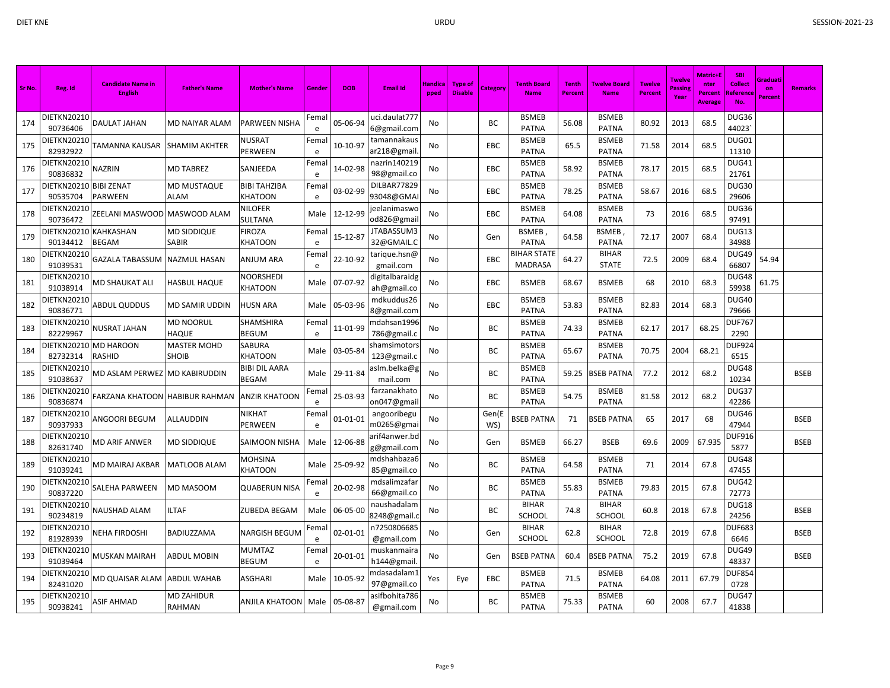| Sr No. | Reg. Id                            | <b>Candidate Name in</b><br><b>English</b> | <b>Father's Name</b>               | <b>Mother's Name</b>                 | Gender    | <b>DOB</b>     | <b>Email Id</b>               | Handica<br>pped | <b>Type of</b><br><b>Disable</b> | Category     | <b>Tenth Board</b><br><b>Name</b> | <b>Tenth</b><br>Percent | <b>Twelve Board</b><br><b>Name</b> | <b>Twelve</b><br><b>Percent</b> | <b>Twelve</b><br>Passin<br>Year | Matric+l<br>nter<br>Percent<br>Average | <b>SBI</b><br><b>Collect</b><br>Referenc<br>No. | Graduati<br>on<br>Percent | <b>Remarks</b> |
|--------|------------------------------------|--------------------------------------------|------------------------------------|--------------------------------------|-----------|----------------|-------------------------------|-----------------|----------------------------------|--------------|-----------------------------------|-------------------------|------------------------------------|---------------------------------|---------------------------------|----------------------------------------|-------------------------------------------------|---------------------------|----------------|
| 174    | DIETKN20210<br>90736406            | DAULAT JAHAN                               | MD NAIYAR ALAM                     | PARWEEN NISHA                        | Fema<br>e | 05-06-94       | uci.daulat777<br>6@gmail.com  | No              |                                  | BC           | <b>BSMEB</b><br><b>PATNA</b>      | 56.08                   | <b>BSMEB</b><br><b>PATNA</b>       | 80.92                           | 2013                            | 68.5                                   | DUG36<br>44023                                  |                           |                |
| 175    | <b>DIETKN20210</b><br>82932922     | TAMANNA KAUSAR                             | <b>SHAMIM AKHTER</b>               | NUSRAT<br>PERWEEN                    | Fema<br>e | 10-10-97       | tamannakaus<br>ar218@gmail    | No              |                                  | EBC          | <b>BSMEB</b><br><b>PATNA</b>      | 65.5                    | <b>BSMEB</b><br><b>PATNA</b>       | 71.58                           | 2014                            | 68.5                                   | DUG01<br>11310                                  |                           |                |
| 176    | <b>DIETKN20210</b><br>90836832     | <b>NAZRIN</b>                              | <b>MD TABREZ</b>                   | SANJEEDA                             | Fema<br>e | 14-02-98       | nazrin140219<br>98@gmail.co   | <b>No</b>       |                                  | EBC          | <b>BSMEB</b><br><b>PATNA</b>      | 58.92                   | <b>BSMEB</b><br><b>PATNA</b>       | 78.17                           | 2015                            | 68.5                                   | DUG41<br>21761                                  |                           |                |
| 177    | DIETKN20210 BIBI ZENAT<br>90535704 | <b>PARWEEN</b>                             | <b>MD MUSTAQUE</b><br>ALAM         | <b>BIBI TAHZIBA</b><br>KHATOON       | Fema<br>e | 03-02-99       | DILBAR77829<br>93048@GMA      | No              |                                  | EBC          | <b>BSMEB</b><br><b>PATNA</b>      | 78.25                   | <b>BSMEB</b><br><b>PATNA</b>       | 58.67                           | 2016                            | 68.5                                   | DUG30<br>29606                                  |                           |                |
| 178    | DIETKN20210<br>90736472            | <b>ZEELANI MASWOOD</b>                     | MASWOOD ALAM                       | NILOFER<br>SULTANA                   | Male      | 12-12-99       | eelanimaswo<br>od826@gmai     | No              |                                  | EBC          | <b>BSMEB</b><br><b>PATNA</b>      | 64.08                   | <b>BSMEB</b><br><b>PATNA</b>       | 73                              | 2016                            | 68.5                                   | DUG36<br>97491                                  |                           |                |
| 179    | <b>DIETKN20210</b><br>90134412     | <b>KAHKASHAN</b><br><b>BEGAM</b>           | MD SIDDIQUE<br>SABIR               | FIROZA<br>KHATOON                    | Fema<br>e | 15-12-87       | JTABASSUM3<br>32@GMAIL.C      | No              |                                  | Gen          | <b>BSMEB</b><br><b>PATNA</b>      | 64.58                   | <b>BSMEB</b><br><b>PATNA</b>       | 72.17                           | 2007                            | 68.4                                   | DUG13<br>34988                                  |                           |                |
| 180    | DIETKN20210<br>91039531            | <b>GAZALA TABASSUM</b>                     | <b>NAZMUL HASAN</b>                | <b>ANJUM ARA</b>                     | Fema<br>e | 22-10-92       | tarique.hsn@<br>gmail.com     | No              |                                  | EBC          | BIHAR STATE<br><b>MADRASA</b>     | 64.27                   | <b>BIHAR</b><br><b>STATE</b>       | 72.5                            | 2009                            | 68.4                                   | DUG49<br>66807                                  | 54.94                     |                |
| 181    | <b>DIETKN20210</b><br>91038914     | MD SHAUKAT ALI                             | <b>HASBUL HAQUE</b>                | NOORSHEDI<br>KHATOON                 | Male      | 07-07-92       | digitalbaraidg<br>ah@gmail.co | No              |                                  | EBC          | <b>BSMEB</b>                      | 68.67                   | <b>BSMEB</b>                       | 68                              | 2010                            | 68.3                                   | DUG48<br>59938                                  | 61.75                     |                |
| 182    | DIETKN20210<br>90836771            | <b>ABDUL QUDDUS</b>                        | MD SAMIR UDDIN                     | <b>HUSN ARA</b>                      | Male      | 05-03-96       | mdkuddus26<br>8@gmail.com     | No              |                                  | EBC          | <b>BSMEB</b><br><b>PATNA</b>      | 53.83                   | <b>BSMEB</b><br>PATNA              | 82.83                           | 2014                            | 68.3                                   | <b>DUG40</b><br>79666                           |                           |                |
| 183    | DIETKN20210<br>82229967            | <b>NUSRAT JAHAN</b>                        | <b>MD NOORUL</b><br><b>HAQUE</b>   | SHAMSHIRA<br><b>BEGUM</b>            | Fema<br>e | 11-01-99       | mdahsan1996<br>786@gmail.c    | No.             |                                  | BC           | <b>BSMEB</b><br><b>PATNA</b>      | 74.33                   | <b>BSMEB</b><br><b>PATNA</b>       | 62.17                           | 2017                            | 68.25                                  | DUF767<br>2290                                  |                           |                |
| 184    | DIETKN20210<br>82732314            | <b>MD HAROON</b><br><b>RASHID</b>          | <b>MASTER MOHD</b><br>SHOIB        | SABURA<br>KHATOON                    | Male      | 03-05-84       | shamsimotors<br>123@gmail.c   | No              |                                  | BC           | <b>BSMEB</b><br><b>PATNA</b>      | 65.67                   | <b>BSMEB</b><br><b>PATNA</b>       | 70.75                           | 2004                            | 68.21                                  | DUF924<br>6515                                  |                           |                |
| 185    | <b>DIETKN20210</b><br>91038637     | MD ASLAM PERWEZ                            | <b>MD KABIRUDDIN</b>               | <b>BIBI DIL AARA</b><br><b>BEGAM</b> | Male      | 29-11-84       | aslm.belka@g<br>mail.com      | No              |                                  | BC           | <b>BSMEB</b><br><b>PATNA</b>      | 59.25                   | <b>SSEB PATNA</b>                  | 77.2                            | 2012                            | 68.2                                   | DUG48<br>10234                                  |                           | <b>BSEB</b>    |
| 186    | <b>DIETKN20210</b><br>90836874     | FARZANA KHATOON                            | <b>HABIBUR RAHMAN</b>              | ANZIR KHATOON                        | Fema<br>e | 25-03-93       | farzanakhato<br>on047@gmai    | No              |                                  | BC           | <b>BSMEB</b><br><b>PATNA</b>      | 54.75                   | <b>BSMEB</b><br><b>PATNA</b>       | 81.58                           | 2012                            | 68.2                                   | DUG37<br>42286                                  |                           |                |
| 187    | <b>DIETKN20210</b><br>90937933     | ANGOORI BEGUM                              | <b>ALLAUDDIN</b>                   | NIKHAT<br>PERWEEN                    | Fema<br>e | $01 - 01 - 01$ | angooribegu<br>m0265@gma      | No              |                                  | Gen(E<br>WS) | <b>BSEB PATNA</b>                 | 71                      | <b>BSEB PATNA</b>                  | 65                              | 2017                            | 68                                     | DUG46<br>47944                                  |                           | <b>BSEB</b>    |
| 188    | <b>DIETKN20210</b><br>82631740     | <b>MD ARIF ANWER</b>                       | MD SIDDIQUE                        | <b>SAIMOON NISHA</b>                 | Male      | 12-06-88       | arif4anwer.bd<br>g@gmail.com  | No              |                                  | Gen          | <b>BSMEB</b>                      | 66.27                   | <b>BSEB</b>                        | 69.6                            | 2009                            | 67.935                                 | <b>DUF916</b><br>5877                           |                           | <b>BSEB</b>    |
| 189    | <b>DIETKN20210</b><br>91039241     | MD MAIRAJ AKBAR                            | <b>MATLOOB ALAM</b>                | MOHSINA<br>KHATOON                   | Male      | 25-09-92       | ndshahbaza6<br>85@gmail.co    | <b>No</b>       |                                  | BC           | <b>BSMEB</b><br><b>PATNA</b>      | 64.58                   | <b>BSMEB</b><br><b>PATNA</b>       | 71                              | 2014                            | 67.8                                   | DUG48<br>47455                                  |                           |                |
| 190    | DIETKN20210<br>90837220            | <b>SALEHA PARWEEN</b>                      | MD MASOOM                          | <b>QUABERUN NISA</b>                 | Fema<br>e | 20-02-98       | mdsalimzafar<br>66@gmail.co   | No              |                                  | BC           | <b>BSMEB</b><br><b>PATNA</b>      | 55.83                   | <b>BSMEB</b><br><b>PATNA</b>       | 79.83                           | 2015                            | 67.8                                   | DUG42<br>72773                                  |                           |                |
| 191    | DIETKN20210<br>90234819            | NAUSHAD ALAM                               | <b>LTAF</b>                        | <b>ZUBEDA BEGAM</b>                  | Male      | 06-05-00       | naushadalam<br>8248@gmail.    | No              |                                  | ВC           | <b>BIHAR</b><br><b>SCHOOL</b>     | 74.8                    | <b>BIHAR</b><br><b>SCHOOL</b>      | 60.8                            | 2018                            | 67.8                                   | DUG18<br>24256                                  |                           | <b>BSEB</b>    |
| 192    | DIETKN20210<br>81928939            | <b>NEHA FIRDOSHI</b>                       | BADIUZZAMA                         | NARGISH BEGUM                        | Fema<br>e | 02-01-01       | n7250806685<br>@gmail.com     | No              |                                  | Gen          | <b>BIHAR</b><br>SCHOOL            | 62.8                    | <b>BIHAR</b><br><b>SCHOOL</b>      | 72.8                            | 2019                            | 67.8                                   | <b>DUF683</b><br>6646                           |                           | <b>BSEB</b>    |
| 193    | DIETKN20210<br>91039464            | <b>MUSKAN MAIRAH</b>                       | ABDUL MOBIN                        | <b>MUMTAZ</b><br><b>BEGUM</b>        | Fema<br>e | 20-01-01       | muskanmaira<br>h144@gmail     | No              |                                  | Gen          | <b>BSEB PATNA</b>                 | 60.4                    | <b>SSEB PATNA</b>                  | 75.2                            | 2019                            | 67.8                                   | DUG49<br>48337                                  |                           | <b>BSEB</b>    |
| 194    | DIETKN20210<br>82431020            | MD QUAISAR ALAM                            | <b>ABDUL WAHAB</b>                 | <b>ASGHARI</b>                       | Male      | 10-05-92       | mdasadalam1<br>97@gmail.co    | Yes             | Eye                              | EBC          | <b>BSMEB</b><br><b>PATNA</b>      | 71.5                    | <b>BSMEB</b><br><b>PATNA</b>       | 64.08                           | 2011                            | 67.79                                  | DUF854<br>0728                                  |                           |                |
| 195    | DIETKN20210<br>90938241            | <b>ASIF AHMAD</b>                          | <b>MD ZAHIDUR</b><br><b>RAHMAN</b> | <b>ANJILA KHATOON</b>                | Male      | 05-08-87       | asifbohita786<br>@gmail.com   | No              |                                  | BC           | <b>BSMEB</b><br><b>PATNA</b>      | 75.33                   | <b>BSMEB</b><br><b>PATNA</b>       | 60                              | 2008                            | 67.7                                   | DUG47<br>41838                                  |                           |                |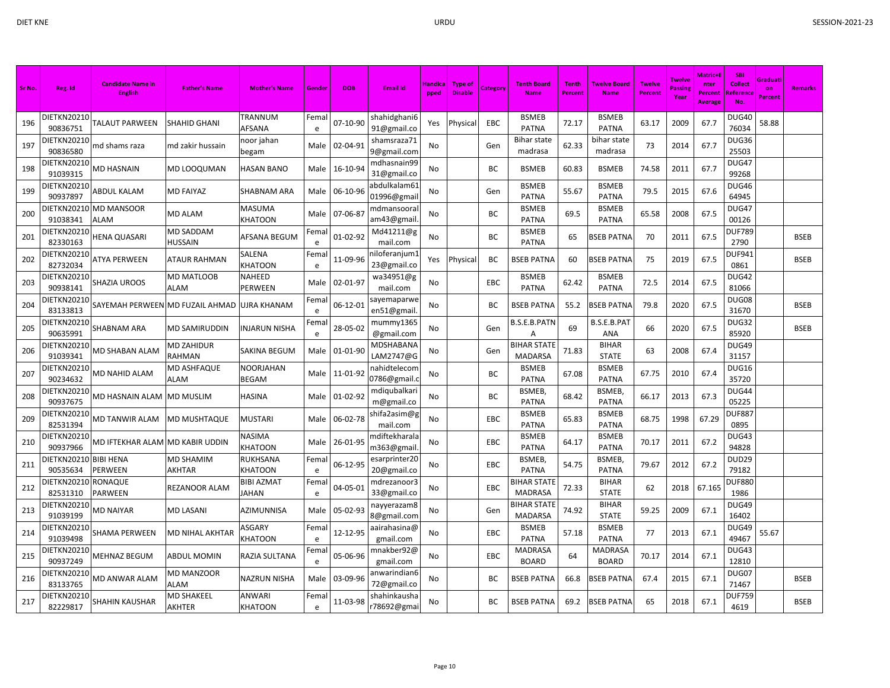| Sr No. | Reg. Id                        | <b>Candidate Name in</b><br><b>English</b> | <b>Father's Name</b>              | <b>Mother's Name</b>     | Gender     | <b>DOB</b>    | <b>Email Id</b>              | Handica<br>pped | <b>Type of</b><br><b>Disable</b> | Category | <b>Tenth Board</b><br><b>Name</b>    | <b>Tenth</b><br><b>Percent</b> | <b>Twelve Board</b><br><b>Name</b> | <b>Twelve</b><br><b>Percent</b> | <b>Twelve</b><br>Passin<br>Year | <b>Matric+E</b><br>nter<br>Percent<br>Average | <b>SBI</b><br><b>Collect</b><br><b>Reference</b><br>No. | Graduati<br>on<br><b>Percent</b> | <b>Remarks</b> |
|--------|--------------------------------|--------------------------------------------|-----------------------------------|--------------------------|------------|---------------|------------------------------|-----------------|----------------------------------|----------|--------------------------------------|--------------------------------|------------------------------------|---------------------------------|---------------------------------|-----------------------------------------------|---------------------------------------------------------|----------------------------------|----------------|
| 196    | DIETKN20210<br>90836751        | TALAUT PARWEEN                             | SHAHID GHANI                      | TRANNUM<br>AFSANA        | Femal<br>e | 07-10-90      | shahidghani6<br>91@gmail.co  | Yes             | Physical                         | EBC      | <b>BSMEB</b><br><b>PATNA</b>         | 72.17                          | <b>BSMEB</b><br><b>PATNA</b>       | 63.17                           | 2009                            | 67.7                                          | DUG40<br>76034                                          | 58.88                            |                |
| 197    | DIETKN20210<br>90836580        | md shams raza                              | md zakir hussain                  | noor jahan<br>begam      | Male       | 02-04-91      | shamsraza71<br>9@gmail.com   | No              |                                  | Gen      | <b>Bihar state</b><br>madrasa        | 62.33                          | bihar state<br>madrasa             | 73                              | 2014                            | 67.7                                          | DUG36<br>25503                                          |                                  |                |
| 198    | <b>DIETKN20210</b><br>91039315 | <b>MD HASNAIN</b>                          | MD LOOQUMAN                       | HASAN BANO               | Male       | 16-10-94      | mdhasnain99<br>31@gmail.co   | No              |                                  | BC.      | <b>BSMEB</b>                         | 60.83                          | <b>BSMEB</b>                       | 74.58                           | 2011                            | 67.7                                          | DUG47<br>99268                                          |                                  |                |
| 199    | DIETKN20210<br>90937897        | <b>ABDUL KALAM</b>                         | MD FAIYAZ                         | SHABNAM ARA              | Male       | 06-10-96      | abdulkalam61<br>01996@gmai   | No              |                                  | Gen      | <b>BSMEB</b><br><b>PATNA</b>         | 55.67                          | <b>BSMEB</b><br><b>PATNA</b>       | 79.5                            | 2015                            | 67.6                                          | DUG46<br>64945                                          |                                  |                |
| 200    | DIETKN20210<br>91038341        | <b>MD MANSOOR</b><br>ALAM                  | <b>MD ALAM</b>                    | <b>MASUMA</b><br>KHATOON | Male       | 07-06-87      | mdmansoora<br>am43@gmail     | No              |                                  | BC       | <b>BSMEB</b><br><b>PATNA</b>         | 69.5                           | <b>BSMEB</b><br><b>PATNA</b>       | 65.58                           | 2008                            | 67.5                                          | DUG47<br>00126                                          |                                  |                |
| 201    | DIETKN20210<br>82330163        | HENA QUASARI                               | <b>MD SADDAM</b><br>HUSSAIN       | AFSANA BEGUM             | Fema<br>e  | 01-02-92      | Md41211@g<br>mail.com        | No              |                                  | ВC       | <b>BSMEB</b><br><b>PATNA</b>         | 65                             | BSEB PATNA                         | 70                              | 2011                            | 67.5                                          | DUF789<br>2790                                          |                                  | <b>BSEB</b>    |
| 202    | DIETKN20210<br>82732034        | ATYA PERWEEN                               | ATAUR RAHMAN                      | SALENA<br>KHATOON        | Fema<br>e  | 11-09-96      | าiloferanjum1<br>23@gmail.co | Yes             | Physica                          | ВC       | <b>BSEB PATNA</b>                    | 60                             | <b>BSEB PATNA</b>                  | 75                              | 2019                            | 67.5                                          | DUF941<br>0861                                          |                                  | <b>BSEB</b>    |
| 203    | DIETKN20210<br>90938141        | SHAZIA UROOS                               | MD MATLOOB<br><b>ALAM</b>         | NAHEED<br>PERWEEN        | Male       | 02-01-97      | wa34951@g<br>mail.com        | No              |                                  | EBC      | <b>BSMEB</b><br><b>PATNA</b>         | 62.42                          | BSMEB<br><b>PATNA</b>              | 72.5                            | 2014                            | 67.5                                          | DUG42<br>81066                                          |                                  |                |
| 204    | DIETKN20210<br>83133813        | SAYEMAH PERWEEN MD FUZAIL AHMAD            |                                   | UJRA KHANAM              | Fema<br>e  | 06-12-01      | sayemaparwe<br>en51@gmail    | No              |                                  | ВC       | <b>BSEB PATNA</b>                    | 55.2                           | <b>BSEB PATNA</b>                  | 79.8                            | 2020                            | 67.5                                          | DUG08<br>31670                                          |                                  | <b>BSEB</b>    |
| 205    | DIETKN2021(<br>90635991        | SHABNAM ARA                                | MD SAMIRUDDIN                     | <b>INJARUN NISHA</b>     | Fema<br>e  | 28-05-02      | mummy1365<br>@gmail.com      | No.             |                                  | Gen      | B.S.E.B.PATN<br>Α                    | 69                             | <b>B.S.E.B.PA1</b><br><b>ANA</b>   | 66                              | 2020                            | 67.5                                          | DUG32<br>85920                                          |                                  | <b>BSEB</b>    |
| 206    | DIETKN20210<br>91039341        | MD SHABAN ALAM                             | MD ZAHIDUR<br>RAHMAN              | SAKINA BEGUM             | Male       | 01-01-90      | MDSHABANA<br>LAM2747@G       | No              |                                  | Gen      | <b>BIHAR STATE</b><br><b>MADARSA</b> | 71.83                          | <b>BIHAR</b><br><b>STATE</b>       | 63                              | 2008                            | 67.4                                          | DUG49<br>31157                                          |                                  |                |
| 207    | DIETKN20210<br>90234632        | MD NAHID ALAM                              | MD ASHFAQUE<br>ALAM               | NOORJAHAN<br>BEGAM       |            | Male 11-01-92 | nahidtelecom<br>0786@gmail.  | No              |                                  | BC       | <b>BSMEB</b><br><b>PATNA</b>         | 67.08                          | <b>BSMEB</b><br><b>PATNA</b>       | 67.75                           | 2010                            | 67.4                                          | <b>DUG16</b><br>35720                                   |                                  |                |
| 208    | DIETKN20210<br>90937675        | MD HASNAIN ALAM                            | MD MUSLIM                         | HASINA                   | Male       | 01-02-92      | mdiqubalkari<br>m@gmail.co   | No              |                                  | ВC       | BSMEB,<br><b>PATNA</b>               | 68.42                          | <b>BSMEB</b><br><b>PATNA</b>       | 66.17                           | 2013                            | 67.3                                          | DUG44<br>05225                                          |                                  |                |
| 209    | DIETKN20210<br>82531394        | MD TANWIR ALAM                             | <b>MD MUSHTAQUE</b>               | MUSTARI                  | Male       | 06-02-78      | shifa2asim@g<br>mail.com     | No              |                                  | EBC      | <b>BSMEB</b><br><b>PATNA</b>         | 65.83                          | <b>BSMEB</b><br><b>PATNA</b>       | 68.75                           | 1998                            | 67.29                                         | <b>DUF887</b><br>0895                                   |                                  |                |
| 210    | DIETKN20210<br>90937966        | MD IFTEKHAR ALAM MD KABIR UDDIN            |                                   | NASIMA<br>KHATOON        | Male       | 26-01-95      | ndiftekharala<br>m363@gmail  | No              |                                  | EBC      | <b>BSMEB</b><br><b>PATNA</b>         | 64.17                          | <b>BSMEB</b><br><b>PATNA</b>       | 70.17                           | 2011                            | 67.2                                          | DUG43<br>94828                                          |                                  |                |
| 211    | DIETKN20210<br>90535634        | <b>BIBI HENA</b><br>PERWEEN                | <b>MD SHAMIM</b><br><b>AKHTAR</b> | RUKHSANA<br>KHATOON      | Femal<br>e | 06-12-95      | esarprinter20<br>20@gmail.co | <b>No</b>       |                                  | EBC      | BSMEB,<br>PATNA                      | 54.75                          | <b>BSMEB</b><br><b>PATNA</b>       | 79.67                           | 2012                            | 67.2                                          | <b>DUD29</b><br>79182                                   |                                  |                |
| 212    | DIETKN20210<br>82531310        | RONAQUE<br><b>PARWEEN</b>                  | REZANOOR ALAM                     | BIBI AZMAT<br>JAHAN      | Fema<br>e  | 04-05-01      | mdrezanoor3<br>33@gmail.co   | No              |                                  | EBC      | <b>BIHAR STATE</b><br><b>MADRASA</b> | 72.33                          | <b>BIHAR</b><br><b>STATE</b>       | 62                              | 2018                            | 67.165                                        | <b>DUF880</b><br>1986                                   |                                  |                |
| 213    | DIETKN20210<br>91039199        | <b>MD NAIYAR</b>                           | MD LASANI                         | AZIMUNNISA               | Male       | 05-02-93      | nayyerazam8<br>8@gmail.com   | No              |                                  | Gen      | <b>BIHAR STATE</b><br><b>MADARSA</b> | 74.92                          | <b>BIHAR</b><br><b>STATE</b>       | 59.25                           | 2009                            | 67.1                                          | DUG49<br>16402                                          |                                  |                |
| 214    | DIETKN20210<br>91039498        | SHAMA PERWEEN                              | MD NIHAL AKHTAR                   | ASGARY<br>KHATOON        | Fema<br>e  | 12-12-95      | aairahasina@<br>gmail.com    | No              |                                  | EBC      | <b>BSMEB</b><br><b>PATNA</b>         | 57.18                          | <b>BSMEB</b><br><b>PATNA</b>       | 77                              | 2013                            | 67.1                                          | DUG49<br>49467                                          | 55.67                            |                |
| 215    | DIETKN20210<br>90937249        | MEHNAZ BEGUM                               | <b>ABDUL MOMIN</b>                | RAZIA SULTANA            | Fema<br>e  | 05-06-96      | mnakber92@<br>gmail.com      | No              |                                  | EBC      | MADRASA<br><b>BOARD</b>              | 64                             | MADRASA<br><b>BOARD</b>            | 70.17                           | 2014                            | 67.1                                          | DUG43<br>12810                                          |                                  |                |
| 216    | DIETKN20210<br>83133765        | MD ANWAR ALAM                              | MD MANZOOR<br>ALAM                | NAZRUN NISHA             | Male       | 03-09-96      | anwarindian6<br>72@gmail.co  | No              |                                  | ВC       | <b>BSEB PATNA</b>                    | 66.8                           | <b>SSEB PATNA</b>                  | 67.4                            | 2015                            | 67.1                                          | DUG07<br>71467                                          |                                  | <b>BSEB</b>    |
| 217    | DIETKN20210<br>82229817        | SHAHIN KAUSHAR                             | MD SHAKEEL<br><b>AKHTER</b>       | ANWARI<br>KHATOON        | Femal<br>e | 11-03-98      | shahinkausha<br>r78692@gmai  | No              |                                  | BC       | <b>BSEB PATNA</b>                    | 69.2                           | <b>BSEB PATNA</b>                  | 65                              | 2018                            | 67.1                                          | <b>DUF759</b><br>4619                                   |                                  | <b>BSEB</b>    |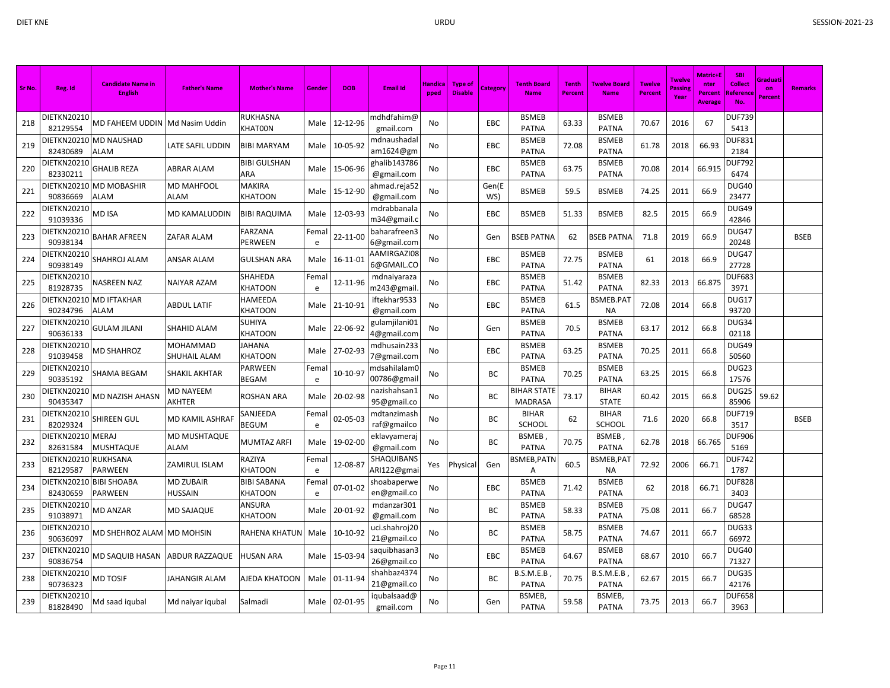| Sr No. | Reg. Id                        | <b>Candidate Name in</b><br><b>English</b> | <b>Father's Name</b>       | <b>Mother's Name</b>          | Gende     | <b>DOB</b> | <b>Email Id</b>              | Handica<br>pped | Type of<br><b>Disable</b> | Category     | <b>Tenth Board</b><br><b>Name</b>    | <b>Tenth</b><br>Percent | <b>Twelve Board</b><br><b>Name</b> | <b>Twelve</b><br><b>Percent</b> | <b>Twelve</b><br>Passing<br>Year | Matric+E<br>nter<br>Percent<br><b>Average</b> | <b>SBI</b><br><b>Collect</b><br>Referenc<br>No. | Graduati<br>on<br><b>Percent</b> | <b>Remarks</b> |
|--------|--------------------------------|--------------------------------------------|----------------------------|-------------------------------|-----------|------------|------------------------------|-----------------|---------------------------|--------------|--------------------------------------|-------------------------|------------------------------------|---------------------------------|----------------------------------|-----------------------------------------------|-------------------------------------------------|----------------------------------|----------------|
| 218    | DIETKN20210<br>82129554        | MD FAHEEM UDDIN                            | Md Nasim Uddin             | RUKHASNA<br><b>KHAT00N</b>    | Male      | 12-12-96   | mdhdfahim@<br>gmail.com      | No              |                           | <b>EBC</b>   | <b>BSMEB</b><br><b>PATNA</b>         | 63.33                   | <b>BSMEB</b><br><b>PATNA</b>       | 70.67                           | 2016                             | 67                                            | <b>DUF739</b><br>5413                           |                                  |                |
| 219    | DIETKN20210<br>82430689        | <b>MD NAUSHAD</b><br>ALAM                  | LATE SAFIL UDDIN           | <b>BIBI MARYAM</b>            | Male      | 10-05-92   | mdnaushadal<br>am1624@gm     | No              |                           | EBC          | <b>BSMEB</b><br><b>PATNA</b>         | 72.08                   | <b>BSMEB</b><br><b>PATNA</b>       | 61.78                           | 2018                             | 66.93                                         | <b>DUF831</b><br>2184                           |                                  |                |
| 220    | <b>DIETKN20210</b><br>82330211 | <b>GHALIB REZA</b>                         | ABRAR ALAM                 | <b>BIBI GULSHAN</b><br>ARA    | Male      | 15-06-96   | ghalib143786<br>@gmail.com   | No              |                           | <b>EBC</b>   | <b>BSMEB</b><br><b>PATNA</b>         | 63.75                   | <b>BSMEB</b><br><b>PATNA</b>       | 70.08                           | 2014                             | 66.915                                        | <b>DUF792</b><br>6474                           |                                  |                |
| 221    | DIETKN20210<br>90836669        | <b>MD MOBASHIR</b><br>ALAM                 | MD MAHFOOL<br>ALAM         | MAKIRA<br><b>KHATOON</b>      | Male      | 15-12-90   | ahmad.reja52<br>@gmail.com   | No              |                           | Gen(E<br>WS) | <b>BSMEB</b>                         | 59.5                    | <b>BSMEB</b>                       | 74.25                           | 2011                             | 66.9                                          | DUG40<br>23477                                  |                                  |                |
| 222    | DIETKN20210<br>91039336        | MD ISA                                     | MD KAMALUDDIN              | <b>BIBI RAQUIMA</b>           | Male      | 12-03-93   | mdrabbanala<br>m34@gmail.c   | No              |                           | EBC          | <b>BSMEB</b>                         | 51.33                   | <b>BSMEB</b>                       | 82.5                            | 2015                             | 66.9                                          | DUG49<br>42846                                  |                                  |                |
| 223    | DIETKN20210<br>90938134        | <b>BAHAR AFREEN</b>                        | ZAFAR ALAM                 | FARZANA<br>PERWEEN            | Fema<br>e | 22-11-00   | baharafreen3<br>6@gmail.com  | No              |                           | Gen          | <b>BSEB PATNA</b>                    | 62                      | <b>BSEB PATNA</b>                  | 71.8                            | 2019                             | 66.9                                          | DUG47<br>20248                                  |                                  | <b>BSEB</b>    |
| 224    | DIETKN20210<br>90938149        | SHAHROJ ALAM                               | ANSAR ALAM                 | <b>GULSHAN ARA</b>            | Male      | 16-11-01   | AAMIRGAZI08<br>6@GMAIL.CO    | No              |                           | EBC          | <b>BSMEB</b><br><b>PATNA</b>         | 72.75                   | <b>BSMEB</b><br><b>PATNA</b>       | 61                              | 2018                             | 66.9                                          | DUG47<br>27728                                  |                                  |                |
| 225    | DIETKN20210<br>81928735        | NASREEN NAZ                                | NAIYAR AZAM                | SHAHEDA<br>KHATOON            | Fema<br>e | 12-11-96   | mdnaiyaraza<br>m243@gmail    | No              |                           | EBC          | <b>BSMEB</b><br><b>PATNA</b>         | 51.42                   | <b>BSMEB</b><br><b>PATNA</b>       | 82.33                           | 2013                             | 66.875                                        | <b>DUF683</b><br>3971                           |                                  |                |
| 226    | DIETKN20210<br>90234796        | <b>MD IFTAKHAR</b><br>ALAM                 | <b>ABDUL LATIF</b>         | HAMEEDA<br><b>KHATOON</b>     | Male      | 21-10-91   | iftekhar9533<br>@gmail.com   | No              |                           | EBC          | <b>BSMEB</b><br><b>PATNA</b>         | 61.5                    | BSMEB.PAT<br><b>NA</b>             | 72.08                           | 2014                             | 66.8                                          | DUG17<br>93720                                  |                                  |                |
| 227    | DIETKN20210<br>90636133        | <b>GULAM JILANI</b>                        | SHAHID ALAM                | SUHIYA<br>KHATOON             | Male      | 22-06-92   | gulamjilani01<br>4@gmail.com | No              |                           | Gen          | <b>BSMEB</b><br><b>PATNA</b>         | 70.5                    | <b>BSMEB</b><br><b>PATNA</b>       | 63.17                           | 2012                             | 66.8                                          | DUG34<br>02118                                  |                                  |                |
| 228    | DIETKN20210<br>91039458        | MD SHAHROZ                                 | MOHAMMAD<br>SHUHAIL ALAM   | JAHANA<br>KHATOON             | Male      | 27-02-93   | mdhusain233<br>7@gmail.com   | No              |                           | EBC          | <b>BSMEB</b><br><b>PATNA</b>         | 63.25                   | <b>BSMEB</b><br><b>PATNA</b>       | 70.25                           | 2011                             | 66.8                                          | DUG49<br>50560                                  |                                  |                |
| 229    | DIETKN20210<br>90335192        | SHAMA BEGAM                                | SHAKIL AKHTAR              | PARWEEN<br>BEGAM              | Fema<br>e | 10-10-97   | mdsahilalam0<br>00786@gmail  | No              |                           | BC           | <b>BSMEB</b><br>PATNA                | 70.25                   | <b>BSMEB</b><br><b>PATNA</b>       | 63.25                           | 2015                             | 66.8                                          | DUG23<br>17576                                  |                                  |                |
| 230    | DIETKN20210<br>90435347        | MD NAZISH AHASN                            | <b>MD NAYEEM</b><br>AKHTER | ROSHAN ARA                    | Male      | 20-02-98   | nazishahsan 1<br>95@gmail.co | No              |                           | BC           | <b>BIHAR STATE</b><br><b>MADRASA</b> | 73.17                   | <b>BIHAR</b><br><b>STATE</b>       | 60.42                           | 2015                             | 66.8                                          | DUG25<br>85906                                  | 59.62                            |                |
| 231    | DIETKN20210<br>82029324        | SHIREEN GUL                                | MD KAMIL ASHRAF            | SANJEEDA<br><b>BEGUM</b>      | Fema<br>e | 02-05-03   | mdtanzimash<br>raf@gmailco   | No              |                           | BC           | <b>BIHAR</b><br>SCHOOL               | 62                      | <b>BIHAR</b><br>SCHOOL             | 71.6                            | 2020                             | 66.8                                          | <b>DUF719</b><br>3517                           |                                  | <b>BSEB</b>    |
| 232    | DIETKN20210<br>82631584        | <b>MERAJ</b><br><b>MUSHTAQUE</b>           | MD MUSHTAQUE<br>ALAM       | MUMTAZ ARFI                   | Male      | 19-02-00   | eklavyameraj<br>@gmail.com   | No              |                           | BC           | <b>BSMEB</b><br><b>PATNA</b>         | 70.75                   | <b>BSMEB</b><br><b>PATNA</b>       | 62.78                           | 2018                             | 66.765                                        | <b>DUF906</b><br>5169                           |                                  |                |
| 233    | DIETKN20210<br>82129587        | RUKHSANA<br><b>PARWEEN</b>                 | ZAMIRUL ISLAM              | RAZIYA<br>KHATOON             | Fema<br>e | 12-08-87   | SHAQUIBANS<br>ARI122@gmai    | Yes             | Physical                  | Gen          | BSMEB,PATN<br>Α                      | 60.5                    | BSMEB,PAT<br><b>NA</b>             | 72.92                           | 2006                             | 66.71                                         | <b>DUF742</b><br>1787                           |                                  |                |
| 234    | DIETKN20210<br>82430659        | <b>BIBI SHOABA</b><br><b>PARWEEN</b>       | MD ZUBAIR<br>HUSSAIN       | <b>BIBI SABANA</b><br>KHATOON | Fema<br>e | 07-01-02   | shoabaperwe<br>en@gmail.co   | No              |                           | EBC          | <b>BSMEB</b><br><b>PATNA</b>         | 71.42                   | <b>BSMEB</b><br><b>PATNA</b>       | 62                              | 2018                             | 66.71                                         | <b>DUF828</b><br>3403                           |                                  |                |
| 235    | DIETKN20210<br>91038971        | MD ANZAR                                   | MD SAJAQUE                 | ANSURA<br>KHATOON             | Male      | 20-01-92   | mdanzar301<br>@gmail.com     | No              |                           | BC           | <b>BSMEB</b><br><b>PATNA</b>         | 58.33                   | <b>BSMEB</b><br><b>PATNA</b>       | 75.08                           | 2011                             | 66.7                                          | DUG47<br>68528                                  |                                  |                |
| 236    | DIETKN20210<br>90636097        | MD SHEHROZ ALAM                            | <b>MD MOHSIN</b>           | RAHENA KHATUN                 | Male      | 10-10-92   | uci.shahroj20<br>21@gmail.co | No              |                           | BC           | <b>BSMEB</b><br><b>PATNA</b>         | 58.75                   | <b>BSMEB</b><br><b>PATNA</b>       | 74.67                           | 2011                             | 66.7                                          | DUG33<br>66972                                  |                                  |                |
| 237    | DIETKN20210<br>90836754        | MD SAQUIB HASAN                            | ABDUR RAZZAQUE             | <b>HUSAN ARA</b>              | Male      | 15-03-94   | saquibhasan3<br>26@gmail.co  | No              |                           | EBC          | <b>BSMEB</b><br><b>PATNA</b>         | 64.67                   | <b>BSMEB</b><br><b>PATNA</b>       | 68.67                           | 2010                             | 66.7                                          | DUG40<br>71327                                  |                                  |                |
| 238    | DIETKN20210<br>90736323        | MD TOSIF                                   | IAHANGIR ALAM              | AJEDA KHATOON                 | Male      | 01-11-94   | shahbaz4374<br>21@gmail.co   | No              |                           | BC           | B.S.M.E.B<br><b>PATNA</b>            | 70.75                   | B.S.M.E.B<br><b>PATNA</b>          | 62.67                           | 2015                             | 66.7                                          | DUG35<br>42176                                  |                                  |                |
| 239    | DIETKN20210<br>81828490        | Md saad iqubal                             | Md naiyar iqubal           | Salmadi                       | Male      | 02-01-95   | iqubalsaad@<br>gmail.com     | No              |                           | Gen          | BSMEB,<br><b>PATNA</b>               | 59.58                   | BSMEB,<br><b>PATNA</b>             | 73.75                           | 2013                             | 66.7                                          | <b>DUF658</b><br>3963                           |                                  |                |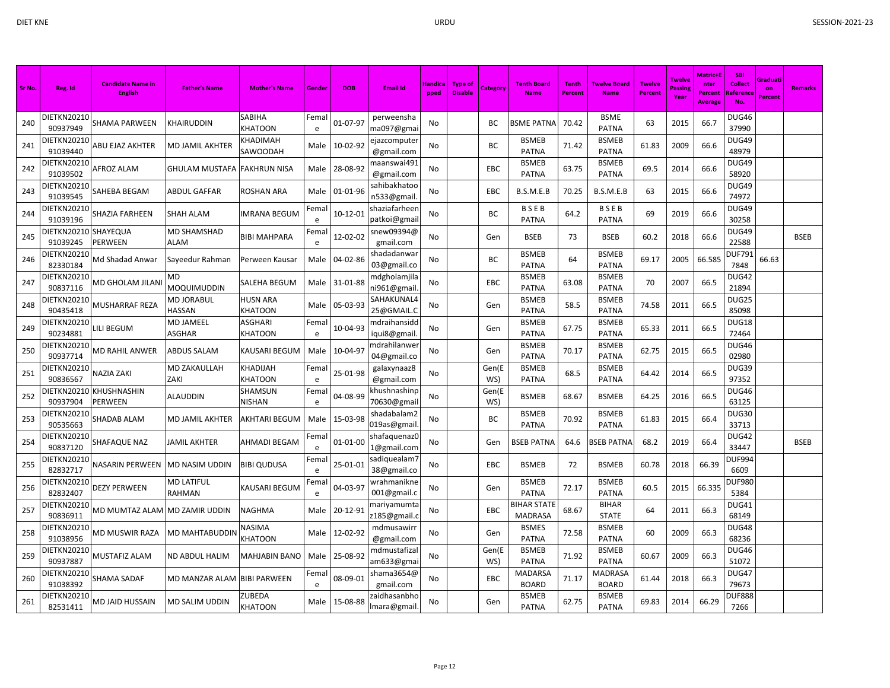| Sr No. | Reg. Id                 | <b>Candidate Name in</b><br><b>English</b> | <b>Father's Name</b>        | <b>Mother's Name</b>       | Gende      | <b>DOB</b> | <b>Email Id</b>              | Handica<br>pped | Type of<br><b>Disable</b> | <b>Category</b> | <b>Tenth Board</b><br><b>Name</b>    | <b>Tenth</b><br>Percent | <b>Twelve Board</b><br><b>Name</b> | <b>Twelve</b><br><b>Percent</b> | <b>Twelve</b><br>Passing<br>Year | Matric+E<br>nter<br>Percent<br><b>Average</b> | <b>SBI</b><br><b>Collect</b><br>Referenc<br>No. | Graduati<br>on<br>Percent | <b>Remarks</b> |
|--------|-------------------------|--------------------------------------------|-----------------------------|----------------------------|------------|------------|------------------------------|-----------------|---------------------------|-----------------|--------------------------------------|-------------------------|------------------------------------|---------------------------------|----------------------------------|-----------------------------------------------|-------------------------------------------------|---------------------------|----------------|
| 240    | DIETKN20210<br>90937949 | SHAMA PARWEEN                              | <b>CHAIRUDDIN</b>           | SABIHA<br>KHATOON          | Femal<br>e | 01-07-97   | perweensha<br>ma097@gmai     | No              |                           | ВC              | <b>BSME PATNA</b>                    | 70.42                   | <b>BSME</b><br><b>PATNA</b>        | 63                              | 2015                             | 66.7                                          | DUG46<br>37990                                  |                           |                |
| 241    | DIETKN20210<br>91039440 | ABU EJAZ AKHTER                            | MD JAMIL AKHTER             | KHADIMAH<br>SAWOODAH       | Male       | 10-02-92   | ejazcomputer<br>@gmail.com   | No              |                           | ВC              | <b>BSMEB</b><br><b>PATNA</b>         | 71.42                   | <b>BSMEB</b><br><b>PATNA</b>       | 61.83                           | 2009                             | 66.6                                          | DUG49<br>48979                                  |                           |                |
| 242    | DIETKN20210<br>91039502 | AFROZ ALAM                                 | GHULAM MUSTAFA              | FAKHRUN NISA               | Male       | 28-08-92   | maanswai491<br>@gmail.com    | No              |                           | <b>EBC</b>      | <b>BSMEB</b><br><b>PATNA</b>         | 63.75                   | <b>BSMEB</b><br>PATNA              | 69.5                            | 2014                             | 66.6                                          | DUG49<br>58920                                  |                           |                |
| 243    | DIETKN20210<br>91039545 | SAHEBA BEGAM                               | ABDUL GAFFAR                | ROSHAN ARA                 | Male       | 01-01-96   | sahibakhatoc<br>n533@gmail   | No              |                           | EBC             | B.S.M.E.B                            | 70.25                   | B.S.M.E.B                          | 63                              | 2015                             | 66.6                                          | DUG49<br>74972                                  |                           |                |
| 244    | DIETKN20210<br>91039196 | SHAZIA FARHEEN                             | <b>SHAH ALAM</b>            | <b>IMRANA BEGUM</b>        | Fema<br>e  | 10-12-01   | shaziafarheer<br>patkoi@gmai | No              |                           | BC              | <b>BSEB</b><br><b>PATNA</b>          | 64.2                    | <b>BSEB</b><br><b>PATNA</b>        | 69                              | 2019                             | 66.6                                          | DUG49<br>30258                                  |                           |                |
| 245    | DIETKN20210<br>91039245 | <b>SHAYEQUA</b><br>PERWEEN                 | MD SHAMSHAD<br>ALAM         | <b>BIBI MAHPARA</b>        | Fema<br>e  | 12-02-02   | snew09394@<br>gmail.com      | No              |                           | Gen             | <b>BSEB</b>                          | 73                      | <b>BSEB</b>                        | 60.2                            | 2018                             | 66.6                                          | DUG49<br>22588                                  |                           | <b>BSEB</b>    |
| 246    | DIETKN20210<br>82330184 | Md Shadad Anwar                            | Sayeedur Rahman             | Perween Kausar             | Male       | 04-02-86   | shadadanwar<br>03@gmail.co   | No              |                           | ВC              | <b>BSMEB</b><br><b>PATNA</b>         | 64                      | <b>BSMEB</b><br><b>PATNA</b>       | 69.17                           | 2005                             | 66.585                                        | <b>DUF791</b><br>7848                           | 66.63                     |                |
| 247    | DIETKN20210<br>90837116 | MD GHOLAM JILANI                           | MD<br>MOQUIMUDDIN           | SALEHA BEGUM               | Male       | 31-01-88   | mdgholamjila<br>ni961@gmail  | No              |                           | <b>EBC</b>      | <b>BSMEB</b><br><b>PATNA</b>         | 63.08                   | <b>BSMEB</b><br><b>PATNA</b>       | 70                              | 2007                             | 66.5                                          | DUG42<br>21894                                  |                           |                |
| 248    | DIETKN20210<br>90435418 | MUSHARRAF REZA                             | MD JORABUL<br><b>HASSAN</b> | <b>HUSN ARA</b><br>KHATOON | Male       | 05-03-93   | SAHAKUNAL4<br>25@GMAIL.C     | No              |                           | Gen             | <b>BSMEB</b><br><b>PATNA</b>         | 58.5                    | <b>BSMEB</b><br><b>PATNA</b>       | 74.58                           | 2011                             | 66.5                                          | DUG25<br>85098                                  |                           |                |
| 249    | DIETKN20210<br>90234881 | LILI BEGUM                                 | MD JAMEEL<br>ASGHAR         | ASGHARI<br>KHATOON         | Fema<br>e  | 10-04-93   | mdraihansidc<br>iqui8@gmail  | No              |                           | Gen             | <b>BSMEB</b><br><b>PATNA</b>         | 67.75                   | <b>BSMEB</b><br><b>PATNA</b>       | 65.33                           | 2011                             | 66.5                                          | DUG18<br>72464                                  |                           |                |
| 250    | DIETKN20210<br>90937714 | MD RAHIL ANWER                             | ABDUS SALAM                 | KAUSARI BEGUM              | Male       | 10-04-97   | ndrahilanwe<br>04@gmail.co   | No              |                           | Gen             | <b>BSMEB</b><br><b>PATNA</b>         | 70.17                   | <b>BSMEB</b><br><b>PATNA</b>       | 62.75                           | 2015                             | 66.5                                          | DUG46<br>02980                                  |                           |                |
| 251    | DIETKN20210<br>90836567 | NAZIA ZAKI                                 | <b>MD ZAKAULLAH</b><br>ZAKI | KHADIJAH<br>KHATOON        | Fema<br>e  | 25-01-98   | galaxynaaz8<br>@gmail.com    | No              |                           | Gen(E<br>WS)    | <b>BSMEB</b><br><b>PATNA</b>         | 68.5                    | <b>BSMEB</b><br><b>PATNA</b>       | 64.42                           | 2014                             | 66.5                                          | DUG39<br>97352                                  |                           |                |
| 252    | DIETKN20210<br>90937904 | <b>KHUSHNASHIN</b><br>PERWEEN              | ALAUDDIN                    | SHAMSUN<br>NISHAN          | Fema<br>e  | 04-08-99   | chushnashinp<br>70630@gmai   | No              |                           | Gen(E<br>WS)    | <b>BSMEB</b>                         | 68.67                   | <b>BSMEB</b>                       | 64.25                           | 2016                             | 66.5                                          | DUG46<br>63125                                  |                           |                |
| 253    | DIETKN20210<br>90535663 | SHADAB ALAM                                | MD JAMIL AKHTER             | <b>AKHTARI BEGUM</b>       | Male       | 15-03-98   | shadabalam2<br>019as@gmail   | No              |                           | ВC              | <b>BSMEB</b><br><b>PATNA</b>         | 70.92                   | <b>BSMEB</b><br><b>PATNA</b>       | 61.83                           | 2015                             | 66.4                                          | DUG30<br>33713                                  |                           |                |
| 254    | DIETKN20210<br>90837120 | SHAFAQUE NAZ                               | JAMIL AKHTER                | AHMADI BEGAM               | Fema<br>e  | 01-01-00   | shafaquenaz0<br>1@gmail.com  | No              |                           | Gen             | <b>BSEB PATNA</b>                    | 64.6                    | BSEB PATNA                         | 68.2                            | 2019                             | 66.4                                          | DUG42<br>33447                                  |                           | <b>BSEB</b>    |
| 255    | DIETKN20210<br>82832717 | NASARIN PERWEEN                            | MD NASIM UDDIN              | <b>BIBI QUDUSA</b>         | Fema<br>e  | 25-01-01   | sadiquealam7<br>38@gmail.co  | No              |                           | EBC             | <b>BSMEB</b>                         | 72                      | <b>BSMEB</b>                       | 60.78                           | 2018                             | 66.39                                         | DUF994<br>6609                                  |                           |                |
| 256    | DIETKN20210<br>82832407 | <b>DEZY PERWEEN</b>                        | MD LATIFUL<br>RAHMAN        | KAUSARI BEGUM              | Fema<br>e  | 04-03-97   | wrahmanikne<br>001@gmail.c   | No              |                           | Gen             | <b>BSMEB</b><br><b>PATNA</b>         | 72.17                   | <b>BSMEB</b><br><b>PATNA</b>       | 60.5                            | 2015                             | 66.335                                        | <b>DUF980</b><br>5384                           |                           |                |
| 257    | DIETKN20210<br>90836911 | MD MUMTAZ ALAM  MD ZAMIR UDDIN             |                             | NAGHMA                     | Male       | 20-12-91   | mariyamumta<br>2185@gmail.   | No              |                           | EBC             | <b>BIHAR STATE</b><br><b>MADRASA</b> | 68.67                   | <b>BIHAR</b><br><b>STATE</b>       | 64                              | 2011                             | 66.3                                          | DUG41<br>68149                                  |                           |                |
| 258    | DIETKN20210<br>91038956 | MD MUSWIR RAZA                             | MD MAHTABUDDIN              | NASIMA<br>KHATOON          | Male       | 12-02-92   | mdmusawirr<br>@gmail.com     | No              |                           | Gen             | <b>BSMES</b><br><b>PATNA</b>         | 72.58                   | <b>BSMEB</b><br><b>PATNA</b>       | 60                              | 2009                             | 66.3                                          | DUG48<br>68236                                  |                           |                |
| 259    | DIETKN20210<br>90937887 | MUSTAFIZ ALAM                              | <b>ND ABDUL HALIM</b>       | MAHJABIN BANO              | Male       | 25-08-92   | mdmustafiza<br>am633@gma     | No              |                           | Gen(E<br>WS)    | <b>BSMEB</b><br><b>PATNA</b>         | 71.92                   | <b>BSMEB</b><br><b>PATNA</b>       | 60.67                           | 2009                             | 66.3                                          | DUG46<br>51072                                  |                           |                |
| 260    | DIETKN20210<br>91038392 | SHAMA SADAF                                | VID MANZAR ALAM             | <b>BIBI PARWEEN</b>        | Fema<br>e  | 08-09-01   | shama3654@<br>gmail.com      | No              |                           | <b>EBC</b>      | <b>MADARSA</b><br><b>BOARD</b>       | 71.17                   | <b>MADRASA</b><br><b>BOARD</b>     | 61.44                           | 2018                             | 66.3                                          | DUG47<br>79673                                  |                           |                |
| 261    | DIETKN20210<br>82531411 | MD JAID HUSSAIN                            | MD SALIM UDDIN              | ZUBEDA<br><b>KHATOON</b>   | Male       | 15-08-88   | zaidhasanbhc<br>Imara@gmail  | No              |                           | Gen             | <b>BSMEB</b><br><b>PATNA</b>         | 62.75                   | <b>BSMEB</b><br><b>PATNA</b>       | 69.83                           | 2014                             | 66.29                                         | <b>DUF888</b><br>7266                           |                           |                |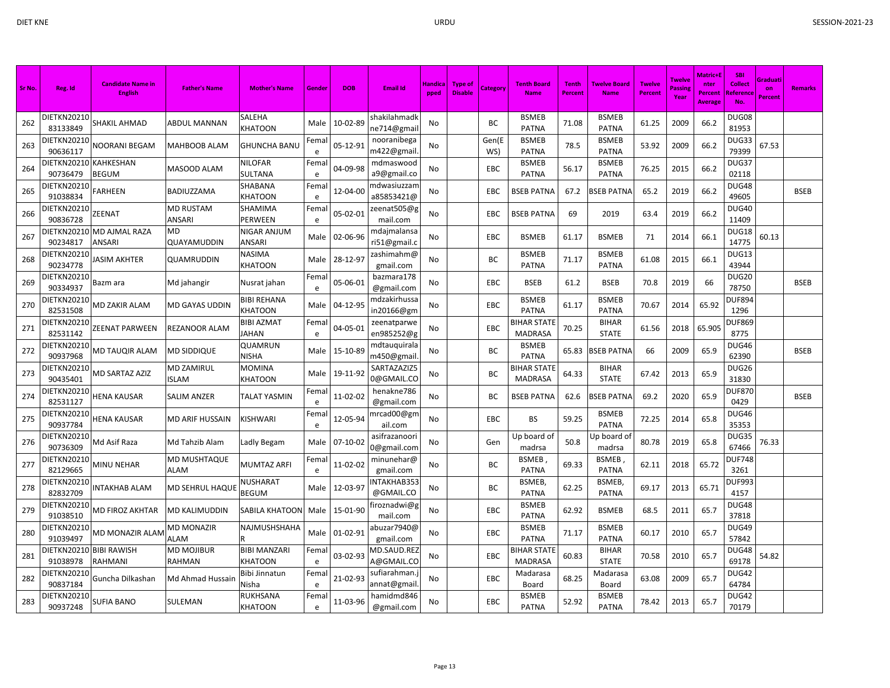| Sr No. | Reg. Id                        | <b>Candidate Name in</b><br><b>English</b> | <b>Father's Name</b>             | <b>Mother's Name</b>              | Gender               | <b>DOB</b> | <b>Email Id</b>                       | Handica<br>pped | <b>Type of</b><br><b>Disable</b> | Category     | <b>Tenth Board</b><br><b>Name</b>    | <b>Tenth</b><br>Percent | Twelve Board<br><b>Name</b>  | <b>Twelve</b><br>Percent | <b>Twelve</b><br>Passin<br>Year | <b>Matric+l</b><br>nter<br>Percent<br><b>Average</b> | <b>SBI</b><br><b>Collect</b><br>Reference<br><b>No</b> | Graduati<br>on<br>Percent | <b>Remarks</b> |
|--------|--------------------------------|--------------------------------------------|----------------------------------|-----------------------------------|----------------------|------------|---------------------------------------|-----------------|----------------------------------|--------------|--------------------------------------|-------------------------|------------------------------|--------------------------|---------------------------------|------------------------------------------------------|--------------------------------------------------------|---------------------------|----------------|
| 262    | DIETKN20210<br>83133849        | SHAKIL AHMAD                               | <b>ABDUL MANNAN</b>              | SALEHA<br>KHATOON                 | Male                 | 10-02-89   | shakilahmadk<br>ne714@gmai            | No              |                                  | ВC           | <b>BSMEB</b><br><b>PATNA</b>         | 71.08                   | <b>BSMEB</b><br><b>PATNA</b> | 61.25                    | 2009                            | 66.2                                                 | DUG08<br>81953                                         |                           |                |
| 263    | DIETKN20210<br>90636117        | NOORANI BEGAM                              | MAHBOOB ALAM                     | <b>GHUNCHA BANU</b>               | Femal<br>e           | 05-12-91   | nooranibega<br>m422@gmail             | No              |                                  | Gen(E<br>WS) | <b>BSMEB</b><br><b>PATNA</b>         | 78.5                    | <b>BSMEB</b><br><b>PATNA</b> | 53.92                    | 2009                            | 66.2                                                 | DUG33<br>79399                                         | 67.53                     |                |
| 264    | DIETKN20210<br>90736479        | <b>KAHKESHAN</b><br><b>BEGUM</b>           | MASOOD ALAM                      | NILOFAR<br>SULTANA                | Femal<br>e           | 04-09-98   | mdmaswood<br>a9@gmail.co              | No              |                                  | EBC          | <b>BSMEB</b><br><b>PATNA</b>         | 56.17                   | <b>BSMEB</b><br><b>PATNA</b> | 76.25                    | 2015                            | 66.2                                                 | DUG37<br>02118                                         |                           |                |
| 265    | DIETKN20210<br>91038834        | FARHEEN                                    | BADIUZZAMA                       | SHABANA<br><b>KHATOON</b>         | Fema<br>e            | 12-04-00   | mdwasiuzzam<br>a85853421@             | No              |                                  | EBC          | <b>BSEB PATNA</b>                    | 67.2                    | <b>BSEB PATNA</b>            | 65.2                     | 2019                            | 66.2                                                 | DUG48<br>49605                                         |                           | <b>BSEB</b>    |
| 266    | DIETKN20210<br>90836728        | ZEENAT                                     | MD RUSTAM<br>ANSARI              | SHAMIMA<br>PERWEEN                | Femal<br>e           | 05-02-01   | zeenat505@g<br>mail.com               | No              |                                  | EBC          | <b>BSEB PATNA</b>                    | 69                      | 2019                         | 63.4                     | 2019                            | 66.2                                                 | <b>DUG40</b><br>11409                                  |                           |                |
| 267    | 90234817                       | DIETKN20210 MD AJMAL RAZA<br>ANSARI        | MD<br>QUAYAMUDDIN                | NIGAR ANJUM<br>ANSARI             | Male                 | 02-06-96   | mdajmalansa<br>ri51@gmail.c           | No              |                                  | EBC          | <b>BSMEB</b>                         | 61.17                   | <b>BSMEB</b>                 | 71                       | 2014                            | 66.1                                                 | DUG18<br>14775                                         | 60.13                     |                |
| 268    | DIETKN20210<br>90234778        | JASIM AKHTER                               | QUAMRUDDIN                       | NASIMA<br>KHATOON                 | Male                 | 28-12-97   | zashimahm@<br>gmail.com               | <b>No</b>       |                                  | ВC           | <b>BSMEB</b><br><b>PATNA</b>         | 71.17                   | <b>BSMEB</b><br><b>PATNA</b> | 61.08                    | 2015                            | 66.1                                                 | DUG13<br>43944                                         |                           |                |
| 269    | DIETKN20210<br>90334937        | Bazm ara                                   | Md jahangir                      | Nusrat jahan                      | Femal<br>e           | 05-06-01   | bazmara178<br>@gmail.com              | No              |                                  | EBC          | <b>BSEB</b>                          | 61.2                    | <b>BSEB</b>                  | 70.8                     | 2019                            | 66                                                   | <b>DUG20</b><br>78750                                  |                           | <b>BSEB</b>    |
| 270    | DIETKN20210<br>82531508        | MD ZAKIR ALAM                              | MD GAYAS UDDIN                   | <b>BIBI REHANA</b><br>KHATOON     | Male                 | 04-12-95   | mdzakirhussa<br>in20166@gm            | No              |                                  | EBC          | <b>BSMEB</b><br><b>PATNA</b>         | 61.17                   | <b>BSMEB</b><br><b>PATNA</b> | 70.67                    | 2014                            | 65.92                                                | <b>DUF894</b><br>1296                                  |                           |                |
| 271    | DIETKN20210<br>82531142        | ZEENAT PARWEEN                             | REZANOOR ALAM                    | <b>BIBI AZMAT</b><br><b>JAHAN</b> | Fema<br>$\mathsf{e}$ | 04-05-01   | zeenatparwe<br>en985252@g             | No              |                                  | EBC          | <b>BIHAR STATE</b><br><b>MADRASA</b> | 70.25                   | <b>BIHAR</b><br><b>STATE</b> | 61.56                    | 2018                            | 65.905                                               | DUF869<br>8775                                         |                           |                |
| 272    | DIETKN20210<br>90937968        | <b>MD TAUQIR ALAM</b>                      | MD SIDDIQUE                      | QUAMRUN<br>NISHA                  | Male                 | 15-10-89   | mdtauquirala<br>m450@gmail            | No              |                                  | ВC           | <b>BSMEB</b><br><b>PATNA</b>         | 65.83                   | <b>BSEB PATNA</b>            | 66                       | 2009                            | 65.9                                                 | DUG46<br>62390                                         |                           | <b>BSEB</b>    |
| 273    | DIETKN20210<br>90435401        | <b>MD SARTAZ AZIZ</b>                      | <b>MD ZAMIRUL</b><br>Islam       | <b>MOMINA</b><br>KHATOON          | Male                 | 19-11-92   | SARTAZAZIZ5<br>0@GMAIL.CO             | No              |                                  | ВC           | <b>BIHAR STATE</b><br><b>MADRASA</b> | 64.33                   | <b>BIHAR</b><br><b>STATE</b> | 67.42                    | 2013                            | 65.9                                                 | DUG26<br>31830                                         |                           |                |
| 274    | DIETKN20210<br>82531127        | HENA KAUSAR                                | SALIM ANZER                      | TALAT YASMIN                      | Femal<br>e           | 11-02-02   | henakne786<br>@gmail.com              | No              |                                  | ВC           | <b>BSEB PATNA</b>                    | 62.6                    | SEB PATNA                    | 69.2                     | 2020                            | 65.9                                                 | <b>DUF870</b><br>0429                                  |                           | <b>BSEB</b>    |
| 275    | DIETKN20210<br>90937784        | <b>HENA KAUSAR</b>                         | MD ARIF HUSSAIN                  | KISHWARI                          | Femal<br>e           | 12-05-94   | mrcad00@g <mark>r</mark> r<br>ail.com | No              |                                  | EBC          | BS                                   | 59.25                   | <b>BSMEB</b><br><b>PATNA</b> | 72.25                    | 2014                            | 65.8                                                 | DUG46<br>35353                                         |                           |                |
| 276    | <b>DIETKN20210</b><br>90736309 | Md Asif Raza                               | Md Tahzib Alam                   | Ladly Begam                       | Male                 | 07-10-02   | asifrazanoori<br>0@gmail.com          | No              |                                  | Gen          | Up board of<br>madrsa                | 50.8                    | Up board of<br>madrsa        | 80.78                    | 2019                            | 65.8                                                 | DUG35<br>67466                                         | 76.33                     |                |
| 277    | DIETKN20210<br>82129665        | MINU NEHAR                                 | MD MUSHTAQUE<br>ALAM             | MUMTAZ ARFI                       | Femal<br>e           | 11-02-02   | minunehar@<br>gmail.com               | No              |                                  | ВC           | <b>BSMEB</b><br><b>PATNA</b>         | 69.33                   | BSMEB<br><b>PATNA</b>        | 62.11                    | 2018                            | 65.72                                                | <b>DUF748</b><br>3261                                  |                           |                |
| 278    | DIETKN20210<br>82832709        | NTAKHAB ALAM                               | MD SEHRUL HAQUE                  | NUSHARAT<br><b>BEGUM</b>          | Male                 | 12-03-97   | NTAKHAB353<br>@GMAIL.CO               | No              |                                  | BC           | BSMEB,<br><b>PATNA</b>               | 62.25                   | <b>BSMEB</b><br><b>PATNA</b> | 69.17                    | 2013                            | 65.71                                                | <b>DUF993</b><br>4157                                  |                           |                |
| 279    | DIETKN20210<br>91038510        | MD FIROZ AKHTAR                            | MD KALIMUDDIN                    | SABILA KHATOON                    | Male                 | 15-01-90   | <sup>∶</sup> iroznadwi@g<br>mail.com  | <b>No</b>       |                                  | EBC          | <b>BSMEB</b><br><b>PATNA</b>         | 62.92                   | <b>BSMEB</b>                 | 68.5                     | 2011                            | 65.7                                                 | DUG48<br>37818                                         |                           |                |
| 280    | DIETKN20210<br>91039497        | MD MONAZIR ALAM                            | <b>MD MONAZIR</b><br><b>ALAM</b> | NAJMUSHSHAHA                      | Male                 | 01-02-91   | abuzar7940@<br>gmail.com              | No              |                                  | EBC          | <b>BSMEB</b><br><b>PATNA</b>         | 71.17                   | <b>BSMEB</b><br><b>PATNA</b> | 60.17                    | 2010                            | 65.7                                                 | DUG49<br>57842                                         |                           |                |
| 281    | DIETKN2021<br>91038978         | <b>BIBI RAWISH</b><br>RAHMANI              | MD MOJIBUR<br>RAHMAN             | <b>BIBI MANZARI</b><br>KHATOON    | Fema<br>e            | 03-02-93   | MD.SAUD.REZ<br>A@GMAIL.CO             | No              |                                  | EBC          | <b>BIHAR STATE</b><br><b>MADRASA</b> | 60.83                   | <b>BIHAR</b><br><b>STATE</b> | 70.58                    | 2010                            | 65.7                                                 | DUG48<br>69178                                         | 54.82                     |                |
| 282    | DIETKN20210<br>90837184        | Guncha Dilkashan                           | Md Ahmad Hussain                 | Bibi Jinnatun<br>Nisha            | Fema<br>e            | 21-02-93   | sufiarahman.j<br>annat@gmai           | No              |                                  | EBC          | Madarasa<br>Board                    | 68.25                   | Madarasa<br>Board            | 63.08                    | 2009                            | 65.7                                                 | DUG42<br>64784                                         |                           |                |
| 283    | DIETKN20210<br>90937248        | <b>SUFIA BANO</b>                          | SULEMAN                          | RUKHSANA<br><b>KHATOON</b>        | Femal<br>e           | 11-03-96   | hamidmd846<br>@gmail.com              | No              |                                  | EBC          | <b>BSMEB</b><br><b>PATNA</b>         | 52.92                   | <b>BSMEB</b><br><b>PATNA</b> | 78.42                    | 2013                            | 65.7                                                 | DUG42<br>70179                                         |                           |                |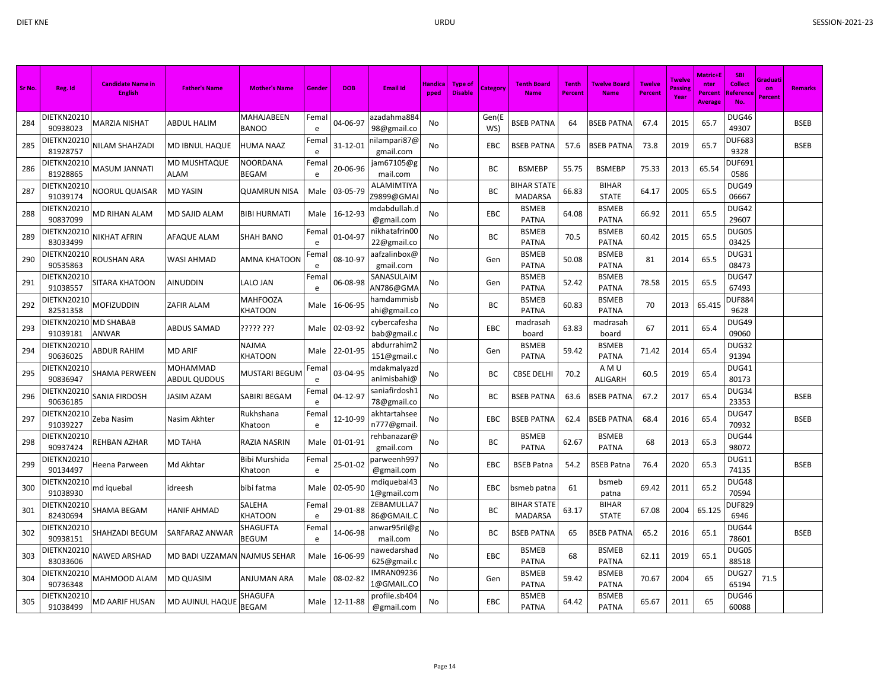| Sr No. | Reg. Id                 | <b>Candidate Name in</b><br><b>English</b> | <b>Father's Name</b>            | <b>Mother's Name</b>       | Gende     | <b>DOB</b>    | <b>Email Id</b>                 | Handica<br>pped | <b>Type of</b><br><b>Disable</b> | <b>Category</b> | <b>Tenth Board</b><br><b>Name</b>    | <b>Tenth</b><br>Percent | <b>Twelve Board</b><br><b>Name</b> | <b>Twelve</b><br><b>Percent</b> | Twelve<br>Passin<br>Year | <b>Matric+E</b><br>nter<br><b>Percent</b><br>Average | <b>SBI</b><br><b>Collect</b><br>Reference<br>No. | Graduati<br>on<br><b>Percent</b> | <b>Remarks</b> |
|--------|-------------------------|--------------------------------------------|---------------------------------|----------------------------|-----------|---------------|---------------------------------|-----------------|----------------------------------|-----------------|--------------------------------------|-------------------------|------------------------------------|---------------------------------|--------------------------|------------------------------------------------------|--------------------------------------------------|----------------------------------|----------------|
| 284    | DIETKN20210<br>90938023 | MARZIA NISHAT                              | ABDUL HALIM                     | MAHAJABEEN<br><b>BANOO</b> | Fema<br>e | 04-06-97      | azadahma884<br>98@gmail.co      | No              |                                  | Gen(E<br>WS)    | <b>BSEB PATNA</b>                    | 64                      | <b>BSEB PATNA</b>                  | 67.4                            | 2015                     | 65.7                                                 | DUG46<br>49307                                   |                                  | <b>BSEB</b>    |
| 285    | DIETKN20210<br>81928757 | <b>VILAM SHAHZADI</b>                      | <b>MD IBNUL HAQUE</b>           | HUMA NAAZ                  | Fema<br>e | 31-12-01      | nilampari87@<br>gmail.com       | No              |                                  | EBC             | <b>BSEB PATNA</b>                    | 57.6                    | <b>BSEB PATNA</b>                  | 73.8                            | 2019                     | 65.7                                                 | <b>DUF683</b><br>9328                            |                                  | <b>BSEB</b>    |
| 286    | DIETKN20210<br>81928865 | MASUM JANNATI                              | <b>MD MUSHTAQUE</b><br>ALAM     | NOORDANA<br>BEGAM          | Fema<br>e | 20-06-96      | jam67105@g<br>mail.com          | No              |                                  | ВC              | <b>BSMEBP</b>                        | 55.75                   | <b>BSMEBP</b>                      | 75.33                           | 2013                     | 65.54                                                | DUF691<br>0586                                   |                                  |                |
| 287    | DIETKN20210<br>91039174 | NOORUL QUAISAR                             | <b>MD YASIN</b>                 | <b>QUAMRUN NISA</b>        | Male      | 03-05-79      | ALAMIMTIYA<br>Z9899@GMAI        | No              |                                  | ВC              | <b>BIHAR STATE</b><br><b>MADARSA</b> | 66.83                   | <b>BIHAR</b><br><b>STATE</b>       | 64.17                           | 2005                     | 65.5                                                 | DUG49<br>06667                                   |                                  |                |
| 288    | DIETKN20210<br>90837099 | MD RIHAN ALAM                              | <b>MD SAJID ALAM</b>            | <b>BIBI HURMATI</b>        | Male      | 16-12-93      | ndabdullah.d<br>@gmail.com      | No              |                                  | EBC             | <b>BSMEB</b><br><b>PATNA</b>         | 64.08                   | <b>BSMEB</b><br><b>PATNA</b>       | 66.92                           | 2011                     | 65.5                                                 | DUG42<br>29607                                   |                                  |                |
| 289    | DIETKN20210<br>83033499 | NIKHAT AFRIN                               | <b>AFAQUE ALAM</b>              | <b>SHAH BANO</b>           | Fema<br>e | 01-04-97      | nikhatafrin00<br>22@gmail.co    | No              |                                  | ВC              | <b>BSMEB</b><br><b>PATNA</b>         | 70.5                    | <b>BSMEB</b><br><b>PATNA</b>       | 60.42                           | 2015                     | 65.5                                                 | DUG05<br>03425                                   |                                  |                |
| 290    | DIETKN20210<br>90535863 | ROUSHAN ARA                                | <b>WASI AHMAD</b>               | AMNA KHATOON               | Fema<br>e | 08-10-97      | aafzalinbox@<br>gmail.com       | No              |                                  | Gen             | <b>BSMEB</b><br><b>PATNA</b>         | 50.08                   | <b>BSMEB</b><br><b>PATNA</b>       | 81                              | 2014                     | 65.5                                                 | DUG31<br>08473                                   |                                  |                |
| 291    | DIETKN20210<br>91038557 | SITARA KHATOON                             | <b>AINUDDIN</b>                 | LALO JAN                   | Fema<br>e | 06-08-98      | SANASULAIM<br>AN786@GMA         | No              |                                  | Gen             | <b>BSMEB</b><br><b>PATNA</b>         | 52.42                   | <b>BSMEB</b><br><b>PATNA</b>       | 78.58                           | 2015                     | 65.5                                                 | DUG47<br>67493                                   |                                  |                |
| 292    | DIETKN20210<br>82531358 | MOFIZUDDIN                                 | <b>ZAFIR ALAM</b>               | MAHFOOZA<br>KHATOON        | Male      | 16-06-95      | hamdammisb<br>ahi@gmail.co      | No              |                                  | ВC              | <b>BSMEB</b><br><b>PATNA</b>         | 60.83                   | <b>BSMEB</b><br><b>PATNA</b>       | 70                              | 2013                     | 65.415                                               | <b>DUF884</b><br>9628                            |                                  |                |
| 293    | DIETKN20210<br>91039181 | MD SHABAB<br>ANWAR                         | ABDUS SAMAD                     | ????? ???                  | Male      | 02-03-92      | cybercafesha<br>bab@gmail.c     | No              |                                  | EBC             | madrasah<br>board                    | 63.83                   | madrasah<br>board                  | 67                              | 2011                     | 65.4                                                 | DUG49<br>09060                                   |                                  |                |
| 294    | DIETKN20210<br>90636025 | ABDUR RAHIM                                | <b>MD ARIF</b>                  | NAJMA<br>KHATOON           | Male      | 22-01-95      | abdurrahim2<br>151@gmail.c      | No              |                                  | Gen             | <b>BSMEB</b><br><b>PATNA</b>         | 59.42                   | <b>BSMEB</b><br><b>PATNA</b>       | 71.42                           | 2014                     | 65.4                                                 | DUG32<br>91394                                   |                                  |                |
| 295    | DIETKN20210<br>90836947 | SHAMA PERWEEN                              | MOHAMMAD<br><b>ABDUL QUDDUS</b> | <b>MUSTARI BEGUM</b>       | Fema<br>e | 03-04-95      | mdakmalyazd<br>animisbahi@      | No              |                                  | ВC              | <b>CBSE DELHI</b>                    | 70.2                    | AMU<br><b>ALIGARH</b>              | 60.5                            | 2019                     | 65.4                                                 | DUG41<br>80173                                   |                                  |                |
| 296    | DIETKN20210<br>90636185 | SANIA FIRDOSH                              | JASIM AZAM                      | SABIRI BEGAM               | Fema<br>e | 04-12-97      | saniafirdosh1<br>78@gmail.co    | No              |                                  | ВC              | <b>BSEB PATNA</b>                    | 63.6                    | <b>BSEB PATNA</b>                  | 67.2                            | 2017                     | 65.4                                                 | DUG34<br>23353                                   |                                  | <b>BSEB</b>    |
| 297    | DIETKN20210<br>91039227 | Zeba Nasim                                 | Nasim Akhter                    | Rukhshana<br>Khatoon       | Fema<br>e | 12-10-99      | akhtartahsee<br>n777@gmail.     | No              |                                  | EBC             | <b>BSEB PATNA</b>                    | 62.4                    | <b>BSEB PATNA</b>                  | 68.4                            | 2016                     | 65.4                                                 | DUG47<br>70932                                   |                                  | <b>BSEB</b>    |
| 298    | DIETKN20210<br>90937424 | REHBAN AZHAR                               | <b>MD TAHA</b>                  | RAZIA NASRIN               | Male      | 01-01-91      | rehbanazar@<br>gmail.com        | No              |                                  | ВC              | <b>BSMEB</b><br><b>PATNA</b>         | 62.67                   | <b>BSMEB</b><br><b>PATNA</b>       | 68                              | 2013                     | 65.3                                                 | DUG44<br>98072                                   |                                  |                |
| 299    | DIETKN20210<br>90134497 | Heena Parween                              | Md Akhtar                       | Bibi Murshida<br>Khatoon   | Fema<br>e | 25-01-02      | parweenh997<br>@gmail.com       | No              |                                  | EBC             | <b>BSEB Patna</b>                    | 54.2                    | <b>BSEB Patna</b>                  | 76.4                            | 2020                     | 65.3                                                 | DUG11<br>74135                                   |                                  | <b>BSEB</b>    |
| 300    | DIETKN20210<br>91038930 | md iquebal                                 | idreesh                         | bibi fatma                 | Male      | 02-05-90      | mdiquebal43<br>1@gmail.com      | No              |                                  | EBC             | bsmeb patna                          | 61                      | bsmeb<br>patna                     | 69.42                           | 2011                     | 65.2                                                 | <b>DUG48</b><br>70594                            |                                  |                |
| 301    | DIETKN20210<br>82430694 | SHAMA BEGAM                                | <b>HANIF AHMAD</b>              | SALEHA<br>KHATOON          | Fema<br>e | 29-01-88      | ZEBAMULLA7<br>86@GMAIL.C        | No              |                                  | вс              | <b>BIHAR STATE</b><br><b>MADARSA</b> | 63.17                   | <b>BIHAR</b><br><b>STATE</b>       | 67.08                           | 2004                     | 65.125                                               | <b>DUF829</b><br>6946                            |                                  |                |
| 302    | DIETKN20210<br>90938151 | SHAHZADI BEGUM                             | <b>SARFARAZ ANWAR</b>           | SHAGUFTA<br>BEGUM          | Fema<br>e | 14-06-98      | anwar95ril@g<br>mail.com        | No              |                                  | ВC              | <b>BSEB PATNA</b>                    | 65                      | <b>BSEB PATNA</b>                  | 65.2                            | 2016                     | 65.1                                                 | DUG44<br>78601                                   |                                  | <b>BSEB</b>    |
| 303    | DIETKN20210<br>83033606 | NAWED ARSHAD                               | MD BADI UZZAMAN NAJMUS SEHAR    |                            | Male      | 16-06-99      | nawedarshad<br>625@gmail.c      | No              |                                  | EBC             | <b>BSMEB</b><br><b>PATNA</b>         | 68                      | <b>BSMEB</b><br><b>PATNA</b>       | 62.11                           | 2019                     | 65.1                                                 | DUG05<br>88518                                   |                                  |                |
| 304    | DIETKN20210<br>90736348 | MAHMOOD ALAM                               | <b>MD QUASIM</b>                | ANJUMAN ARA                | Male      | 08-02-82      | <b>IMRAN09236</b><br>1@GMAIL.CO | No              |                                  | Gen             | <b>BSMEB</b><br><b>PATNA</b>         | 59.42                   | <b>BSMEB</b><br><b>PATNA</b>       | 70.67                           | 2004                     | 65                                                   | DUG27<br>65194                                   | 71.5                             |                |
| 305    | DIETKN20210<br>91038499 | MD AARIF HUSAN                             | <b>MD AUINUL HAQUE</b>          | SHAGUFA<br>BEGAM           |           | Male 12-11-88 | profile.sb404<br>@gmail.com     | No              |                                  | EBC             | <b>BSMEB</b><br><b>PATNA</b>         | 64.42                   | <b>BSMEB</b><br><b>PATNA</b>       | 65.67                           | 2011                     | 65                                                   | DUG46<br>60088                                   |                                  |                |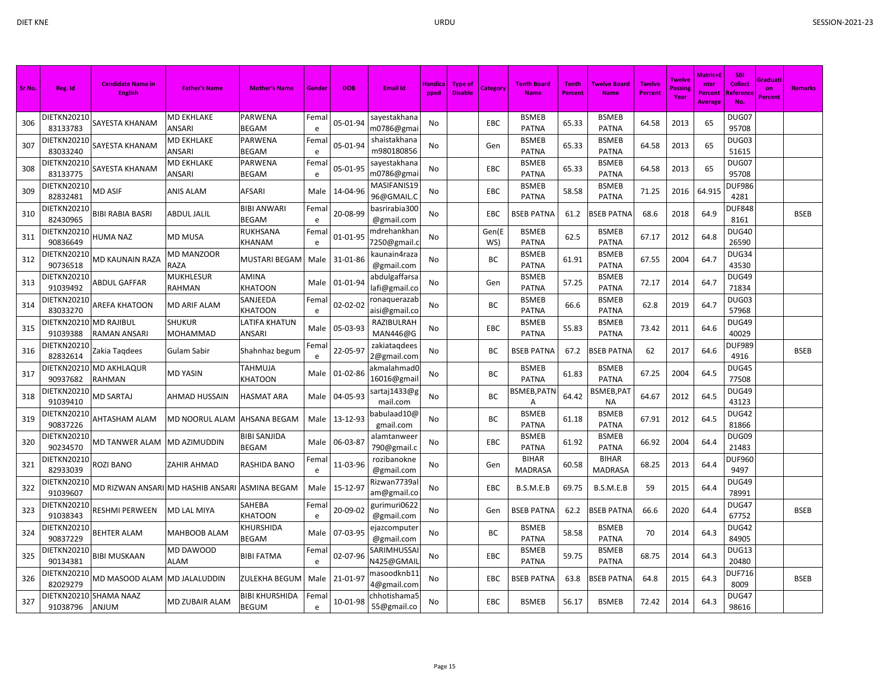| Sr No. | Reg. Id                        | <b>Candidate Name in</b><br><b>English</b>     | <b>Father's Name</b>        | <b>Mother's Name</b>               | Gender     | <b>DOB</b> | <b>Email Id</b>                | Handica<br>pped | <b>Type of</b><br><b>Disable</b> | Category     | <b>Tenth Board</b><br><b>Name</b> | <b>Tenth</b><br>Percent | <b>Twelve Board</b><br><b>Name</b> | <b>Twelve</b><br><b>Percent</b> | <b>Twelve</b><br>Passing<br>Year | Matric+F<br>nter<br>Percent<br><b>Average</b> | <b>SBI</b><br><b>Collect</b><br>Referenc<br>No. | Graduati<br>on<br>Percent | <b>Remarks</b> |
|--------|--------------------------------|------------------------------------------------|-----------------------------|------------------------------------|------------|------------|--------------------------------|-----------------|----------------------------------|--------------|-----------------------------------|-------------------------|------------------------------------|---------------------------------|----------------------------------|-----------------------------------------------|-------------------------------------------------|---------------------------|----------------|
| 306    | DIETKN20210<br>83133783        | SAYESTA KHANAM                                 | <b>MD EKHLAKE</b><br>ANSARI | PARWENA<br><b>BEGAM</b>            | Femal<br>e | 05-01-94   | sayestakhana<br>m0786@gmai     | No              |                                  | <b>EBC</b>   | <b>BSMEB</b><br><b>PATNA</b>      | 65.33                   | <b>BSMEB</b><br><b>PATNA</b>       | 64.58                           | 2013                             | 65                                            | DUG07<br>95708                                  |                           |                |
| 307    | DIETKN20210<br>83033240        | SAYESTA KHANAM                                 | <b>MD EKHLAKE</b><br>ANSARI | PARWENA<br>BEGAM                   | Femal<br>e | 05-01-94   | shaistakhana<br>m980180856     | No              |                                  | Gen          | <b>BSMEB</b><br><b>PATNA</b>      | 65.33                   | <b>BSMEB</b><br><b>PATNA</b>       | 64.58                           | 2013                             | 65                                            | DUG03<br>51615                                  |                           |                |
| 308    | <b>DIETKN20210</b><br>83133775 | SAYESTA KHANAM                                 | MD EKHLAKE<br>ANSARI        | PARWENA<br>BEGAM                   | Femal<br>e | 05-01-95   | sayestakhana<br>m0786@gmai     | No.             |                                  | <b>EBC</b>   | <b>BSMEB</b><br><b>PATNA</b>      | 65.33                   | <b>BSMEB</b><br><b>PATNA</b>       | 64.58                           | 2013                             | 65                                            | DUG07<br>95708                                  |                           |                |
| 309    | DIETKN20210<br>82832481        | MD ASIF                                        | <b>ANIS ALAM</b>            | AFSARI                             | Male       | 14-04-96   | MASIFANIS19<br>96@GMAIL.C      | No              |                                  | EBC          | <b>BSMEB</b><br><b>PATNA</b>      | 58.58                   | <b>BSMEB</b><br><b>PATNA</b>       | 71.25                           | 2016                             | 64.915                                        | <b>DUF986</b><br>4281                           |                           |                |
| 310    | DIETKN20210<br>82430965        | BIBI RABIA BASRI                               | ABDUL JALIL                 | <b>BIBI ANWARI</b><br><b>BEGAM</b> | Fema<br>e  | 20-08-99   | basrirabia300<br>@gmail.com    | <b>No</b>       |                                  | EBC          | <b>BSEB PATNA</b>                 | 61.2                    | <b>BSEB PATNA</b>                  | 68.6                            | 2018                             | 64.9                                          | <b>DUF848</b><br>8161                           |                           | <b>BSEB</b>    |
| 311    | DIETKN20210<br>90836649        | HUMA NAZ                                       | <b>MD MUSA</b>              | RUKHSANA<br>KHANAM                 | Fema<br>e  | 01-01-95   | ndrehankhar<br>7250@gmail.o    | No              |                                  | Gen(E<br>WS) | <b>BSMEB</b><br><b>PATNA</b>      | 62.5                    | <b>BSMEB</b><br><b>PATNA</b>       | 67.17                           | 2012                             | 64.8                                          | DUG40<br>26590                                  |                           |                |
| 312    | DIETKN20210<br>90736518        | MD KAUNAIN RAZA                                | <b>MD MANZOOR</b><br>RAZA   | MUSTARI BEGAM                      | Male       | 31-01-86   | kaunain4raza<br>@gmail.com     | No              |                                  | ВC           | <b>BSMEB</b><br><b>PATNA</b>      | 61.91                   | <b>BSMEB</b><br><b>PATNA</b>       | 67.55                           | 2004                             | 64.7                                          | DUG34<br>43530                                  |                           |                |
| 313    | DIETKN20210<br>91039492        | ABDUL GAFFAR                                   | <b>MUKHLESUR</b><br>RAHMAN  | AMINA<br>KHATOON                   | Male       | 01-01-94   | abdulgaffarsa<br>lafi@gmail.co | No              |                                  | Gen          | <b>BSMEB</b><br><b>PATNA</b>      | 57.25                   | <b>BSMEB</b><br><b>PATNA</b>       | 72.17                           | 2014                             | 64.7                                          | DUG49<br>71834                                  |                           |                |
| 314    | DIETKN20210<br>83033270        | AREFA KHATOON                                  | <b>MD ARIF ALAM</b>         | SANJEEDA<br>KHATOON                | Fema<br>e  | 02-02-02   | ronaquerazab<br>aisi@gmail.co  | No              |                                  | BC           | <b>BSMEB</b><br><b>PATNA</b>      | 66.6                    | <b>BSMEB</b><br><b>PATNA</b>       | 62.8                            | 2019                             | 64.7                                          | DUG03<br>57968                                  |                           |                |
| 315    | DIETKN20210<br>91039388        | <b>MD RAJIBUL</b><br>RAMAN ANSARI              | <b>SHUKUR</b><br>MOHAMMAD   | <b>ATIFA KHATUN</b><br>ANSARI      | Male       | 05-03-93   | RAZIBULRAH<br>MAN446@G         | No              |                                  | EBC          | <b>BSMEB</b><br><b>PATNA</b>      | 55.83                   | <b>BSMEB</b><br><b>PATNA</b>       | 73.42                           | 2011                             | 64.6                                          | DUG49<br>40029                                  |                           |                |
| 316    | DIETKN20210<br>82832614        | Zakia Tagdees                                  | Gulam Sabir                 | Shahnhaz begum                     | Fema<br>e  | 22-05-97   | zakiataqdees<br>2@gmail.com    | No              |                                  | ВC           | <b>BSEB PATNA</b>                 | 67.2                    | BSEB PATNA                         | 62                              | 2017                             | 64.6                                          | <b>DUF989</b><br>4916                           |                           | <b>BSEB</b>    |
| 317    | DIETKN20210<br>90937682        | <b>MD AKHLAQUR</b><br>RAHMAN                   | MD YASIN                    | TAHMUJA<br><b>KHATOON</b>          | Male       | 01-02-86   | akmalahmad0<br>16016@gmai      | No              |                                  | ВC           | <b>BSMEB</b><br><b>PATNA</b>      | 61.83                   | <b>BSMEB</b><br><b>PATNA</b>       | 67.25                           | 2004                             | 64.5                                          | DUG45<br>77508                                  |                           |                |
| 318    | <b>DIETKN20210</b><br>91039410 | <b>MD SARTAJ</b>                               | AHMAD HUSSAIN               | HASMAT ARA                         | Male       | 04-05-93   | sartaj1433@g<br>mail.com       | <b>No</b>       |                                  | ВC           | BSMEB,PATN<br>A                   | 64.42                   | <b>BSMEB, PAT</b><br><b>NA</b>     | 64.67                           | 2012                             | 64.5                                          | DUG49<br>43123                                  |                           |                |
| 319    | DIETKN20210<br>90837226        | AHTASHAM ALAM                                  | MD NOORUL ALAM              | AHSANA BEGAM                       | Male       | 13-12-93   | babulaad10@<br>gmail.com       | No              |                                  | ВC           | <b>BSMEB</b><br><b>PATNA</b>      | 61.18                   | <b>BSMEB</b><br><b>PATNA</b>       | 67.91                           | 2012                             | 64.5                                          | DUG42<br>81866                                  |                           |                |
| 320    | DIETKN20210<br>90234570        | MD TANWER ALAM                                 | <b>MD AZIMUDDIN</b>         | BIBI SANJIDA<br><b>BEGAM</b>       | Male       | 06-03-87   | alamtanweer<br>790@gmail.c     | No              |                                  | EBC          | <b>BSMEB</b><br><b>PATNA</b>      | 61.92                   | <b>BSMEB</b><br><b>PATNA</b>       | 66.92                           | 2004                             | 64.4                                          | DUG09<br>21483                                  |                           |                |
| 321    | DIETKN20210<br>82933039        | ROZI BANO                                      | ZAHIR AHMAD                 | RASHIDA BANO                       | Fema<br>e  | 11-03-96   | rozibanokne<br>@gmail.com      | No              |                                  | Gen          | <b>BIHAR</b><br><b>MADRASA</b>    | 60.58                   | <b>BIHAR</b><br>MADRASA            | 68.25                           | 2013                             | 64.4                                          | <b>DUF960</b><br>9497                           |                           |                |
| 322    | DIETKN20210<br>91039607        | MD RIZWAN ANSARI MD HASHIB ANSARI ASMINA BEGAM |                             |                                    | Male       | 15-12-97   | Rizwan7739a<br>am@gmail.co     | No              |                                  | EBC          | B.S.M.E.B                         | 69.75                   | B.S.M.E.B                          | 59                              | 2015                             | 64.4                                          | DUG49<br>78991                                  |                           |                |
| 323    | DIETKN20210<br>91038343        | RESHMI PERWEEN                                 | MD LAL MIYA                 | SAHEBA<br>KHATOON                  | Femal<br>e | 20-09-02   | gurimuri0622<br>@gmail.com     | No              |                                  | Gen          | <b>BSEB PATNA</b>                 | 62.2                    | BSEB PATNA                         | 66.6                            | 2020                             | 64.4                                          | DUG47<br>67752                                  |                           | <b>BSEB</b>    |
| 324    | DIETKN20210<br>90837229        | <b>BEHTER ALAM</b>                             | MAHBOOB ALAM                | <b>CHURSHIDA</b><br>BEGAM          | Male       | 07-03-95   | ejazcompute<br>@gmail.com      | No              |                                  | BC           | <b>BSMEB</b><br><b>PATNA</b>      | 58.58                   | <b>BSMEB</b><br><b>PATNA</b>       | 70                              | 2014                             | 64.3                                          | DUG42<br>84905                                  |                           |                |
| 325    | DIETKN20210<br>90134381        | BIBI MUSKAAN                                   | MD DAWOOD<br>ALAM           | BIBI FATMA                         | Fema<br>e  | 02-07-96   | SARIMHUSSA<br><b>N425@GMAI</b> | No              |                                  | EBC          | <b>BSMEB</b><br><b>PATNA</b>      | 59.75                   | <b>BSMEB</b><br><b>PATNA</b>       | 68.75                           | 2014                             | 64.3                                          | DUG13<br>20480                                  |                           |                |
| 326    | DIETKN20210<br>82029279        | MD MASOOD ALAM                                 | <b>MD JALALUDDIN</b>        | ZULEKHA BEGUM                      | Male       | 21-01-97   | masoodknb11<br>4@gmail.com     | No              |                                  | <b>EBC</b>   | <b>BSEB PATNA</b>                 | 63.8                    | BSEB PATNA                         | 64.8                            | 2015                             | 64.3                                          | <b>DUF716</b><br>8009                           |                           | <b>BSEB</b>    |
| 327    | 91038796                       | DIETKN20210 SHAMA NAAZ<br><b>ANJUM</b>         | MD ZUBAIR ALAM              | BIBI KHURSHIDA<br>BEGUM            | Femal<br>e | 10-01-98   | chhotishama5<br>55@gmail.co    | No              |                                  | EBC          | <b>BSMEB</b>                      | 56.17                   | <b>BSMEB</b>                       | 72.42                           | 2014                             | 64.3                                          | DUG47<br>98616                                  |                           |                |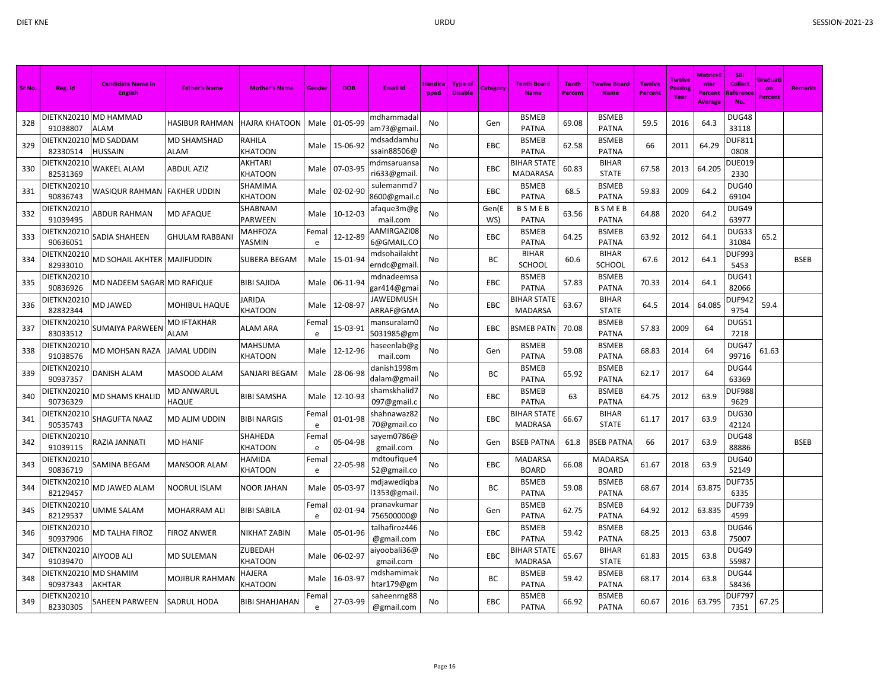| Sr No. | Reg. Id                 | <b>Candidate Name in</b><br><b>English</b> | <b>Father's Name</b>       | <b>Mother's Name</b>      | Gender             | <b>DOB</b> | <b>Email Id</b>             | Handica<br>pped | <b>Type of</b><br><b>Disable</b> | <b>Category</b> | <b>Tenth Board</b><br><b>Name</b>    | <b>Tenth</b><br>Percent | <b>Twelve Board</b><br><b>Name</b> | <b>Twelve</b><br><b>Percent</b> | <b>Twelve</b><br>Passing<br>Year | Matric+E<br>nter<br>Percent<br><b>Average</b> | <b>SBI</b><br>Collect<br>Referenc<br>No. | Graduati<br>on<br>Percent | <b>Remarks</b> |
|--------|-------------------------|--------------------------------------------|----------------------------|---------------------------|--------------------|------------|-----------------------------|-----------------|----------------------------------|-----------------|--------------------------------------|-------------------------|------------------------------------|---------------------------------|----------------------------------|-----------------------------------------------|------------------------------------------|---------------------------|----------------|
| 328    | 91038807                | DIETKN20210 MD HAMMAD<br>ALAM              | HASIBUR RAHMAN             | <b>HAJRA KHATOON</b>      | Male               | 01-05-99   | mdhammadal<br>am73@gmail    | No              |                                  | Gen             | <b>BSMEB</b><br><b>PATNA</b>         | 69.08                   | <b>BSMEB</b><br><b>PATNA</b>       | 59.5                            | 2016                             | 64.3                                          | DUG48<br>33118                           |                           |                |
| 329    | DIETKN20210<br>82330514 | <b>MD SADDAM</b><br>HUSSAIN                | <b>MD SHAMSHAD</b><br>ALAM | RAHILA<br><b>KHATOON</b>  | Male               | 15-06-92   | mdsaddamhu<br>ssain88506@   | No              |                                  | <b>EBC</b>      | <b>BSMEB</b><br><b>PATNA</b>         | 62.58                   | <b>BSMEB</b><br><b>PATNA</b>       | 66                              | 2011                             | 64.29                                         | <b>DUF811</b><br>0808                    |                           |                |
| 330    | DIETKN20210<br>82531369 | WAKEEL ALAM                                | <b>ABDUL AZIZ</b>          | AKHTARI<br>KHATOON        | Male               | 07-03-95   | mdmsaruansa<br>ri633@gmail  | No              |                                  | <b>EBC</b>      | <b>BIHAR STATE</b><br>MADARASA       | 60.83                   | <b>BIHAR</b><br><b>STATE</b>       | 67.58                           | 2013                             | 64.205                                        | <b>DUE019</b><br>2330                    |                           |                |
| 331    | DIETKN20210<br>90836743 | WASIQUR RAHMAN                             | <b>FAKHER UDDIN</b>        | SHAMIMA<br>KHATOON        | Male               | 02-02-90   | sulemanmd7<br>8600@gmail.   | No              |                                  | EBC             | <b>BSMEB</b><br><b>PATNA</b>         | 68.5                    | <b>BSMEB</b><br><b>PATNA</b>       | 59.83                           | 2009                             | 64.2                                          | DUG40<br>69104                           |                           |                |
| 332    | DIETKN20210<br>91039495 | ABDUR RAHMAN                               | <b>MD AFAQUE</b>           | SHABNAM<br>PARWEEN        | Male               | 10-12-03   | afaque3m@g<br>mail.com      | No              |                                  | Gen(E<br>WS)    | <b>BSMEB</b><br><b>PATNA</b>         | 63.56                   | <b>BSMEB</b><br><b>PATNA</b>       | 64.88                           | 2020                             | 64.2                                          | DUG49<br>63977                           |                           |                |
| 333    | DIETKN20210<br>90636051 | SADIA SHAHEEN                              | <b>GHULAM RABBANI</b>      | MAHFOZA<br>YASMIN         | Femal<br>e         | 12-12-89   | AAMIRGAZI08<br>6@GMAIL.CO   | No              |                                  | EBC             | <b>BSMEB</b><br><b>PATNA</b>         | 64.25                   | <b>BSMEB</b><br><b>PATNA</b>       | 63.92                           | 2012                             | 64.1                                          | DUG33<br>31084                           | 65.2                      |                |
| 334    | DIETKN20210<br>82933010 | MD SOHAIL AKHTER  MAJIFUDDIN               |                            | SUBERA BEGAM              | Male               | 15-01-94   | mdsohailakht<br>erndc@gmail | No              |                                  | ВC              | <b>BIHAR</b><br><b>SCHOOL</b>        | 60.6                    | <b>BIHAR</b><br><b>SCHOOL</b>      | 67.6                            | 2012                             | 64.1                                          | <b>DUF993</b><br>5453                    |                           | <b>BSEB</b>    |
| 335    | DIETKN20210<br>90836926 | MD NADEEM SAGAR MD RAFIQUE                 |                            | <b>BIBI SAJIDA</b>        | Male               | 06-11-94   | mdnadeemsa<br>gar414@gma    | No              |                                  | EBC             | <b>BSMEB</b><br><b>PATNA</b>         | 57.83                   | <b>BSMEB</b><br>PATNA              | 70.33                           | 2014                             | 64.1                                          | DUG41<br>82066                           |                           |                |
| 336    | DIETKN20210<br>82832344 | MD JAWED                                   | MOHIBUL HAQUE              | IARIDA<br><b>KHATOON</b>  | Male               | 12-08-97   | JAWEDMUSH<br>ARRAF@GMA      | No              |                                  | EBC             | <b>BIHAR STATE</b><br><b>MADARSA</b> | 63.67                   | <b>BIHAR</b><br><b>STATE</b>       | 64.5                            | 2014                             | 64.085                                        | DUF942<br>9754                           | 59.4                      |                |
| 337    | DIETKN20210<br>83033512 | SUMAIYA PARWEEN                            | MD IFTAKHAR<br>ALAM        | ALAM ARA                  | Fema<br>e          | 15-03-91   | mansuralamC<br>5031985@gm   | No              |                                  | <b>EBC</b>      | <b>BSMEB PATN</b>                    | 70.08                   | <b>BSMEB</b><br><b>PATNA</b>       | 57.83                           | 2009                             | 64                                            | DUG51<br>7218                            |                           |                |
| 338    | DIETKN20210<br>91038576 | MD MOHSAN RAZA                             | <b>JAMAL UDDIN</b>         | MAHSUMA<br><b>KHATOON</b> | Male               | 12-12-96   | haseenlab@g<br>mail.com     | No              |                                  | Gen             | <b>BSMEB</b><br><b>PATNA</b>         | 59.08                   | <b>BSMEB</b><br><b>PATNA</b>       | 68.83                           | 2014                             | 64                                            | DUG47<br>99716                           | 61.63                     |                |
| 339    | DIETKN20210<br>90937357 | <b>DANISH ALAM</b>                         | MASOOD ALAM                | SANJARI BEGAM             | Male               | 28-06-98   | danish1998m<br>dalam@gmai   | No              |                                  | ВC              | <b>BSMEB</b><br><b>PATNA</b>         | 65.92                   | <b>BSMEB</b><br><b>PATNA</b>       | 62.17                           | 2017                             | 64                                            | DUG44<br>63369                           |                           |                |
| 340    | DIETKN20210<br>90736329 | MD SHAMS KHALID                            | MD ANWARUL<br>HAQUE        | <b>BIBI SAMSHA</b>        | Male               | 12-10-93   | shamskhalid7<br>097@gmail.c | No              |                                  | EBC             | <b>BSMEB</b><br><b>PATNA</b>         | 63                      | <b>BSMEB</b><br><b>PATNA</b>       | 64.75                           | 2012                             | 63.9                                          | <b>DUF988</b><br>9629                    |                           |                |
| 341    | DIETKN20210<br>90535743 | SHAGUFTA NAAZ                              | MD ALIM UDDIN              | <b>BIBI NARGIS</b>        | Fema<br>e          | 01-01-98   | shahnawaz82<br>70@gmail.co  | No              |                                  | EBC             | <b>BIHAR STATE</b><br><b>MADRASA</b> | 66.67                   | <b>BIHAR</b><br><b>STATE</b>       | 61.17                           | 2017                             | 63.9                                          | DUG30<br>42124                           |                           |                |
| 342    | DIETKN20210<br>91039115 | RAZIA JANNATI                              | MD HANIF                   | SHAHEDA<br>KHATOON        | Fema<br>e          | 05-04-98   | sayem0786@<br>gmail.com     | No              |                                  | Gen             | <b>BSEB PATNA</b>                    | 61.8                    | <b>BSEB PATNA</b>                  | 66                              | 2017                             | 63.9                                          | DUG48<br>88886                           |                           | <b>BSEB</b>    |
| 343    | DIETKN20210<br>90836719 | SAMINA BEGAM                               | MANSOOR ALAM               | HAMIDA<br><b>KHATOON</b>  | Fema<br>e          | 22-05-98   | mdtoufique4<br>52@gmail.co  | No              |                                  | EBC             | MADARSA<br><b>BOARD</b>              | 66.08                   | MADARSA<br><b>BOARD</b>            | 61.67                           | 2018                             | 63.9                                          | DUG40<br>52149                           |                           |                |
| 344    | DIETKN20210<br>82129457 | MD JAWED ALAM                              | NOORUL ISLAM               | NOOR JAHAN                | Male               | 05-03-97   | mdjawediqba<br>11353@gmail  | No              |                                  | ВC              | <b>BSMEB</b><br><b>PATNA</b>         | 59.08                   | <b>BSMEB</b><br><b>PATNA</b>       | 68.67                           | 2014                             | 63.875                                        | <b>DUF735</b><br>6335                    |                           |                |
| 345    | DIETKN20210<br>82129537 | UMME SALAM                                 | MOHARRAM ALI               | <b>BIBI SABILA</b>        | Fema<br>$\epsilon$ | 02-01-94   | pranavkuma<br>756500000@    | No              |                                  | Gen             | <b>BSMEB</b><br><b>PATNA</b>         | 62.75                   | <b>BSMEB</b><br>PATNA              | 64.92                           | 2012                             | 63.835                                        | <b>DUF739</b><br>4599                    |                           |                |
| 346    | DIETKN20210<br>90937906 | MD TALHA FIROZ                             | <b>FIROZ ANWER</b>         | NIKHAT ZABIN              | Male               | 05-01-96   | talhafiroz446<br>@gmail.com | No              |                                  | <b>EBC</b>      | <b>BSMEB</b><br><b>PATNA</b>         | 59.42                   | <b>BSMEB</b><br><b>PATNA</b>       | 68.25                           | 2013                             | 63.8                                          | DUG46<br>75007                           |                           |                |
| 347    | DIETKN20210<br>91039470 | AIYOOB ALI                                 | MD SULEMAN                 | ZUBEDAH<br><b>KHATOON</b> | Male               | 06-02-97   | aiyoobali36@<br>gmail.com   | No              |                                  | <b>EBC</b>      | <b>BIHAR STATE</b><br><b>MADRASA</b> | 65.67                   | <b>BIHAR</b><br><b>STATE</b>       | 61.83                           | 2015                             | 63.8                                          | DUG49<br>55987                           |                           |                |
| 348    | DIETKN20210<br>90937343 | <b>MD SHAMIM</b><br>AKHTAR                 | MOJIBUR RAHMAN             | HAJERA<br>KHATOON         | Male               | 16-03-97   | mdshamimak<br>htar179@gm    | No              |                                  | BС              | <b>BSMEB</b><br><b>PATNA</b>         | 59.42                   | <b>BSMEB</b><br><b>PATNA</b>       | 68.17                           | 2014                             | 63.8                                          | DUG44<br>58436                           |                           |                |
| 349    | DIETKN20210<br>82330305 | SAHEEN PARWEEN                             | <b>SADRUL HODA</b>         | BIBI SHAHJAHAN            | Femal<br>e         | 27-03-99   | saheenrng88<br>@gmail.com   | No              |                                  | EBC             | <b>BSMEB</b><br><b>PATNA</b>         | 66.92                   | <b>BSMEB</b><br><b>PATNA</b>       | 60.67                           | 2016                             | 63.795                                        | <b>DUF797</b><br>7351                    | 67.25                     |                |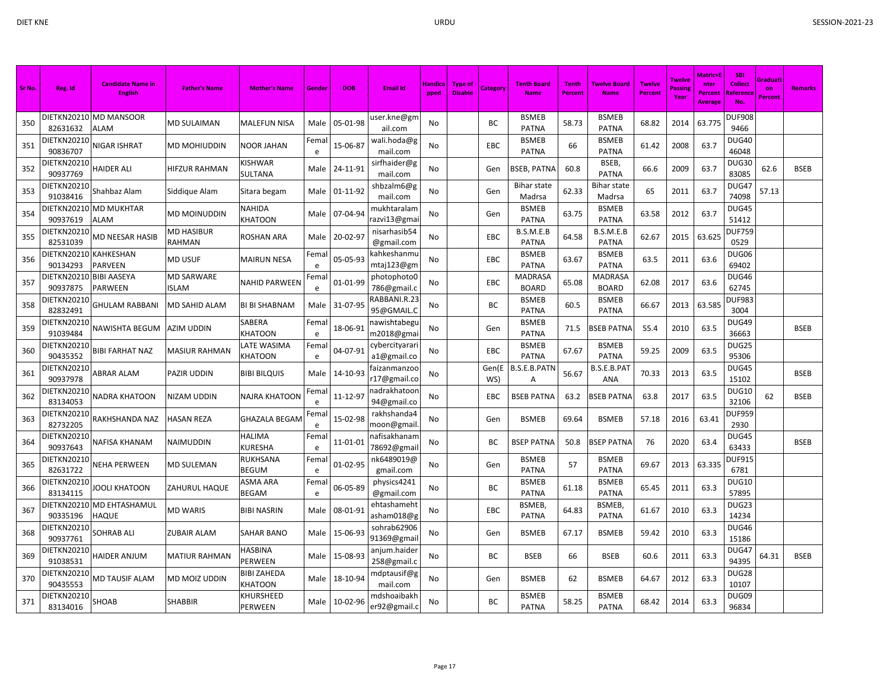| Sr No. | Reg. Id                             | <b>Candidate Name in</b><br><b>English</b> | <b>Father's Name</b>              | <b>Mother's Name</b>          | Gende     | <b>DOB</b>    | <b>Email Id</b>               | Handica<br>pped | <b>Type of</b><br><b>Disable</b> | Category     | <b>Tenth Board</b><br><b>Name</b> | <b>Tenth</b><br><b>Percent</b> | <b>Twelve Board</b><br><b>Name</b> | <b>Twelve</b><br>Percent | <b>Twelve</b><br>Passin<br>Year | <b>Matric+E</b><br>nter<br>Percent<br>Average | <b>SBI</b><br><b>Collect</b><br><u>Reference</u><br>No. | <u> Graduati</u><br>on<br><b>Percent</b> | <b>Remarks</b> |
|--------|-------------------------------------|--------------------------------------------|-----------------------------------|-------------------------------|-----------|---------------|-------------------------------|-----------------|----------------------------------|--------------|-----------------------------------|--------------------------------|------------------------------------|--------------------------|---------------------------------|-----------------------------------------------|---------------------------------------------------------|------------------------------------------|----------------|
| 350    | 82631632                            | DIETKN20210 MD MANSOOR<br>ALAM             | <b>MD SULAIMAN</b>                | MALEFUN NISA                  | Male      | 05-01-98      | user.kne@gm<br>ail.com        | No              |                                  | ВC           | <b>BSMEB</b><br>PATNA             | 58.73                          | <b>BSMEB</b><br><b>PATNA</b>       | 68.82                    | 2014                            | 63.775                                        | <b>DUF908</b><br>9466                                   |                                          |                |
| 351    | DIETKN20210<br>90836707             | NIGAR ISHRAT                               | MD MOHIUDDIN                      | <b>NOOR JAHAN</b>             | Fema<br>e | 15-06-87      | wali.hoda@g<br>mail.com       | No              |                                  | EBC          | <b>BSMEB</b><br>PATNA             | 66                             | <b>BSMEB</b><br><b>PATNA</b>       | 61.42                    | 2008                            | 63.7                                          | <b>DUG40</b><br>46048                                   |                                          |                |
| 352    | DIETKN20210<br>90937769             | <b>HAIDER ALI</b>                          | HIFZUR RAHMAN                     | KISHWAR<br>SULTANA            | Male      | 24-11-91      | sirfhaider@g<br>mail.com      | No              |                                  | Gen          | BSEB, PATNA                       | 60.8                           | BSEB,<br><b>PATNA</b>              | 66.6                     | 2009                            | 63.7                                          | <b>DUG30</b><br>83085                                   | 62.6                                     | <b>BSEB</b>    |
| 353    | DIETKN20210<br>91038416             | Shahbaz Alam                               | Siddique Alam                     | Sitara begam                  | Male      | 01-11-92      | shbzalm6@g<br>mail.com        | No              |                                  | Gen          | <b>Bihar state</b><br>Madrsa      | 62.33                          | <b>Bihar state</b><br>Madrsa       | 65                       | 2011                            | 63.7                                          | DUG47<br>74098                                          | 57.13                                    |                |
| 354    | 90937619                            | DIETKN20210 MD MUKHTAR<br>ALAM             | MD MOINUDDIN                      | NAHIDA<br>KHATOON             | Male      | 07-04-94      | mukhtaralam<br>razvi13@gma    | No              |                                  | Gen          | <b>BSMEB</b><br>PATNA             | 63.75                          | <b>BSMEB</b><br><b>PATNA</b>       | 63.58                    | 2012                            | 63.7                                          | DUG45<br>51412                                          |                                          |                |
| 355    | DIETKN20210<br>82531039             | MD NEESAR HASIB                            | MD HASIBUR<br>RAHMAN              | ROSHAN ARA                    | Male      | 20-02-97      | nisarhasib54<br>@gmail.com    | No              |                                  | EBC          | B.S.M.E.B<br><b>PATNA</b>         | 64.58                          | B.S.M.E.B<br><b>PATNA</b>          | 62.67                    | 2015                            | 63.625                                        | <b>OUF759</b><br>0529                                   |                                          |                |
| 356    | DIETKN20210<br>90134293             | KAHKESHAN<br><b>PARVEEN</b>                | <b>MD USUF</b>                    | <b>MAIRUN NESA</b>            | Fema<br>e | 05-05-93      | kahkeshanmu<br>mtaj123@gm     | No              |                                  | EBC          | <b>BSMEB</b><br><b>PATNA</b>      | 63.67                          | <b>BSMEB</b><br><b>PATNA</b>       | 63.5                     | 2011                            | 63.6                                          | DUG06<br>69402                                          |                                          |                |
| 357    | DIETKN20210 BIBI AASEYA<br>90937875 | <b>PARWEEN</b>                             | <b>MD SARWARE</b><br><b>ISLAM</b> | <b>NAHID PARWEEN</b>          | Fema<br>e | 01-01-99      | photophoto0<br>786@gmail.c    | No              |                                  | EBC          | MADRASA<br><b>BOARD</b>           | 65.08                          | MADRASA<br><b>BOARD</b>            | 62.08                    | 2017                            | 63.6                                          | DUG46<br>62745                                          |                                          |                |
| 358    | DIETKN20210<br>82832491             | <b>GHULAM RABBANI</b>                      | MD SAHID ALAM                     | <b>BI BI SHABNAM</b>          | Male      | 31-07-95      | RABBANI.R.23<br>95@GMAIL.C    | No              |                                  | ВC           | <b>BSMEB</b><br>PATNA             | 60.5                           | <b>BSMEB</b><br>PATNA              | 66.67                    | 2013                            | 63.585                                        | <b>DUF983</b><br>3004                                   |                                          |                |
| 359    | DIETKN20210<br>91039484             | NAWISHTA BEGUM                             | AZIM UDDIN                        | SABERA<br>KHATOON             | Fema<br>e | 18-06-91      | nawishtabegu<br>m2018@gmai    | No              |                                  | Gen          | <b>BSMEB</b><br>PATNA             | 71.5                           | <b>BSEB PATNA</b>                  | 55.4                     | 2010                            | 63.5                                          | DUG49<br>36663                                          |                                          | <b>BSEB</b>    |
| 360    | DIETKN20210<br>90435352             | <b>BIBI FARHAT NAZ</b>                     | <b>MASIUR RAHMAN</b>              | LATE WASIMA<br>KHATOON        | Fema<br>e | 04-07-91      | cybercityarari<br>a1@gmail.co | No              |                                  | EBC          | <b>BSMEB</b><br>PATNA             | 67.67                          | <b>BSMEB</b><br>PATNA              | 59.25                    | 2009                            | 63.5                                          | DUG25<br>95306                                          |                                          |                |
| 361    | DIETKN20210<br>90937978             | ABRAR ALAM                                 | PAZIR UDDIN                       | <b>BIBI BILQUIS</b>           | Male      | 14-10-93      | faizanmanzoo<br>r17@gmail.co  | No              |                                  | Gen(E<br>WS) | B.S.E.B.PATN<br>Α                 | 56.67                          | B.S.E.B.PAT<br><b>ANA</b>          | 70.33                    | 2013                            | 63.5                                          | DUG45<br>15102                                          |                                          | <b>BSEB</b>    |
| 362    | DIETKN20210<br>83134053             | NADRA KHATOON                              | NIZAM UDDIN                       | NAJRA KHATOON                 | Fema<br>e | 11-12-97      | hadrakhatoon<br>94@gmail.co   | No              |                                  | EBC          | <b>BSEB PATNA</b>                 | 63.2                           | <b>BSEB PATNA</b>                  | 63.8                     | 2017                            | 63.5                                          | <b>DUG10</b><br>32106                                   | 62                                       | <b>BSEB</b>    |
| 363    | DIETKN20210<br>82732205             | RAKHSHANDA NAZ                             | HASAN REZA                        | <b>GHAZALA BEGAN</b>          | Fema<br>e | 15-02-98      | rakhshanda4<br>moon@gmail     | No              |                                  | Gen          | <b>BSMEB</b>                      | 69.64                          | <b>BSMEB</b>                       | 57.18                    | 2016                            | 63.41                                         | <b>DUF959</b><br>2930                                   |                                          |                |
| 364    | DIETKN20210<br>90937643             | NAFISA KHANAM                              | NAIMUDDIN                         | HALIMA<br>KURESHA             | Fema<br>e | 11-01-01      | nafisakhanam<br>78692@gmai    | No              |                                  | BС           | <b>BSEP PATNA</b>                 | 50.8                           | <b>BSEP PATNA</b>                  | 76                       | 2020                            | 63.4                                          | DUG45<br>63433                                          |                                          | <b>BSEB</b>    |
| 365    | DIETKN20210<br>82631722             | NEHA PERWEEN                               | <b>MD SULEMAN</b>                 | RUKHSANA<br><b>BEGUM</b>      | Fema<br>e | 01-02-95      | nk6489019@<br>gmail.com       | No              |                                  | Gen          | <b>BSMEB</b><br>PATNA             | 57                             | <b>BSMEB</b><br><b>PATNA</b>       | 69.67                    | 2013                            | 63.335                                        | <b>DUF915</b><br>6781                                   |                                          |                |
| 366    | DIETKN20210<br>83134115             | <b>OOLI KHATOON</b>                        | ZAHURUL HAQUE                     | ASMA ARA<br>BEGAM             | Fema<br>e | 06-05-89      | physics4241<br>@gmail.com     | No              |                                  | BC           | <b>BSMEB</b><br>PATNA             | 61.18                          | <b>BSMEB</b><br><b>PATNA</b>       | 65.45                    | 2011                            | 63.3                                          | <b>DUG10</b><br>57895                                   |                                          |                |
| 367    | 90335196                            | DIETKN20210 MD EHTASHAMUL<br><b>HAQUE</b>  | MD WARIS                          | <b>BIBI NASRIN</b>            | Male      | 08-01-91      | ehtashameht<br>asham018@g     | No              |                                  | EBC          | BSMEB,<br>PATNA                   | 64.83                          | <b>BSMEB</b><br><b>PATNA</b>       | 61.67                    | 2010                            | 63.3                                          | DUG23<br>14234                                          |                                          |                |
| 368    | DIETKN20210<br>90937761             | SOHRAB ALI                                 | ZUBAIR ALAM                       | <b>SAHAR BANO</b>             | Male      | 15-06-93      | sohrab62906<br>91369@gmail    | No              |                                  | Gen          | <b>BSMEB</b>                      | 67.17                          | <b>BSMEB</b>                       | 59.42                    | 2010                            | 63.3                                          | DUG46<br>15186                                          |                                          |                |
| 369    | DIETKN20210<br>91038531             | <b>HAIDER ANJUM</b>                        | MATIUR RAHMAN                     | HASBINA<br>PERWEEN            | Male      | 15-08-93      | anjum.haider<br>258@gmail.c   | No              |                                  | ВC           | <b>BSEB</b>                       | 66                             | <b>BSEB</b>                        | 60.6                     | 2011                            | 63.3                                          | DUG47<br>94395                                          | 64.31                                    | <b>BSEB</b>    |
| 370    | DIETKN20210<br>90435553             | MD TAUSIF ALAM                             | MD MOIZ UDDIN                     | <b>BIBI ZAHEDA</b><br>KHATOON | Male      | 18-10-94      | mdptausif@g<br>mail.com       | No              |                                  | Gen          | <b>BSMEB</b>                      | 62                             | <b>BSMEB</b>                       | 64.67                    | 2012                            | 63.3                                          | DUG28<br>10107                                          |                                          |                |
| 371    | DIETKN20210<br>83134016             | <b>SHOAB</b>                               | <b>SHABBIR</b>                    | KHURSHEED<br>PERWEEN          |           | Male 10-02-96 | mdshoaibakh<br>er92@gmail.c   | No              |                                  | ВC           | <b>BSMEB</b><br>PATNA             | 58.25                          | <b>BSMEB</b><br>PATNA              | 68.42                    | 2014                            | 63.3                                          | DUG09<br>96834                                          |                                          |                |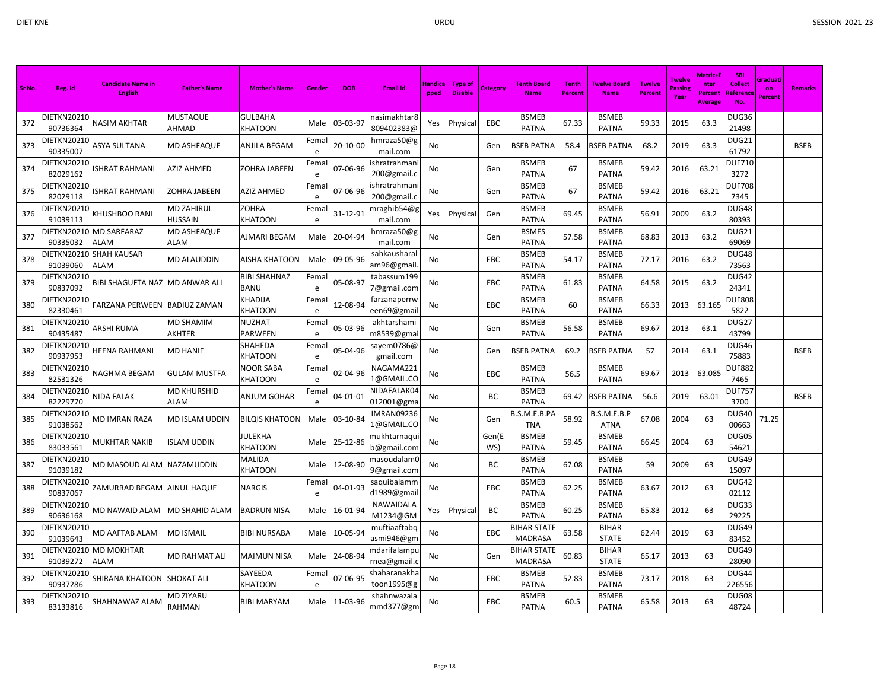| Sr No. | Reg. Id                 | <b>Candidate Name in</b><br><b>English</b> | <b>Father's Name</b>         | <b>Mother's Name</b>               | Gender     | <b>DOB</b> | <b>Email Id</b>                 | <b>Handica</b><br>pped | <b>Type of</b><br><b>Disable</b> | <b>Category</b> | <b>Tenth Board</b><br><b>Name</b>    | <b>Tenth</b><br>Percent | <b>Twelve Board</b><br><b>Name</b> | <b>Twelve</b><br><b>Percent</b> | <b>Twelve</b><br>Passing<br>Year | Matric+l<br>nter<br><b>Percent</b><br><b>Average</b> | <b>SBI</b><br>Collect<br><b>Reference</b><br>No. | Graduati<br>on<br><b>Percent</b> | Remarks     |
|--------|-------------------------|--------------------------------------------|------------------------------|------------------------------------|------------|------------|---------------------------------|------------------------|----------------------------------|-----------------|--------------------------------------|-------------------------|------------------------------------|---------------------------------|----------------------------------|------------------------------------------------------|--------------------------------------------------|----------------------------------|-------------|
| 372    | DIETKN20210<br>90736364 | NASIM AKHTAR                               | MUSTAQUE<br>AHMAD            | <b>GULBAHA</b><br>KHATOON          | Male       | 03-03-97   | nasimakhtar8<br>809402383@      | Yes                    | Physical                         | EBC             | <b>BSMEB</b><br><b>PATNA</b>         | 67.33                   | <b>BSMEB</b><br><b>PATNA</b>       | 59.33                           | 2015                             | 63.3                                                 | DUG36<br>21498                                   |                                  |             |
| 373    | DIETKN20210<br>90335007 | ASYA SULTANA                               | MD ASHFAQUE                  | ANJILA BEGAM                       | Fema<br>e  | 20-10-00   | hmraza50@g<br>mail.com          | No                     |                                  | Gen             | BSEB PATNA                           | 58.4                    | SEB PATNA                          | 68.2                            | 2019                             | 63.3                                                 | DUG21<br>61792                                   |                                  | <b>BSEB</b> |
| 374    | DIETKN20210<br>82029162 | ISHRAT RAHMANI                             | AZIZ AHMED                   | ZOHRA JABEEN                       | Fema<br>e  | 07-06-96   | shratrahman<br>200@gmail.c      | No                     |                                  | Gen             | <b>BSMEB</b><br><b>PATNA</b>         | 67                      | <b>BSMEB</b><br><b>PATNA</b>       | 59.42                           | 2016                             | 63.21                                                | <b>DUF710</b><br>3272                            |                                  |             |
| 375    | DIETKN20210<br>82029118 | <b>SHRAT RAHMANI</b>                       | ZOHRA JABEEN                 | <b>AZIZ AHMED</b>                  | Fema<br>e  | 07-06-96   | shratrahman<br>200@gmail.o      | No                     |                                  | Gen             | <b>BSMEB</b><br><b>PATNA</b>         | 67                      | <b>BSMEB</b><br><b>PATNA</b>       | 59.42                           | 2016                             | 63.21                                                | <b>DUF708</b><br>7345                            |                                  |             |
| 376    | DIETKN20210<br>91039113 | KHUSHBOO RANI                              | MD ZAHIRUL<br><b>HUSSAIN</b> | ZOHRA<br>KHATOON                   | Fema<br>e  | 31-12-91   | nraghib54@g<br>mail.com         | Yes                    | Physical                         | Gen             | <b>BSMEB</b><br><b>PATNA</b>         | 69.45                   | <b>BSMEB</b><br><b>PATNA</b>       | 56.91                           | 2009                             | 63.2                                                 | DUG48<br>80393                                   |                                  |             |
| 377    | 90335032                | DIETKN20210 MD SARFARAZ<br>ALAM            | MD ASHFAQUE<br>ALAM          | AJMARI BEGAM                       | Male       | 20-04-94   | hmraza50@g<br>mail.com          | No                     |                                  | Gen             | <b>BSMES</b><br><b>PATNA</b>         | 57.58                   | <b>BSMEB</b><br><b>PATNA</b>       | 68.83                           | 2013                             | 63.2                                                 | DUG21<br>69069                                   |                                  |             |
| 378    | DIETKN20210<br>91039060 | <b>SHAH KAUSAR</b><br><b>ALAM</b>          | MD ALAUDDIN                  | AISHA KHATOON                      | Male       | 09-05-96   | sahkausharal<br>am96@gmail      | No                     |                                  | EBC             | <b>BSMEB</b><br><b>PATNA</b>         | 54.17                   | <b>BSMEB</b><br><b>PATNA</b>       | 72.17                           | 2016                             | 63.2                                                 | <b>DUG48</b><br>73563                            |                                  |             |
| 379    | DIETKN20210<br>90837092 | BIBI SHAGUFTA NAZ MD ANWAR ALI             |                              | <b>BIBI SHAHNAZ</b><br><b>BANU</b> | Fema<br>e  | 05-08-97   | tabassum199<br>7@gmail.com      | No                     |                                  | <b>EBC</b>      | <b>BSMEB</b><br><b>PATNA</b>         | 61.83                   | <b>BSMEB</b><br><b>PATNA</b>       | 64.58                           | 2015                             | 63.2                                                 | DUG42<br>24341                                   |                                  |             |
| 380    | DIETKN20210<br>82330461 | FARZANA PERWEEN                            | <b>BADIUZ ZAMAN</b>          | KHADIJA<br>KHATOON                 | Fema<br>e  | 12-08-94   | farzanaperrw<br>een69@gmai      | No                     |                                  | EBC             | <b>BSMEB</b><br><b>PATNA</b>         | 60                      | <b>BSMEB</b><br><b>PATNA</b>       | 66.33                           | 2013                             | 63.165                                               | <b>DUF808</b><br>5822                            |                                  |             |
| 381    | DIETKN20210<br>90435487 | ARSHI RUMA                                 | MD SHAMIM<br>AKHTER          | NUZHAT<br><b>PARWEEN</b>           | Fema<br>e  | 05-03-96   | akhtarshami<br>m8539@gma        | No                     |                                  | Gen             | <b>BSMEB</b><br><b>PATNA</b>         | 56.58                   | <b>BSMEB</b><br><b>PATNA</b>       | 69.67                           | 2013                             | 63.1                                                 | DUG27<br>43799                                   |                                  |             |
| 382    | DIETKN20210<br>90937953 | HEENA RAHMANI                              | MD HANIF                     | SHAHEDA<br>KHATOON                 | Fema<br>e  | 05-04-96   | sayem0786@<br>gmail.com         | No                     |                                  | Gen             | <b>BSEB PATNA</b>                    | 69.2                    | BSEB PATNA                         | 57                              | 2014                             | 63.1                                                 | DUG46<br>75883                                   |                                  | <b>BSEB</b> |
| 383    | DIETKN20210<br>82531326 | NAGHMA BEGAM                               | GULAM MUSTFA                 | NOOR SABA<br>KHATOON               | Fema<br>e  | 02-04-96   | NAGAMA221<br>1@GMAIL.CO         | No                     |                                  | EBC             | <b>BSMEB</b><br><b>PATNA</b>         | 56.5                    | <b>BSMEB</b><br>PATNA              | 69.67                           | 2013                             | 63.085                                               | <b>DUF882</b><br>7465                            |                                  |             |
| 384    | DIETKN20210<br>82229770 | NIDA FALAK                                 | MD KHURSHID<br>ALAM          | ANJUM GOHAR                        | Fema<br>e  | 04-01-01   | NIDAFALAK04<br>012001@gma       | No                     |                                  | BC              | <b>BSMEB</b><br><b>PATNA</b>         | 69.42                   | SEB PATNA                          | 56.6                            | 2019                             | 63.01                                                | <b>DUF757</b><br>3700                            |                                  | <b>BSEB</b> |
| 385    | DIETKN20210<br>91038562 | MD IMRAN RAZA                              | MD ISLAM UDDIN               | <b>BILQIS KHATOON</b>              | Male       | 03-10-84   | <b>IMRAN09236</b><br>1@GMAIL.CO | No                     |                                  | Gen             | B.S.M.E.B.PA<br><b>TNA</b>           | 58.92                   | B.S.M.E.B.P<br><b>ATNA</b>         | 67.08                           | 2004                             | 63                                                   | <b>DUG40</b><br>00663                            | 71.25                            |             |
| 386    | DIETKN20210<br>83033561 | MUKHTAR NAKIB                              | <b>ISLAM UDDIN</b>           | JULEKHA<br>KHATOON                 | Male       | 25-12-86   | nukhtarnaqu<br>b@gmail.com      | No                     |                                  | Gen(E<br>WS)    | <b>BSMEB</b><br><b>PATNA</b>         | 59.45                   | <b>BSMEB</b><br><b>PATNA</b>       | 66.45                           | 2004                             | 63                                                   | DUG05<br>54621                                   |                                  |             |
| 387    | DIETKN20210<br>91039182 | MD MASOUD ALAM                             | NAZAMUDDIN                   | MALIDA<br>KHATOON                  | Male       | 12-08-90   | nasoudalam0<br>9@gmail.com      | No                     |                                  | BC              | <b>BSMEB</b><br><b>PATNA</b>         | 67.08                   | <b>BSMEB</b><br><b>PATNA</b>       | 59                              | 2009                             | 63                                                   | DUG49<br>15097                                   |                                  |             |
| 388    | DIETKN20210<br>90837067 | ZAMURRAD BEGAM                             | <b>AINUL HAQUE</b>           | NARGIS                             | Femal<br>e | 04-01-93   | saquibalamm<br>d1989@gmail      | No                     |                                  | EBC             | <b>BSMEB</b><br><b>PATNA</b>         | 62.25                   | <b>BSMEB</b><br><b>PATNA</b>       | 63.67                           | 2012                             | 63                                                   | <b>DUG42</b><br>02112                            |                                  |             |
| 389    | DIETKN20210<br>90636168 | MD NAWAID ALAM                             | MD SHAHID ALAM               | <b>BADRUN NISA</b>                 | Male       | 16-01-94   | NAWAIDALA<br>M1234@GM           | Yes                    | Physical                         | BC              | <b>BSMEB</b><br><b>PATNA</b>         | 60.25                   | <b>BSMEB</b><br><b>PATNA</b>       | 65.83                           | 2012                             | 63                                                   | DUG33<br>29225                                   |                                  |             |
| 390    | DIETKN2021C<br>91039643 | MD AAFTAB ALAM                             | MD ISMAIL                    | <b>BIBI NURSABA</b>                | Male       | 10-05-94   | muftiaaftabq<br>asmi946@gm      | No                     |                                  | EBC             | <b>BIHAR STATE</b><br><b>MADRASA</b> | 63.58                   | <b>BIHAR</b><br><b>STATE</b>       | 62.44                           | 2019                             | 63                                                   | DUG49<br>83452                                   |                                  |             |
| 391    | DIETKN20210<br>91039272 | <b>MD MOKHTAR</b><br>ALAM                  | MD RAHMAT ALI                | <b>MAIMUN NISA</b>                 | Male       | 24-08-94   | ndarifalampı<br>rnea@gmail.     | No                     |                                  | Gen             | <b>BIHAR STATE</b><br><b>MADRASA</b> | 60.83                   | <b>BIHAR</b><br><b>STATE</b>       | 65.17                           | 2013                             | 63                                                   | DUG49<br>28090                                   |                                  |             |
| 392    | DIETKN20210<br>90937286 | SHIRANA KHATOON                            | <b>SHOKAT ALI</b>            | SAYEEDA<br>KHATOON                 | Fema<br>e  | 07-06-95   | shaharanakha<br>toon1995@g      | No                     |                                  | <b>EBC</b>      | <b>BSMEB</b><br><b>PATNA</b>         | 52.83                   | <b>BSMEB</b><br><b>PATNA</b>       | 73.17                           | 2018                             | 63                                                   | DUG44<br>226556                                  |                                  |             |
| 393    | DIETKN20210<br>83133816 | SHAHNAWAZ ALAM                             | MD ZIYARU<br>RAHMAN          | <b>BIBI MARYAM</b>                 | Male       | 11-03-96   | shahnwazala<br>mmd377@gm        | No                     |                                  | EBC             | <b>BSMEB</b><br><b>PATNA</b>         | 60.5                    | <b>BSMEB</b><br><b>PATNA</b>       | 65.58                           | 2013                             | 63                                                   | DUG08<br>48724                                   |                                  |             |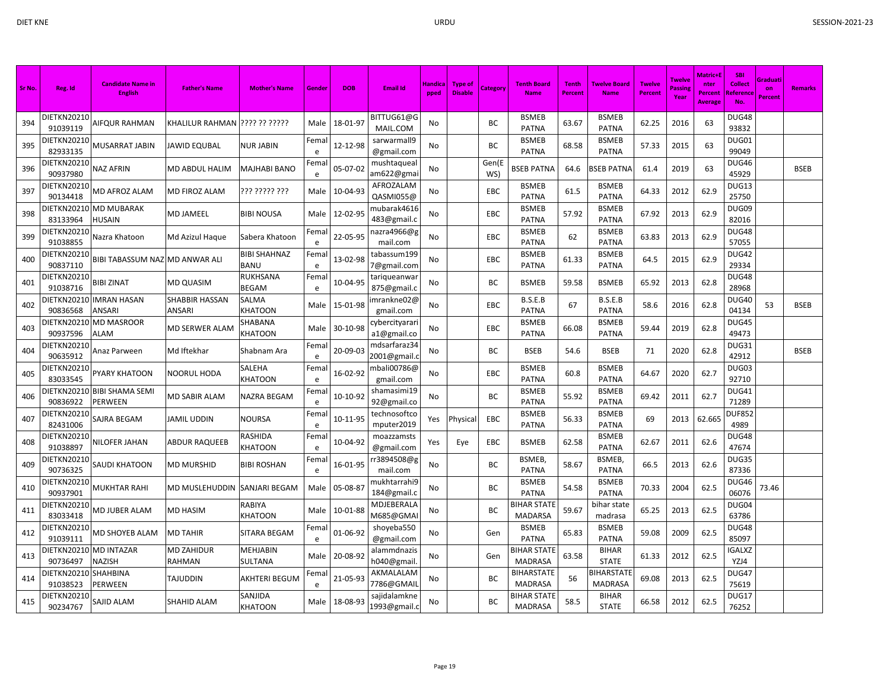| Sr No. | Reg. Id                 | <b>Candidate Name in</b><br><b>English</b> | <b>Father's Name</b>        | <b>Mother's Name</b>        | Gender     | <b>DOB</b> | <b>Email Id</b>              | Handica<br>pped | <b>Type of</b><br><b>Disable</b> | Category     | <b>Tenth Board</b><br><b>Name</b>    | <b>Tenth</b><br>Percent | <b>Twelve Board</b><br><b>Name</b> | <b>Twelve</b><br><b>Percent</b> | <b>Twelve</b><br>Passin<br>Year | Matric+l<br>nter<br>Percent<br>Average | SBI<br><b>Collect</b><br><b>Referenc</b><br><b>No</b> | Graduati<br>on<br>Percent | <b>Remarks</b> |
|--------|-------------------------|--------------------------------------------|-----------------------------|-----------------------------|------------|------------|------------------------------|-----------------|----------------------------------|--------------|--------------------------------------|-------------------------|------------------------------------|---------------------------------|---------------------------------|----------------------------------------|-------------------------------------------------------|---------------------------|----------------|
| 394    | DIETKN20210<br>91039119 | AIFQUR RAHMAN                              |                             |                             | Male       | 18-01-97   | BITTUG61@G<br>MAIL.COM       | No              |                                  | ВC           | <b>BSMEB</b><br><b>PATNA</b>         | 63.67                   | <b>BSMEB</b><br><b>PATNA</b>       | 62.25                           | 2016                            | 63                                     | DUG48<br>93832                                        |                           |                |
| 395    | DIETKN20210<br>82933135 | MUSARRAT JABIN                             | <b>JAWID EQUBAL</b>         | <b>NUR JABIN</b>            | Fema<br>e  | 12-12-98   | sarwarmall9<br>@gmail.com    | No              |                                  | ВC           | <b>BSMEB</b><br><b>PATNA</b>         | 68.58                   | <b>BSMEB</b><br><b>PATNA</b>       | 57.33                           | 2015                            | 63                                     | DUG01<br>99049                                        |                           |                |
| 396    | DIETKN20210<br>90937980 | NAZ AFRIN                                  | MD ABDUL HALIM              | MAJHABI BANO                | Fema<br>e  | 05-07-02   | mushtaqueal<br>am622@gma     | No              |                                  | Gen(E<br>WS) | BSEB PATNA                           | 64.6                    | SEB PATNA                          | 61.4                            | 2019                            | 63                                     | DUG46<br>45929                                        |                           | <b>BSEB</b>    |
| 397    | DIETKN20210<br>90134418 | MD AFROZ ALAM                              | MD FIROZ ALAM               | ??? ????? ???               | Male       | 10-04-93   | AFROZALAM<br>QASMI055@       | No              |                                  | EBC          | <b>BSMEB</b><br><b>PATNA</b>         | 61.5                    | <b>BSMEB</b><br><b>PATNA</b>       | 64.33                           | 2012                            | 62.9                                   | DUG13<br>25750                                        |                           |                |
| 398    | DIETKN20210<br>83133964 | <b>MD MUBARAK</b><br><b>HUSAIN</b>         | <b>MD JAMEEL</b>            | <b>BIBI NOUSA</b>           | Male       | 12-02-95   | mubarak4616<br>483@gmail.c   | No              |                                  | EBC          | <b>BSMEB</b><br><b>PATNA</b>         | 57.92                   | <b>BSMEB</b><br><b>PATNA</b>       | 67.92                           | 2013                            | 62.9                                   | DUG09<br>82016                                        |                           |                |
| 399    | DIETKN20210<br>91038855 | Nazra Khatoon                              | Md Azizul Haque             | Sabera Khatoon              | Fema<br>e  | 22-05-95   | nazra4966@g<br>mail.com      | No              |                                  | EBC          | <b>BSMEB</b><br><b>PATNA</b>         | 62                      | <b>BSMEB</b><br><b>PATNA</b>       | 63.83                           | 2013                            | 62.9                                   | DUG48<br>57055                                        |                           |                |
| 400    | DIETKN20210<br>90837110 | BIBI TABASSUM NAZ MD ANWAR ALI             |                             | BIBI SHAHNAZ<br><b>BANU</b> | Fema<br>e  | 13-02-98   | tabassum199<br>7@gmail.com   | No              |                                  | EBC          | <b>BSMEB</b><br><b>PATNA</b>         | 61.33                   | <b>BSMEB</b><br><b>PATNA</b>       | 64.5                            | 2015                            | 62.9                                   | DUG42<br>29334                                        |                           |                |
| 401    | DIETKN20210<br>91038716 | <b>BIBI ZINAT</b>                          | <b>MD QUASIM</b>            | RUKHSANA<br><b>BEGAM</b>    | Fema<br>e  | 10-04-95   | tariqueanwai<br>875@gmail.c  | No              |                                  | ВC           | <b>BSMEB</b>                         | 59.58                   | <b>BSMEB</b>                       | 65.92                           | 2013                            | 62.8                                   | DUG48<br>28968                                        |                           |                |
| 402    | DIETKN20210<br>90836568 | <b>IMRAN HASAN</b><br>ANSARI               | SHABBIR HASSAN<br>ANSARI    | SALMA<br>KHATOON            | Male       | 15-01-98   | mrankne02@<br>gmail.com      | No              |                                  | EBC          | B.S.E.B<br><b>PATNA</b>              | 67                      | B.S.E.B<br><b>PATNA</b>            | 58.6                            | 2016                            | 62.8                                   | DUG40<br>04134                                        | 53                        | <b>BSEB</b>    |
| 403    | DIETKN20210<br>90937596 | <b>MD MASROOR</b><br><b>ALAM</b>           | MD SERWER ALAM              | SHABANA<br>KHATOON          | Male       | 30-10-98   | cybercityarar<br>a1@gmail.co | No              |                                  | EBC          | <b>BSMEB</b><br><b>PATNA</b>         | 66.08                   | <b>BSMEB</b><br><b>PATNA</b>       | 59.44                           | 2019                            | 62.8                                   | DUG45<br>49473                                        |                           |                |
| 404    | DIETKN20210<br>90635912 | Anaz Parween                               | Md Iftekhar                 | Shabnam Ara                 | Femal<br>e | 20-09-03   | mdsarfaraz34<br>2001@gmail.c | No              |                                  | ВC           | <b>BSEB</b>                          | 54.6                    | <b>BSEB</b>                        | 71                              | 2020                            | 62.8                                   | DUG31<br>42912                                        |                           | <b>BSEB</b>    |
| 405    | DIETKN20210<br>83033545 | PYARY KHATOON                              | NOORUL HODA                 | SALEHA<br>KHATOON           | Fema<br>e  | 16-02-92   | mbali00786@<br>gmail.com     | No              |                                  | <b>EBC</b>   | <b>BSMEB</b><br><b>PATNA</b>         | 60.8                    | <b>BSMEB</b><br><b>PATNA</b>       | 64.67                           | 2020                            | 62.7                                   | DUG03<br>92710                                        |                           |                |
| 406    | DIETKN20210<br>90836922 | <b>BIBI SHAMA SEMI</b><br>PERWEEN          | MD SABIR ALAM               | NAZRA BEGAM                 | Fema<br>e  | 10-10-92   | shamasimi19<br>92@gmail.co   | No              |                                  | ВC           | <b>BSMEB</b><br><b>PATNA</b>         | 55.92                   | <b>BSMEB</b><br><b>PATNA</b>       | 69.42                           | 2011                            | 62.7                                   | DUG41<br>71289                                        |                           |                |
| 407    | DIETKN20210<br>82431006 | SAJRA BEGAM                                | <b>JAMIL UDDIN</b>          | NOURSA                      | Fema<br>e  | 10-11-95   | technosoftco<br>mputer2019   | Yes             | Physical                         | EBC          | <b>BSMEB</b><br><b>PATNA</b>         | 56.33                   | <b>BSMEB</b><br><b>PATNA</b>       | 69                              | 2013                            | 62.665                                 | <b>DUF852</b><br>4989                                 |                           |                |
| 408    | DIETKN20210<br>91038897 | <b>NILOFER JAHAN</b>                       | ABDUR RAQUEEB               | RASHIDA<br>KHATOON          | Fema<br>e  | 10-04-92   | moazzamsts<br>@gmail.com     | Yes             | Eye                              | EBC          | <b>BSMEB</b>                         | 62.58                   | <b>BSMEB</b><br><b>PATNA</b>       | 62.67                           | 2011                            | 62.6                                   | DUG48<br>47674                                        |                           |                |
| 409    | DIETKN20210<br>90736325 | SAUDI KHATOON                              | <b>MD MURSHID</b>           | <b>BIBI ROSHAN</b>          | Fema<br>e  | 16-01-95   | r3894508@g<br>mail.com       | No              |                                  | ВC           | BSMEB,<br><b>PATNA</b>               | 58.67                   | BSMEB,<br><b>PATNA</b>             | 66.5                            | 2013                            | 62.6                                   | DUG35<br>87336                                        |                           |                |
| 410    | DIETKN20210<br>90937901 | MUKHTAR RAHI                               | MD MUSLEHUDDIN              | SANJARI BEGAM               | Male       | 05-08-87   | mukhtarrahi9<br>184@gmail.c  | No              |                                  | ВC           | <b>BSMEB</b><br><b>PATNA</b>         | 54.58                   | <b>BSMEB</b><br><b>PATNA</b>       | 70.33                           | 2004                            | 62.5                                   | DUG46<br>06076                                        | 73.46                     |                |
| 411    | DIETKN20210<br>83033418 | MD JUBER ALAM                              | MD HASIM                    | RABIYA<br>KHATOON           | Male       | 10-01-88   | MDJEBERALA<br>M685@GMA       | No              |                                  | ВC           | BIHAR STATE<br><b>MADARSA</b>        | 59.67                   | bihar state<br>madrasa             | 65.25                           | 2013                            | 62.5                                   | DUG04<br>63786                                        |                           |                |
| 412    | DIETKN20210<br>91039111 | MD SHOYEB ALAM                             | <b>MD TAHIR</b>             | SITARA BEGAM                | Fema<br>e  | 01-06-92   | shoyeba550<br>@gmail.com     | No              |                                  | Gen          | <b>BSMEB</b><br><b>PATNA</b>         | 65.83                   | <b>BSMEB</b><br><b>PATNA</b>       | 59.08                           | 2009                            | 62.5                                   | DUG48<br>85097                                        |                           |                |
| 413    | DIETKN20210<br>90736497 | <b>MD INTAZAR</b><br>NAZISH                | <b>MD ZAHIDUR</b><br>RAHMAN | MEHJABIN<br>SULTANA         | Male       | 20-08-92   | alammdnazis<br>h040@gmail    | No              |                                  | Gen          | <b>BIHAR STATE</b><br><b>MADRASA</b> | 63.58                   | <b>BIHAR</b><br><b>STATE</b>       | 61.33                           | 2012                            | 62.5                                   | <b>IGALXZ</b><br>YZJ4                                 |                           |                |
| 414    | DIETKN20210<br>91038523 | <b>SHAHBINA</b><br>PERWEEN                 | <b>TAJUDDIN</b>             | AKHTERI BEGUM               | Fema<br>e  | 21-05-93   | AKMALALAM<br>7786@GMAII      | No              |                                  | BC           | <b>BIHARSTATE</b><br><b>MADRASA</b>  | 56                      | <b>BIHARSTATE</b><br>MADRASA       | 69.08                           | 2013                            | 62.5                                   | DUG47<br>75619                                        |                           |                |
| 415    | DIETKN20210<br>90234767 | SAJID ALAM                                 | SHAHID ALAM                 | SANJIDA<br>KHATOON          | Male       | 18-08-93   | sajidalamkne<br>1993@gmail.c | No              |                                  | BC           | <b>BIHAR STATE</b><br><b>MADRASA</b> | 58.5                    | <b>BIHAR</b><br><b>STATE</b>       | 66.58                           | 2012                            | 62.5                                   | DUG17<br>76252                                        |                           |                |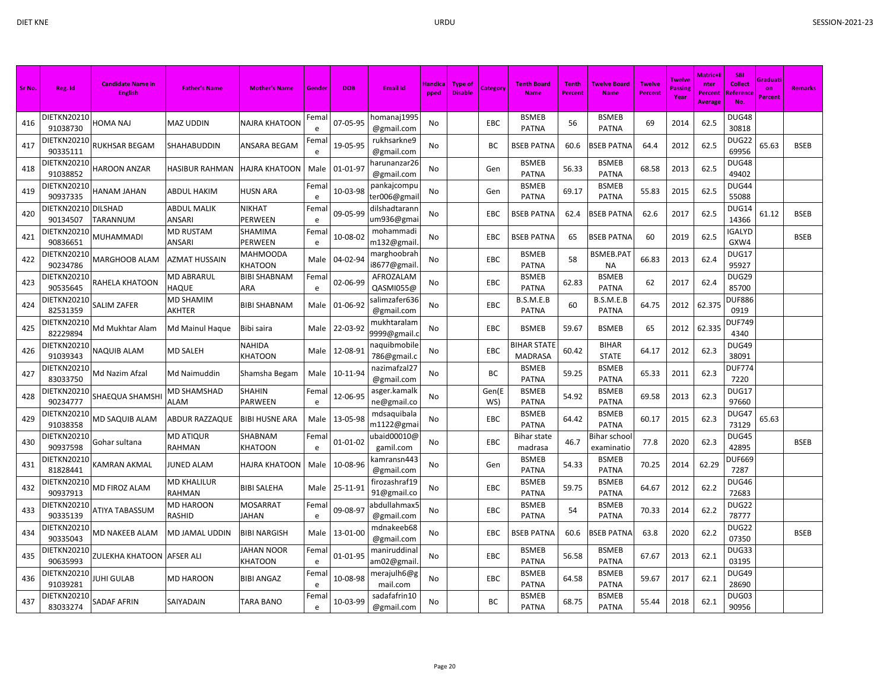| Sr No. | Reg. Id                         | <b>Candidate Name in</b><br><b>English</b> | <b>Father's Name</b>         | <b>Mother's Name</b>       | Gende     | <b>DOB</b>     | Email Id                     | Handica<br>pped | <b>Type of</b><br><b>Disable</b> | Category     | <b>Tenth Board</b><br><b>Name</b>    | <b>Tenth</b><br><b>Percent</b> | <b>Twelve Board</b><br><b>Name</b> | <b>Twelve</b><br>Percent | <b>Twelve</b><br>Passin<br>Year | Matric+l<br>nter<br><b>Percent</b><br><b>Average</b> | <b>SBI</b><br><b>Collect</b><br>Reference<br>No. | Graduati<br>on<br>Percent | <b>Remarks</b> |
|--------|---------------------------------|--------------------------------------------|------------------------------|----------------------------|-----------|----------------|------------------------------|-----------------|----------------------------------|--------------|--------------------------------------|--------------------------------|------------------------------------|--------------------------|---------------------------------|------------------------------------------------------|--------------------------------------------------|---------------------------|----------------|
| 416    | DIETKN20210<br>91038730         | <b>HOMA NAJ</b>                            | MAZ UDDIN                    | NAJRA KHATOON              | Fema<br>e | 07-05-95       | homanaj 1995<br>@gmail.com   | No              |                                  | EBC          | <b>BSMEB</b><br><b>PATNA</b>         | 56                             | <b>BSMEB</b><br><b>PATNA</b>       | 69                       | 2014                            | 62.5                                                 | DUG48<br>30818                                   |                           |                |
| 417    | DIETKN20210<br>90335111         | <b>RUKHSAR BEGAM</b>                       | SHAHABUDDIN                  | ANSARA BEGAM               | Fema<br>e | 19-05-95       | rukhsarkne9<br>@gmail.com    | No              |                                  | BC           | <b>BSEB PATNA</b>                    | 60.6                           | <b>BSEB PATNA</b>                  | 64.4                     | 2012                            | 62.5                                                 | DUG22<br>69956                                   | 65.63                     | <b>BSEB</b>    |
| 418    | DIETKN20210<br>91038852         | <b>HAROON ANZAR</b>                        | HASIBUR RAHMAN               | HAJRA KHATOON              | Male      | 01-01-97       | harunanzar26<br>@gmail.com   | No              |                                  | Gen          | <b>BSMEB</b><br><b>PATNA</b>         | 56.33                          | <b>BSMEB</b><br><b>PATNA</b>       | 68.58                    | 2013                            | 62.5                                                 | DUG48<br>49402                                   |                           |                |
| 419    | DIETKN20210<br>90937335         | HANAM JAHAN                                | <b>ABDUL HAKIM</b>           | <b>HUSN ARA</b>            | Fema<br>e | 10-03-98       | pankajcompu<br>ter006@gmai   | No              |                                  | Gen          | <b>BSMEB</b><br><b>PATNA</b>         | 69.17                          | <b>BSMEB</b><br><b>PATNA</b>       | 55.83                    | 2015                            | 62.5                                                 | DUG44<br>55088                                   |                           |                |
| 420    | DIETKN20210 DILSHAD<br>90134507 | <b>TARANNUM</b>                            | <b>ABDUL MALIK</b><br>ANSARI | NIKHAT<br>PERWEEN          | Fema<br>e | 09-05-99       | dilshadtaranr<br>um936@gma   | No              |                                  | EBC          | <b>BSEB PATNA</b>                    | 62.4                           | <b>BSEB PATNA</b>                  | 62.6                     | 2017                            | 62.5                                                 | DUG14<br>14366                                   | 61.12                     | <b>BSEB</b>    |
| 421    | DIETKN20210<br>90836651         | <b>MUHAMMADI</b>                           | <b>MD RUSTAM</b><br>ANSARI   | SHAMIMA<br>PERWEEN         | Fema<br>e | 10-08-02       | mohammadi<br>m132@gmail      | No              |                                  | EBC          | <b>BSEB PATNA</b>                    | 65                             | <b>BSEB PATNA</b>                  | 60                       | 2019                            | 62.5                                                 | <b>GALYD</b><br>GXW4                             |                           | <b>BSEB</b>    |
| 422    | DIETKN20210<br>90234786         | MARGHOOB ALAM                              | AZMAT HUSSAIN                | MAHMOODA<br>KHATOON        | Male      | 04-02-94       | marghoobrah<br>i8677@gmail   | No              |                                  | EBC          | <b>BSMEB</b><br><b>PATNA</b>         | 58                             | BSMEB.PAT<br><b>NA</b>             | 66.83                    | 2013                            | 62.4                                                 | DUG17<br>95927                                   |                           |                |
| 423    | DIETKN20210<br>90535645         | RAHELA KHATOON                             | <b>MD ABRARUL</b><br>HAQUE   | <b>BIBI SHABNAM</b><br>ARA | Fema<br>e | 02-06-99       | AFROZALAM<br>QASMI055@       | No              |                                  | EBC          | <b>BSMEB</b><br><b>PATNA</b>         | 62.83                          | <b>BSMEB</b><br><b>PATNA</b>       | 62                       | 2017                            | 62.4                                                 | DUG29<br>85700                                   |                           |                |
| 424    | DIETKN20210<br>82531359         | <b>SALIM ZAFER</b>                         | MD SHAMIM<br>AKHTER          | <b>BIBI SHABNAM</b>        | Male      | 01-06-92       | salimzafer636<br>@gmail.com  | No              |                                  | EBC          | B.S.M.E.B<br><b>PATNA</b>            | 60                             | B.S.M.E.B<br><b>PATNA</b>          | 64.75                    | 2012                            | 62.375                                               | <b>DUF886</b><br>0919                            |                           |                |
| 425    | DIETKN20210<br>82229894         | Md Mukhtar Alam                            | Md Mainul Haque              | Bibi saira                 | Male      | 22-03-92       | mukhtaralam<br>9999@gmail.   | No              |                                  | EBC          | <b>BSMEB</b>                         | 59.67                          | <b>BSMEB</b>                       | 65                       | 2012                            | 62.335                                               | <b>DUF749</b><br>4340                            |                           |                |
| 426    | DIETKN20210<br>91039343         | <b>NAQUIB ALAM</b>                         | MD SALEH                     | NAHIDA<br>KHATOON          | Male      | 12-08-91       | haquibmobile<br>786@gmail.c  | No              |                                  | EBC          | <b>BIHAR STATE</b><br><b>MADRASA</b> | 60.42                          | <b>BIHAR</b><br><b>STATE</b>       | 64.17                    | 2012                            | 62.3                                                 | DUG49<br>38091                                   |                           |                |
| 427    | DIETKN20210<br>83033750         | Md Nazim Afzal                             | Md Naimuddin                 | Shamsha Begam              | Male      | 10-11-94       | nazimafzal27<br>@gmail.com   | No              |                                  | BC           | <b>BSMEB</b><br><b>PATNA</b>         | 59.25                          | <b>BSMEB</b><br><b>PATNA</b>       | 65.33                    | 2011                            | 62.3                                                 | <b>DUF774</b><br>7220                            |                           |                |
| 428    | DIETKN20210<br>90234777         | SHAEQUA SHAMSHI                            | MD SHAMSHAD<br>ALAM          | SHAHIN<br>PARWEEN          | Fema<br>e | 12-06-95       | asger.kamalk<br>ne@gmail.co  | No              |                                  | Gen(E<br>WS) | <b>BSMEB</b><br><b>PATNA</b>         | 54.92                          | <b>BSMEB</b><br><b>PATNA</b>       | 69.58                    | 2013                            | 62.3                                                 | DUG17<br>97660                                   |                           |                |
| 429    | DIETKN20210<br>91038358         | MD SAQUIB ALAM                             | <b>ABDUR RAZZAQUE</b>        | <b>BIBI HUSNE ARA</b>      | Male      | 13-05-98       | mdsaquibala<br>m1122@gma     | No              |                                  | EBC          | <b>BSMEB</b><br><b>PATNA</b>         | 64.42                          | <b>BSMEB</b><br><b>PATNA</b>       | 60.17                    | 2015                            | 62.3                                                 | DUG47<br>73129                                   | 65.63                     |                |
| 430    | DIETKN20210<br>90937598         | Gohar sultana                              | MD ATIQUR<br><b>RAHMAN</b>   | SHABNAM<br>KHATOON         | Fema<br>e | $01 - 01 - 02$ | ubaid00010@<br>gamil.com     | No              |                                  | EBC          | <b>Bihar state</b><br>madrasa        | 46.7                           | Bihar schoo<br>examinatio          | 77.8                     | 2020                            | 62.3                                                 | DUG45<br>42895                                   |                           | <b>BSEB</b>    |
| 431    | DIETKN20210<br>81828441         | KAMRAN AKMAL                               | <b>JUNED ALAM</b>            | HAJRA KHATOON              | Male      | 10-08-96       | kamransn443<br>@gmail.com    | No              |                                  | Gen          | <b>BSMEB</b><br><b>PATNA</b>         | 54.33                          | <b>BSMEB</b><br><b>PATNA</b>       | 70.25                    | 2014                            | 62.29                                                | <b>JUF669</b><br>7287                            |                           |                |
| 432    | DIETKN20210<br>90937913         | <b>MD FIROZ ALAM</b>                       | <b>MD KHALILUR</b><br>RAHMAN | <b>BIBI SALEHA</b>         | Male      | 25-11-91       | firozashraf19<br>91@gmail.co | No              |                                  | EBC          | <b>BSMEB</b><br><b>PATNA</b>         | 59.75                          | <b>BSMEB</b><br><b>PATNA</b>       | 64.67                    | 2012                            | 62.2                                                 | DUG46<br>72683                                   |                           |                |
| 433    | DIETKN20210<br>90335139         | ATIYA TABASSUM                             | <b>MD HAROON</b><br>RASHID   | MOSARRAT<br>JAHAN          | Fema<br>e | 09-08-97       | abdullahmax5<br>@gmail.com   | No              |                                  | EBC          | <b>BSMEB</b><br>PATNA                | 54                             | <b>BSMEB</b><br><b>PATNA</b>       | 70.33                    | 2014                            | 62.2                                                 | DUG22<br>78777                                   |                           |                |
| 434    | DIETKN20210<br>90335043         | MD NAKEEB ALAM                             | MD JAMAL UDDIN               | <b>BIBI NARGISH</b>        | Male      | 13-01-00       | mdnakeeb68<br>@gmail.com     | No              |                                  | EBC          | <b>BSEB PATNA</b>                    | 60.6                           | <b>BSEB PATNA</b>                  | 63.8                     | 2020                            | 62.2                                                 | DUG22<br>07350                                   |                           | <b>BSEB</b>    |
| 435    | DIETKN20210<br>90635993         | <b>ZULEKHA KHATOON AFSER ALI</b>           |                              | JAHAN NOOR<br>KHATOON      | Fema<br>e | 01-01-95       | maniruddinal<br>am02@gmail   | No              |                                  | EBC          | <b>BSMEB</b><br><b>PATNA</b>         | 56.58                          | <b>BSMEB</b><br><b>PATNA</b>       | 67.67                    | 2013                            | 62.1                                                 | DUG33<br>03195                                   |                           |                |
| 436    | DIETKN20210<br>91039281         | <b>JUHI GULAB</b>                          | MD HAROON                    | <b>BIBI ANGAZ</b>          | Fema<br>e | 10-08-98       | merajulh6@g<br>mail.com      | No              |                                  | EBC          | <b>BSMEB</b><br>PATNA                | 64.58                          | <b>BSMEB</b><br><b>PATNA</b>       | 59.67                    | 2017                            | 62.1                                                 | DUG49<br>28690                                   |                           |                |
| 437    | DIETKN20210<br>83033274         | <b>SADAF AFRIN</b>                         | SAIYADAIN                    | TARA BANO                  | Fema<br>e | 10-03-99       | sadafafrin10<br>@gmail.com   | No              |                                  | BC           | <b>BSMEB</b><br>PATNA                | 68.75                          | <b>BSMEB</b><br><b>PATNA</b>       | 55.44                    | 2018                            | 62.1                                                 | DUG03<br>90956                                   |                           |                |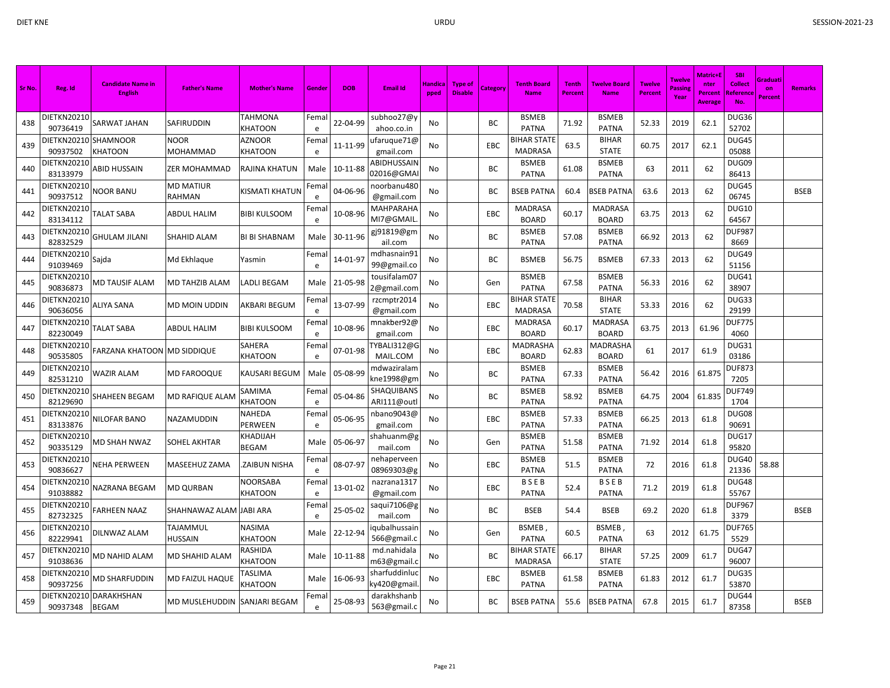| Sr No. | Reg. Id                 | <b>Candidate Name in</b><br><b>English</b> | <b>Father's Name</b>       | <b>Mother's Name</b>       | Gender     | <b>DOB</b> | <b>Email Id</b>             | <b>Handica</b><br>pped | Type of<br><b>Disable</b> | Category   | <b>Tenth Board</b><br><b>Name</b>    | <b>Tenth</b><br>Percent | Twelve Board<br><b>Name</b>     | <b>Twelve</b><br><b>Percent</b> | <b>Twelve</b><br>Passing<br>Year | Matric+I<br>nter<br>Percent<br>Average | <b>SBI</b><br><b>Collect</b><br><u>l Referenc</u><br>No | Graduati<br>on<br>Percent | <b>Remarks</b> |
|--------|-------------------------|--------------------------------------------|----------------------------|----------------------------|------------|------------|-----------------------------|------------------------|---------------------------|------------|--------------------------------------|-------------------------|---------------------------------|---------------------------------|----------------------------------|----------------------------------------|---------------------------------------------------------|---------------------------|----------------|
| 438    | DIETKN20210<br>90736419 | SARWAT JAHAN                               | SAFIRUDDIN                 | TAHMONA<br><b>KHATOON</b>  | Femal<br>e | 22-04-99   | subhoo27@y<br>ahoo.co.in    | <b>No</b>              |                           | <b>BC</b>  | <b>BSMEB</b><br><b>PATNA</b>         | 71.92                   | <b>BSMEB</b><br><b>PATNA</b>    | 52.33                           | 2019                             | 62.1                                   | DUG36<br>52702                                          |                           |                |
| 439    | DIETKN20210<br>90937502 | <b>SHAMNOOR</b><br>KHATOON                 | <b>NOOR</b><br>MOHAMMAD    | AZNOOR<br>KHATOON          | Fema<br>e  | 11-11-99   | ufaruque71@<br>gmail.com    | No                     |                           | EBC        | <b>BIHAR STATE</b><br><b>MADRASA</b> | 63.5                    | <b>BIHAR</b><br><b>STATE</b>    | 60.75                           | 2017                             | 62.1                                   | DUG45<br>05088                                          |                           |                |
| 440    | DIETKN20210<br>83133979 | <b>ABID HUSSAIN</b>                        | ZER MOHAMMAD               | RAJINA KHATUN              | Male       | 10-11-88   | ABIDHUSSAIN<br>02016@GMA    | No                     |                           | BC         | <b>BSMEB</b><br><b>PATNA</b>         | 61.08                   | <b>BSMEB</b><br><b>PATNA</b>    | 63                              | 2011                             | 62                                     | DUG09<br>86413                                          |                           |                |
| 441    | DIETKN20210<br>90937512 | NOOR BANU                                  | <b>MD MATIUR</b><br>RAHMAN | KISMATI KHATUN             | Fema<br>e  | 04-06-96   | noorbanu480<br>@gmail.com   | No                     |                           | BC         | <b>BSEB PATNA</b>                    | 60.4                    | <b>BSEB PATNA</b>               | 63.6                            | 2013                             | 62                                     | DUG45<br>06745                                          |                           | <b>BSEB</b>    |
| 442    | DIETKN20210<br>83134112 | <b>TALAT SABA</b>                          | ABDUL HALIM                | <b>BIBI KULSOOM</b>        | Fema<br>e  | 10-08-96   | MAHPARAHA<br>MI7@GMAIL      | No                     |                           | <b>EBC</b> | <b>MADRASA</b><br><b>BOARD</b>       | 60.17                   | <b>MADRASA</b><br><b>BOARD</b>  | 63.75                           | 2013                             | 62                                     | <b>DUG10</b><br>64567                                   |                           |                |
| 443    | DIETKN20210<br>82832529 | <b>GHULAM JILANI</b>                       | SHAHID ALAM                | <b>BI BI SHABNAM</b>       | Male       | 30-11-96   | gj91819@gm<br>ail.com       | No                     |                           | BC         | <b>BSMEB</b><br><b>PATNA</b>         | 57.08                   | <b>BSMEB</b><br><b>PATNA</b>    | 66.92                           | 2013                             | 62                                     | <b>DUF987</b><br>8669                                   |                           |                |
| 444    | DIETKN20210<br>91039469 | Sajda                                      | Md Ekhlague                | Yasmin                     | Fema<br>e  | 14-01-97   | mdhasnain91<br>99@gmail.co  | No                     |                           | <b>BC</b>  | <b>BSMEB</b>                         | 56.75                   | <b>BSMEB</b>                    | 67.33                           | 2013                             | 62                                     | DUG49<br>51156                                          |                           |                |
| 445    | DIETKN20210<br>90836873 | MD TAUSIF ALAM                             | MD TAHZIB ALAM             | LADLI BEGAM                | Male       | 21-05-98   | tousifalam07<br>2@gmail.com | No                     |                           | Gen        | <b>BSMEB</b><br><b>PATNA</b>         | 67.58                   | <b>BSMEB</b><br><b>PATNA</b>    | 56.33                           | 2016                             | 62                                     | DUG41<br>38907                                          |                           |                |
| 446    | DIETKN20210<br>90636056 | <b>ALIYA SANA</b>                          | MD MOIN UDDIN              | AKBARI BEGUM               | Fema<br>e  | 13-07-99   | rzcmptr2014<br>@gmail.com   | No                     |                           | <b>EBC</b> | <b>BIHAR STATE</b><br><b>MADRASA</b> | 70.58                   | <b>BIHAR</b><br><b>STATE</b>    | 53.33                           | 2016                             | 62                                     | DUG33<br>29199                                          |                           |                |
| 447    | DIETKN20210<br>82230049 | <b>TALAT SABA</b>                          | ABDUL HALIM                | BIBI KULSOOM               | Fema<br>e  | 10-08-96   | mnakber92@<br>gmail.com     | No                     |                           | EBC        | <b>MADRASA</b><br><b>BOARD</b>       | 60.17                   | MADRASA<br><b>BOARD</b>         | 63.75                           | 2013                             | 61.96                                  | <b>DUF775</b><br>4060                                   |                           |                |
| 448    | DIETKN20210<br>90535805 | FARZANA KHATOON MD SIDDIQUE                |                            | SAHERA<br><b>CHATOON</b>   | Fema<br>e  | 07-01-98   | TYBALI312@G<br>MAIL.COM     | No                     |                           | EBC        | MADRASHA<br><b>BOARD</b>             | 62.83                   | <b>MADRASHA</b><br><b>BOARD</b> | 61                              | 2017                             | 61.9                                   | DUG31<br>03186                                          |                           |                |
| 449    | DIETKN20210<br>82531210 | <b>WAZIR ALAM</b>                          | MD FAROOQUE                | KAUSARI BEGUM              | Male       | 05-08-99   | mdwaziralam<br>kne1998@gm   | No                     |                           | BC         | <b>BSMEB</b><br><b>PATNA</b>         | 67.33                   | <b>BSMEB</b><br><b>PATNA</b>    | 56.42                           | 2016                             | 61.875                                 | <b>DUF873</b><br>7205                                   |                           |                |
| 450    | DIETKN20210<br>82129690 | SHAHEEN BEGAM                              | MD RAFIQUE ALAM            | SAMIMA<br><b>KHATOON</b>   | Fema<br>e  | 05-04-86   | SHAQUIBANS<br>ARI111@out    | No                     |                           | <b>BC</b>  | <b>BSMEB</b><br><b>PATNA</b>         | 58.92                   | <b>BSMEB</b><br><b>PATNA</b>    | 64.75                           | 2004                             | 61.835                                 | <b>DUF749</b><br>1704                                   |                           |                |
| 451    | DIETKN20210<br>83133876 | NILOFAR BANO                               | NAZAMUDDIN                 | NAHEDA<br>PERWEEN          | Fema<br>e  | 05-06-95   | nbano9043@<br>gmail.com     | No                     |                           | EBC        | <b>BSMEB</b><br><b>PATNA</b>         | 57.33                   | <b>BSMEB</b><br><b>PATNA</b>    | 66.25                           | 2013                             | 61.8                                   | DUG08<br>90691                                          |                           |                |
| 452    | DIETKN20210<br>90335129 | MD SHAH NWAZ                               | SOHEL AKHTAR               | KHADIJAH<br>BEGAM          | Male       | 05-06-97   | shahuanm@g<br>mail.com      | No                     |                           | Gen        | <b>BSMEB</b><br><b>PATNA</b>         | 51.58                   | <b>BSMEB</b><br><b>PATNA</b>    | 71.92                           | 2014                             | 61.8                                   | DUG17<br>95820                                          |                           |                |
| 453    | DIETKN20210<br>90836627 | NEHA PERWEEN                               | MASEEHUZ ZAMA              | ZAIBUN NISHA.              | Fema<br>e  | 08-07-97   | nehaperveen<br>08969303@g   | No                     |                           | EBC        | <b>BSMEB</b><br><b>PATNA</b>         | 51.5                    | <b>BSMEB</b><br><b>PATNA</b>    | 72                              | 2016                             | 61.8                                   | DUG40<br>21336                                          | 58.88                     |                |
| 454    | DIETKN20210<br>91038882 | NAZRANA BEGAM                              | <b>MD QURBAN</b>           | NOORSABA<br><b>KHATOON</b> | Fema<br>e  | 13-01-02   | nazrana 1317<br>@gmail.com  | No                     |                           | EBC        | <b>BSEB</b><br>PATNA                 | 52.4                    | BSEB<br><b>PATNA</b>            | 71.2                            | 2019                             | 61.8                                   | DUG48<br>55767                                          |                           |                |
| 455    | DIETKN20210<br>82732325 | <b>FARHEEN NAAZ</b>                        | SHAHNAWAZ ALAM JABI ARA    |                            | Fema<br>e  | 25-05-02   | saqui7106@g<br>mail.com     | No                     |                           | BC         | <b>BSEB</b>                          | 54.4                    | <b>BSEB</b>                     | 69.2                            | 2020                             | 61.8                                   | <b>DUF967</b><br>3379                                   |                           | <b>BSEB</b>    |
| 456    | DIETKN20210<br>82229941 | DILNWAZ ALAM                               | TAJAMMUL<br>HUSSAIN        | NASIMA<br>KHATOON          | Male       | 22-12-94   | qubalhussair<br>566@gmail.c | No                     |                           | Gen        | <b>BSMEB</b><br><b>PATNA</b>         | 60.5                    | <b>BSMEB</b><br><b>PATNA</b>    | 63                              | 2012                             | 61.75                                  | <b>DUF765</b><br>5529                                   |                           |                |
| 457    | DIETKN20210<br>91038636 | MD NAHID ALAM                              | MD SHAHID ALAM             | RASHIDA<br><b>KHATOON</b>  | Male       | 10-11-88   | md.nahidala<br>m63@gmail.c  | No                     |                           | BC         | <b>BIHAR STATE</b><br><b>MADRASA</b> | 66.17                   | <b>BIHAR</b><br><b>STATE</b>    | 57.25                           | 2009                             | 61.7                                   | DUG47<br>96007                                          |                           |                |
| 458    | DIETKN20210<br>90937256 | MD SHARFUDDIN                              | MD FAIZUL HAQUE            | TASLIMA<br><b>KHATOON</b>  | Male       | 16-06-93   | sharfuddinluc<br>y420@gmail | No                     |                           | EBC        | <b>BSMEB</b><br><b>PATNA</b>         | 61.58                   | <b>BSMEB</b><br><b>PATNA</b>    | 61.83                           | 2012                             | 61.7                                   | DUG35<br>53870                                          |                           |                |
| 459    | 90937348                | DIETKN20210 DARAKHSHAN<br><b>BEGAM</b>     | MD MUSLEHUDDIN             | SANJARI BEGAM              | Femal<br>e | 25-08-93   | darakhshanb<br>563@gmail.c  | No                     |                           | BC.        | <b>BSEB PATNA</b>                    | 55.6                    | BSEB PATNA                      | 67.8                            | 2015                             | 61.7                                   | DUG44<br>87358                                          |                           | <b>BSEB</b>    |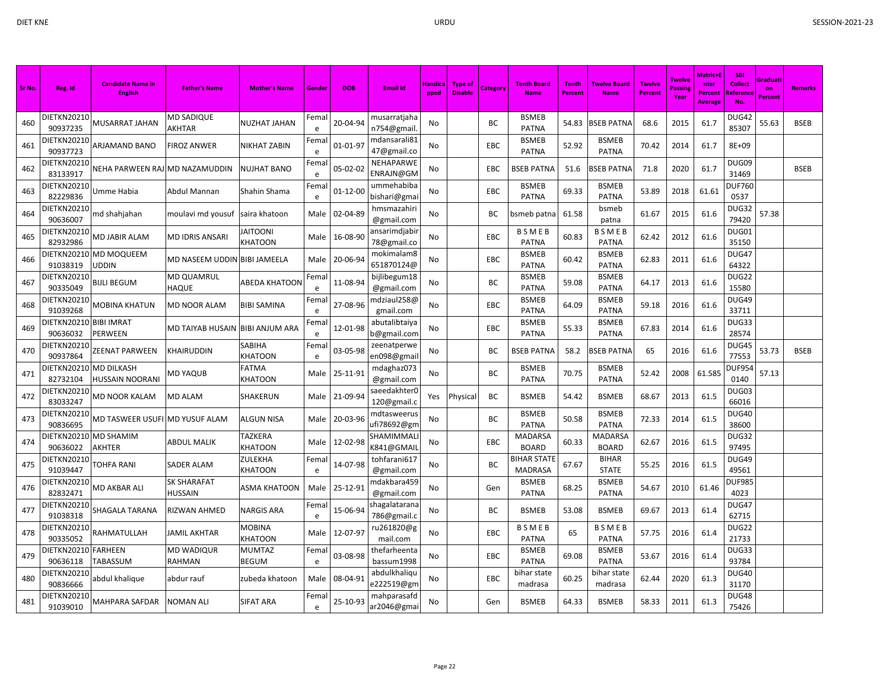| Sr No. | Reg. Id                            | <b>Candidate Name in</b><br><b>English</b> | <b>Father's Name</b>            | <b>Mother's Name</b>              | Gender               | <b>DOB</b>     | <b>Email Id</b>              | Handica<br>pped | <b>Type of</b><br><b>Disable</b> | Category | Tenth Board<br><b>Name</b>           | Tenth<br>Percent | <b>Twelve Board</b><br><b>Name</b> | <b>Twelve</b><br><b>Percent</b> | <b>Twelve</b><br>Passini<br>Year | <b>Matric+</b><br>nter<br>Percent<br><b>Average</b> | <b>SBI</b><br>Collect<br>Referenc<br><b>No</b> | Graduati<br>on<br>Percent | <b>Remarks</b> |
|--------|------------------------------------|--------------------------------------------|---------------------------------|-----------------------------------|----------------------|----------------|------------------------------|-----------------|----------------------------------|----------|--------------------------------------|------------------|------------------------------------|---------------------------------|----------------------------------|-----------------------------------------------------|------------------------------------------------|---------------------------|----------------|
| 460    | <b>DIETKN20210</b><br>90937235     | MUSARRAT JAHAN                             | MD SADIQUE<br>AKHTAR            | <b>NUZHAT JAHAN</b>               | Femal<br>e           | 20-04-94       | musarratjaha<br>n754@gmail.  | No              |                                  | BC       | <b>BSMEB</b><br><b>PATNA</b>         | 54.83            | <b>BSEB PATNA</b>                  | 68.6                            | 2015                             | 61.7                                                | DUG42<br>85307                                 | 55.63                     | <b>BSEB</b>    |
| 461    | DIETKN20210<br>90937723            | ARJAMAND BANO                              | <b>FIROZ ANWER</b>              | <b>NIKHAT ZABIN</b>               | Fema<br>e            | 01-01-97       | mdansarali81<br>47@gmail.co  | No              |                                  | EBC      | <b>BSMEB</b><br><b>PATNA</b>         | 52.92            | <b>BSMEB</b><br><b>PATNA</b>       | 70.42                           | 2014                             | 61.7                                                | 8E+09                                          |                           |                |
| 462    | DIETKN20210<br>83133917            | NEHA PARWEEN RAJ                           | <b>MD NAZAMUDDIN</b>            | <b>NUJHAT BANO</b>                | Fema<br>e            | 05-02-02       | NEHAPARWE<br>ENRAJN@GM       | No              |                                  | EBC      | <b>BSEB PATNA</b>                    | 51.6             | <b>BSEB PATNA</b>                  | 71.8                            | 2020                             | 61.7                                                | DUG09<br>31469                                 |                           | <b>BSEB</b>    |
| 463    | DIETKN20210<br>82229836            | Umme Habia                                 | Abdul Mannan                    | Shahin Shama                      | Fema<br>$\mathsf{e}$ | $01 - 12 - 00$ | ummehabiba<br>bishari@gma    | No              |                                  | EBC      | <b>BSMEB</b><br><b>PATNA</b>         | 69.33            | <b>BSMEB</b><br><b>PATNA</b>       | 53.89                           | 2018                             | 61.61                                               | DUF760<br>0537                                 |                           |                |
| 464    | DIETKN20210<br>90636007            | md shahjahan                               | moulavi md yousuf               | saira khatoon                     | Male                 | 02-04-89       | hmsmazahiri<br>@gmail.com    | No              |                                  | ВC       | bsmeb patna                          | 61.58            | bsmeb<br>patna                     | 61.67                           | 2015                             | 61.6                                                | DUG32<br>79420                                 | 57.38                     |                |
| 465    | DIETKN20210<br>82932986            | MD JABIR ALAM                              | <b>MD IDRIS ANSARI</b>          | <b>JAITOONI</b><br><b>KHATOON</b> | Male                 | 16-08-90       | ansarimdjabiı<br>78@gmail.co | No              |                                  | EBC      | <b>BSMEB</b><br><b>PATNA</b>         | 60.83            | <b>BSMEB</b><br><b>PATNA</b>       | 62.42                           | 2012                             | 61.6                                                | DUG01<br>35150                                 |                           |                |
| 466    | 91038319                           | DIETKN20210 MD MOQUEEM<br>UDDIN            | MD NASEEM UDDIN BIBI JAMEELA    |                                   | Male                 | 20-06-94       | mokimalam8<br>651870124@     | No              |                                  | EBC      | <b>BSMEB</b><br><b>PATNA</b>         | 60.42            | <b>BSMEB</b><br><b>PATNA</b>       | 62.83                           | 2011                             | 61.6                                                | DUG47<br>64322                                 |                           |                |
| 467    | <b>DIETKN20210</b><br>90335049     | BIJLI BEGUM                                | <b>MD QUAMRUL</b><br>HAQUE      | <b>ABEDA KHATOON</b>              | Fema<br>e            | 11-08-94       | bijlibegum18<br>@gmail.com   | No              |                                  | BC       | <b>BSMEB</b><br><b>PATNA</b>         | 59.08            | <b>BSMEB</b><br><b>PATNA</b>       | 64.17                           | 2013                             | 61.6                                                | DUG22<br>15580                                 |                           |                |
| 468    | DIETKN20210<br>91039268            | MOBINA KHATUN                              | MD NOOR ALAM                    | <b>BIBI SAMINA</b>                | Fema<br>e            | 27-08-96       | mdziaul258@<br>gmail.com     | No              |                                  | EBC      | <b>BSMEB</b><br><b>PATNA</b>         | 64.09            | <b>BSMEB</b><br><b>PATNA</b>       | 59.18                           | 2016                             | 61.6                                                | DUG49<br>33711                                 |                           |                |
| 469    | DIETKN20210<br>90636032            | <b>BIBI IMRAT</b><br>PERWEEN               | MD TAIYAB HUSAIN BIBI ANJUM ARA |                                   | Fema<br>e            | 12-01-98       | abutalibtaiya<br>b@gmail.com | No              |                                  | EBC      | <b>BSMEB</b><br><b>PATNA</b>         | 55.33            | <b>BSMEB</b><br><b>PATNA</b>       | 67.83                           | 2014                             | 61.6                                                | DUG33<br>28574                                 |                           |                |
| 470    | DIETKN20210<br>90937864            | ZEENAT PARWEEN                             | KHAIRUDDIN                      | <b>SABIHA</b><br><b>KHATOON</b>   | Fema<br>e            | 03-05-98       | zeenatperwe<br>en098@gmai    | No              |                                  | BC       | <b>BSEB PATNA</b>                    | 58.2             | BSEB PATNA                         | 65                              | 2016                             | 61.6                                                | DUG45<br>77553                                 | 53.73                     | <b>BSEB</b>    |
| 471    | DIETKN20210 MD DILKASH<br>82732104 | HUSSAIN NOORANI                            | MD YAQUB                        | <b>FATMA</b><br>KHATOON           | Male                 | 25-11-91       | mdaghaz073<br>@gmail.com     | No              |                                  | BC       | <b>BSMEB</b><br><b>PATNA</b>         | 70.75            | <b>BSMEB</b><br><b>PATNA</b>       | 52.42                           | 2008                             | 61.585                                              | <b>DUF954</b><br>0140                          | 57.13                     |                |
| 472    | DIETKN20210<br>83033247            | <b>MD NOOR KALAM</b>                       | MD ALAM                         | <b>SHAKERUN</b>                   | Male                 | 21-09-94       | saeedakhterC<br>120@gmail.o  | Yes             | Physical                         | BC       | <b>BSMEB</b>                         | 54.42            | <b>BSMEB</b>                       | 68.67                           | 2013                             | 61.5                                                | DUG03<br>66016                                 |                           |                |
| 473    | DIETKN20210<br>90836695            | MD TASWEER USUFI                           | <b>MD YUSUF ALAM</b>            | <b>ALGUN NISA</b>                 | Male                 | 20-03-96       | mdtasweerus<br>ufi78692@gm   | No              |                                  | BC       | <b>BSMEB</b><br><b>PATNA</b>         | 50.58            | <b>BSMEB</b><br><b>PATNA</b>       | 72.33                           | 2014                             | 61.5                                                | <b>DUG40</b><br>38600                          |                           |                |
| 474    | DIETKN20210 MD SHAMIM<br>90636022  | AKHTER                                     | ABDUL MALIK                     | TAZKERA<br><b>KHATOON</b>         | Male                 | 12-02-98       | SHAMIMMAL<br>K841@GMAII      | No              |                                  | EBC      | <b>MADARSA</b><br><b>BOARD</b>       | 60.33            | MADARSA<br><b>BOARD</b>            | 62.67                           | 2016                             | 61.5                                                | DUG32<br>97495                                 |                           |                |
| 475    | DIETKN20210<br>91039447            | TOHFA RANI                                 | <b>SADER ALAM</b>               | ZULEKHA<br><b>KHATOON</b>         | Fema<br>e            | 14-07-98       | tohfarani617<br>@gmail.com   | No              |                                  | BC       | <b>BIHAR STATE</b><br><b>MADRASA</b> | 67.67            | <b>BIHAR</b><br><b>STATE</b>       | 55.25                           | 2016                             | 61.5                                                | DUG49<br>49561                                 |                           |                |
| 476    | DIETKN20210<br>82832471            | MD AKBAR ALI                               | <b>SK SHARAFAT</b><br>HUSSAIN   | <b>ASMA KHATOON</b>               | Male                 | 25-12-91       | mdakbara459<br>@gmail.com    | No              |                                  | Gen      | <b>BSMEB</b><br><b>PATNA</b>         | 68.25            | <b>BSMEB</b><br><b>PATNA</b>       | 54.67                           | 2010                             | 61.46                                               | <b>DUF985</b><br>4023                          |                           |                |
| 477    | DIETKN20210<br>91038318            | SHAGALA TARANA                             | RIZWAN AHMED                    | <b>NARGIS ARA</b>                 | Fema<br>e            | 15-06-94       | shagalatarana<br>786@gmail.c | No              |                                  | ВC       | <b>BSMEB</b>                         | 53.08            | <b>BSMEB</b>                       | 69.67                           | 2013                             | 61.4                                                | DUG47<br>62715                                 |                           |                |
| 478    | <b>DIETKN20210</b><br>90335052     | RAHMATULLAH                                | JAMIL AKHTAR                    | <b>MOBINA</b><br><b>KHATOON</b>   | Male                 | 12-07-97       | ru261820@g<br>mail.com       | No              |                                  | EBC      | <b>BSMEB</b><br><b>PATNA</b>         | 65               | <b>BSMEB</b><br><b>PATNA</b>       | 57.75                           | 2016                             | 61.4                                                | DUG22<br>21733                                 |                           |                |
| 479    | DIETKN20210<br>90636118            | <b>FARHEEN</b><br>TABASSUM                 | <b>MD WADIQUR</b><br>RAHMAN     | <b>MUMTAZ</b><br><b>BEGUM</b>     | Fema<br>e            | 03-08-98       | thefarheenta<br>bassum1998   | No              |                                  | EBC      | <b>BSMEB</b><br><b>PATNA</b>         | 69.08            | <b>BSMEB</b><br><b>PATNA</b>       | 53.67                           | 2016                             | 61.4                                                | DUG33<br>93784                                 |                           |                |
| 480    | DIETKN20210<br>90836666            | abdul khalique                             | abdur rauf                      | zubeda khatoon                    | Male                 | 08-04-91       | abdulkhaliqu<br>e222519@gm   | No              |                                  | EBC      | bihar state<br>madrasa               | 60.25            | bihar state<br>madrasa             | 62.44                           | 2020                             | 61.3                                                | <b>DUG40</b><br>31170                          |                           |                |
| 481    | DIETKN20210<br>91039010            | MAHPARA SAFDAR                             | <b>NOMAN ALI</b>                | <b>SIFAT ARA</b>                  | Femal<br>e           | 25-10-93       | mahparasafd<br>ar2046@gmai   | No              |                                  | Gen      | <b>BSMEB</b>                         | 64.33            | <b>BSMEB</b>                       | 58.33                           | 2011                             | 61.3                                                | <b>DUG48</b><br>75426                          |                           |                |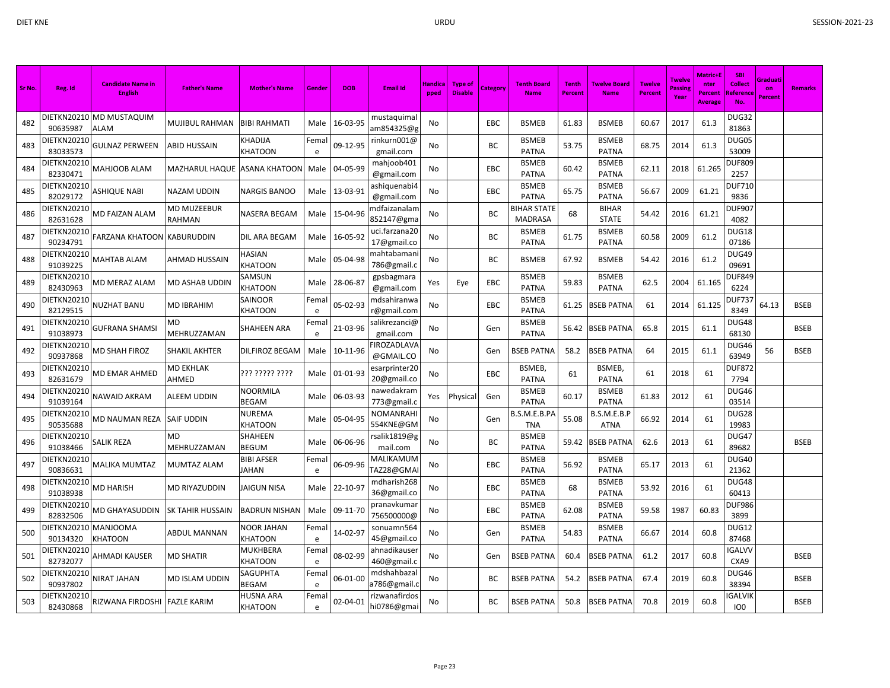| Sr No. | Reg. Id                 | <b>Candidate Name in</b><br><b>English</b> | <b>Father's Name</b>             | <b>Mother's Name</b>               | Gender             | <b>DOB</b> | <b>Email Id</b>                | Handica<br>pped | <b>Type of</b><br><b>Disable</b> | <b>Category</b> | <b>Tenth Board</b><br><b>Name</b> | <b>Tenth</b><br><b>Percent</b> | <b>Twelve Board</b><br><b>Name</b> | <b>Twelve</b><br><b>Percent</b> | <b>Twelve</b><br>Passin<br>Year | <b>Matric+E</b><br>nter<br>Percent<br>Average | <b>SBI</b><br><b>Collect</b><br>Reference<br>No. | Graduati<br>on<br><b>Percent</b> | <b>Remarks</b> |
|--------|-------------------------|--------------------------------------------|----------------------------------|------------------------------------|--------------------|------------|--------------------------------|-----------------|----------------------------------|-----------------|-----------------------------------|--------------------------------|------------------------------------|---------------------------------|---------------------------------|-----------------------------------------------|--------------------------------------------------|----------------------------------|----------------|
| 482    | 90635987                | DIETKN20210 MD MUSTAQUIM<br>ALAM           | <b>MUJIBUL RAHMAN</b>            | <b>BIBI RAHMATI</b>                | Male               | 16-03-95   | mustaquimal<br>am854325@g      | No              |                                  | EBC             | <b>BSMEB</b>                      | 61.83                          | <b>BSMEB</b>                       | 60.67                           | 2017                            | 61.3                                          | DUG32<br>81863                                   |                                  |                |
| 483    | DIETKN20210<br>83033573 | <b>GULNAZ PERWEEN</b>                      | <b>ABID HUSSAIN</b>              | KHADIJA<br>KHATOON                 | Fema<br>e          | 09-12-95   | rinkurn001@<br>gmail.com       | No              |                                  | ВC              | <b>BSMEB</b><br><b>PATNA</b>      | 53.75                          | <b>BSMEB</b><br><b>PATNA</b>       | 68.75                           | 2014                            | 61.3                                          | DUG05<br>53009                                   |                                  |                |
| 484    | DIETKN20210<br>82330471 | MAHJOOB ALAM                               | <b>MAZHARUL HAQUE</b>            | <b>ASANA KHATOON</b>               | Male               | 04-05-99   | mahjoob401<br>@gmail.com       | No              |                                  | EBC             | <b>BSMEB</b><br><b>PATNA</b>      | 60.42                          | <b>BSMEB</b><br><b>PATNA</b>       | 62.11                           | 2018                            | 61.265                                        | <b>DUF809</b><br>2257                            |                                  |                |
| 485    | DIETKN20210<br>82029172 | ASHIQUE NABI                               | <b>NAZAM UDDIN</b>               | <b>NARGIS BANOO</b>                | Male               | 13-03-91   | ashiquenabi4<br>@gmail.com     | No              |                                  | EBC             | <b>BSMEB</b><br><b>PATNA</b>      | 65.75                          | <b>BSMEB</b><br><b>PATNA</b>       | 56.67                           | 2009                            | 61.21                                         | <b>DUF710</b><br>9836                            |                                  |                |
| 486    | DIETKN20210<br>82631628 | MD FAIZAN ALAM                             | MD MUZEEBUR<br><b>RAHMAN</b>     | NASERA BEGAM                       | Male               | 15-04-96   | ndfaizanalam<br>852147@gma     | No              |                                  | ВC              | BIHAR STATE<br><b>MADRASA</b>     | 68                             | <b>BIHAR</b><br><b>STATE</b>       | 54.42                           | 2016                            | 61.21                                         | DUF907<br>4082                                   |                                  |                |
| 487    | DIETKN20210<br>90234791 | FARZANA KHATOON KABURUDDIN                 |                                  | DIL ARA BEGAM                      | Male               | 16-05-92   | uci.farzana20<br>17@gmail.co   | No              |                                  | ВC              | <b>BSMEB</b><br><b>PATNA</b>      | 61.75                          | <b>BSMEB</b><br><b>PATNA</b>       | 60.58                           | 2009                            | 61.2                                          | DUG18<br>07186                                   |                                  |                |
| 488    | DIETKN20210<br>91039225 | MAHTAB ALAM                                | AHMAD HUSSAIN                    | HASIAN<br>KHATOON                  | Male               | 05-04-98   | mahtabamani<br>786@gmail.c     | No              |                                  | ВC              | <b>BSMEB</b>                      | 67.92                          | <b>BSMEB</b>                       | 54.42                           | 2016                            | 61.2                                          | DUG49<br>09691                                   |                                  |                |
| 489    | DIETKN20210<br>82430963 | MD MERAZ ALAM                              | <b>MD ASHAB UDDIN</b>            | SAMSUN<br>KHATOON                  | Male               | 28-06-87   | gpsbagmara<br>@gmail.com       | Yes             | Eye                              | EBC             | <b>BSMEB</b><br><b>PATNA</b>      | 59.83                          | <b>BSMEB</b><br><b>PATNA</b>       | 62.5                            | 2004                            | 61.165                                        | <b>DUF849</b><br>6224                            |                                  |                |
| 490    | DIETKN20210<br>82129515 | NUZHAT BANU                                | <b>MD IBRAHIM</b>                | SAINOOR<br>KHATOON                 | Fema<br>e          | 05-02-93   | mdsahiranwa<br>r@gmail.com     | No              |                                  | EBC             | <b>BSMEB</b><br><b>PATNA</b>      | 61.25                          | <b>BSEB PATNA</b>                  | 61                              | 2014                            | 61.125                                        | <b>DUF737</b><br>8349                            | 64.13                            | <b>BSEB</b>    |
| 491    | DIETKN20210<br>91038973 | GUFRANA SHAMSI                             | MD<br>MEHRUZZAMAN                | SHAHEEN ARA                        | Fema<br>$\epsilon$ | 21-03-96   | salikrezanci@<br>gmail.com     | No              |                                  | Gen             | <b>BSMEB</b><br><b>PATNA</b>      | 56.42                          | <b>BSEB PATNA</b>                  | 65.8                            | 2015                            | 61.1                                          | DUG48<br>68130                                   |                                  | <b>BSEB</b>    |
| 492    | DIETKN20210<br>90937868 | MD SHAH FIROZ                              | <b>SHAKIL AKHTER</b>             | DILFIROZ BEGAM                     | Male               | 10-11-96   | <b>IROZADLAVA</b><br>@GMAIL.CO | No              |                                  | Gen             | <b>BSEB PATNA</b>                 | 58.2                           | <b>BSEB PATNA</b>                  | 64                              | 2015                            | 61.1                                          | DUG46<br>63949                                   | 56                               | <b>BSEB</b>    |
| 493    | DIETKN20210<br>82631679 | MD EMAR AHMED                              | <b>MD EKHLAK</b><br><b>AHMED</b> | ??? ????? ????                     | Male               | 01-01-93   | esarprinter20<br>20@gmail.co   | No              |                                  | EBC             | BSMEB,<br><b>PATNA</b>            | 61                             | BSMEB,<br><b>PATNA</b>             | 61                              | 2018                            | 61                                            | <b>DUF872</b><br>7794                            |                                  |                |
| 494    | DIETKN20210<br>91039164 | NAWAID AKRAM                               | <b>ALEEM UDDIN</b>               | NOORMILA<br>BEGAM                  | Male               | 06-03-93   | nawedakram<br>773@gmail.c      | Yes             | Physical                         | Gen             | <b>BSMEB</b><br><b>PATNA</b>      | 60.17                          | <b>BSMEB</b><br><b>PATNA</b>       | 61.83                           | 2012                            | 61                                            | DUG46<br>03514                                   |                                  |                |
| 495    | DIETKN20210<br>90535688 | MD NAUMAN REZA                             | <b>SAIF UDDIN</b>                | NUREMA<br>KHATOON                  | Male               | 05-04-95   | <b>NOMANRAHI</b><br>554KNE@GM  | No              |                                  | Gen             | B.S.M.E.B.PA<br><b>TNA</b>        | 55.08                          | B.S.M.E.B.P<br><b>ATNA</b>         | 66.92                           | 2014                            | 61                                            | DUG28<br>19983                                   |                                  |                |
| 496    | DIETKN20210<br>91038466 | SALIK REZA                                 | MD<br>MEHRUZZAMAN                | SHAHEEN<br>BEGUM                   | Male               | 06-06-96   | rsalik1819@g<br>mail.com       | No              |                                  | ВC              | <b>BSMEB</b><br><b>PATNA</b>      | 59.42                          | <b>BSEB PATNA</b>                  | 62.6                            | 2013                            | 61                                            | DUG47<br>89682                                   |                                  | <b>BSEB</b>    |
| 497    | DIETKN20210<br>90836631 | MALIKA MUMTAZ                              | <b>MUMTAZ ALAM</b>               | BIBI AFSER<br>JAHAN                | Fema<br>e          | 06-09-96   | MALIKAMUM<br>TAZ28@GMA         | No              |                                  | EBC             | <b>BSMEB</b><br><b>PATNA</b>      | 56.92                          | <b>BSMEB</b><br><b>PATNA</b>       | 65.17                           | 2013                            | 61                                            | <b>DUG40</b><br>21362                            |                                  |                |
| 498    | DIETKN20210<br>91038938 | MD HARISH                                  | MD RIYAZUDDIN                    | <b>JAIGUN NISA</b>                 | Male               | 22-10-97   | mdharish268<br>36@gmail.co     | No              |                                  | EBC             | <b>BSMEB</b><br><b>PATNA</b>      | 68                             | <b>BSMEB</b><br><b>PATNA</b>       | 53.92                           | 2016                            | 61                                            | <b>DUG48</b><br>60413                            |                                  |                |
| 499    | DIETKN20210<br>82832506 | MD GHAYASUDDIN                             | <b>SK TAHIR HUSSAIN</b>          | <b>BADRUN NISHAN</b>               | Male               | 09-11-70   | pranavkumar<br>756500000@      | No              |                                  | EBC             | <b>BSMEB</b><br><b>PATNA</b>      | 62.08                          | <b>BSMEB</b><br><b>PATNA</b>       | 59.58                           | 1987                            | 60.83                                         | <b>DUF986</b><br>3899                            |                                  |                |
| 500    | DIETKN20210<br>90134320 | <b>MANJOOMA</b><br>KHATOON                 | ABDUL MANNAN                     | NOOR JAHAN<br>KHATOON              | Fema<br>e          | 14-02-97   | sonuamn564<br>45@gmail.co      | No              |                                  | Gen             | <b>BSMEB</b><br><b>PATNA</b>      | 54.83                          | <b>BSMEB</b><br><b>PATNA</b>       | 66.67                           | 2014                            | 60.8                                          | DUG12<br>87468                                   |                                  |                |
| 501    | DIETKN20210<br>82732077 | AHMADI KAUSER                              | <b>MD SHATIR</b>                 | MUKHBERA<br>KHATOON                | Fema<br>e          | 08-02-99   | ahnadikauser<br>460@gmail.c    | No              |                                  | Gen             | <b>BSEB PATNA</b>                 | 60.4                           | <b>BSEB PATNA</b>                  | 61.2                            | 2017                            | 60.8                                          | <b>IGALVV</b><br>CXA9                            |                                  | <b>BSEB</b>    |
| 502    | DIETKN20210<br>90937802 | <b>NIRAT JAHAN</b>                         | <b>MD ISLAM UDDIN</b>            | SAGUPHTA<br>BEGAM                  | Fema<br>e          | 06-01-00   | mdshahbazal<br>a786@gmail.o    | No              |                                  | ВC              | <b>BSEB PATNA</b>                 | 54.2                           | <b>BSEB PATNA</b>                  | 67.4                            | 2019                            | 60.8                                          | DUG46<br>38394                                   |                                  | <b>BSEB</b>    |
| 503    | DIETKN20210<br>82430868 | RIZWANA FIRDOSHI FAZLE KARIM               |                                  | <b>HUSNA ARA</b><br><b>KHATOON</b> | Fema<br>e          | 02-04-01   | rizwanafirdos<br>hi0786@gmai   | No              |                                  | ВC              | <b>BSEB PATNA</b>                 | 50.8                           | <b>BSEB PATNA</b>                  | 70.8                            | 2019                            | 60.8                                          | IGALVIK<br>IO <sub>0</sub>                       |                                  | <b>BSEB</b>    |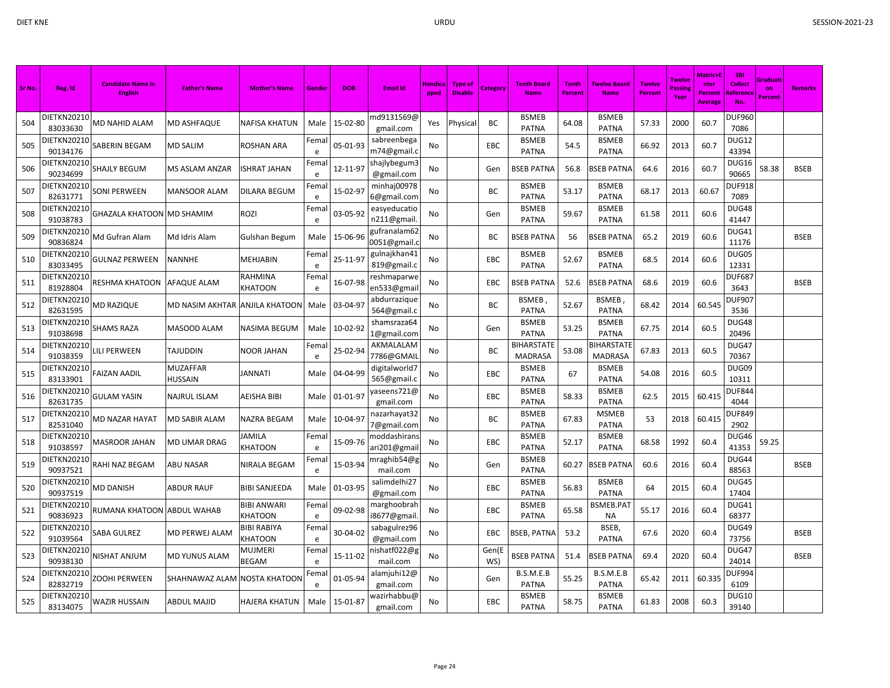| Sr No. | Reg. Id                 | <b>Candidate Name in</b><br><b>English</b> | <b>Father's Name</b>           | <b>Mother's Name</b>          | Gende     | <b>DOB</b> | <b>Email Id</b>              | Handica<br>pped | <b>Type of</b><br><b>Disable</b> | Category     | <b>Tenth Board</b><br><b>Name</b> | <b>Tenth</b><br>Percent | <b>Twelve Board</b><br><b>Name</b>  | <b>Twelve</b><br><b>Percent</b> | Twelve<br>Passin<br>Year | <b>Matric+E</b><br>nter<br>Percent<br>Average | <b>SBI</b><br><b>Collect</b><br>Referenc<br>No. | Graduati<br>on<br>Percent | <b>Remarks</b> |
|--------|-------------------------|--------------------------------------------|--------------------------------|-------------------------------|-----------|------------|------------------------------|-----------------|----------------------------------|--------------|-----------------------------------|-------------------------|-------------------------------------|---------------------------------|--------------------------|-----------------------------------------------|-------------------------------------------------|---------------------------|----------------|
| 504    | DIETKN20210<br>83033630 | MD NAHID ALAM                              | MD ASHFAQUE                    | NAFISA KHATUN                 | Male      | 15-02-80   | nd9131569@<br>gmail.com      | Yes             | Physical                         | BC           | <b>BSMEB</b><br>PATNA             | 64.08                   | <b>BSMEB</b><br><b>PATNA</b>        | 57.33                           | 2000                     | 60.7                                          | <b>DUF960</b><br>7086                           |                           |                |
| 505    | DIETKN20210<br>90134176 | SABERIN BEGAM                              | MD SALIM                       | ROSHAN ARA                    | Fema<br>e | 05-01-93   | sabreenbega<br>m74@gmail.c   | No              |                                  | EBC          | <b>BSMEB</b><br><b>PATNA</b>      | 54.5                    | <b>BSMEB</b><br><b>PATNA</b>        | 66.92                           | 2013                     | 60.7                                          | DUG12<br>43394                                  |                           |                |
| 506    | DIETKN20210<br>90234699 | SHAJLY BEGUM                               | MS ASLAM ANZAR                 | ISHRAT JAHAN                  | Fema<br>e | 12-11-97   | shajlybegum3<br>@gmail.com   | No              |                                  | Gen          | <b>BSEB PATNA</b>                 | 56.8                    | <b>BSEB PATNA</b>                   | 64.6                            | 2016                     | 60.7                                          | DUG16<br>90665                                  | 58.38                     | <b>BSEB</b>    |
| 507    | DIETKN20210<br>82631771 | <b>SONI PERWEEN</b>                        | <b>MANSOOR ALAM</b>            | DILARA BEGUM                  | Fema<br>e | 15-02-97   | minhaj00978<br>6@gmail.com   | No              |                                  | ВC           | <b>BSMEB</b><br><b>PATNA</b>      | 53.17                   | <b>BSMEB</b><br><b>PATNA</b>        | 68.17                           | 2013                     | 60.67                                         | <b>DUF918</b><br>7089                           |                           |                |
| 508    | DIETKN20210<br>91038783 | <b>GHAZALA KHATOON MD SHAMIM</b>           |                                | ROZI                          | Fema<br>e | 03-05-92   | easyeducatio<br>n211@gmail   | No              |                                  | Gen          | <b>BSMEB</b><br><b>PATNA</b>      | 59.67                   | <b>BSMEB</b><br><b>PATNA</b>        | 61.58                           | 2011                     | 60.6                                          | DUG48<br>41447                                  |                           |                |
| 509    | DIETKN20210<br>90836824 | Md Gufran Alam                             | Md Idris Alam                  | Gulshan Begum                 | Male      | 15-06-96   | 3ufranalam62<br>0051@gmail.  | No              |                                  | BC           | <b>BSEB PATNA</b>                 | 56                      | <b>BSEB PATNA</b>                   | 65.2                            | 2019                     | 60.6                                          | DUG41<br>11176                                  |                           | <b>BSEB</b>    |
| 510    | DIETKN20210<br>83033495 | <b>GULNAZ PERWEEN</b>                      | NANNHE                         | MEHJABIN                      | Fema<br>e | 25-11-97   | gulnajkhan41<br>819@gmail.c  | No              |                                  | EBC          | <b>BSMEB</b><br><b>PATNA</b>      | 52.67                   | <b>BSMEB</b><br><b>PATNA</b>        | 68.5                            | 2014                     | 60.6                                          | DUG05<br>12331                                  |                           |                |
| 511    | DIETKN20210<br>81928804 | RESHMA KHATOON                             | <b>AFAQUE ALAM</b>             | RAHMINA<br>KHATOON            | Fema<br>e | 16-07-98   | reshmaparwe<br>en533@gmail   | No              |                                  | EBC          | <b>BSEB PATNA</b>                 | 52.6                    | <b>BSEB PATNA</b>                   | 68.6                            | 2019                     | 60.6                                          | <b>DUF687</b><br>3643                           |                           | <b>BSEB</b>    |
| 512    | DIETKN20210<br>82631595 | <b>MD RAZIQUE</b>                          | MD NASIM AKHTAR ANJILA KHATOON |                               | Male      | 03-04-97   | abdurrazique<br>564@gmail.c  | No              |                                  | ВC           | <b>BSMEB</b><br><b>PATNA</b>      | 52.67                   | BSMEB<br><b>PATNA</b>               | 68.42                           | 2014                     | 60.545                                        | DUF90<br>3536                                   |                           |                |
| 513    | DIETKN20210<br>91038698 | <b>SHAMS RAZA</b>                          | MASOOD ALAM                    | NASIMA BEGUM                  | Male      | 10-02-92   | shamsraza64<br>1@gmail.com   | No              |                                  | Gen          | <b>BSMEB</b><br><b>PATNA</b>      | 53.25                   | <b>BSMEB</b><br><b>PATNA</b>        | 67.75                           | 2014                     | 60.5                                          | DUG48<br>20496                                  |                           |                |
| 514    | DIETKN20210<br>91038359 | LILI PERWEEN                               | TAJUDDIN                       | NOOR JAHAN                    | Fema<br>e | 25-02-94   | AKMALALAM<br>7786@GMAIL      | No              |                                  | BC           | BIHARSTATE<br><b>MADRASA</b>      | 53.08                   | <b>BIHARSTATE</b><br><b>MADRASA</b> | 67.83                           | 2013                     | 60.5                                          | DUG47<br>70367                                  |                           |                |
| 515    | DIETKN20210<br>83133901 | <b>FAIZAN AADIL</b>                        | MUZAFFAR<br><b>HUSSAIN</b>     | <b>JANNATI</b>                | Male      | 04-04-99   | digitalworld7<br>565@gmail.c | No              |                                  | EBC          | <b>BSMEB</b><br>PATNA             | 67                      | <b>BSMEB</b><br><b>PATNA</b>        | 54.08                           | 2016                     | 60.5                                          | DUG09<br>10311                                  |                           |                |
| 516    | DIETKN20210<br>82631735 | <b>GULAM YASIN</b>                         | NAJRUL ISLAM                   | AEISHA BIBI                   | Male      | 01-01-97   | yaseens721@<br>gmail.com     | No              |                                  | EBC          | <b>BSMEB</b><br><b>PATNA</b>      | 58.33                   | <b>BSMEB</b><br><b>PATNA</b>        | 62.5                            | 2015                     | 60.415                                        | <b>DUF844</b><br>4044                           |                           |                |
| 517    | DIETKN20210<br>82531040 | MD NAZAR HAYAT                             | MD SABIR ALAM                  | NAZRA BEGAM                   | Male      | 10-04-97   | nazarhayat32<br>7@gmail.com  | No              |                                  | ВC           | <b>BSMEB</b><br><b>PATNA</b>      | 67.83                   | <b>MSMEB</b><br><b>PATNA</b>        | 53                              | 2018                     | 60.415                                        | <b>DUF849</b><br>2902                           |                           |                |
| 518    | DIETKN20210<br>91038597 | <b>MASROOR JAHAN</b>                       | <b>MD UMAR DRAG</b>            | JAMILA<br>KHATOON             | Fema<br>e | 15-09-76   | noddashirans<br>ari201@gmai  | No              |                                  | EBC          | <b>BSMEB</b><br><b>PATNA</b>      | 52.17                   | <b>BSMEB</b><br><b>PATNA</b>        | 68.58                           | 1992                     | 60.4                                          | DUG46<br>41353                                  | 59.25                     |                |
| 519    | DIETKN20210<br>90937521 | RAHI NAZ BEGAM                             | ABU NASAR                      | NIRALA BEGAM                  | Fema<br>e | 15-03-94   | nraghib54@g<br>mail.com      | No              |                                  | Gen          | <b>BSMEB</b><br><b>PATNA</b>      | 60.27                   | <b>BSEB PATNA</b>                   | 60.6                            | 2016                     | 60.4                                          | DUG44<br>88563                                  |                           | <b>BSEB</b>    |
| 520    | DIETKN20210<br>90937519 | MD DANISH                                  | ABDUR RAUF                     | BIBI SANJEEDA                 | Male      | 01-03-95   | salimdelhi27<br>@gmail.com   | No              |                                  | EBC          | <b>BSMEB</b><br><b>PATNA</b>      | 56.83                   | <b>BSMEB</b><br><b>PATNA</b>        | 64                              | 2015                     | 60.4                                          | DUG45<br>17404                                  |                           |                |
| 521    | DIETKN20210<br>90836923 | RUMANA KHATOON  ABDUL WAHAB                |                                | <b>BIBI ANWARI</b><br>KHATOON | Fema<br>e | 09-02-98   | marghoobrah<br>i8677@gmail   | No              |                                  | EBC          | <b>BSMEB</b><br>PATNA             | 65.58                   | BSMEB.PAT<br><b>NA</b>              | 55.17                           | 2016                     | 60.4                                          | DUG41<br>68377                                  |                           |                |
| 522    | DIETKN20210<br>91039564 | SABA GULREZ                                | MD PERWEJ ALAM                 | BIBI RABIYA<br>KHATOON        | Fema<br>e | 30-04-02   | sabagulrez96<br>@gmail.com   | No              |                                  | EBC          | <b>BSEB, PATNA</b>                | 53.2                    | BSEB,<br><b>PATNA</b>               | 67.6                            | 2020                     | 60.4                                          | DUG49<br>73756                                  |                           | <b>BSEB</b>    |
| 523    | DIETKN20210<br>90938130 | NISHAT ANJUM                               | MD YUNUS ALAM                  | MUJMERI<br>BEGAM              | Fema<br>e | 15-11-02   | nishatf022@g<br>mail.com     | No              |                                  | Gen(E<br>WS) | BSEB PATNA                        | 51.4                    | BSEB PATNA                          | 69.4                            | 2020                     | 60.4                                          | DUG47<br>24014                                  |                           | <b>BSEB</b>    |
| 524    | DIETKN20210<br>82832719 | ZOOHI PERWEEN                              | SHAHNAWAZ ALAM NOSTA KHATOON   |                               | Fema<br>e | 01-05-94   | alamjuhi12@<br>gmail.com     | No              |                                  | Gen          | B.S.M.E.B<br><b>PATNA</b>         | 55.25                   | B.S.M.E.B<br><b>PATNA</b>           | 65.42                           | 2011                     | 60.335                                        | DUF994<br>6109                                  |                           |                |
| 525    | DIETKN20210<br>83134075 | WAZIR HUSSAIN                              | ABDUL MAJID                    | HAJERA KHATUN                 | Male      | 15-01-87   | wazirhabbu@<br>gmail.com     | No              |                                  | EBC          | <b>BSMEB</b><br>PATNA             | 58.75                   | <b>BSMEB</b><br><b>PATNA</b>        | 61.83                           | 2008                     | 60.3                                          | <b>DUG10</b><br>39140                           |                           |                |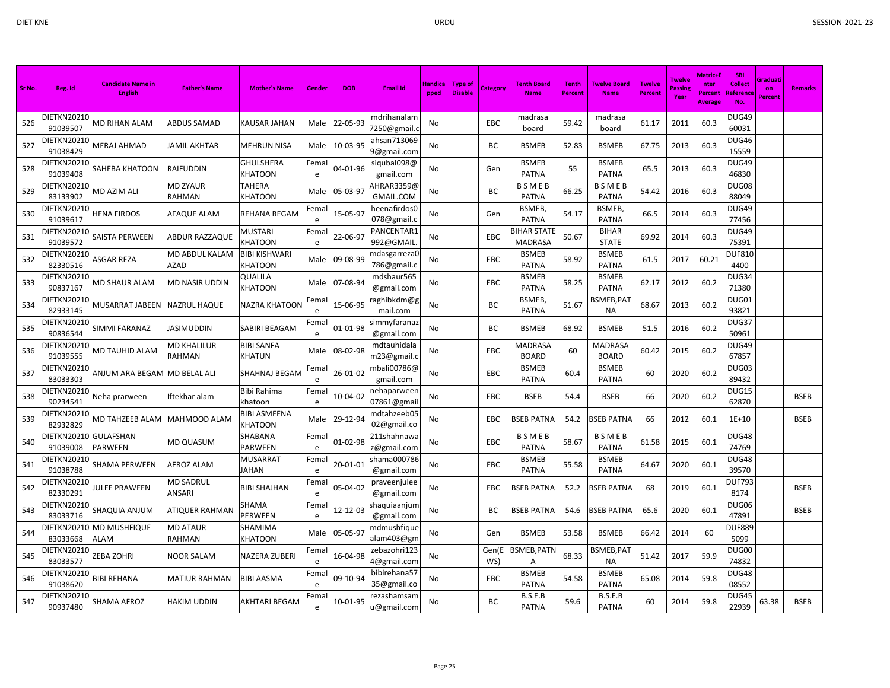| Sr No. | Reg. Id                        | <b>Candidate Name in</b><br><b>English</b> | <b>Father's Name</b>       | <b>Mother's Name</b>                  | Gende     | <b>DOB</b> | <b>Email Id</b>             | Handica<br>pped | Type of<br><b>Disable</b> | Category     | <b>Tenth Board</b><br><b>Name</b> | <b>Tenth</b><br>Percent | <b>Twelve Board</b><br><b>Name</b> | <b>Twelve</b><br><b>Percent</b> | <b>Twelve</b><br>Passing<br>Year | Matric+E<br>nter<br>Percent<br>Average | <b>SBI</b><br><b>Collect</b><br>Reference<br>No. | Graduati<br>on<br>Percent | <b>Remarks</b> |
|--------|--------------------------------|--------------------------------------------|----------------------------|---------------------------------------|-----------|------------|-----------------------------|-----------------|---------------------------|--------------|-----------------------------------|-------------------------|------------------------------------|---------------------------------|----------------------------------|----------------------------------------|--------------------------------------------------|---------------------------|----------------|
| 526    | DIETKN20210<br>91039507        | <b>MD RIHAN ALAM</b>                       | ABDUS SAMAD                | KAUSAR JAHAN                          | Male      | 22-05-93   | mdrihanalam<br>7250@gmail.c | No              |                           | <b>EBC</b>   | madrasa<br>board                  | 59.42                   | madrasa<br>board                   | 61.17                           | 2011                             | 60.3                                   | DUG49<br>60031                                   |                           |                |
| 527    | DIETKN20210<br>91038429        | <b>MERAJ AHMAD</b>                         | IAMIL AKHTAR               | MEHRUN NISA                           | Male      | 10-03-95   | ahsan713069<br>9@gmail.com  | No              |                           | BC           | <b>BSMEB</b>                      | 52.83                   | <b>BSMEB</b>                       | 67.75                           | 2013                             | 60.3                                   | DUG46<br>15559                                   |                           |                |
| 528    | DIETKN20210<br>91039408        | SAHEBA KHATOON                             | RAIFUDDIN                  | <b>GHULSHERA</b><br>KHATOON           | Fema<br>e | 04-01-96   | siqubal098@<br>gmail.com    | No              |                           | Gen          | <b>BSMEB</b><br><b>PATNA</b>      | 55                      | <b>BSMEB</b><br><b>PATNA</b>       | 65.5                            | 2013                             | 60.3                                   | DUG49<br>46830                                   |                           |                |
| 529    | DIETKN20210<br>83133902        | MD AZIM ALI                                | <b>MD ZYAUR</b><br>RAHMAN  | TAHERA<br>KHATOON                     | Male      | 05-03-97   | AHRAR3359@<br>GMAIL.COM     | No              |                           | BC           | BSMEB<br><b>PATNA</b>             | 66.25                   | <b>BSMEB</b><br><b>PATNA</b>       | 54.42                           | 2016                             | 60.3                                   | DUG08<br>88049                                   |                           |                |
| 530    | DIETKN20210<br>91039617        | <b>HENA FIRDOS</b>                         | AFAQUE ALAM                | REHANA BEGAM                          | Fema<br>e | 15-05-97   | heenafirdos0<br>078@gmail.c | No              |                           | Gen          | BSMEB,<br><b>PATNA</b>            | 54.17                   | BSMEB,<br><b>PATNA</b>             | 66.5                            | 2014                             | 60.3                                   | DUG49<br>77456                                   |                           |                |
| 531    | DIETKN20210<br>91039572        | SAISTA PERWEEN                             | <b>ABDUR RAZZAQUE</b>      | MUSTARI<br><b>KHATOON</b>             | Fema<br>e | 22-06-97   | PANCENTAR1<br>992@GMAIL     | No              |                           | EBC          | BIHAR STATE<br><b>MADRASA</b>     | 50.67                   | <b>BIHAR</b><br><b>STATE</b>       | 69.92                           | 2014                             | 60.3                                   | DUG49<br>75391                                   |                           |                |
| 532    | DIETKN20210<br>82330516        | <b>ASGAR REZA</b>                          | MD ABDUL KALAM<br>AZAD     | BIBI KISHWARI<br>KHATOON              | Male      | 09-08-99   | mdasgarreza0<br>786@gmail.c | No              |                           | EBC          | <b>BSMEB</b><br><b>PATNA</b>      | 58.92                   | <b>BSMEB</b><br><b>PATNA</b>       | 61.5                            | 2017                             | 60.21                                  | <b>DUF810</b><br>4400                            |                           |                |
| 533    | DIETKN20210<br>90837167        | MD SHAUR ALAM                              | MD NASIR UDDIN             | QUALILA<br>KHATOON                    | Male      | 07-08-94   | mdshaur565<br>@gmail.com    | No              |                           | EBC          | <b>BSMEB</b><br><b>PATNA</b>      | 58.25                   | <b>BSMEB</b><br><b>PATNA</b>       | 62.17                           | 2012                             | 60.2                                   | DUG34<br>71380                                   |                           |                |
| 534    | DIETKN20210<br>82933145        | MUSARRAT JABEEN                            | NAZRUL HAQUE               | <b>NAZRA KHATOON</b>                  | Fema<br>e | 15-06-95   | raghibkdm@g<br>mail.com     | No              |                           | <b>BC</b>    | <b>BSMEB</b><br><b>PATNA</b>      | 51.67                   | BSMEB, PAT<br><b>NA</b>            | 68.67                           | 2013                             | 60.2                                   | DUG01<br>93821                                   |                           |                |
| 535    | DIETKN20210<br>90836544        | SIMMI FARANAZ                              | IASIMUDDIN                 | SABIRI BEAGAM                         | Fema<br>e | 01-01-98   | simmyfaranaz<br>@gmail.com  | No              |                           | BC           | <b>BSMEB</b>                      | 68.92                   | <b>BSMEB</b>                       | 51.5                            | 2016                             | 60.2                                   | DUG37<br>50961                                   |                           |                |
| 536    | DIETKN20210<br>91039555        | MD TAUHID ALAM                             | MD KHALILUR<br>RAHMAN      | <b>BIBI SANFA</b><br><b>KHATUN</b>    | Male      | 08-02-98   | mdtauhidala<br>m23@gmail.c  | No              |                           | EBC          | <b>MADRASA</b><br><b>BOARD</b>    | 60                      | <b>MADRASA</b><br><b>BOARD</b>     | 60.42                           | 2015                             | 60.2                                   | DUG49<br>67857                                   |                           |                |
| 537    | DIETKN20210<br>83033303        | ANJUM ARA BEGAM                            | <b>MD BELAL ALI</b>        | SHAHNAJ BEGAM                         | Fema<br>e | 26-01-02   | mbali00786@<br>gmail.com    | No              |                           | EBC          | <b>BSMEB</b><br><b>PATNA</b>      | 60.4                    | <b>BSMEB</b><br><b>PATNA</b>       | 60                              | 2020                             | 60.2                                   | DUG03<br>89432                                   |                           |                |
| 538    | DIETKN20210<br>90234541        | Neha prarween                              | lftekhar alam              | Bibi Rahima<br>khatoon                | Fema<br>e | 10-04-02   | nehaparween<br>07861@gmai   | No              |                           | EBC          | <b>BSEB</b>                       | 54.4                    | <b>BSEB</b>                        | 66                              | 2020                             | 60.2                                   | DUG15<br>62870                                   |                           | <b>BSEB</b>    |
| 539    | <b>DIETKN20210</b><br>82932829 | MD TAHZEEB ALAM                            | MAHMOOD ALAM               | <b>BIBI ASMEENA</b><br><b>KHATOON</b> | Male      | 29-12-94   | mdtahzeeb05<br>02@gmail.co  | No              |                           | EBC          | <b>BSEB PATNA</b>                 | 54.2                    | <b>BSEB PATNA</b>                  | 66                              | 2012                             | 60.1                                   | $1E + 10$                                        |                           | <b>BSEB</b>    |
| 540    | DIETKN20210<br>91039008        | <b>GULAFSHAN</b><br><b>PARWEEN</b>         | MD QUASUM                  | SHABANA<br><b>PARWEEN</b>             | Fema<br>e | 01-02-98   | 211shahnawa<br>z@gmail.com  | No              |                           | EBC          | <b>BSMEB</b><br><b>PATNA</b>      | 58.67                   | <b>BSMEB</b><br><b>PATNA</b>       | 61.58                           | 2015                             | 60.1                                   | DUG48<br>74769                                   |                           |                |
| 541    | DIETKN20210<br>91038788        | SHAMA PERWEEN                              | AFROZ ALAM                 | MUSARRAT<br>JAHAN                     | Fema<br>e | 20-01-01   | shama000786<br>@gmail.com   | No              |                           | EBC          | <b>BSMEB</b><br><b>PATNA</b>      | 55.58                   | <b>BSMEB</b><br><b>PATNA</b>       | 64.67                           | 2020                             | 60.1                                   | DUG48<br>39570                                   |                           |                |
| 542    | DIETKN20210<br>82330291        | <b>JULEE PRAWEEN</b>                       | <b>MD SADRUL</b><br>ANSARI | <b>BIBI SHAJHAN</b>                   | Fema<br>e | 05-04-02   | praveenjulee<br>@gmail.com  | No              |                           | EBC          | <b>BSEB PATNA</b>                 | 52.2                    | <b>BSEB PATNA</b>                  | 68                              | 2019                             | 60.1                                   | <b>DUF793</b><br>8174                            |                           | <b>BSEB</b>    |
| 543    | DIETKN20210<br>83033716        | SHAQUIA ANJUM                              | ATIQUER RAHMAN             | SHAMA<br>PERWEEN                      | Fema<br>e | 12-12-03   | shaquiaanjum<br>@gmail.com  | No              |                           | BC           | <b>BSEB PATNA</b>                 | 54.6                    | <b>BSEB PATNA</b>                  | 65.6                            | 2020                             | 60.1                                   | DUG06<br>47891                                   |                           | <b>BSEB</b>    |
| 544    | DIETKN20210<br>83033668        | <b>MD MUSHFIQUE</b><br><b>ALAM</b>         | MD ATAUR<br><b>RAHMAN</b>  | SHAMIMA<br>KHATOON                    | Male      | 05-05-97   | mdmushfique<br>alam403@gm   | No              |                           | Gen          | <b>BSMEB</b>                      | 53.58                   | <b>BSMEB</b>                       | 66.42                           | 2014                             | 60                                     | <b>DUF889</b><br>5099                            |                           |                |
| 545    | DIETKN20210<br>83033577        | ZEBA ZOHRI                                 | NOOR SALAM                 | NAZERA ZUBERI                         | Fema<br>e | 16-04-98   | zebazohri123<br>4@gmail.com | No              |                           | Gen(E<br>WS) | <b>BSMEB, PATN</b><br>Α           | 68.33                   | BSMEB, PAT<br>NA                   | 51.42                           | 2017                             | 59.9                                   | DUG00<br>74832                                   |                           |                |
| 546    | DIETKN20210<br>91038620        | BIBI REHANA                                | MATIUR RAHMAN              | <b>BIBI AASMA</b>                     | Fema<br>e | 09-10-94   | bibirehana57<br>35@gmail.co | No              |                           | EBC          | <b>BSMEB</b><br><b>PATNA</b>      | 54.58                   | <b>BSMEB</b><br><b>PATNA</b>       | 65.08                           | 2014                             | 59.8                                   | DUG48<br>08552                                   |                           |                |
| 547    | DIETKN20210<br>90937480        | SHAMA AFROZ                                | HAKIM UDDIN                | AKHTARI BEGAM                         | Fema<br>e | 10-01-95   | rezashamsam<br>u@gmail.com  | No              |                           | BC           | B.S.E.B<br><b>PATNA</b>           | 59.6                    | B.S.E.B<br><b>PATNA</b>            | 60                              | 2014                             | 59.8                                   | DUG45<br>22939                                   | 63.38                     | <b>BSEB</b>    |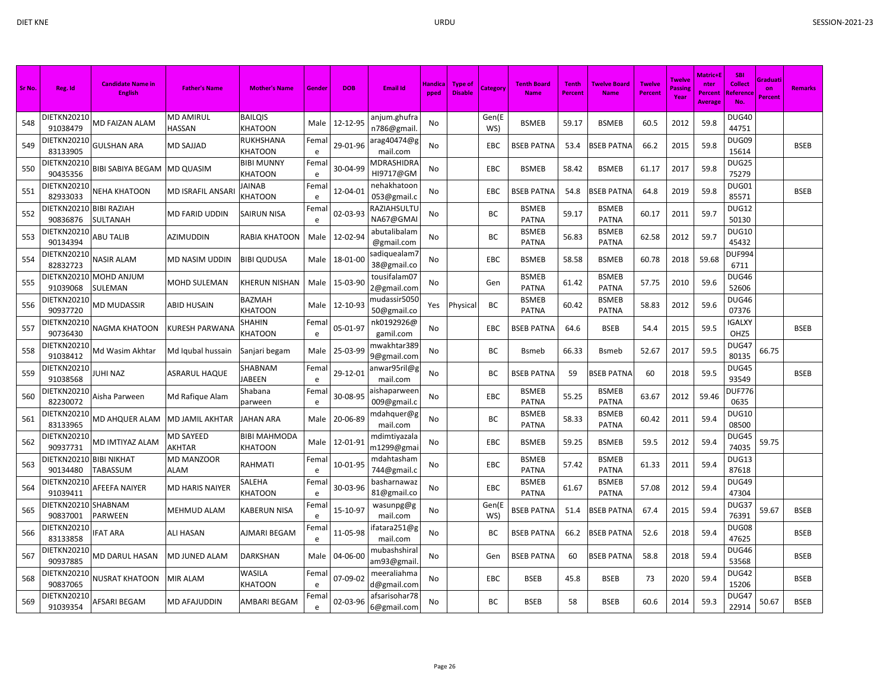| Sr No. | Reg. Id                         | <b>Candidate Name in</b><br><b>English</b> | <b>Father's Name</b> | <b>Mother's Name</b>           | Gender    | <b>DOB</b> | <b>Email Id</b>              | <b>Handica</b><br>pped | <b>Type of</b><br><b>Disable</b> | Category     | <b>Tenth Board</b><br><b>Name</b> | <b>Tenth</b><br>Percent | <b>Twelve Board</b><br><b>Name</b> | <b>Twelve</b><br><b>Percent</b> | <b>Twelve</b><br><b>Passins</b><br>Year | Matric+l<br>nter<br><b>Percent</b><br><b>Average</b> | <b>SBI</b><br><b>Collect</b><br>Reference<br>No. | Graduati<br>on<br>Percent | <b>Remarks</b> |
|--------|---------------------------------|--------------------------------------------|----------------------|--------------------------------|-----------|------------|------------------------------|------------------------|----------------------------------|--------------|-----------------------------------|-------------------------|------------------------------------|---------------------------------|-----------------------------------------|------------------------------------------------------|--------------------------------------------------|---------------------------|----------------|
| 548    | DIETKN20210<br>91038479         | <b>MD FAIZAN ALAM</b>                      | MD AMIRUL<br>HASSAN  | <b>BAILQIS</b><br>KHATOON      | Male      | 12-12-95   | anjum.ghufra<br>n786@gmail.  | No                     |                                  | Gen(E<br>WS) | <b>BSMEB</b>                      | 59.17                   | <b>BSMEB</b>                       | 60.5                            | 2012                                    | 59.8                                                 | <b>DUG40</b><br>44751                            |                           |                |
| 549    | DIETKN20210<br>83133905         | <b>GULSHAN ARA</b>                         | MD SAJJAD            | RUKHSHANA<br>KHATOON           | Fema<br>e | 29-01-96   | arag40474@g<br>mail.com      | No                     |                                  | EBC          | <b>BSEB PATNA</b>                 | 53.4                    | BSEB PATNA                         | 66.2                            | 2015                                    | 59.8                                                 | DUG09<br>15614                                   |                           | <b>BSEB</b>    |
| 550    | <b>DIETKN20210</b><br>90435356  | <b>BIBI SABIYA BEGAM</b>                   | MD QUASIM            | <b>BIBI MUNNY</b><br>KHATOON   | Fema<br>e | 30-04-99   | MDRASHIDRA<br>HI9717@GM      | No                     |                                  | EBC          | <b>BSMEB</b>                      | 58.42                   | <b>BSMEB</b>                       | 61.17                           | 2017                                    | 59.8                                                 | DUG25<br>75279                                   |                           |                |
| 551    | DIETKN20210<br>82933033         | NEHA KHATOON                               | MD ISRAFIL ANSARI    | <b>AINAB</b><br><b>KHATOON</b> | Fema<br>e | 12-04-01   | nehakhatoon<br>053@gmail.c   | No                     |                                  | EBC          | <b>BSEB PATNA</b>                 | 54.8                    | BSEB PATNA                         | 64.8                            | 2019                                    | 59.8                                                 | DUG01<br>85571                                   |                           | <b>BSEB</b>    |
| 552    | DIETKN20210<br>90836876         | <b>BIBI RAZIAH</b><br>SULTANAH             | MD FARID UDDIN       | <b>SAIRUN NISA</b>             | Fema<br>e | 02-03-93   | RAZIAHSULTU<br>NA67@GMAI     | No                     |                                  | BC           | <b>BSMEB</b><br><b>PATNA</b>      | 59.17                   | <b>BSMEB</b><br><b>PATNA</b>       | 60.17                           | 2011                                    | 59.7                                                 | <b>DUG12</b><br>50130                            |                           |                |
| 553    | DIETKN20210<br>90134394         | ABU TALIB                                  | AZIMUDDIN            | RABIA KHATOON                  | Male      | 12-02-94   | abutalibalam<br>@gmail.com   | No                     |                                  | <b>BC</b>    | <b>BSMEB</b><br><b>PATNA</b>      | 56.83                   | <b>BSMEB</b><br><b>PATNA</b>       | 62.58                           | 2012                                    | 59.7                                                 | <b>DUG10</b><br>45432                            |                           |                |
| 554    | DIETKN20210<br>82832723         | NASIR ALAM                                 | MD NASIM UDDIN       | BIBI QUDUSA                    | Male      | 18-01-00   | sadiquealam7<br>38@gmail.co  | No                     |                                  | EBC          | <b>BSMEB</b>                      | 58.58                   | <b>BSMEB</b>                       | 60.78                           | 2018                                    | 59.68                                                | <b>DUF994</b><br>6711                            |                           |                |
| 555    | DIETKN20210<br>91039068         | MOHD ANJUM<br>SULEMAN                      | MOHD SULEMAN         | KHERUN NISHAN                  | Male      | 15-03-90   | tousifalam07<br>2@gmail.com  | No                     |                                  | Gen          | <b>BSMEB</b><br><b>PATNA</b>      | 61.42                   | <b>BSMEB</b><br><b>PATNA</b>       | 57.75                           | 2010                                    | 59.6                                                 | DUG46<br>52606                                   |                           |                |
| 556    | DIETKN20210<br>90937720         | MD MUDASSIR                                | ABID HUSAIN          | BAZMAH<br>KHATOON              | Male      | 12-10-93   | mudassir5050<br>50@gmail.co  | Yes                    | Physical                         | BC           | <b>BSMEB</b><br><b>PATNA</b>      | 60.42                   | <b>BSMEB</b><br><b>PATNA</b>       | 58.83                           | 2012                                    | 59.6                                                 | DUG46<br>07376                                   |                           |                |
| 557    | DIETKN20210<br>90736430         | NAGMA KHATOON                              | KURESH PARWANA       | SHAHIN<br>KHATOON              | Fema<br>e | 05-01-97   | nk0192926@<br>gamil.com      | No                     |                                  | EBC          | <b>BSEB PATNA</b>                 | 64.6                    | <b>BSEB</b>                        | 54.4                            | 2015                                    | 59.5                                                 | <b>IGALXY</b><br>OHZ5                            |                           | <b>BSEB</b>    |
| 558    | DIETKN20210<br>91038412         | Md Wasim Akhtar                            | Md Iqubal hussain    | Sanjari begam                  | Male      | 25-03-99   | mwakhtar389<br>9@gmail.com   | No                     |                                  | <b>BC</b>    | <b>Bsmeb</b>                      | 66.33                   | <b>B</b> smeb                      | 52.67                           | 2017                                    | 59.5                                                 | DUG47<br>80135                                   | 66.75                     |                |
| 559    | DIETKN20210<br>91038568         | JUHI NAZ                                   | ASRARUL HAQUE        | SHABNAM<br>IABEEN              | Fema<br>e | 29-12-01   | anwar95ril@g<br>mail.com     | No                     |                                  | BC           | <b>BSEB PATNA</b>                 | 59                      | BSEB PATNA                         | 60                              | 2018                                    | 59.5                                                 | DUG45<br>93549                                   |                           | <b>BSEB</b>    |
| 560    | DIETKN20210<br>82230072         | Aisha Parween                              | Md Rafique Alam      | Shabana<br>parween             | Fema<br>e | 30-08-95   | aishaparweer<br>009@gmail.c  | No                     |                                  | EBC          | <b>BSMEB</b><br><b>PATNA</b>      | 55.25                   | <b>BSMEB</b><br><b>PATNA</b>       | 63.67                           | 2012                                    | 59.46                                                | <b>DUF776</b><br>0635                            |                           |                |
| 561    | DIETKN20210<br>83133965         | MD AHQUER ALAM                             | MD JAMIL AKHTAR      | IAHAN ARA                      | Male      | 20-06-89   | mdahquer@g<br>mail.com       | No                     |                                  | BC           | <b>BSMEB</b><br><b>PATNA</b>      | 58.33                   | <b>BSMEB</b><br><b>PATNA</b>       | 60.42                           | 2011                                    | 59.4                                                 | <b>DUG10</b><br>08500                            |                           |                |
| 562    | DIETKN20210<br>90937731         | MD IMTIYAZ ALAM                            | MD SAYEED<br>AKHTAR  | <b>BIBI MAHMODA</b><br>KHATOON | Male      | 12-01-91   | mdimtiyazala<br>m1299@gmai   | No                     |                                  | EBC          | <b>BSMEB</b>                      | 59.25                   | <b>BSMEB</b>                       | 59.5                            | 2012                                    | 59.4                                                 | DUG45<br>74035                                   | 59.75                     |                |
| 563    | DIETKN20210<br>90134480         | <b>BIBI NIKHAT</b><br><b>TABASSUM</b>      | MD MANZOOR<br>ALAM   | RAHMATI                        | Fema<br>e | 10-01-95   | mdahtasham<br>744@gmail.c    | No                     |                                  | EBC          | <b>BSMEB</b><br><b>PATNA</b>      | 57.42                   | <b>BSMEB</b><br><b>PATNA</b>       | 61.33                           | 2011                                    | 59.4                                                 | DUG13<br>87618                                   |                           |                |
| 564    | DIETKN20210<br>91039411         | AFEEFA NAIYER                              | MD HARIS NAIYER      | SALEHA<br>KHATOON              | Fema<br>e | 30-03-96   | basharnawaz<br>81@gmail.co   | No                     |                                  | EBC          | <b>BSMEB</b><br><b>PATNA</b>      | 61.67                   | <b>BSMEB</b><br><b>PATNA</b>       | 57.08                           | 2012                                    | 59.4                                                 | DUG49<br>47304                                   |                           |                |
| 565    | DIETKN20210 SHABNAM<br>90837001 | <b>PARWEEN</b>                             | MEHMUD ALAM          | KABERUN NISA                   | Fema<br>e | 15-10-97   | wasunpg@g<br>mail.com        | No                     |                                  | Gen(E<br>WS) | BSEB PATNA                        | 51.4                    | BSEB PATNA                         | 67.4                            | 2015                                    | 59.4                                                 | DUG37<br>76391                                   | 59.67                     | <b>BSEB</b>    |
| 566    | DIETKN20210<br>83133858         | IFAT ARA                                   | ALI HASAN            | AJMARI BEGAM                   | Fema      | 11-05-98   | fatara251@g<br>mail.com      | No                     |                                  | ВC           | <b>BSEB PATNA</b>                 | 66.2                    | BSEB PATNA                         | 52.6                            | 2018                                    | 59.4                                                 | DUG08<br>47625                                   |                           | <b>BSEB</b>    |
| 567    | DIETKN20210<br>90937885         | MD DARUL HASAN                             | MD JUNED ALAM        | DARKSHAN                       | Male      | 04-06-00   | mubashshiral<br>am93@gmail   | No                     |                                  | Gen          | <b>BSEB PATNA</b>                 | 60                      | <b>BSEB PATNA</b>                  | 58.8                            | 2018                                    | 59.4                                                 | DUG46<br>53568                                   |                           | <b>BSEB</b>    |
| 568    | DIETKN20210<br>90837065         | NUSRAT KHATOON                             | MIR ALAM             | WASILA<br>KHATOON              | Fema<br>e | 07-09-02   | meeraliahma<br>d@gmail.com   | No                     |                                  | EBC          | <b>BSEB</b>                       | 45.8                    | <b>BSEB</b>                        | 73                              | 2020                                    | 59.4                                                 | DUG42<br>15206                                   |                           | <b>BSEB</b>    |
| 569    | DIETKN20210<br>91039354         | AFSARI BEGAM                               | MD AFAJUDDIN         | AMBARI BEGAM                   | Fema<br>e | 02-03-96   | afsarisohar78<br>6@gmail.com | No                     |                                  | <b>BC</b>    | <b>BSEB</b>                       | 58                      | <b>BSEB</b>                        | 60.6                            | 2014                                    | 59.3                                                 | DUG47<br>22914                                   | 50.67                     | <b>BSEB</b>    |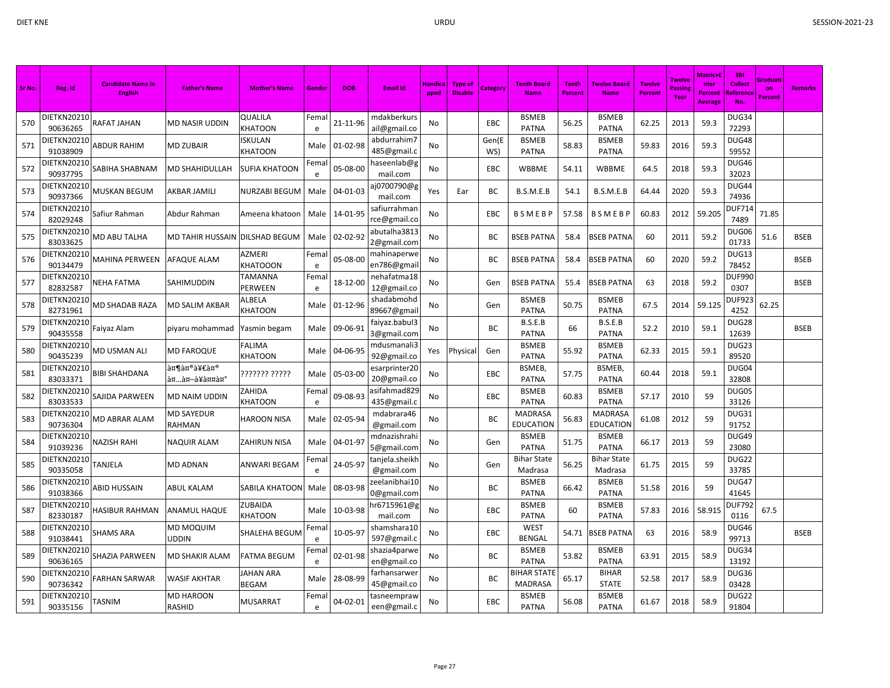| Sr No. | Reg. Id                        | <b>Candidate Name in</b><br><b>English</b> | <b>Father's Name</b>           | <b>Mother's Name</b>      | Gender     | <b>DOB</b> | <b>Email Id</b>              | Handica<br>pped | <b>Type of</b><br><b>Disable</b> | Category     | <b>Tenth Board</b><br><b>Name</b>  | <b>Tenth</b><br><b>Percent</b> | <b>Twelve Board</b><br><b>Name</b> | <b>Twelve</b><br><b>Percent</b> | <b>Twelve</b><br>Passin<br>Year | Matric+I<br>nter<br>Percent<br>Average | <b>SBI</b><br><b>Collect</b><br>Reference | Graduati<br>on<br><b>Percent</b> | <b>Remarks</b> |
|--------|--------------------------------|--------------------------------------------|--------------------------------|---------------------------|------------|------------|------------------------------|-----------------|----------------------------------|--------------|------------------------------------|--------------------------------|------------------------------------|---------------------------------|---------------------------------|----------------------------------------|-------------------------------------------|----------------------------------|----------------|
| 570    | DIETKN20210<br>90636265        | RAFAT JAHAN                                | MD NASIR UDDIN                 | QUALILA<br>KHATOON        | Femal<br>e | 21-11-96   | mdakberkurs<br>ail@gmail.co  | No              |                                  | EBC          | <b>BSMEB</b><br><b>PATNA</b>       | 56.25                          | <b>BSMEB</b><br><b>PATNA</b>       | 62.25                           | 2013                            | 59.3                                   | DUG34<br>72293                            |                                  |                |
| 571    | <b>DIETKN20210</b><br>91038909 | <b>ABDUR RAHIM</b>                         | MD ZUBAIR                      | <b>ISKULAN</b><br>KHATOON | Male       | 01-02-98   | abdurrahim7<br>485@gmail.c   | No              |                                  | Gen(E<br>WS) | <b>BSMEB</b><br><b>PATNA</b>       | 58.83                          | <b>BSMEB</b><br><b>PATNA</b>       | 59.83                           | 2016                            | 59.3                                   | <b>DUG48</b><br>59552                     |                                  |                |
| 572    | DIETKN20210<br>90937795        | SABIHA SHABNAM                             | MD SHAHIDULLAH                 | SUFIA KHATOON             | Fema<br>e  | 05-08-00   | haseenlab@g<br>mail.com      | No              |                                  | EBC          | WBBME                              | 54.11                          | WBBME                              | 64.5                            | 2018                            | 59.3                                   | DUG46<br>32023                            |                                  |                |
| 573    | DIETKN20210<br>90937366        | MUSKAN BEGUM                               | AKBAR JAMILI                   | NURZABI BEGUM             | Male       | 04-01-03   | aj0700790@g<br>mail.com      | Yes             | Ear                              | ВC           | B.S.M.E.B                          | 54.1                           | B.S.M.E.B                          | 64.44                           | 2020                            | 59.3                                   | DUG44<br>74936                            |                                  |                |
| 574    | DIETKN20210<br>82029248        | Safiur Rahman                              | Abdur Rahman                   | Ameena khatoon            | Male       | 14-01-95   | safiurrahman<br>rce@gmail.co | No              |                                  | EBC          | <b>BSMEBP</b>                      | 57.58                          | <b>BSMEBP</b>                      | 60.83                           | 2012                            | 59.205                                 | DUF714<br>7489                            | 71.85                            |                |
| 575    | DIETKN20210<br>83033625        | MD ABU TALHA                               | MD TAHIR HUSSAIN DILSHAD BEGUM |                           | Male       | 02-02-92   | abutalha3813<br>2@gmail.com  | No              |                                  | BС           | <b>BSEB PATNA</b>                  | 58.4                           | <b>BSEB PATNA</b>                  | 60                              | 2011                            | 59.2                                   | DUG06<br>01733                            | 51.6                             | <b>BSEB</b>    |
| 576    | DIETKN20210<br>90134479        | MAHINA PERWEEN                             | AFAQUE ALAM                    | AZMERI<br><b>KHATOOON</b> | Femal<br>e | 05-08-00   | mahinaperwe<br>en786@gmail   | <b>No</b>       |                                  | BC           | <b>BSEB PATNA</b>                  | 58.4                           | <b>BSEB PATNA</b>                  | 60                              | 2020                            | 59.2                                   | DUG13<br>78452                            |                                  | <b>BSEB</b>    |
| 577    | DIETKN20210<br>82832587        | NEHA FATMA                                 | SAHIMUDDIN                     | TAMANNA<br>PERWEEN        | Fema<br>e  | 18-12-00   | nehafatma18<br>12@gmail.co   | No              |                                  | Gen          | <b>BSEB PATNA</b>                  | 55.4                           | BSEB PATNA                         | 63                              | 2018                            | 59.2                                   | <b>DUF990</b><br>0307                     |                                  | <b>BSEB</b>    |
| 578    | <b>DIETKN20210</b><br>82731961 | MD SHADAB RAZA                             | MD SALIM AKBAR                 | ALBELA<br>KHATOON         | Male       | 01-12-96   | shadabmohd<br>89667@gmai     | No              |                                  | Gen          | <b>BSMEB</b><br><b>PATNA</b>       | 50.75                          | <b>BSMEB</b><br><b>PATNA</b>       | 67.5                            | 2014                            | 59.125                                 | <b>DUF923</b><br>4252                     | 62.25                            |                |
| 579    | DIETKN20210<br>90435558        | Faiyaz Alam                                | piyaru mohammad                | Yasmin begam              | Male       | 09-06-91   | faiyaz.babul3<br>3@gmail.com | No              |                                  | BC           | B.S.E.B<br><b>PATNA</b>            | 66                             | B.S.E.B<br><b>PATNA</b>            | 52.2                            | 2010                            | 59.1                                   | DUG28<br>12639                            |                                  | <b>BSEB</b>    |
| 580    | DIETKN20210<br>90435239        | MD USMAN ALI                               | MD FAROQUE                     | FALIMA<br>KHATOON         | Male       | 04-06-95   | mdusmanali3<br>92@gmail.co   | Yes             | Physica                          | Gen          | <b>BSMEB</b><br><b>PATNA</b>       | 55.92                          | <b>BSMEB</b><br><b>PATNA</b>       | 62.33                           | 2015                            | 59.1                                   | DUG23<br>89520                            |                                  |                |
| 581    | DIETKN20210<br>83033371        | BIBI SHAHDANA                              | शमीम<br>अखà¥à¤¤à¤°             | ??????? ?????             | Male       | 05-03-00   | esarprinter20<br>20@gmail.co | No              |                                  | EBC          | BSMEB,<br><b>PATNA</b>             | 57.75                          | <b>BSMEB</b><br><b>PATNA</b>       | 60.44                           | 2018                            | 59.1                                   | DUG04<br>32808                            |                                  |                |
| 582    | DIETKN20210<br>83033533        | SAJIDA PARWEEN                             | MD NAIM UDDIN                  | ZAHIDA<br>KHATOON         | Fema<br>e  | 09-08-93   | asifahmad829<br>435@gmail.c  | No              |                                  | EBC          | <b>BSMEB</b><br><b>PATNA</b>       | 60.83                          | <b>BSMEB</b><br><b>PATNA</b>       | 57.17                           | 2010                            | 59                                     | DUG05<br>33126                            |                                  |                |
| 583    | DIETKN20210<br>90736304        | MD ABRAR ALAM                              | <b>MD SAYEDUR</b><br>RAHMAN    | <b>HAROON NISA</b>        | Male       | 02-05-94   | mdabrara46<br>@gmail.com     | No              |                                  | ВC           | <b>MADRASA</b><br><b>EDUCATION</b> | 56.83                          | <b>MADRASA</b><br><b>EDUCATION</b> | 61.08                           | 2012                            | 59                                     | DUG31<br>91752                            |                                  |                |
| 584    | DIETKN20210<br>91039236        | <b>NAZISH RAHI</b>                         | <b>NAQUIR ALAM</b>             | ZAHIRUN NISA              | Male       | 04-01-97   | mdnazishrahi<br>5@gmail.com  | No              |                                  | Gen          | <b>BSMEB</b><br><b>PATNA</b>       | 51.75                          | <b>BSMEB</b><br><b>PATNA</b>       | 66.17                           | 2013                            | 59                                     | DUG49<br>23080                            |                                  |                |
| 585    | DIETKN20210<br>90335058        | <b>TANJELA</b>                             | MD ADNAN                       | ANWARI BEGAM              | Fema<br>e  | 24-05-97   | tanjela.sheikh<br>@gmail.com | No              |                                  | Gen          | <b>Bihar State</b><br>Madrasa      | 56.25                          | Bihar State<br>Madrasa             | 61.75                           | 2015                            | 59                                     | DUG22<br>33785                            |                                  |                |
| 586    | DIETKN20210<br>91038366        | ABID HUSSAIN                               | ABUL KALAM                     | SABILA KHATOON            | Male       | 08-03-98   | zeelanibhai10<br>0@gmail.com | <b>No</b>       |                                  | BC           | <b>BSMEB</b><br><b>PATNA</b>       | 66.42                          | <b>BSMEB</b><br><b>PATNA</b>       | 51.58                           | 2016                            | 59                                     | DUG47<br>41645                            |                                  |                |
| 587    | DIETKN20210<br>82330187        | HASIBUR RAHMAN                             | ANAMUL HAQUE                   | ZUBAIDA<br>KHATOON        | Male       | 10-03-98   | 1r6715961@g<br>mail.com      | No              |                                  | EBC          | <b>BSMEB</b><br><b>PATNA</b>       | 60                             | <b>BSMEB</b><br><b>PATNA</b>       | 57.83                           | 2016                            | 58.915                                 | <b>DUF792</b><br>0116                     | 67.5                             |                |
| 588    | DIETKN20210<br>91038441        | SHAMS ARA                                  | MD MOQUIM<br>UDDIN             | SHALEHA BEGUM             | Fema<br>e  | 10-05-97   | shamshara 10<br>597@gmail.c  | No              |                                  | EBC          | <b>WEST</b><br><b>BENGAL</b>       | 54.71                          | SEB PATNA                          | 63                              | 2016                            | 58.9                                   | DUG46<br>99713                            |                                  | <b>BSEB</b>    |
| 589    | DIETKN20210<br>90636165        | SHAZIA PARWEEN                             | MD SHAKIR ALAM                 | <b>FATMA BEGUM</b>        | Fema<br>e  | 02-01-98   | shazia4parwe<br>en@gmail.co  | No              |                                  | BC           | <b>BSMEB</b><br><b>PATNA</b>       | 53.82                          | <b>BSMEB</b><br><b>PATNA</b>       | 63.91                           | 2015                            | 58.9                                   | DUG34<br>13192                            |                                  |                |
| 590    | DIETKN20210<br>90736342        | FARHAN SARWAR                              | WASIF AKHTAR                   | JAHAN ARA<br><b>BEGAM</b> | Male       | 28-08-99   | farhansarwer<br>45@gmail.co  | No.             |                                  | BC.          | BIHAR STATE<br><b>MADRASA</b>      | 65.17                          | <b>BIHAR</b><br><b>STATE</b>       | 52.58                           | 2017                            | 58.9                                   | DUG36<br>03428                            |                                  |                |
| 591    | DIETKN20210<br>90335156        | TASNIM                                     | MD HAROON<br>RASHID            | <b>MUSARRAT</b>           | Fema<br>e  | 04-02-01   | tasneempraw<br>een@gmail.c   | No              |                                  | EBC          | <b>BSMEB</b><br><b>PATNA</b>       | 56.08                          | <b>BSMEB</b><br><b>PATNA</b>       | 61.67                           | 2018                            | 58.9                                   | DUG22<br>91804                            |                                  |                |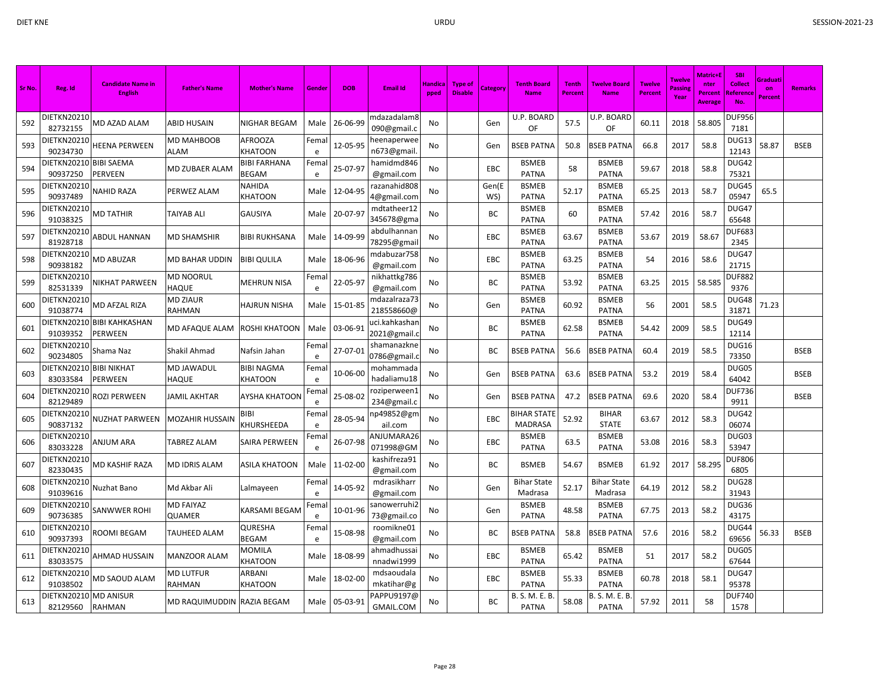| Sr No. | Reg. Id                        | <b>Candidate Name in</b><br><b>English</b> | <b>Father's Name</b>              | <b>Mother's Name</b>                    | Gender             | <b>DOB</b> | <b>Email Id</b>              | <b>Handica</b><br>pped | <b>Type of</b><br><b>Disable</b> | Category     | <b>Tenth Board</b><br><b>Name</b>    | <b>Tenth</b><br>Percent | <b>Twelve Board</b><br><b>Name</b> | <b>Twelve</b><br>Percent | <b>Twelve</b><br>Passin<br>Year | <b>Matric+E</b><br>nter<br><b>Percent</b><br><b>Average</b> | <b>SBI</b><br><b>Collect</b><br><b>Reference</b><br>No. | Graduati<br>on<br>Percent | <b>Remarks</b> |
|--------|--------------------------------|--------------------------------------------|-----------------------------------|-----------------------------------------|--------------------|------------|------------------------------|------------------------|----------------------------------|--------------|--------------------------------------|-------------------------|------------------------------------|--------------------------|---------------------------------|-------------------------------------------------------------|---------------------------------------------------------|---------------------------|----------------|
| 592    | <b>DIETKN20210</b><br>82732155 | MD AZAD ALAM                               | ABID HUSAIN                       | NIGHAR BEGAM                            | Male               | 26-06-99   | ndazadalam8<br>090@gmail.c   | No                     |                                  | Gen          | U.P. BOARD<br>OF                     | 57.5                    | U.P. BOARD<br>OF                   | 60.11                    | 2018                            | 58.805                                                      | DUF956<br>7181                                          |                           |                |
| 593    | DIETKN20210<br>90234730        | HEENA PERWEEN                              | MD MAHBOOB<br>ALAM                | AFROOZA<br>KHATOON                      | Fema<br>e          | 12-05-95   | eenaperwee<br>n673@gmail.    | No                     |                                  | Gen          | <b>BSEB PATNA</b>                    | 50.8                    | <b>BSEB PATNA</b>                  | 66.8                     | 2017                            | 58.8                                                        | DUG13<br>12143                                          | 58.87                     | <b>BSEB</b>    |
| 594    | DIETKN20210<br>90937250        | <b>BIBI SAEMA</b><br>PERVEEN               | <b>MD ZUBAER ALAM</b>             | <b>BIBI FARHANA</b><br>BEGAM            | Fema<br>e          | 25-07-97   | hamidmd846<br>@gmail.com     | No                     |                                  | EBC          | <b>BSMEB</b><br><b>PATNA</b>         | 58                      | <b>BSMEB</b><br><b>PATNA</b>       | 59.67                    | 2018                            | 58.8                                                        | DUG42<br>75321                                          |                           |                |
| 595    | DIETKN20210<br>90937489        | NAHID RAZA                                 | PERWEZ ALAM                       | NAHIDA<br>KHATOON                       | Male               | 12-04-95   | razanahid808<br>4@gmail.com  | No                     |                                  | Gen(E<br>WS) | <b>BSMEB</b><br><b>PATNA</b>         | 52.17                   | <b>BSMEB</b><br><b>PATNA</b>       | 65.25                    | 2013                            | 58.7                                                        | DUG45<br>05947                                          | 65.5                      |                |
| 596    | DIETKN20210<br>91038325        | <b>MD TATHIR</b>                           | <b>TAIYAB ALI</b>                 | <b>GAUSIYA</b>                          | Male               | 20-07-97   | mdtatheer12<br>345678@gma    | No                     |                                  | ВC           | <b>BSMEB</b><br><b>PATNA</b>         | 60                      | <b>BSMEB</b><br><b>PATNA</b>       | 57.42                    | 2016                            | 58.7                                                        | DUG47<br>65648                                          |                           |                |
| 597    | DIETKN20210<br>81928718        | ABDUL HANNAN                               | MD SHAMSHIR                       | BIBI RUKHSANA                           | Male               | 14-09-99   | abdulhannan<br>78295@gmail   | No                     |                                  | EBC          | <b>BSMEB</b><br><b>PATNA</b>         | 63.67                   | <b>BSMEB</b><br><b>PATNA</b>       | 53.67                    | 2019                            | 58.67                                                       | <b>DUF683</b><br>2345                                   |                           |                |
| 598    | DIETKN20210<br>90938182        | MD ABUZAR                                  | MD BAHAR UDDIN                    | BIBI QULILA                             | Male               | 18-06-96   | mdabuzar758<br>@gmail.com    | No                     |                                  | EBC          | <b>BSMEB</b><br><b>PATNA</b>         | 63.25                   | <b>BSMEB</b><br><b>PATNA</b>       | 54                       | 2016                            | 58.6                                                        | DUG47<br>21715                                          |                           |                |
| 599    | DIETKN20210<br>82531339        | NIKHAT PARWEEN                             | MD NOORUL<br>HAQUE                | MEHRUN NISA                             | Fema<br>$\epsilon$ | 22-05-97   | nikhattkg786<br>@gmail.com   | No                     |                                  | BC           | <b>BSMEB</b><br><b>PATNA</b>         | 53.92                   | <b>BSMEB</b><br><b>PATNA</b>       | 63.25                    | 2015                            | 58.585                                                      | <b>DUF882</b><br>9376                                   |                           |                |
| 600    | DIETKN20210<br>91038774        | MD AFZAL RIZA                              | <b>MD ZIAUR</b><br>RAHMAN         | HAJRUN NISHA                            | Male               | 15-01-85   | mdazalraza73<br>218558660@   | No                     |                                  | Gen          | <b>BSMEB</b><br><b>PATNA</b>         | 60.92                   | <b>BSMEB</b><br><b>PATNA</b>       | 56                       | 2001                            | 58.5                                                        | DUG48<br>31871                                          | 71.23                     |                |
| 601    | DIETKN2021<br>91039352         | <b>BIBI KAHKASHAN</b><br>PERWEEN           | MD AFAQUE ALAM                    | ROSHI KHATOON                           | Male               | 03-06-91   | uci.kahkashar<br>2021@gmail. | No                     |                                  | ВC           | <b>BSMEB</b><br><b>PATNA</b>         | 62.58                   | <b>BSMEB</b><br><b>PATNA</b>       | 54.42                    | 2009                            | 58.5                                                        | DUG49<br>12114                                          |                           |                |
| 602    | DIETKN20210<br>90234805        | Shama Naz                                  | Shakil Ahmad                      | Nafsin Jahan                            | Fema<br>$\epsilon$ | 27-07-01   | shamanazkne<br>0786@gmail.o  | No                     |                                  | ВC           | <b>BSEB PATNA</b>                    | 56.6                    | <b>BSEB PATNA</b>                  | 60.4                     | 2019                            | 58.5                                                        | DUG16<br>73350                                          |                           | <b>BSEB</b>    |
| 603    | DIETKN20210<br>83033584        | <b>BIBI NIKHAT</b><br>PERWEEN              | MD JAWADUL<br><b>HAQUE</b>        | <b>BIBI NAGMA</b><br><b>KHATOON</b>     | Fema<br>e          | 10-06-00   | mohammada<br>hadaliamu18     | No                     |                                  | Gen          | <b>BSEB PATNA</b>                    | 63.6                    | <b>BSEB PATNA</b>                  | 53.2                     | 2019                            | 58.4                                                        | DUG05<br>64042                                          |                           | <b>BSEB</b>    |
| 604    | <b>DIETKN20210</b><br>82129489 | ROZI PERWEEN                               | JAMIL AKHTAR                      | AYSHA KHATOON                           | Fema<br>e          | 25-08-02   | roziperween1<br>234@gmail.c  | No                     |                                  | Gen          | <b>BSEB PATNA</b>                    | 47.2                    | <b>BSEB PATNA</b>                  | 69.6                     | 2020                            | 58.4                                                        | <b>DUF736</b><br>9911                                   |                           | <b>BSEB</b>    |
| 605    | DIETKN20210<br>90837132        | NUZHAT PARWEEN                             | <b>MOZAHIR HUSSAIN</b>            | BIBI<br>KHURSHEEDA                      | Fema<br>e          | 28-05-94   | 1p49852@gm<br>ail.com        | No                     |                                  | EBC          | <b>BIHAR STATE</b><br><b>MADRASA</b> | 52.92                   | <b>BIHAR</b><br><b>STATE</b>       | 63.67                    | 2012                            | 58.3                                                        | DUG42<br>06074                                          |                           |                |
| 606    | DIETKN20210<br>83033228        | <b>ANJUM ARA</b>                           | <b>TABREZ ALAM</b>                | SAIRA PERWEEN                           | Fema<br>$\epsilon$ | 26-07-98   | ANJUMARA26<br>071998@GM      | No                     |                                  | EBC          | <b>BSMEB</b><br><b>PATNA</b>         | 63.5                    | <b>BSMEB</b><br><b>PATNA</b>       | 53.08                    | 2016                            | 58.3                                                        | DUG03<br>53947                                          |                           |                |
| 607    | DIETKN20210<br>82330435        | MD KASHIF RAZA                             | <b>MD IDRIS ALAM</b>              | ASILA KHATOON                           | Male               | 11-02-00   | kashifreza91<br>@gmail.com   | No                     |                                  | ВC           | <b>BSMEB</b>                         | 54.67                   | <b>BSMEB</b>                       | 61.92                    | 2017                            | 58.295                                                      | <b>DUF806</b><br>6805                                   |                           |                |
| 608    | DIETKN20210<br>91039616        | Nuzhat Bano                                | Md Akbar Ali                      | Lalmayeen                               | Fema<br>e          | 14-05-92   | mdrasikharr<br>@gmail.com    | No                     |                                  | Gen          | <b>Bihar State</b><br>Madrasa        | 52.17                   | <b>Bihar State</b><br>Madrasa      | 64.19                    | 2012                            | 58.2                                                        | DUG28<br>31943                                          |                           |                |
| 609    | DIETKN20210<br>90736385        | SANWWER ROHI                               | <b>MD FAIYAZ</b><br><b>QUAMER</b> | <b><arsami b="" begam<=""></arsami></b> | Fema<br>e          | 10-01-96   | sanowerruhi2<br>73@gmail.co  | No                     |                                  | Gen          | <b>BSMEB</b><br><b>PATNA</b>         | 48.58                   | <b>BSMEB</b><br><b>PATNA</b>       | 67.75                    | 2013                            | 58.2                                                        | DUG36<br>43175                                          |                           |                |
| 610    | DIETKN20210<br>90937393        | ROOMI BEGAM                                | TAUHEED ALAM                      | QURESHA<br>BEGAM                        | Fema<br>e          | 15-08-98   | roomikne01<br>@gmail.com     | No                     |                                  | ВC           | <b>BSEB PATNA</b>                    | 58.8                    | <b>BSEB PATNA</b>                  | 57.6                     | 2016                            | 58.2                                                        | DUG44<br>69656                                          | 56.33                     | <b>BSEB</b>    |
| 611    | DIETKN20210<br>83033575        | AHMAD HUSSAIN                              | MANZOOR ALAM                      | MOMILA<br><b>KHATOON</b>                | Male               | 18-08-99   | ahmadhussai<br>nnadwi1999    | <b>No</b>              |                                  | EBC          | <b>BSMEB</b><br><b>PATNA</b>         | 65.42                   | <b>BSMEB</b><br><b>PATNA</b>       | 51                       | 2017                            | 58.2                                                        | DUG05<br>67644                                          |                           |                |
| 612    | DIETKN20210<br>91038502        | MD SAOUD ALAM                              | MD LUTFUR<br>RAHMAN               | ARBANI<br><b>KHATOON</b>                | Male               | 18-02-00   | mdsaoudala<br>mkatihar@g     | No                     |                                  | EBC          | <b>BSMEB</b><br><b>PATNA</b>         | 55.33                   | <b>BSMEB</b><br><b>PATNA</b>       | 60.78                    | 2018                            | 58.1                                                        | DUG47<br>95378                                          |                           |                |
| 613    | DIETKN20210<br>82129560        | <b>MD ANISUR</b><br>RAHMAN                 | MD RAQUIMUDDIN RAZIA BEGAM        |                                         | Male               | 05-03-91   | PAPPU9197@<br>GMAIL.COM      | No                     |                                  | ВC           | B. S. M. E. B<br><b>PATNA</b>        | 58.08                   | S. M. E. B<br><b>PATNA</b>         | 57.92                    | 2011                            | 58                                                          | DUF740<br>1578                                          |                           |                |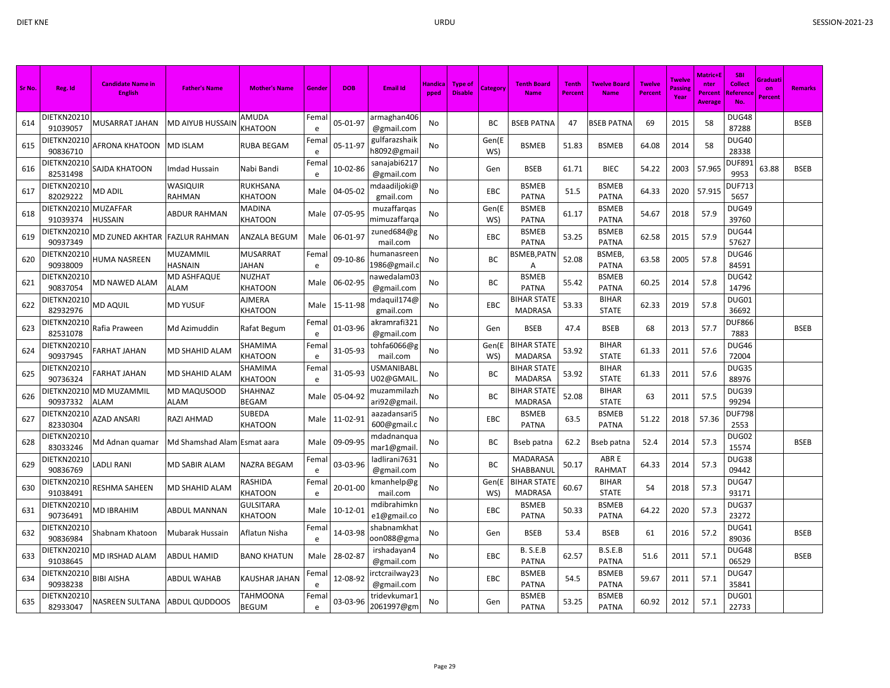| Sr No. | Reg. Id                          | <b>Candidate Name in</b><br>English | <b>Father's Name</b>              | <b>Mother's Name</b>     | Gender             | <b>DOB</b>     | <b>Email Id</b>                | Handica<br>pped | <b>Type of</b><br><b>Disable</b> | Category     | <b>Tenth Board</b><br><b>Name</b>    | <b>Tenth</b><br>Percent | Twelve Board<br><b>Name</b>  | <b>Twelve</b><br><b>Percent</b> | <b>Twelve</b><br>Passing<br>Year | <b>Matric+l</b><br>nter<br>Percent<br><b>Average</b> | <b>SBI</b><br>Collect<br><b>Reference</b><br>No. | Graduati<br>on<br><b>Percent</b> | <b>Remarks</b> |
|--------|----------------------------------|-------------------------------------|-----------------------------------|--------------------------|--------------------|----------------|--------------------------------|-----------------|----------------------------------|--------------|--------------------------------------|-------------------------|------------------------------|---------------------------------|----------------------------------|------------------------------------------------------|--------------------------------------------------|----------------------------------|----------------|
| 614    | DIETKN20210<br>91039057          | MUSARRAT JAHAN                      | <b>MD AIYUB HUSSAIN</b>           | AMUDA<br>KHATOON         | Fema<br>e          | 05-01-97       | armaghan406<br>@gmail.com      | No              |                                  | ВC           | <b>BSEB PATNA</b>                    | 47                      | <b>BSEB PATNA</b>            | 69                              | 2015                             | 58                                                   | DUG48<br>87288                                   |                                  | <b>BSEB</b>    |
| 615    | DIETKN20210<br>90836710          | AFRONA KHATOON                      | <b>MD ISLAM</b>                   | RUBA BEGAM               | Fema<br>e          | 05-11-97       | gulfarazshaik<br>h8092@gmail   | No              |                                  | Gen(E<br>WS) | <b>BSMEB</b>                         | 51.83                   | <b>BSMEB</b>                 | 64.08                           | 2014                             | 58                                                   | DUG40<br>28338                                   |                                  |                |
| 616    | DIETKN20210<br>82531498          | SAJDA KHATOON                       | Imdad Hussain                     | Nabi Bandi               | Fema<br>e          | 10-02-86       | sanajabi6217<br>@gmail.com     | No              |                                  | Gen          | <b>BSEB</b>                          | 61.71                   | <b>BIEC</b>                  | 54.22                           | 2003                             | 57.965                                               | DUF89:<br>9953                                   | 63.88                            | <b>BSEB</b>    |
| 617    | DIETKN20210<br>82029222          | <b>MD ADIL</b>                      | <b>WASIQUIR</b><br><b>RAHMAN</b>  | RUKHSANA<br>KHATOON      | Male               | 04-05-02       | ndaadiljoki@<br>gmail.com      | No              |                                  | EBC          | <b>BSMEB</b><br><b>PATNA</b>         | 51.5                    | <b>BSMEB</b><br><b>PATNA</b> | 64.33                           | 2020                             | 57.915                                               | <b>DUF713</b><br>5657                            |                                  |                |
| 618    | DIETKN20210 MUZAFFAR<br>91039374 | <b>HUSSAIN</b>                      | <b>ABDUR RAHMAN</b>               | MADINA<br>KHATOON        | Male               | 07-05-95       | muzaffarqas<br>nimuzaffarqa    | No              |                                  | Gen(E<br>WS) | <b>BSMEB</b><br><b>PATNA</b>         | 61.17                   | <b>BSMEB</b><br><b>PATNA</b> | 54.67                           | 2018                             | 57.9                                                 | DUG49<br>39760                                   |                                  |                |
| 619    | DIETKN20210<br>90937349          | MD ZUNED AKHTAR                     | <b>FAZLUR RAHMAN</b>              | <b>ANZALA BEGUM</b>      | Male               | 06-01-97       | zuned684@g<br>mail.com         | No              |                                  | EBC          | <b>BSMEB</b><br><b>PATNA</b>         | 53.25                   | <b>BSMEB</b><br><b>PATNA</b> | 62.58                           | 2015                             | 57.9                                                 | DUG44<br>57627                                   |                                  |                |
| 620    | DIETKN20210<br>90938009          | HUMA NASREEN                        | <b>MUZAMMIL</b><br><b>HASNAIN</b> | MUSARRAT<br><b>JAHAN</b> | Fema<br>e          | 09-10-86       | านmanasreer<br>1986@gmail.     | No              |                                  | ВC           | 3SMEB, PATN<br>Α                     | 52.08                   | <b>BSMEB</b><br>PATNA        | 63.58                           | 2005                             | 57.8                                                 | DUG46<br>84591                                   |                                  |                |
| 621    | DIETKN20210<br>90837054          | MD NAWED ALAM                       | <b>MD ASHFAQUE</b><br><b>ALAM</b> | NUZHAT<br>KHATOON        | Male               | 06-02-95       | าawedalam03<br>@gmail.com      | No              |                                  | ВC           | <b>BSMEB</b><br><b>PATNA</b>         | 55.42                   | <b>BSMEB</b><br><b>PATNA</b> | 60.25                           | 2014                             | 57.8                                                 | DUG42<br>14796                                   |                                  |                |
| 622    | DIETKN20210<br>82932976          | MD AQUIL                            | <b>MD YUSUF</b>                   | AJMERA<br>KHATOON        | Male               | 15-11-98       | ndaquil174@<br>gmail.com       | No              |                                  | EBC          | <b>BIHAR STATE</b><br><b>MADRASA</b> | 53.33                   | <b>BIHAR</b><br><b>STATE</b> | 62.33                           | 2019                             | 57.8                                                 | DUG01<br>36692                                   |                                  |                |
| 623    | DIETKN20210<br>82531078          | Rafia Praween                       | Md Azimuddin                      | Rafat Begum              | Fema<br>e          | 01-03-96       | akramrafi321<br>@gmail.com     | No              |                                  | Gen          | <b>BSEB</b>                          | 47.4                    | <b>BSEB</b>                  | 68                              | 2013                             | 57.7                                                 | DUF866<br>7883                                   |                                  | <b>BSEB</b>    |
| 624    | DIETKN20210<br>90937945          | FARHAT JAHAN                        | MD SHAHID ALAM                    | SHAMIMA<br>KHATOON       | Fema<br>e          | 31-05-93       | tohfa6066@g<br>mail.com        | No              |                                  | Gen(E<br>WS) | <b>BIHAR STATE</b><br><b>MADARSA</b> | 53.92                   | <b>BIHAR</b><br><b>STATE</b> | 61.33                           | 2011                             | 57.6                                                 | DUG46<br>72004                                   |                                  |                |
| 625    | DIETKN20210<br>90736324          | FARHAT JAHAN                        | <b>MD SHAHID ALAM</b>             | SHAMIMA<br>KHATOON       | Fema<br>e          | 31-05-93       | <b>USMANIBABL</b><br>U02@GMAIL | No              |                                  | ВC           | <b>BIHAR STATE</b><br><b>MADARSA</b> | 53.92                   | <b>BIHAR</b><br><b>STATE</b> | 61.33                           | 2011                             | 57.6                                                 | DUG35<br>88976                                   |                                  |                |
| 626    | DIETKN20210<br>90937332          | <b>MD MUZAMMIL</b><br>ALAM          | <b>MD MAQUSOOD</b><br><b>ALAM</b> | SHAHNAZ<br>BEGAM         | Male               | 05-04-92       | muzammilazh<br>ari92@gmail     | No              |                                  | BC           | <b>BIHAR STATE</b><br><b>MADRASA</b> | 52.08                   | <b>BIHAR</b><br><b>STATE</b> | 63                              | 2011                             | 57.5                                                 | DUG39<br>99294                                   |                                  |                |
| 627    | DIETKN20210<br>82330304          | AZAD ANSARI                         | <b>RAZI AHMAD</b>                 | SUBEDA<br>KHATOON        | Male               | 11-02-91       | aazadansari5<br>600@gmail.c    | No              |                                  | EBC          | <b>BSMEB</b><br><b>PATNA</b>         | 63.5                    | <b>BSMEB</b><br><b>PATNA</b> | 51.22                           | 2018                             | 57.36                                                | <b>DUF798</b><br>2553                            |                                  |                |
| 628    | DIETKN20210<br>83033246          | Md Adnan quamar                     | Md Shamshad Alam Esmat aara       |                          | Male               | 09-09-95       | mdadnanqua<br>mar1@gmail.      | No              |                                  | ВC           | Bseb patna                           | 62.2                    | Bseb patna                   | 52.4                            | 2014                             | 57.3                                                 | DUG02<br>15574                                   |                                  | <b>BSEB</b>    |
| 629    | DIETKN20210<br>90836769          | LADLI RANI                          | MD SABIR ALAM                     | NAZRA BEGAM              | Fema<br>e          | 03-03-96       | ladlirani7631<br>@gmail.com    | No              |                                  | ВC           | MADARASA<br>SHABBANUL                | 50.17                   | ABR E<br>RAHMAT              | 64.33                           | 2014                             | 57.3                                                 | DUG38<br>09442                                   |                                  |                |
| 630    | DIETKN20210<br>91038491          | RESHMA SAHEEN                       | <b>MD SHAHID ALAM</b>             | RASHIDA<br>KHATOON       | Fema<br>e          | 20-01-00       | kmanhelp@g<br>mail.com         | No              |                                  | Gen(E<br>WS) | <b>BIHAR STATE</b><br><b>MADRASA</b> | 60.67                   | <b>BIHAR</b><br><b>STATE</b> | 54                              | 2018                             | 57.3                                                 | DUG47<br>93171                                   |                                  |                |
| 631    | DIETKN20210<br>90736491          | MD IBRAHIM                          | <b>ABDUL MANNAN</b>               | GULSITARA<br>KHATOON     | Male               | $10 - 12 - 01$ | mdibrahimkn<br>e1@gmail.co     | No              |                                  | EBC          | <b>BSMEB</b><br><b>PATNA</b>         | 50.33                   | <b>BSMEB</b><br><b>PATNA</b> | 64.22                           | 2020                             | 57.3                                                 | DUG37<br>23272                                   |                                  |                |
| 632    | <b>DIETKN20210</b><br>90836984   | Shabnam Khatoon                     | Mubarak Hussain                   | Aflatun Nisha            | Fema<br>$\epsilon$ | 14-03-98       | shabnamkhat<br>oon088@gma      | No              |                                  | Gen          | <b>BSEB</b>                          | 53.4                    | <b>BSEB</b>                  | 61                              | 2016                             | 57.2                                                 | DUG41<br>89036                                   |                                  | <b>BSEB</b>    |
| 633    | DIETKN20210<br>91038645          | MD IRSHAD ALAM                      | <b>ABDUL HAMID</b>                | BANO KHATUN              | Male               | 28-02-87       | irshadayan4<br>@gmail.com      | No              |                                  | EBC          | <b>B. S.E.B</b><br><b>PATNA</b>      | 62.57                   | B.S.E.B<br><b>PATNA</b>      | 51.6                            | 2011                             | 57.1                                                 | DUG48<br>06529                                   |                                  | <b>BSEB</b>    |
| 634    | DIETKN20210<br>90938238          | BIBI AISHA                          | ABDUL WAHAB                       | KAUSHAR JAHAN            | Fema<br>e          | 12-08-92       | rctcrailway23<br>@gmail.com    | No              |                                  | EBC          | <b>BSMEB</b><br><b>PATNA</b>         | 54.5                    | <b>BSMEB</b><br><b>PATNA</b> | 59.67                           | 2011                             | 57.1                                                 | DUG47<br>35841                                   |                                  |                |
| 635    | DIETKN20210<br>82933047          | NASREEN SULTANA                     | <b>ABDUL QUDDOOS</b>              | TAHMOONA<br>BEGUM        | Fema<br>e          | 03-03-96       | tridevkumar1<br>2061997@gm     | No              |                                  | Gen          | <b>BSMEB</b><br><b>PATNA</b>         | 53.25                   | <b>BSMEB</b><br><b>PATNA</b> | 60.92                           | 2012                             | 57.1                                                 | DUG01<br>22733                                   |                                  |                |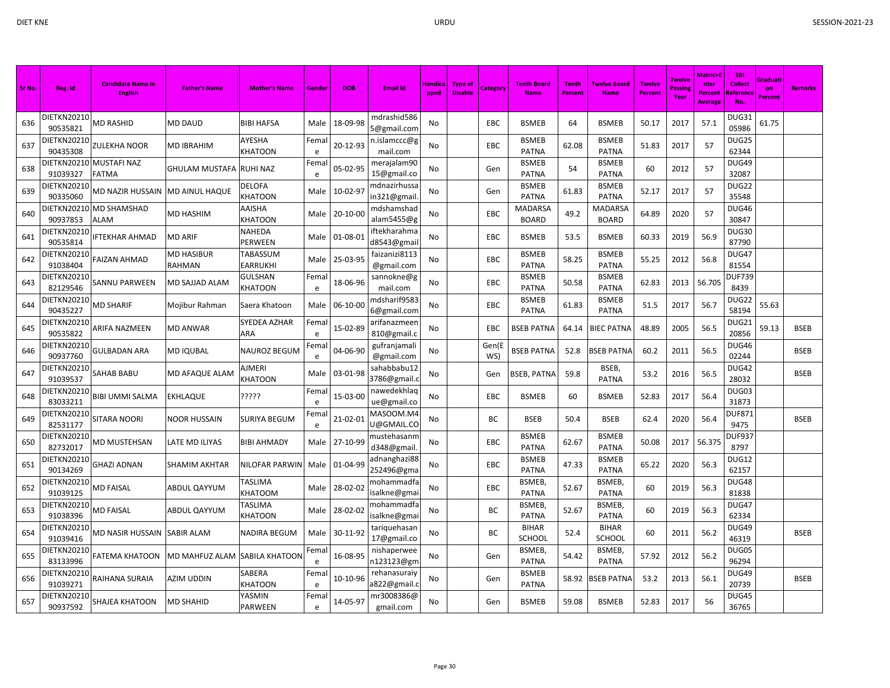| Sr No. | Reg. Id                        | <b>Candidate Name in</b><br><b>English</b> | <b>Father's Name</b>        | <b>Mother's Name</b>     | Gende     | <b>DOB</b> | <b>Email Id</b>              | Handica<br>pped | <b>Type of</b><br><b>Disable</b> | <b>Category</b> | <b>Tenth Board</b><br><b>Name</b> | <b>Tenth</b><br>Percent | <b>Twelve Board</b><br><b>Name</b> | <b>Twelve</b><br><b>Percent</b> | Twelve<br>Passing<br>Year | <b>Matric+E</b><br>nter<br><b>Percent</b><br><b>Average</b> | <b>SBI</b><br><b>Collect</b><br><b>Reference</b><br>No. | Graduati<br>on<br><b>Percent</b> | <b>Remarks</b> |
|--------|--------------------------------|--------------------------------------------|-----------------------------|--------------------------|-----------|------------|------------------------------|-----------------|----------------------------------|-----------------|-----------------------------------|-------------------------|------------------------------------|---------------------------------|---------------------------|-------------------------------------------------------------|---------------------------------------------------------|----------------------------------|----------------|
| 636    | DIETKN20210<br>90535821        | <b>MD RASHID</b>                           | <b>MD DAUD</b>              | BIBI HAFSA               | Male      | 18-09-98   | mdrashid586<br>5@gmail.com   | No              |                                  | <b>EBC</b>      | <b>BSMEB</b>                      | 64                      | <b>BSMEB</b>                       | 50.17                           | 2017                      | 57.1                                                        | DUG31<br>05986                                          | 61.75                            |                |
| 637    | DIETKN20210<br>90435308        | ZULEKHA NOOR                               | <b>MD IBRAHIM</b>           | AYESHA<br>KHATOON        | Fema<br>e | 20-12-93   | n.islamccc@g<br>mail.com     | No              |                                  | EBC             | <b>BSMEB</b><br><b>PATNA</b>      | 62.08                   | <b>BSMEB</b><br><b>PATNA</b>       | 51.83                           | 2017                      | 57                                                          | DUG25<br>62344                                          |                                  |                |
| 638    | DIETKN20210<br>91039327        | <b>MUSTAFI NAZ</b><br>FATMA                | GHULAM MUSTAFA              | <b>RUHI NAZ</b>          | Fema<br>e | 05-02-95   | merajalam90<br>15@gmail.co   | No              |                                  | Gen             | <b>BSMEB</b><br>PATNA             | 54                      | <b>BSMEB</b><br><b>PATNA</b>       | 60                              | 2012                      | 57                                                          | DUG49<br>32087                                          |                                  |                |
| 639    | DIETKN20210<br>90335060        | MD NAZIR HUSSAIN                           | <b>MD AINUL HAQUE</b>       | DELOFA<br><b>KHATOON</b> | Male      | 10-02-97   | mdnazirhussa<br>in321@gmail  | No              |                                  | Gen             | <b>BSMEB</b><br>PATNA             | 61.83                   | <b>BSMEB</b><br><b>PATNA</b>       | 52.17                           | 2017                      | 57                                                          | DUG22<br>35548                                          |                                  |                |
| 640    | DIETKN20210<br>90937853        | MD SHAMSHAD<br><b>ALAM</b>                 | MD HASHIM                   | AAISHA<br><b>KHATOON</b> | Male      | 20-10-00   | mdshamshad<br>alam5455@g     | No              |                                  | EBC             | MADARSA<br><b>BOARD</b>           | 49.2                    | MADARSA<br><b>BOARD</b>            | 64.89                           | 2020                      | 57                                                          | DUG46<br>30847                                          |                                  |                |
| 641    | DIETKN20210<br>90535814        | <b>IFTEKHAR AHMAD</b>                      | <b>MD ARIF</b>              | NAHEDA<br>PERWEEN        | Male      | 01-08-01   | ftekharahma<br>d8543@gmai    | No              |                                  | EBC             | <b>BSMEB</b>                      | 53.5                    | <b>BSMEB</b>                       | 60.33                           | 2019                      | 56.9                                                        | DUG30<br>87790                                          |                                  |                |
| 642    | <b>JIETKN20210</b><br>91038404 | FAIZAN AHMAD                               | <b>MD HASIBUR</b><br>RAHMAN | TABASSUM<br>EARRUKHI     | Male      | 25-03-95   | faizanizi8113<br>@gmail.com  | No              |                                  | EBC             | <b>BSMEB</b><br><b>PATNA</b>      | 58.25                   | <b>BSMEB</b><br><b>PATNA</b>       | 55.25                           | 2012                      | 56.8                                                        | DUG47<br>81554                                          |                                  |                |
| 643    | DIETKN20210<br>82129546        | SANNU PARWEEN                              | MD SAJJAD ALAM              | GULSHAN<br>KHATOON       | Fema<br>e | 18-06-96   | sannokne@g<br>mail.com       | No              |                                  | EBC             | <b>BSMEB</b><br><b>PATNA</b>      | 50.58                   | <b>BSMEB</b><br><b>PATNA</b>       | 62.83                           | 2013                      | 56.705                                                      | <b>DUF739</b><br>8439                                   |                                  |                |
| 644    | DIETKN20210<br>90435227        | <b>MD SHARIF</b>                           | Mojibur Rahman              | Saera Khatoon            | Male      | 06-10-00   | mdsharif9583<br>6@gmail.com  | No              |                                  | EBC             | <b>BSMEB</b><br><b>PATNA</b>      | 61.83                   | <b>BSMEB</b><br><b>PATNA</b>       | 51.5                            | 2017                      | 56.7                                                        | DUG22<br>58194                                          | 55.63                            |                |
| 645    | IETKN20210<br>90535822         | ARIFA NAZMEEN                              | <b>MD ANWAR</b>             | SYEDEA AZHAR<br>ARA      | Fema<br>e | 15-02-89   | arifanazmeer<br>810@gmail.c  | No              |                                  | EBC             | <b>BSEB PATNA</b>                 | 64.14                   | <b>BIEC PATNA</b>                  | 48.89                           | 2005                      | 56.5                                                        | DUG21<br>20856                                          | 59.13                            | <b>BSEB</b>    |
| 646    | IETKN20210<br>90937760         | <b>GULBADAN ARA</b>                        | <b>MD IQUBAL</b>            | NAUROZ BEGUM             | Fema<br>e | 04-06-90   | gufranjamali<br>@gmail.com   | No              |                                  | Gen(E<br>WS)    | <b>BSEB PATNA</b>                 | 52.8                    | <b>BSEB PATNA</b>                  | 60.2                            | 2011                      | 56.5                                                        | DUG46<br>02244                                          |                                  | <b>BSEB</b>    |
| 647    | DIETKN20210<br>91039537        | SAHAB BABU                                 | MD AFAQUE ALAM              | AJMERI<br><b>KHATOON</b> | Male      | 03-01-98   | sahabbabu12<br>3786@gmail.   | No              |                                  | Gen             | <b>BSEB, PATNA</b>                | 59.8                    | BSEB,<br><b>PATNA</b>              | 53.2                            | 2016                      | 56.5                                                        | DUG42<br>28032                                          |                                  | <b>BSEB</b>    |
| 648    | DIETKN20210<br>83033211        | BIBI UMMI SALMA                            | EKHLAQUE                    | ?????                    | Fema<br>e | 15-03-00   | nawedekhlaq<br>ue@gmail.co   | No              |                                  | EBC             | <b>BSMEB</b>                      | 60                      | <b>BSMEB</b>                       | 52.83                           | 2017                      | 56.4                                                        | DUG03<br>31873                                          |                                  |                |
| 649    | DIETKN20210<br>82531177        | SITARA NOORI                               | NOOR HUSSAIN                | SURIYA BEGUM             | Fema<br>e | 21-02-01   | MASOOM.M4<br>U@GMAIL.CO      | No              |                                  | <b>BC</b>       | <b>BSEB</b>                       | 50.4                    | <b>BSEB</b>                        | 62.4                            | 2020                      | 56.4                                                        | <b>DUF87</b><br>9475                                    |                                  | <b>BSEB</b>    |
| 650    | )IETKN20210<br>82732017        | MD MUSTEHSAN                               | LATE MD ILIYAS              | BIBI AHMADY              | Male      | 27-10-99   | mustehasanm<br>d348@gmail.   | No              |                                  | EBC             | <b>BSMEB</b><br><b>PATNA</b>      | 62.67                   | <b>BSMEB</b><br><b>PATNA</b>       | 50.08                           | 2017                      | 56.375                                                      | DUF937<br>8797                                          |                                  |                |
| 651    | <b>DIETKN20210</b><br>90134269 | GHAZI ADNAN                                | <b>SHAMIM AKHTAR</b>        | NILOFAR PARWIN           | Male      | 01-04-99   | adnanghazi88<br>252496@gma   | No              |                                  | EBC             | <b>BSMEB</b><br><b>PATNA</b>      | 47.33                   | <b>BSMEB</b><br><b>PATNA</b>       | 65.22                           | 2020                      | 56.3                                                        | DUG12<br>62157                                          |                                  |                |
| 652    | DIETKN20210<br>91039125        | MD FAISAL                                  | ABDUL QAYYUM                | TASLIMA<br>KHATOOM       | Male      | 28-02-02   | mohammadfa<br>isalkne@gmai   | No              |                                  | EBC             | BSMEB,<br><b>PATNA</b>            | 52.67                   | <b>BSMEB</b><br><b>PATNA</b>       | 60                              | 2019                      | 56.3                                                        | <b>DUG48</b><br>81838                                   |                                  |                |
| 653    | DIETKN20210<br>91038396        | MD FAISAL                                  | <b>ABDUL QAYYUM</b>         | TASLIMA<br><b>HATOON</b> | Male      | 28-02-02   | mohammadfa<br>isalkne@gma    | No              |                                  | BC              | BSMEB,<br>PATNA                   | 52.67                   | <b>BSMEB</b><br><b>PATNA</b>       | 60                              | 2019                      | 56.3                                                        | DUG47<br>62334                                          |                                  |                |
| 654    | DIETKN20210<br>91039416        | MD NASIR HUSSAIN                           | <b>SABIR ALAM</b>           | NADIRA BEGUM             | Male      | 30-11-92   | tariquehasan<br>17@gmail.co  | No              |                                  | BC              | <b>BIHAR</b><br>SCHOOL            | 52.4                    | <b>BIHAR</b><br><b>SCHOOL</b>      | 60                              | 2011                      | 56.2                                                        | DUG49<br>46319                                          |                                  | <b>BSEB</b>    |
| 655    | DIETKN20210<br>83133996        | FATEMA KHATOON                             | MD MAHFUZ ALAM              | SABILA KHATOON           | Fema<br>e | 16-08-95   | nishaperwee<br>n123123@gm    | No              |                                  | Gen             | BSMEB,<br><b>PATNA</b>            | 54.42                   | <b>BSMEB</b><br><b>PATNA</b>       | 57.92                           | 2012                      | 56.2                                                        | DUG05<br>96294                                          |                                  |                |
| 656    | <b>JIETKN20210</b><br>91039271 | RAIHANA SURAIA                             | AZIM UDDIN                  | SABERA<br><b>KHATOON</b> | Fema<br>e | 10-10-96   | rehanasuraiy<br>a822@gmail.o | No              |                                  | Gen             | <b>BSMEB</b><br><b>PATNA</b>      | 58.92                   | <b>BSEB PATNA</b>                  | 53.2                            | 2013                      | 56.1                                                        | <b>DUG49</b><br>20739                                   |                                  | <b>BSEB</b>    |
| 657    | DIETKN20210<br>90937592        | SHAJEA KHATOON                             | <b>MD SHAHID</b>            | YASMIN<br><b>PARWEEN</b> | Fema<br>e | 14-05-97   | mr3008386@<br>gmail.com      | No              |                                  | Gen             | <b>BSMEB</b>                      | 59.08                   | <b>BSMEB</b>                       | 52.83                           | 2017                      | 56                                                          | DUG45<br>36765                                          |                                  |                |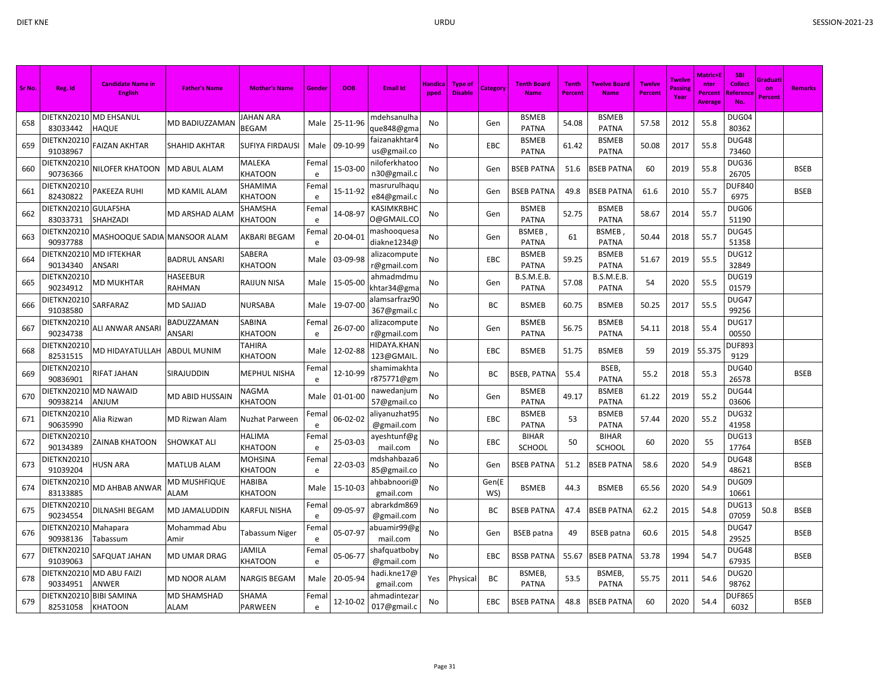| Sr No. | Reg. Id                        | <b>Candidate Name in</b><br><b>English</b> | <b>Father's Name</b> | <b>Mother's Name</b>      | Gender     | <b>DOR</b>    | <b>Email Id</b>                           | Handica<br>pped | <b>Type of</b><br><b>Disable</b> | Category     | <b>Tenth Board</b><br><b>Name</b> | <b>Tenth</b><br><b>Percent</b> | <b>Twelve Board</b><br><b>Name</b> | <b>Twelve</b><br><b>Percent</b> | <b>Twelve</b><br>Passin<br>Year | Matric+I<br>nter<br>Percent<br>Average | <b>SBI</b><br>Collect<br>Reference | Graduati<br>on<br><b>Percent</b> | <b>Remarks</b> |
|--------|--------------------------------|--------------------------------------------|----------------------|---------------------------|------------|---------------|-------------------------------------------|-----------------|----------------------------------|--------------|-----------------------------------|--------------------------------|------------------------------------|---------------------------------|---------------------------------|----------------------------------------|------------------------------------|----------------------------------|----------------|
| 658    | 83033442                       | DIETKN20210 MD EHSANUL<br>HAQUE            | MD BADIUZZAMAN       | JAHAN ARA<br><b>BEGAM</b> |            | Male 25-11-96 | mdehsanulha<br>que848@gma                 | No              |                                  | Gen          | <b>BSMEB</b><br><b>PATNA</b>      | 54.08                          | <b>BSMEB</b><br><b>PATNA</b>       | 57.58                           | 2012                            | 55.8                                   | DUG04<br>80362                     |                                  |                |
| 659    | <b>DIETKN20210</b><br>91038967 | FAIZAN AKHTAR                              | SHAHID AKHTAR        | SUFIYA FIRDAUSI           | Male       | 09-10-99      | faizanakhtar4<br>us@gmail.co              | No              |                                  | EBC          | <b>BSMEB</b><br><b>PATNA</b>      | 61.42                          | <b>BSMEB</b><br><b>PATNA</b>       | 50.08                           | 2017                            | 55.8                                   | DUG48<br>73460                     |                                  |                |
| 660    | DIETKN20210<br>90736366        | NILOFER KHATOON                            | <b>MD ABUL ALAM</b>  | MALEKA<br>KHATOON         | Femal<br>e | 15-03-00      | niloferkhatoo<br>n30@gmail.o              | No              |                                  | Gen          | <b>BSEB PATNA</b>                 | 51.6                           | SEB PATNA                          | 60                              | 2019                            | 55.8                                   | DUG36<br>26705                     |                                  | <b>BSEB</b>    |
| 661    | DIETKN20210<br>82430822        | PAKEEZA RUHI                               | MD KAMIL ALAM        | SHAMIMA<br>KHATOON        | Fema<br>e  | 15-11-92      | masrurulhaq <mark>ı</mark><br>e84@gmail.c | No              |                                  | Gen          | <b>BSEB PATNA</b>                 | 49.8                           | <b>BSEB PATNA</b>                  | 61.6                            | 2010                            | 55.7                                   | <b>DUF840</b><br>6975              |                                  | <b>BSEB</b>    |
| 662    | DIETKN20210<br>83033731        | <b>GULAFSHA</b><br><b>SHAHZADI</b>         | MD ARSHAD ALAM       | SHAMSHA<br>KHATOON        | Fema<br>e  | 14-08-97      | KASIMKRBHC<br>0@GMAIL.CO                  | No              |                                  | Gen          | <b>BSMEB</b><br><b>PATNA</b>      | 52.75                          | <b>BSMEB</b><br><b>PATNA</b>       | 58.67                           | 2014                            | 55.7                                   | DUG06<br>51190                     |                                  |                |
| 663    | DIETKN20210<br>90937788        | MASHOOQUE SADIA MANSOOR ALAM               |                      | AKBARI BEGAM              | Fema<br>e  | 20-04-01      | mashooquesa<br>diakne1234@                | No              |                                  | Gen          | <b>BSMEB</b><br><b>PATNA</b>      | 61                             | BSMEB<br><b>PATNA</b>              | 50.44                           | 2018                            | 55.7                                   | DUG45<br>51358                     |                                  |                |
| 664    | DIETKN20210<br>90134340        | <b>MD IFTEKHAR</b><br>ANSARI               | BADRUL ANSARI        | SABERA<br>KHATOON         | Male       | 03-09-98      | alizacompute<br>r@gmail.com               | No              |                                  | EBC          | <b>BSMEB</b><br><b>PATNA</b>      | 59.25                          | <b>BSMEB</b><br><b>PATNA</b>       | 51.67                           | 2019                            | 55.5                                   | <b>DUG12</b><br>32849              |                                  |                |
| 665    | DIETKN20210<br>90234912        | MD MUKHTAR                                 | HASEEBUR<br>RAHMAN   | RAIJUN NISA               | Male       | 15-05-00      | ahmadmdmu<br>khtar34@gma                  | No              |                                  | Gen          | B.S.M.E.B.<br><b>PATNA</b>        | 57.08                          | B.S.M.E.B.<br><b>PATNA</b>         | 54                              | 2020                            | 55.5                                   | <b>DUG19</b><br>01579              |                                  |                |
| 666    | DIETKN20210<br>91038580        | SARFARAZ                                   | <b>MD SAJJAD</b>     | <b>NURSABA</b>            | Male       | 19-07-00      | alamsarfraz90<br>367@gmail.c              | No              |                                  | ВC           | <b>BSMEB</b>                      | 60.75                          | <b>BSMEB</b>                       | 50.25                           | 2017                            | 55.5                                   | DUG47<br>99256                     |                                  |                |
| 667    | DIETKN20210<br>90234738        | ALI ANWAR ANSARI                           | BADUZZAMAN<br>ANSARI | SABINA<br>KHATOON         | Fema<br>e  | 26-07-00      | alizacompute<br>r@gmail.com               | No              |                                  | Gen          | <b>BSMEB</b><br><b>PATNA</b>      | 56.75                          | <b>BSMEB</b><br><b>PATNA</b>       | 54.11                           | 2018                            | 55.4                                   | DUG17<br>00550                     |                                  |                |
| 668    | DIETKN20210<br>82531515        | MD HIDAYATULLAH                            | ABDUL MUNIM          | TAHIRA<br>KHATOON         | Male       | 12-02-88      | <b>IIDAYA.KHAN</b><br>123@GMAIL           | No              |                                  | EBC          | <b>BSMEB</b>                      | 51.75                          | <b>BSMEB</b>                       | 59                              | 2019                            | 55.375                                 | DUF893<br>9129                     |                                  |                |
| 669    | DIETKN20210<br>90836901        | RIFAT JAHAN                                | SIRAJUDDIN           | MEPHUL NISHA              | Femal<br>e | 12-10-99      | shamimakhta<br>r875771@gm                 | No              |                                  | BC           | <b>BSEB, PATNA</b>                | 55.4                           | BSEB,<br><b>PATNA</b>              | 55.2                            | 2018                            | 55.3                                   | <b>DUG40</b><br>26578              |                                  | <b>BSEB</b>    |
| 670    | DIETKN20210<br>90938214        | <b>MD NAWAID</b><br>MULIA                  | MD ABID HUSSAIN      | NAGMA<br>KHATOON          | Male       | 01-01-00      | nawedanjum<br>57@gmail.co                 | No              |                                  | Gen          | <b>BSMEB</b><br><b>PATNA</b>      | 49.17                          | <b>BSMEB</b><br><b>PATNA</b>       | 61.22                           | 2019                            | 55.2                                   | DUG44<br>03606                     |                                  |                |
| 671    | DIETKN20210<br>90635990        | Alia Rizwan                                | MD Rizwan Alam       | Nuzhat Parween            | Femal<br>e | 06-02-02      | aliyanuzhat95<br>@gmail.com               | No              |                                  | EBC          | <b>BSMEB</b><br><b>PATNA</b>      | 53                             | <b>BSMEB</b><br><b>PATNA</b>       | 57.44                           | 2020                            | 55.2                                   | DUG32<br>41958                     |                                  |                |
| 672    | DIETKN20210<br>90134389        | ZAINAB KHATOON                             | SHOWKAT ALI          | HALIMA<br>KHATOON         | Fema<br>e  | 25-03-03      | ayeshtunf@g<br>mail.com                   | No              |                                  | EBC          | <b>BIHAR</b><br>SCHOOL            | 50                             | <b>BIHAR</b><br>SCHOOL             | 60                              | 2020                            | 55                                     | DUG13<br>17764                     |                                  | <b>BSEB</b>    |
| 673    | DIETKN20210<br>91039204        | HUSN ARA                                   | MATLUB ALAM          | MOHSINA<br>KHATOON        | Fema<br>e  | 22-03-03      | mdshahbaza6<br>85@gmail.co                | No              |                                  | Gen          | BSEB PATNA                        | 51.2                           | <b>BSEB PATNA</b>                  | 58.6                            | 2020                            | 54.9                                   | DUG48<br>48621                     |                                  | <b>BSEB</b>    |
| 674    | DIETKN20210<br>83133885        | MD AHBAB ANWAR                             | MD MUSHFIQUE<br>ALAM | HABIBA<br>KHATOON         | Male       | 15-10-03      | ahbabnoori@<br>gmail.com                  | No              |                                  | Gen(E<br>WS) | <b>BSMEB</b>                      | 44.3                           | <b>BSMEB</b>                       | 65.56                           | 2020                            | 54.9                                   | DUG09<br>10661                     |                                  |                |
| 675    | DIETKN20210<br>90234554        | DILNASHI BEGAM                             | MD JAMALUDDIN        | KARFUL NISHA              | Femal<br>e | 09-05-97      | abrarkdm869<br>@gmail.com                 | No              |                                  | ВC           | <b>BSEB PATNA</b>                 | 47.4                           | <b>BSEB PATNA</b>                  | 62.2                            | 2015                            | 54.8                                   | DUG13<br>07059                     | 50.8                             | <b>BSEB</b>    |
| 676    | DIETKN20210<br>90938136        | Mahapara<br>Tabassum                       | Mohammad Abu<br>Amir | Tabassum Niger            | Fema<br>e  | 05-07-97      | abuamir99@g<br>mail.com                   | No              |                                  | Gen          | <b>BSEB</b> patna                 | 49                             | <b>BSEB</b> patna                  | 60.6                            | 2015                            | 54.8                                   | DUG47<br>29525                     |                                  | <b>BSEB</b>    |
| 677    | DIETKN20210<br>91039063        | SAFQUAT JAHAN                              | <b>MD UMAR DRAG</b>  | JAMILA<br>KHATOON         | Fema<br>e  | 05-06-77      | shafquatboby<br>@gmail.com                | No              |                                  | <b>EBC</b>   | <b>BSSB PATNA</b>                 | 55.67                          | <b>BSEB PATNA</b>                  | 53.78                           | 1994                            | 54.7                                   | DUG48<br>67935                     |                                  | <b>BSEB</b>    |
| 678    | DIETKN20210<br>90334951        | MD ABU FAIZI<br>ANWER                      | MD NOOR ALAM         | NARGIS BEGAM              | Male       | 20-05-94      | hadi.kne17@<br>gmail.com                  | Yes             | Physical                         | ВC           | BSMEB,<br><b>PATNA</b>            | 53.5                           | BSMEB,<br><b>PATNA</b>             | 55.75                           | 2011                            | 54.6                                   | DUG20<br>98762                     |                                  |                |
| 679    | DIETKN20210<br>82531058        | <b>BIBI SAMINA</b><br><b>KHATOON</b>       | MD SHAMSHAD<br>ALAM  | SHAMA<br>PARWEEN          | Femal<br>e | 12-10-02      | ahmadintezaı<br>017@gmail.c               | No              |                                  | <b>EBC</b>   | <b>BSEB PATNA</b>                 | 48.8                           | BSEB PATNA                         | 60                              | 2020                            | 54.4                                   | <b>DUF865</b><br>6032              |                                  | <b>BSEB</b>    |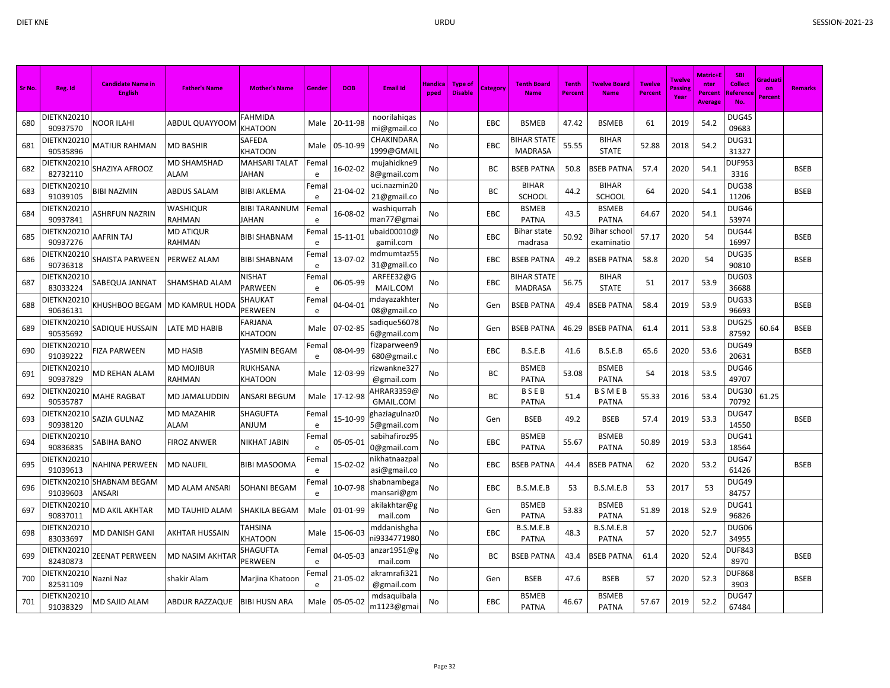| Sr No. | Reg. Id                        | <b>Candidate Name in</b><br><b>English</b> | <b>Father's Name</b>      | <b>Mother's Name</b>          | Gende      | <b>DOB</b> | <b>Email Id</b>                | Handica<br>pped | <b>Type of</b><br><b>Disable</b> | Category | <b>Tenth Board</b><br><b>Name</b>    | <b>Tenth</b><br>Percent | <b>Twelve Board</b><br><b>Name</b> | <b>Twelve</b><br>Percent | <b>Twelve</b><br>Passin<br>Year | <b>Matric+E</b><br>nter<br>Percent<br>Average | <b>SBI</b><br><b>Collect</b><br>Reference<br><b>No</b> | Graduati<br>on<br>Percent | <b>Remarks</b> |
|--------|--------------------------------|--------------------------------------------|---------------------------|-------------------------------|------------|------------|--------------------------------|-----------------|----------------------------------|----------|--------------------------------------|-------------------------|------------------------------------|--------------------------|---------------------------------|-----------------------------------------------|--------------------------------------------------------|---------------------------|----------------|
| 680    | DIETKN20210<br>90937570        | NOOR ILAHI                                 | ABDUL QUAYYOOM            | FAHMIDA<br><b>CHATOON</b>     | Male       | 20-11-98   | noorilahigas<br>mi@gmail.co    | No              |                                  | EBC      | <b>BSMEB</b>                         | 47.42                   | <b>BSMEB</b>                       | 61                       | 2019                            | 54.2                                          | DUG45<br>09683                                         |                           |                |
| 681    | DIETKN20210<br>90535896        | <b>MATIUR RAHMAN</b>                       | MD BASHIR                 | SAFEDA<br>KHATOON             | Male       | 05-10-99   | CHAKINDARA<br>1999@GMAII       | No              |                                  | EBC      | <b>BIHAR STATE</b><br><b>MADRASA</b> | 55.55                   | <b>BIHAR</b><br><b>STATE</b>       | 52.88                    | 2018                            | 54.2                                          | DUG31<br>31327                                         |                           |                |
| 682    | DIETKN20210<br>82732110        | SHAZIYA AFROOZ                             | MD SHAMSHAD<br>ALAM       | <b>MAHSARI TALAT</b><br>JAHAN | Femal<br>e | 16-02-02   | mujahidkne9<br>8@gmail.com     | No              |                                  | ВC       | <b>BSEB PATNA</b>                    | 50.8                    | <b>SEB PATNA</b>                   | 57.4                     | 2020                            | 54.1                                          | <b>DUF953</b><br>3316                                  |                           | <b>BSEB</b>    |
| 683    | DIETKN20210<br>91039105        | <b>BIBI NAZMIN</b>                         | <b>ABDUS SALAM</b>        | <b>BIBI AKLEMA</b>            | Fema<br>e  | 21-04-02   | uci.nazmin20<br>21@gmail.co    | No              |                                  | ВC       | <b>BIHAR</b><br>SCHOOL               | 44.2                    | <b>BIHAR</b><br><b>SCHOOL</b>      | 64                       | 2020                            | 54.1                                          | DUG38<br>11206                                         |                           | <b>BSEB</b>    |
| 684    | <b>DIETKN20210</b><br>90937841 | ASHRFUN NAZRIN                             | WASHIQUR<br>RAHMAN        | <b>BIBI TARANNUM</b><br>JAHAN | Fema<br>e  | 16-08-02   | washiqurrah<br>man77@gma       | No              |                                  | EBC      | <b>BSMEB</b><br><b>PATNA</b>         | 43.5                    | <b>BSMEB</b><br><b>PATNA</b>       | 64.67                    | 2020                            | 54.1                                          | DUG46<br>53974                                         |                           |                |
| 685    | DIETKN20210<br>90937276        | AAFRIN TAJ                                 | MD ATIQUR<br>RAHMAN       | <b>BIBI SHABNAM</b>           | Fema<br>e  | 15-11-01   | ubaid00010@<br>gamil.com       | No              |                                  | EBC      | <b>Bihar state</b><br>madrasa        | 50.92                   | Bihar schoo<br>examinatio          | 57.17                    | 2020                            | 54                                            | DUG44<br>16997                                         |                           | <b>BSEB</b>    |
| 686    | DIETKN20210<br>90736318        | SHAISTA PARWEEN                            | PERWEZ ALAM               | <b>BIBI SHABNAM</b>           | Fema<br>e  | 13-07-02   | mdmumtaz55<br>31@gmail.co      | No              |                                  | EBC      | <b>BSEB PATNA</b>                    | 49.2                    | <b>BSEB PATNA</b>                  | 58.8                     | 2020                            | 54                                            | DUG35<br>90810                                         |                           | <b>BSEB</b>    |
| 687    | DIETKN20210<br>83033224        | SABEQUA JANNAT                             | SHAMSHAD ALAM             | NISHAT<br>PARWEEN             | Femal<br>e | 06-05-99   | ARFEE32@G<br>MAIL.COM          | No              |                                  | EBC      | <b>BIHAR STATE</b><br><b>MADRASA</b> | 56.75                   | <b>BIHAR</b><br><b>STATE</b>       | 51                       | 2017                            | 53.9                                          | DUG03<br>36688                                         |                           |                |
| 688    | DIETKN2021C<br>90636131        | KHUSHBOO BEGAM                             | MD KAMRUL HODA            | SHAUKAT<br>PERWEEN            | Fema<br>e  | 04-04-01   | ndayazakhte<br>08@gmail.co     | No              |                                  | Gen      | <b>BSEB PATNA</b>                    | 49.4                    | <b>BSEB PATNA</b>                  | 58.4                     | 2019                            | 53.9                                          | DUG33<br>96693                                         |                           | <b>BSEB</b>    |
| 689    | DIETKN2021C<br>90535692        | SADIQUE HUSSAIN                            | ATE MD HABIB.             | FARJANA<br>KHATOON            | Male       | 07-02-85   | sadique 56078<br>6@gmail.com   | No              |                                  | Gen      | <b>BSEB PATNA</b>                    | 46.29                   | <b>BSEB PATNA</b>                  | 61.4                     | 2011                            | 53.8                                          | DUG25<br>87592                                         | 60.64                     | <b>BSEB</b>    |
| 690    | DIETKN20210<br>91039222        | <b>FIZA PARWEEN</b>                        | MD HASIB                  | YASMIN BEGAM                  | Fema<br>e  | 08-04-99   | fizaparween9<br>680@gmail.c    | No              |                                  | EBC      | B.S.E.B                              | 41.6                    | B.S.E.B                            | 65.6                     | 2020                            | 53.6                                          | DUG49<br>20631                                         |                           | <b>BSEB</b>    |
| 691    | DIETKN20210<br>90937829        | <b>MD REHAN ALAM</b>                       | MD MOJIBUR<br>RAHMAN      | RUKHSANA<br>KHATOON           | Male       | 12-03-99   | izwankne327<br>@gmail.com      | No              |                                  | ВC       | <b>BSMEB</b><br><b>PATNA</b>         | 53.08                   | <b>BSMEB</b><br><b>PATNA</b>       | 54                       | 2018                            | 53.5                                          | DUG46<br>49707                                         |                           |                |
| 692    | DIETKN20210<br>90535787        | <b>MAHE RAGBAT</b>                         | MD JAMALUDDIN             | ANSARI BEGUM                  | Male       | 17-12-98   | 4HRAR3359@<br><b>GMAIL.COM</b> | No              |                                  | ВC       | <b>BSEB</b><br><b>PATNA</b>          | 51.4                    | <b>BSMEB</b><br><b>PATNA</b>       | 55.33                    | 2016                            | 53.4                                          | DUG30<br>70792                                         | 61.25                     |                |
| 693    | DIETKN20210<br>90938120        | SAZIA GULNAZ                               | <b>MD MAZAHIR</b><br>ALAM | SHAGUFTA<br>MULNA             | Femal<br>e | 15-10-99   | ghaziagulnaz0<br>5@gmail.com   | No              |                                  | Gen      | <b>BSEB</b>                          | 49.2                    | <b>BSEB</b>                        | 57.4                     | 2019                            | 53.3                                          | DUG47<br>14550                                         |                           | <b>BSEB</b>    |
| 694    | DIETKN20210<br>90836835        | SABIHA BANO                                | FIROZ ANWER               | NIKHAT JABIN                  | Fema<br>e  | 05-05-01   | sabihafiroz95<br>0@gmail.com   | No              |                                  | EBC      | <b>BSMEB</b><br><b>PATNA</b>         | 55.67                   | <b>BSMEB</b><br><b>PATNA</b>       | 50.89                    | 2019                            | 53.3                                          | DUG41<br>18564                                         |                           |                |
| 695    | DIETKN20210<br>91039613        | NAHINA PERWEEN                             | MD NAUFIL                 | <b>BIBI MASOOMA</b>           | Fema<br>e  | 15-02-02   | nikhatnaazpal<br>asi@gmail.co  | No              |                                  | EBC      | <b>BSEB PATNA</b>                    | 44.4                    | <b>BSEB PATNA</b>                  | 62                       | 2020                            | 53.2                                          | DUG47<br>61426                                         |                           | <b>BSEB</b>    |
| 696    | DIETKN20210<br>91039603        | <b>SHABNAM BEGAM</b><br>ANSARI             | MD ALAM ANSARI            | SOHANI BEGAM                  | Fema<br>e  | 10-07-98   | shabnambega<br>mansari@gm      | No              |                                  | EBC      | B.S.M.E.B                            | 53                      | B.S.M.E.B                          | 53                       | 2017                            | 53                                            | DUG49<br>84757                                         |                           |                |
| 697    | DIETKN20210<br>90837011        | MD AKIL AKHTAR                             | MD TAUHID ALAM            | SHAKILA BEGAM                 | Male       | 01-01-99   | akilakhtar@g<br>mail.com       | No              |                                  | Gen      | <b>BSMEB</b><br><b>PATNA</b>         | 53.83                   | <b>BSMEB</b><br><b>PATNA</b>       | 51.89                    | 2018                            | 52.9                                          | DUG41<br>96826                                         |                           |                |
| 698    | DIETKN20210<br>83033697        | MD DANISH GANI                             | AKHTAR HUSSAIN            | TAHSINA<br>KHATOON            | Male       | 15-06-03   | mddanishgha<br>ni9334771980    | No              |                                  | EBC      | B.S.M.E.B<br><b>PATNA</b>            | 48.3                    | B.S.M.E.B<br><b>PATNA</b>          | 57                       | 2020                            | 52.7                                          | DUG06<br>34955                                         |                           |                |
| 699    | DIETKN20210<br>82430873        | ZEENAT PERWEEN                             | MD NASIM AKHTAR           | SHAGUFTA<br>PERWEEN           | Fema<br>e  | 04-05-03   | anzar1951@g<br>mail.com        | No              |                                  | ВC       | <b>BSEB PATNA</b>                    | 43.4                    | <b>BSEB PATNA</b>                  | 61.4                     | 2020                            | 52.4                                          | <b>DUF843</b><br>8970                                  |                           | <b>BSEB</b>    |
| 700    | DIETKN20210<br>82531109        | Nazni Naz                                  | shakir Alam               | Marjina Khatoon               | Fema<br>e  | 21-05-02   | akramrafi321<br>@gmail.com     | No              |                                  | Gen      | <b>BSEB</b>                          | 47.6                    | <b>BSEB</b>                        | 57                       | 2020                            | 52.3                                          | <b>DUF868</b><br>3903                                  |                           | <b>BSEB</b>    |
| 701    | DIETKN20210<br>91038329        | MD SAJID ALAM                              | ABDUR RAZZAQUE            | <b>BIBI HUSN ARA</b>          | Male       | 05-05-02   | mdsaquibala<br>m1123@gmai      | No              |                                  | EBC      | <b>BSMEB</b><br><b>PATNA</b>         | 46.67                   | <b>BSMEB</b><br><b>PATNA</b>       | 57.67                    | 2019                            | 52.2                                          | DUG47<br>67484                                         |                           |                |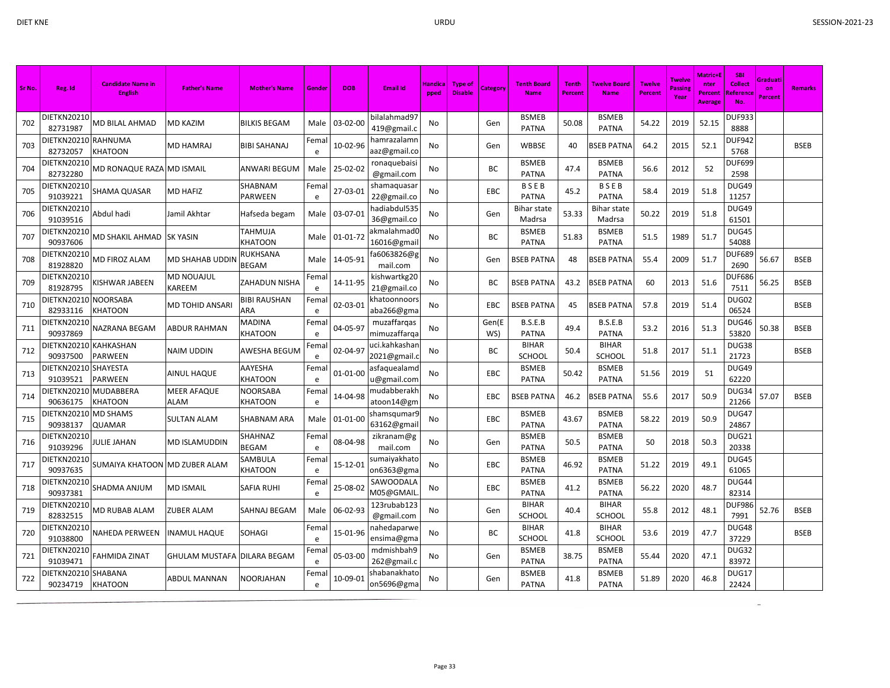a.

| Sr No. | Reg. Id                           | <b>Candidate Name in</b><br><b>English</b> | <b>Father's Name</b>        | <b>Mother's Name</b>       | Gender             | <b>DOB</b>     | <b>Email Id</b>              | <b>Handica</b><br>pped | <b>Type of</b><br><b>Disable</b> | Category     | <b>Tenth Board</b><br><b>Name</b> | <b>Tenth</b><br>Percent | <b>Twelve Board</b><br><b>Name</b> | <b>Twelve</b><br><b>Percent</b> | Twelve<br>Passine<br>Year | Matric+l<br>nter<br><b>Percent</b><br><b>Average</b> | <b>SBI</b><br><b>Collect</b><br>Referenc<br>No. | Graduati<br>on<br>Percent | <b>Remarks</b> |
|--------|-----------------------------------|--------------------------------------------|-----------------------------|----------------------------|--------------------|----------------|------------------------------|------------------------|----------------------------------|--------------|-----------------------------------|-------------------------|------------------------------------|---------------------------------|---------------------------|------------------------------------------------------|-------------------------------------------------|---------------------------|----------------|
| 702    | <b>DIETKN20210</b><br>82731987    | <b>MD BILAL AHMAD</b>                      | <b>MD KAZIM</b>             | <b>BILKIS BEGAM</b>        | Male               | 03-02-00       | bilalahmad97<br>419@gmail.c  | No                     |                                  | Gen          | <b>BSMEB</b><br><b>PATNA</b>      | 50.08                   | <b>BSMEB</b><br><b>PATNA</b>       | 54.22                           | 2019                      | 52.15                                                | <b>DUF933</b><br>8888                           |                           |                |
| 703    | DIETKN20210 RAHNUMA<br>82732057   | <b>KHATOON</b>                             | <b>MD HAMRAJ</b>            | <b>BIBI SAHANAJ</b>        | Fema<br>e          | 10-02-96       | hamrazalamn<br>aaz@gmail.co  | <b>No</b>              |                                  | Gen          | <b>WBBSE</b>                      | 40                      | <b>BSEB PATNA</b>                  | 64.2                            | 2015                      | 52.1                                                 | DUF942<br>5768                                  |                           | <b>BSEB</b>    |
| 704    | DIETKN20210<br>82732280           | MD RONAQUE RAZA                            | <b>MD ISMAIL</b>            | <b>ANWARI BEGUM</b>        | Male               | 25-02-02       | ronaquebaisi<br>@gmail.com   | No                     |                                  | BC           | <b>BSMEB</b><br><b>PATNA</b>      | 47.4                    | <b>BSMEB</b><br><b>PATNA</b>       | 56.6                            | 2012                      | 52                                                   | <b>DUF699</b><br>2598                           |                           |                |
| 705    | DIETKN20210<br>91039221           | <b>SHAMA QUASAR</b>                        | <b>MD HAFIZ</b>             | SHABNAM<br>PARWEEN         | Fema<br>e          | 27-03-01       | shamaquasa<br>22@gmail.co    | No                     |                                  | EBC          | BSEB<br><b>PATNA</b>              | 45.2                    | <b>BSEB</b><br><b>PATNA</b>        | 58.4                            | 2019                      | 51.8                                                 | DUG49<br>11257                                  |                           |                |
| 706    | DIETKN20210<br>91039516           | Abdul hadi                                 | Jamil Akhtar                | Hafseda begam              | Male               | 03-07-01       | nadiabdul535<br>36@gmail.co  | No                     |                                  | Gen          | Bihar state<br>Madrsa             | 53.33                   | <b>Bihar state</b><br>Madrsa       | 50.22                           | 2019                      | 51.8                                                 | DUG49<br>61501                                  |                           |                |
| 707    | DIETKN20210<br>90937606           | MD SHAKIL AHMAD                            | <b>SK YASIN</b>             | TAHMUJA<br>KHATOON         | Male               | $01 - 01 - 72$ | akmalahmadC<br>16016@gmai    | No                     |                                  | BC           | <b>BSMEB</b><br><b>PATNA</b>      | 51.83                   | <b>BSMEB</b><br><b>PATNA</b>       | 51.5                            | 1989                      | 51.7                                                 | DUG45<br>54088                                  |                           |                |
| 708    | <b>DIETKN20210</b><br>81928820    | MD FIROZ ALAM                              | MD SHAHAB UDDIN             | RUKHSANA<br><b>BEGAM</b>   | Male               | 14-05-91       | a6063826@g<br>mail.com       | No                     |                                  | Gen          | <b>BSEB PATNA</b>                 | 48                      | <b>BSEB PATNA</b>                  | 55.4                            | 2009                      | 51.7                                                 | <b>DUF689</b><br>2690                           | 56.67                     | <b>BSEB</b>    |
| 709    | <b>DIETKN20210</b><br>81928795    | KISHWAR JABEEN                             | MD NOUAJUL<br>KAREEM        | <b>ZAHADUN NISHA</b>       | Fema<br>e          | 14-11-95       | kishwartkg20<br>21@gmail.co  | <b>No</b>              |                                  | <b>BC</b>    | <b>BSEB PATNA</b>                 | 43.2                    | <b>BSEB PATNA</b>                  | 60                              | 2013                      | 51.6                                                 | DUF686<br>7511                                  | 56.25                     | <b>BSEB</b>    |
| 710    | DIETKN20210 NOORSABA<br>82933116  | KHATOON                                    | MD TOHID ANSARI             | <b>BIBI RAUSHAN</b><br>ARA | Fema<br>$\epsilon$ | 02-03-01       | khatoonnoors<br>aba266@gma   | No                     |                                  | <b>EBC</b>   | <b>BSEB PATNA</b>                 | 45                      | BSEB PATNA                         | 57.8                            | 2019                      | 51.4                                                 | DUG02<br>06524                                  |                           | <b>BSEB</b>    |
| 711    | DIETKN20210<br>90937869           | NAZRANA BEGAM                              | ABDUR RAHMAN                | MADINA<br>KHATOON          | Fema<br>e          | 04-05-97       | muzaffarqas<br>mimuzaffarqa  | <b>No</b>              |                                  | Gen(E<br>WS) | B.S.E.B<br><b>PATNA</b>           | 49.4                    | B.S.E.B<br><b>PATNA</b>            | 53.2                            | 2016                      | 51.3                                                 | DUG46<br>53820                                  | 50.38                     | <b>BSEB</b>    |
| 712    | DIETKN20210<br>90937500           | <b>KAHKASHAN</b><br><b>PARWEEN</b>         | NAIM UDDIN                  | AWESHA BEGUM               | Fema<br>e          | 02-04-97       | uci.kahkashar<br>2021@gmail. | No                     |                                  | <b>BC</b>    | <b>BIHAR</b><br>SCHOOL            | 50.4                    | <b>BIHAR</b><br><b>SCHOOL</b>      | 51.8                            | 2017                      | 51.1                                                 | DUG38<br>21723                                  |                           | <b>BSEB</b>    |
| 713    | DIETKN20210 SHAYESTA<br>91039521  | <b>PARWEEN</b>                             | AINUL HAQUE                 | AAYESHA<br>KHATOON         | Fema<br>e          | $01 - 01 - 00$ | asfaquealamo<br>u@gmail.com  | No                     |                                  | EBC          | <b>BSMEB</b><br><b>PATNA</b>      | 50.42                   | <b>BSMEB</b><br><b>PATNA</b>       | 51.56                           | 2019                      | 51                                                   | DUG49<br>62220                                  |                           |                |
| 714    | DIETKN20210 MUDABBERA<br>90636175 | <b>KHATOON</b>                             | <b>MEER AFAQUE</b><br>ALAM  | <b>NOORSABA</b><br>KHATOON | Fema<br>e          | 14-04-98       | mudabberakh<br>atoon14@gm    | <b>No</b>              |                                  | EBC          | <b>BSEB PATNA</b>                 | 46.2                    | <b>SEB PATNA</b>                   | 55.6                            | 2017                      | 50.9                                                 | DUG34<br>21266                                  | 57.07                     | <b>BSEB</b>    |
| 715    | <b>DIETKN20210</b><br>90938137    | <b>MD SHAMS</b><br><b>QUAMAR</b>           | <b>SULTAN ALAM</b>          | <b>SHABNAM ARA</b>         | Male               | 01-01-00       | shamsqumar 9<br>63162@gmai   | No                     |                                  | EBC          | <b>BSMEB</b><br><b>PATNA</b>      | 43.67                   | <b>BSMEB</b><br><b>PATNA</b>       | 58.22                           | 2019                      | 50.9                                                 | DUG47<br>24867                                  |                           |                |
| 716    | DIETKN20210<br>91039296           | JULIE JAHAN                                | MD ISLAMUDDIN               | SHAHNAZ<br>BEGAM           | Fema<br>e          | 08-04-98       | zikranam@g<br>mail.com       | No                     |                                  | Gen          | <b>BSMEB</b><br><b>PATNA</b>      | 50.5                    | <b>BSMEB</b><br><b>PATNA</b>       | 50                              | 2018                      | 50.3                                                 | DUG21<br>20338                                  |                           |                |
| 717    | DIETKN20210<br>90937635           | SUMAIYA KHATOON                            | <b>MD ZUBER ALAM</b>        | SAMBULA<br>KHATOON         | Fema<br>e          | 15-12-01       | sumaiyakhato<br>on6363@gma   | <b>No</b>              |                                  | EBC          | <b>BSMEB</b><br><b>PATNA</b>      | 46.92                   | <b>BSMEB</b><br><b>PATNA</b>       | 51.22                           | 2019                      | 49.1                                                 | DUG45<br>61065                                  |                           |                |
| 718    | DIETKN20210<br>90937381           | SHADMA ANJUM                               | MD ISMAIL                   | SAFIA RUHI                 | Fema<br>$\epsilon$ | 25-08-02       | SAWOODALA<br>M05@GMAIL       | No                     |                                  | EBC          | <b>BSMEB</b><br><b>PATNA</b>      | 41.2                    | <b>BSMEB</b><br><b>PATNA</b>       | 56.22                           | 2020                      | 48.7                                                 | DUG44<br>82314                                  |                           |                |
| 719    | <b>DIETKN20210</b><br>82832515    | MD RUBAB ALAM                              | ZUBER ALAM                  | SAHNAJ BEGAM               | Male               | 06-02-93       | 123rubab123<br>@gmail.com    | No                     |                                  | Gen          | <b>BIHAR</b><br>SCHOOL            | 40.4                    | <b>BIHAR</b><br>SCHOOL             | 55.8                            | 2012                      | 48.1                                                 | <b>DUF986</b><br>7991                           | 52.76                     | <b>BSEB</b>    |
| 720    | DIETKN20210<br>91038800           | <b>NAHEDA PERWEEN</b>                      | <b>INAMUL HAQUE</b>         | <b>SOHAGI</b>              | Fema<br>e          | 15-01-96       | nahedaparwe<br>ensima@gma    | No                     |                                  | BC           | <b>BIHAR</b><br>SCHOOL            | 41.8                    | <b>BIHAR</b><br><b>SCHOOL</b>      | 53.6                            | 2019                      | 47.7                                                 | DUG48<br>37229                                  |                           | <b>BSEB</b>    |
| 721    | DIETKN20210<br>91039471           | FAHMIDA ZINAT                              | GHULAM MUSTAFA DILARA BEGAM |                            | Fema<br>e          | 05-03-00       | mdmishbah9<br>262@gmail.c    | No                     |                                  | Gen          | <b>BSMEB</b><br><b>PATNA</b>      | 38.75                   | <b>BSMEB</b><br><b>PATNA</b>       | 55.44                           | 2020                      | 47.1                                                 | DUG32<br>83972                                  |                           |                |
| 722    | DIETKN20210<br>90234719           | <b>SHABANA</b><br><b>KHATOON</b>           | ABDUL MANNAN                | <b>NOORJAHAN</b>           | Fema<br>e          | 10-09-01       | shabanakhatc<br>on5696@gma   | No                     |                                  | Gen          | <b>BSMEB</b><br><b>PATNA</b>      | 41.8                    | <b>BSMEB</b><br><b>PATNA</b>       | 51.89                           | 2020                      | 46.8                                                 | DUG17<br>22424                                  |                           |                |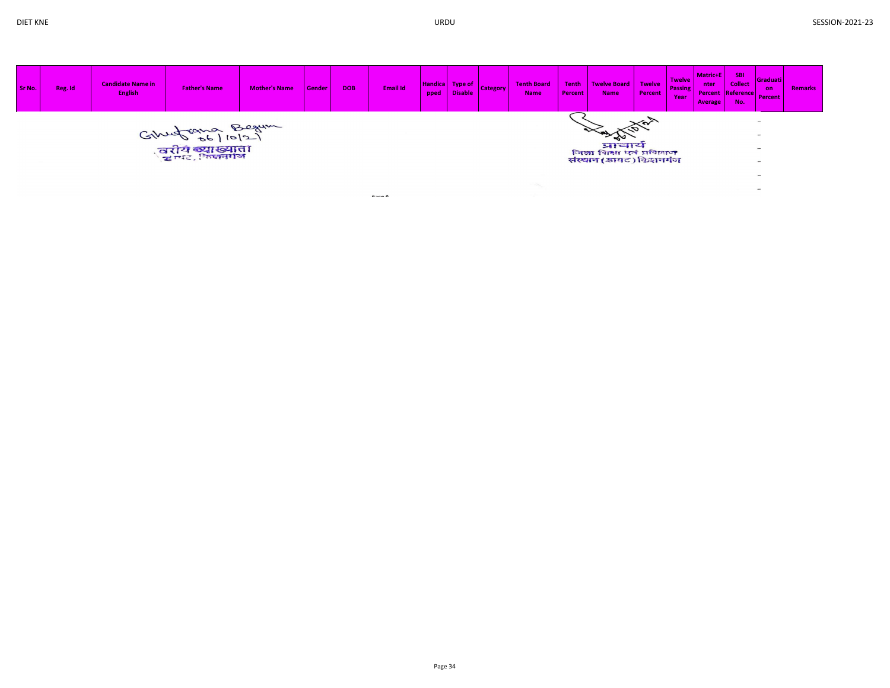